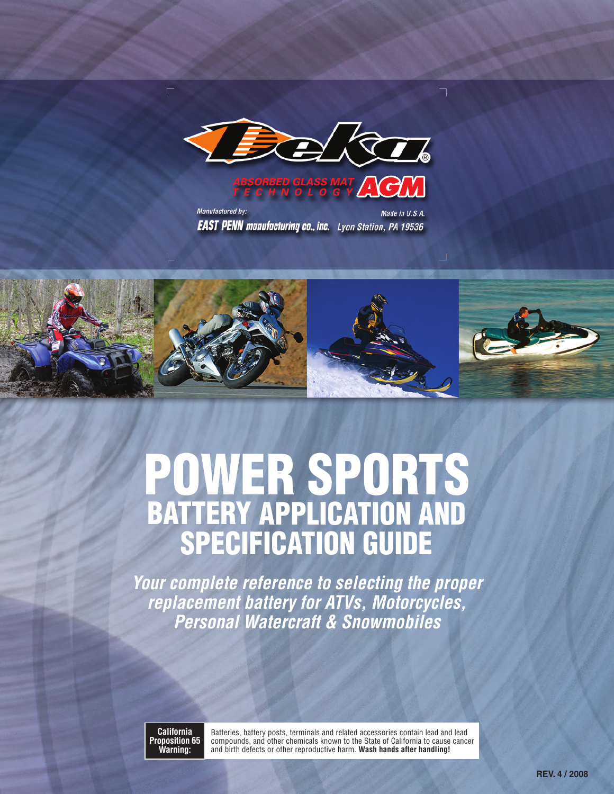



Manufactured by: Made in U.S.A. **EAST PENN manufacturing co., inc.** Lyon Station, PA 19536



# **POWER SPORTS BATTERY APPLICATION AND SPECIFICATION GUIDE**

*Your complete reference to selecting the proper replacement battery for ATVs, Motorcycles, Personal Watercraft & Snowmobiles*

**California Proposition 65 Warning:**

Batteries, battery posts, terminals and related accessories contain lead and lead compounds, and other chemicals known to the State of California to cause cancer and birth defects or other reproductive harm. **Wash hands after handling!**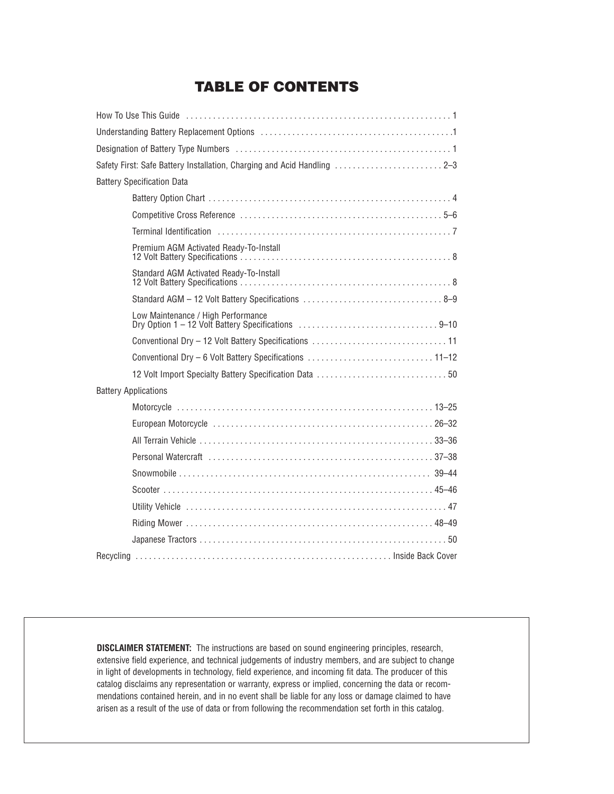#### **TABLE OF CONTENTS**

| Understanding Battery Replacement Options (1996) 1996) 1997 (1997) 1998 1999 1998 1999 1999 1999 199           |
|----------------------------------------------------------------------------------------------------------------|
|                                                                                                                |
| Safety First: Safe Battery Installation, Charging and Acid Handling  2-3                                       |
| <b>Battery Specification Data</b>                                                                              |
|                                                                                                                |
|                                                                                                                |
| Terminal Identification (1999) 1996 (1999) 1997 (1998) 1997 (1998) 1998 (1999) 1999 (1999) 1999 (1999) 1999 (1 |
| Premium AGM Activated Ready-To-Install                                                                         |
| Standard AGM Activated Ready-To-Install                                                                        |
|                                                                                                                |
| Low Maintenance / High Performance<br>Dry Option 1 - 12 Volt Battery Specifications 9-10                       |
|                                                                                                                |
|                                                                                                                |
|                                                                                                                |
| <b>Battery Applications</b>                                                                                    |
|                                                                                                                |
|                                                                                                                |
|                                                                                                                |
| Personal Watercraft (and all and all and all and all and all and all and all and all and all and all and all a |
|                                                                                                                |
|                                                                                                                |
|                                                                                                                |
|                                                                                                                |
|                                                                                                                |
|                                                                                                                |

**DISCLAIMER STATEMENT:** The instructions are based on sound engineering principles, research, extensive field experience, and technical judgements of industry members, and are subject to change in light of developments in technology, field experience, and incoming fit data. The producer of this catalog disclaims any representation or warranty, express or implied, concerning the data or recommendations contained herein, and in no event shall be liable for any loss or damage claimed to have arisen as a result of the use of data or from following the recommendation set forth in this catalog.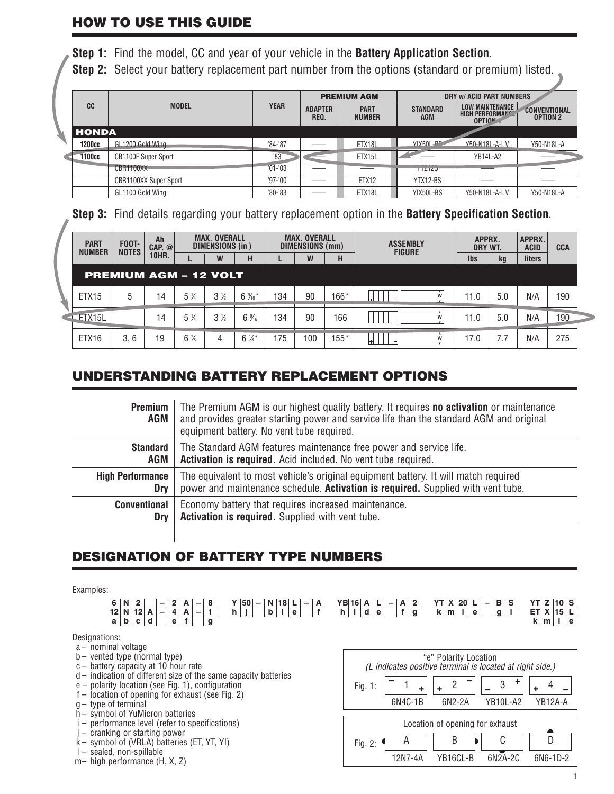#### **HOW TO USE THIS GUIDE**

**Step 1:** Find the model, CC and year of your vehicle in the **Battery Application Section**.

**Step 2:** Select your battery replacement part number from the options (standard or premium) listed.

|              |                              |             |                        | <b>PREMIUM AGM</b>           |                               | DRY W/ ACID PART NUMBERS                                    |                                        |  |  |
|--------------|------------------------------|-------------|------------------------|------------------------------|-------------------------------|-------------------------------------------------------------|----------------------------------------|--|--|
| CC           | <b>MODEL</b>                 | <b>YEAR</b> | <b>ADAPTER</b><br>REQ. | <b>PART</b><br><b>NUMBER</b> | <b>STANDARD</b><br><b>AGM</b> | <b>LOW MAINTENANCE</b><br><b>HIGH PERFORMANCL</b><br>OPTION | <b>CONVENTIONAL</b><br><b>OPTION 2</b> |  |  |
| <b>HONDA</b> |                              |             |                        |                              |                               |                                                             |                                        |  |  |
| 1200cc       | GL1200 Gold Wing             | $'84-'87$   |                        | ETX18L                       | <b>YIX50L-PC</b>              | Y50-N18L-A-LM                                               | Y50-N18L-A                             |  |  |
| 1100cc       | <b>CB1100F Super Sport</b>   | '83         |                        | ETX15L                       |                               | YB14L-A2                                                    |                                        |  |  |
|              | CBR1100XX                    | $701 - 03$  |                        |                              | 112120                        |                                                             |                                        |  |  |
|              | <b>CBR1100XX Super Sport</b> | $'97 - '00$ |                        | ETX <sub>12</sub>            | YTX12-BS                      |                                                             |                                        |  |  |
|              | GL1100 Gold Wing             | $80 - 83$   |                        | ETX18L                       | YIX50L-BS                     | Y50-N18L-A-LM                                               | Y50-N18L-A                             |  |  |

**Step 3:** Find details regarding your battery replacement option in the **Battery Specification Section**.

|  | Ah<br><b>PART</b><br><b>FOOT-</b><br><b>NOTES</b><br><b>NUMBER</b><br><b>10HR.</b> |      | CAP. @ | <b>MAX. OVERALL</b><br>DIMENSIONS (in) |       |         | <b>MAX. OVERALL</b><br>DIMENSIONS (mm) |    |        | <b>ASSEMBLY</b><br><b>FIGURE</b> | APPRX.<br>DRY WT. |     | APPRX.<br><b>ACID</b> | <b>CCA</b> |  |
|--|------------------------------------------------------------------------------------|------|--------|----------------------------------------|-------|---------|----------------------------------------|----|--------|----------------------------------|-------------------|-----|-----------------------|------------|--|
|  |                                                                                    |      |        |                                        | W     | н       |                                        | W  | н      |                                  | <b>Ibs</b>        | kg  | liters                |            |  |
|  | <b>PREMIUM AGM - 12 VOLT</b>                                                       |      |        |                                        |       |         |                                        |    |        |                                  |                   |     |                       |            |  |
|  | ETX <sub>15</sub>                                                                  | h.   | 14     | 5 %                                    | $3\%$ | $6\%$   | 134                                    | 90 | 166*   |                                  | l 1.0             | 5.0 | N/A                   | 190        |  |
|  | ETX15L                                                                             |      | 14     | 5 %                                    | $3\%$ | $6\%$   | 134                                    | 90 | 166    |                                  | 11.0              | 5.0 | N/A                   | 190        |  |
|  | ETX16                                                                              | 3, 6 | 19     | $6\%$                                  | 4     | $6\%$ * | 75                                     | 00 | $155*$ | l+l                              | 17.0              |     | N/A                   | 275        |  |

#### **UNDERSTANDING BATTERY REPLACEMENT OPTIONS**

| <b>Premium</b><br>AGM   | The Premium AGM is our highest quality battery. It requires no activation or maintenance<br>and provides greater starting power and service life than the standard AGM and original<br>equipment battery. No vent tube required. |
|-------------------------|----------------------------------------------------------------------------------------------------------------------------------------------------------------------------------------------------------------------------------|
| Standard                | The Standard AGM features maintenance free power and service life.                                                                                                                                                               |
| AGM                     | Activation is required. Acid included. No vent tube required.                                                                                                                                                                    |
| <b>High Performance</b> | The equivalent to most vehicle's original equipment battery. It will match required                                                                                                                                              |
| Dry                     | power and maintenance schedule. Activation is required. Supplied with vent tube.                                                                                                                                                 |
| <b>Conventional</b>     | Economy battery that requires increased maintenance.                                                                                                                                                                             |
| <b>Drv</b>              | Activation is required. Supplied with vent tube.                                                                                                                                                                                 |
|                         |                                                                                                                                                                                                                                  |

#### **DESIGNATION OF BATTERY TYPE NUMBERS**

Examples:



Designations:

- a nominal voltage
- b vented type (normal type)
- c battery capacity at 10 hour rate
- d indication of different size of the same capacity batteries
- e polarity location (see Fig. 1), configuration
- f location of opening for exhaust (see Fig. 2)
- $g-$  type of terminal
- h symbol of YuMicron batteries
- i performance level (refer to specifications)
- j cranking or starting power
- k symbol of (VRLA) batteries (ET, YT, YI)
- l sealed, non-spillable m– high performance (H, X, Z)

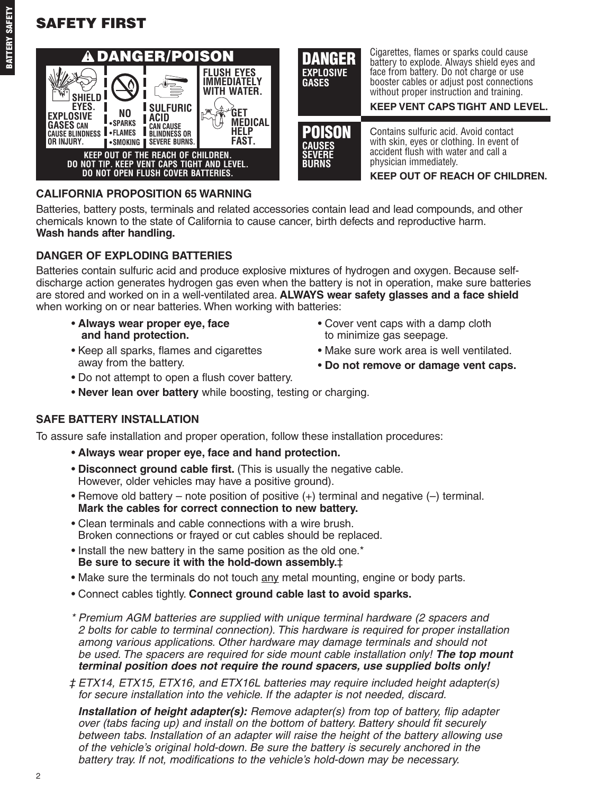# **SAFETY FIRST**





#### **CALIFORNIA PROPOSITION 65 WARNING**

Batteries, battery posts, terminals and related accessories contain lead and lead compounds, and other chemicals known to the state of California to cause cancer, birth defects and reproductive harm. **Wash hands after handling.**

#### **DANGER OF EXPLODING BATTERIES**

Batteries contain sulfuric acid and produce explosive mixtures of hydrogen and oxygen. Because selfdischarge action generates hydrogen gas even when the battery is not in operation, make sure batteries are stored and worked on in a well-ventilated area. **ALWAYS wear safety glasses and a face shield** when working on or near batteries. When working with batteries:

- **and hand protection.** to minimize gas seepage.
- Keep all sparks, flames and cigarettes Make sure work area is well ventilated. away from the battery.
- **Always wear proper eye, face** Cover vent caps with a damp cloth
	-
	- **Do not remove or damage vent caps.**
- Do not attempt to open a flush cover battery.
- **Never lean over battery** while boosting, testing or charging.

#### **SAFE BATTERY INSTALLATION**

To assure safe installation and proper operation, follow these installation procedures:

- **Always wear proper eye, face and hand protection.**
- **Disconnect ground cable first.** (This is usually the negative cable. However, older vehicles may have a positive ground).
- Remove old battery note position of positive (+) terminal and negative (–) terminal. **Mark the cables for correct connection to new battery.**
- Clean terminals and cable connections with a wire brush. Broken connections or frayed or cut cables should be replaced.
- Install the new battery in the same position as the old one.\* **Be sure to secure it with the hold-down assembly.**‡
- Make sure the terminals do not touch any metal mounting, engine or body parts.
- Connect cables tightly. **Connect ground cable last to avoid sparks.**
- *\* Premium AGM batteries are supplied with unique terminal hardware (2 spacers and 2 bolts for cable to terminal connection). This hardware is required for proper installation among various applications. Other hardware may damage terminals and should not be used. The spacers are required for side mount cable installation only! The top mount terminal position does not require the round spacers, use supplied bolts only!*
- *‡ ETX14, ETX15, ETX16, and ETX16L batteries may require included height adapter(s) for secure installation into the vehicle. If the adapter is not needed, discard.*

*Installation of height adapter(s): Remove adapter(s) from top of battery, flip adapter over (tabs facing up) and install on the bottom of battery. Battery should fit securely between tabs. Installation of an adapter will raise the height of the battery allowing use of the vehicle's original hold-down. Be sure the battery is securely anchored in the battery tray. If not, modifications to the vehicle's hold-down may be necessary.*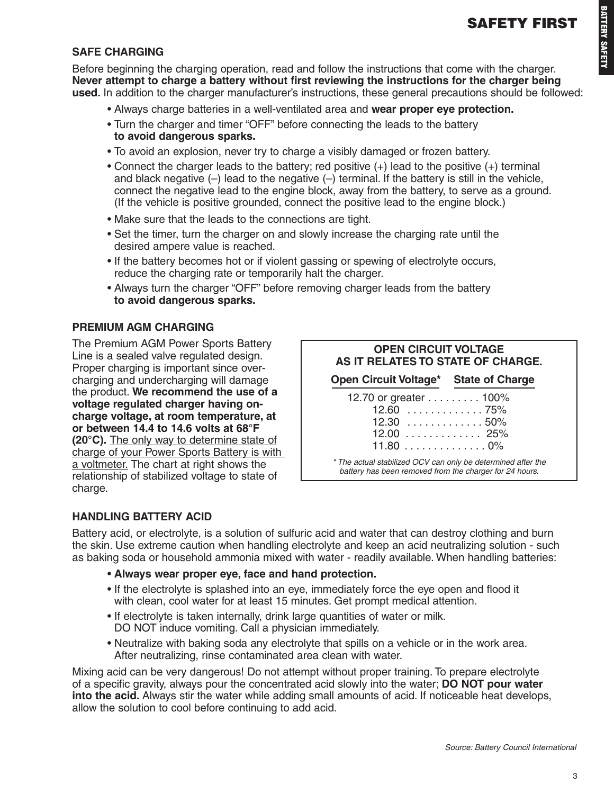#### **SAFE CHARGING**

Before beginning the charging operation, read and follow the instructions that come with the charger. **Never attempt to charge a battery without first reviewing the instructions for the charger being used.** In addition to the charger manufacturer's instructions, these general precautions should be followed:

- Always charge batteries in a well-ventilated area and **wear proper eye protection.**
- Turn the charger and timer "OFF" before connecting the leads to the battery **to avoid dangerous sparks.**
- To avoid an explosion, never try to charge a visibly damaged or frozen battery.
- Connect the charger leads to the battery; red positive (+) lead to the positive (+) terminal and black negative  $(-)$  lead to the negative  $(-)$  terminal. If the battery is still in the vehicle, connect the negative lead to the engine block, away from the battery, to serve as a ground. (If the vehicle is positive grounded, connect the positive lead to the engine block.)
- Make sure that the leads to the connections are tight.
- Set the timer, turn the charger on and slowly increase the charging rate until the desired ampere value is reached.
- If the battery becomes hot or if violent gassing or spewing of electrolyte occurs, reduce the charging rate or temporarily halt the charger.
- Always turn the charger "OFF" before removing charger leads from the battery **to avoid dangerous sparks.**

#### **PREMIUM AGM CHARGING**

The Premium AGM Power Sports Battery Line is a sealed valve regulated design. Proper charging is important since overcharging and undercharging will damage the product. **We recommend the use of a voltage regulated charger having oncharge voltage, at room temperature, at or between 14.4 to 14.6 volts at 68°F (20°C).** The only way to determine state of charge of your Power Sports Battery is with a voltmeter. The chart at right shows the relationship of stabilized voltage to state of charge.

| <b>OPEN CIRCUIT VOLTAGE</b><br>AS IT RELATES TO STATE OF CHARGE.                                                        |  |
|-------------------------------------------------------------------------------------------------------------------------|--|
| Open Circuit Voltage* State of Charge                                                                                   |  |
| 12.70 or greater 100%<br>$12.60$ 75%<br>$12.30$ 50%<br>$12.00$ 25%<br>11.800%                                           |  |
| * The actual stabilized OCV can only be determined after the<br>battery has been removed from the charger for 24 hours. |  |

#### **HANDLING BATTERY ACID**

Battery acid, or electrolyte, is a solution of sulfuric acid and water that can destroy clothing and burn the skin. Use extreme caution when handling electrolyte and keep an acid neutralizing solution - such as baking soda or household ammonia mixed with water - readily available. When handling batteries:

- **Always wear proper eye, face and hand protection.**
- If the electrolyte is splashed into an eye, immediately force the eye open and flood it with clean, cool water for at least 15 minutes. Get prompt medical attention.
- If electrolyte is taken internally, drink large quantities of water or milk. DO NOT induce vomiting. Call a physician immediately.
- Neutralize with baking soda any electrolyte that spills on a vehicle or in the work area. After neutralizing, rinse contaminated area clean with water.

Mixing acid can be very dangerous! Do not attempt without proper training. To prepare electrolyte of a specific gravity, always pour the concentrated acid slowly into the water; **DO NOT pour water into the acid.** Always stir the water while adding small amounts of acid. If noticeable heat develops, allow the solution to cool before continuing to add acid.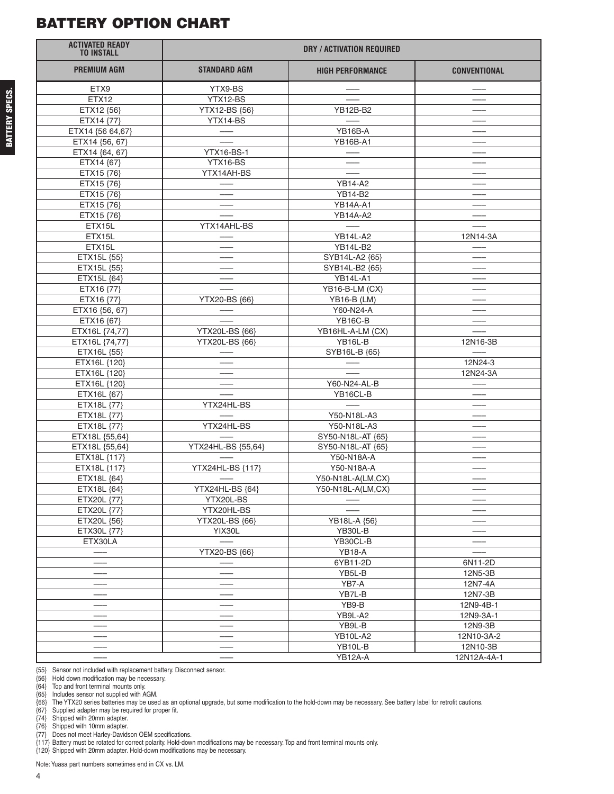#### **BATTERY OPTION CHART**

| <b>ACTIVATED READY</b><br><b>TO INSTALL</b> |                          | <b>DRY / ACTIVATION REQUIRED</b> |                          |  |  |  |
|---------------------------------------------|--------------------------|----------------------------------|--------------------------|--|--|--|
| <b>PREMIUM AGM</b>                          | <b>STANDARD AGM</b>      | <b>HIGH PERFORMANCE</b>          | <b>CONVENTIONAL</b>      |  |  |  |
| ETX9                                        | YTX9-BS                  |                                  |                          |  |  |  |
| <b>ETX12</b>                                | YTX12-BS                 |                                  |                          |  |  |  |
| ETX12 {56}                                  | YTX12-BS {56}            | YB12B-B2                         |                          |  |  |  |
| ETX14 {77}                                  | YTX14-BS                 |                                  |                          |  |  |  |
| ETX14 {56 64,67}                            |                          | YB16B-A                          |                          |  |  |  |
| ETX14 {56, 67}                              |                          | <b>YB16B-A1</b>                  |                          |  |  |  |
| ETX14 {64, 67}                              | <b>YTX16-BS-1</b>        |                                  |                          |  |  |  |
| ETX14 {67}                                  | YTX16-BS                 |                                  |                          |  |  |  |
| ETX15 {76}                                  | YTX14AH-BS               |                                  |                          |  |  |  |
| ETX15 {76}                                  |                          | <b>YB14-A2</b>                   |                          |  |  |  |
| ETX15 {76}                                  |                          | YB14-B2                          |                          |  |  |  |
| ETX15 {76}                                  |                          | <b>YB14A-A1</b>                  |                          |  |  |  |
| ETX15 {76}                                  |                          | <b>YB14A-A2</b>                  |                          |  |  |  |
| ETX15L                                      | YTX14AHL-BS              |                                  |                          |  |  |  |
| ETX15L                                      |                          | <b>YB14L-A2</b>                  | 12N14-3A                 |  |  |  |
| ETX15L                                      |                          | <b>YB14L-B2</b>                  |                          |  |  |  |
| ETX15L {55}                                 |                          | SYB14L-A2 {65}                   |                          |  |  |  |
| ETX15L {55}                                 |                          | SYB14L-B2 {65}                   |                          |  |  |  |
| ETX15L {64}                                 |                          | <b>YB14L-A1</b>                  |                          |  |  |  |
| ETX16 {77}                                  |                          | YB16-B-LM (CX)                   |                          |  |  |  |
| ETX16 {77}                                  | YTX20-BS {66}            | <b>YB16-B (LM)</b>               |                          |  |  |  |
| ETX16 {56, 67}                              |                          | Y60-N24-A                        |                          |  |  |  |
| ETX16 {67}                                  |                          | YB16C-B                          |                          |  |  |  |
| ETX16L {74,77}                              | YTX20L-BS {66}           | YB16HL-A-LM (CX)                 |                          |  |  |  |
| ETX16L {74,77}                              | YTX20L-BS {66}           | YB16L-B                          | 12N16-3B                 |  |  |  |
| ETX16L {55}                                 |                          | SYB16L-B {65}                    |                          |  |  |  |
| ETX16L {120}                                |                          |                                  | 12N24-3                  |  |  |  |
| ETX16L {120}                                |                          |                                  | 12N24-3A                 |  |  |  |
| ETX16L {120}                                |                          | Y60-N24-AL-B                     |                          |  |  |  |
| ETX16L {67}                                 |                          | YB16CL-B                         |                          |  |  |  |
| ETX18L {77}                                 | YTX24HL-BS               |                                  |                          |  |  |  |
| ETX18L {77}                                 |                          | Y50-N18L-A3                      |                          |  |  |  |
| ETX18L {77}                                 | YTX24HL-BS               | Y50-N18L-A3                      |                          |  |  |  |
| ETX18L {55,64}                              |                          | SY50-N18L-AT {65}                |                          |  |  |  |
| ETX18L {55,64}                              | YTX24HL-BS {55,64}       | SY50-N18L-AT {65}                |                          |  |  |  |
| ETX18L {117}                                |                          | Y50-N18A-A                       |                          |  |  |  |
| ETX18L {117}                                | YTX24HL-BS {117}         | Y50-N18A-A                       |                          |  |  |  |
| ETX18L {64}                                 |                          | Y50-N18L-A(LM,CX)                |                          |  |  |  |
| ETX18L {64}                                 | YTX24HL-BS {64}          | Y50-N18L-A(LM,CX)                |                          |  |  |  |
| ETX20L {77}                                 | YTX20L-BS                |                                  |                          |  |  |  |
| ETX20L {77}                                 | YTX20HL-BS               |                                  |                          |  |  |  |
| ETX20L {56}                                 | YTX20L-BS {66}<br>YIX30L | YB18L-A {56}<br>YB30L-B          | $\overline{\phantom{0}}$ |  |  |  |
| ETX30L {77}<br>ETX30LA                      |                          | YB30CL-B                         |                          |  |  |  |
|                                             | YTX20-BS {66}            | <b>YB18-A</b>                    |                          |  |  |  |
|                                             |                          | 6YB11-2D                         | 6N11-2D                  |  |  |  |
|                                             |                          | YB5L-B                           | 12N5-3B                  |  |  |  |
|                                             |                          | YB7-A                            | 12N7-4A                  |  |  |  |
|                                             |                          | YB7L-B                           | 12N7-3B                  |  |  |  |
|                                             |                          | YB9-B                            | 12N9-4B-1                |  |  |  |
|                                             |                          | YB9L-A2                          | 12N9-3A-1                |  |  |  |
|                                             |                          | YB9L-B                           | 12N9-3B                  |  |  |  |
|                                             |                          | <b>YB10L-A2</b>                  | 12N10-3A-2               |  |  |  |
|                                             |                          | YB10L-B                          | 12N10-3B                 |  |  |  |
|                                             |                          | YB12A-A                          | 12N12A-4A-1              |  |  |  |

{55} Sensor not included with replacement battery. Disconnect sensor.

{56} Hold down modification may be necessary.

{64} Top and front terminal mounts only.

{65} Includes sensor not supplied with AGM. {66} The YTX20 series batteries may be used as an optional upgrade, but some modification to the hold-down may be necessary. See battery label for retrofit cautions.

{67} Supplied adapter may be required for proper fit.

{74} Shipped with 20mm adapter.

{76} Shipped with 10mm adapter.

{77} Does not meet Harley-Davidson OEM specifications.

{117} Battery must be rotated for correct polarity. Hold-down modifications may be necessary. Top and front terminal mounts only.

{120} Shipped with 20mm adapter. Hold-down modifications may be necessary.

Note:Yuasa part numbers sometimes end in CX vs. LM.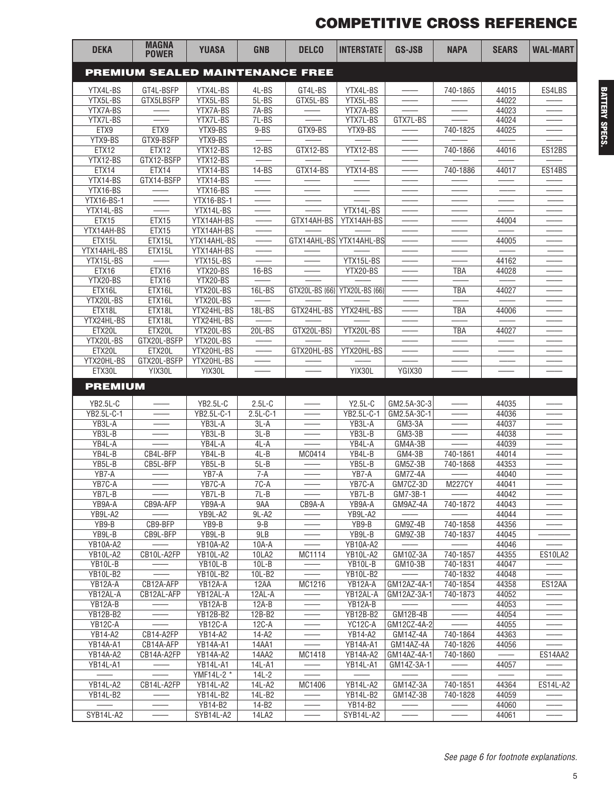## **COMPETITIVE CROSS REFERENCE**

| <b>DEKA</b>           | <b>MAGNA</b><br><b>POWER</b>           | <b>YUASA</b>               | <b>GNB</b>        | <b>DELCO</b>   | <b>INTERSTATE</b>          | <b>GS-JSB</b>                     | <b>NAPA</b>              | <b>SEARS</b>   | <b>WAL-MART</b> |
|-----------------------|----------------------------------------|----------------------------|-------------------|----------------|----------------------------|-----------------------------------|--------------------------|----------------|-----------------|
|                       | <b>PREMIUM SEALED MAINTENANCE FREE</b> |                            |                   |                |                            |                                   |                          |                |                 |
| YTX4L-BS              | GT4L-BSFP                              | YTX4L-BS                   | 4L-BS             | GT4L-BS        | YTX4L-BS                   |                                   | 740-1865                 | 44015          | ES4LBS          |
| YTX5L-BS              | GTX5LBSFP                              | YTX5L-BS                   | 5L-BS             | GTX5L-BS       | YTX5L-BS                   |                                   |                          | 44022          |                 |
| YTX7A-BS              |                                        | YTX7A-BS                   | $7A-BS$           |                | YTX7A-BS                   |                                   |                          | 44023          |                 |
| YTX7L-BS              |                                        | YTX7L-BS                   | 7L-BS             |                | YTX7L-BS                   | GTX7L-BS                          |                          | 44024          |                 |
| ETX9                  | ETX9                                   | YTX9-BS                    | $9 - BS$          | GTX9-BS        | YTX9-BS                    |                                   | 740-1825                 | 44025          |                 |
| YTX9-BS               | GTX9-BSFP                              | YTX9-BS                    |                   |                |                            |                                   |                          |                |                 |
| ETX12<br>YTX12-BS     | ETX12<br>GTX12-BSFP                    | YTX12-BS<br>YTX12-BS       | $12-BS$           | GTX12-BS       | YTX12-BS                   |                                   | 740-1866                 | 44016          | ES12BS          |
| ETX14                 | ETX14                                  | YTX14-BS                   | $14-BS$           | GTX14-BS       | YTX14-BS                   | $\overbrace{\phantom{aaaaa}}^{x}$ | 740-1886                 | 44017          | ES14BS          |
| YTX14-BS              | GTX14-BSFP                             | YTX14-BS                   |                   |                |                            |                                   |                          |                |                 |
| YTX16-BS              |                                        | YTX16-BS                   |                   |                |                            |                                   |                          |                |                 |
| YTX16-BS-1            |                                        | YTX16-BS-1                 |                   |                |                            |                                   |                          |                |                 |
| YTX14L-BS             |                                        | YTX14L-BS                  |                   |                | YTX14L-BS                  |                                   |                          |                |                 |
| ETX15                 | ETX15                                  | YTX14AH-BS                 |                   | GTX14AH-BS     | YTX14AH-BS                 |                                   |                          | 44004          |                 |
| YTX14AH-BS            | ETX15                                  | YTX14AH-BS                 |                   |                |                            |                                   |                          |                |                 |
| ETX15L<br>YTX14AHL-BS | ETX15L<br>ETX15L                       | YTX14AHL-BS<br>YTX14AH-BS  |                   | GTX14AHL-BS    | YTX14AHL-BS                |                                   |                          | 44005          |                 |
| YTX15L-BS             |                                        | YTX15L-BS                  |                   |                | YTX15L-BS                  |                                   |                          | 44162          |                 |
| ETX16                 | ETX16                                  | YTX20-BS                   | $16-BS$           |                | YTX20-BS                   |                                   | TBA                      | 44028          |                 |
| YTX20-BS              | ETX16                                  | YTX20-BS                   |                   |                |                            |                                   |                          |                |                 |
| ETX16L                | ETX16L                                 | YTX20L-BS                  | 16L-BS            | GTX20L-BS {66} | YTX20L-BS {66}             |                                   | <b>TBA</b>               | 44027          |                 |
| YTX20L-BS             | ETX16L                                 | YTX20L-BS                  |                   |                |                            |                                   |                          |                |                 |
| ETX18L                | ETX18L                                 | YTX24HL-BS                 | 18L-BS            | GTX24HL-BS     | YTX24HL-BS                 |                                   | TBA                      | 44006          |                 |
| YTX24HL-BS            | ETX18L                                 | YTX24HL-BS                 |                   |                |                            |                                   |                          |                |                 |
| ETX20L<br>YTX20L-BS   | ETX20L                                 | YTX20L-BS<br>YTX20L-BS     | 20L-BS            | GTX20L-BS}     | YTX20L-BS                  |                                   | TBA                      | 44027          |                 |
| ETX20L                | GTX20L-BSFP<br>ETX20L                  | YTX20HL-BS                 |                   | GTX20HL-BS     | YTX20HL-BS                 |                                   |                          |                |                 |
| YTX20HL-BS            | GTX20L-BSFP                            | YTX20HL-BS                 |                   |                |                            |                                   |                          |                |                 |
| ETX30L                | YIX30L                                 | YIX30L                     |                   |                | YIX30L                     | YGIX30                            |                          |                |                 |
| <b>PREMIUM</b>        |                                        |                            |                   |                |                            |                                   |                          |                |                 |
| YB2.5L-C              |                                        | <b>YB2.5L-C</b>            | $2.5L-C$          |                | $Y2.5L-C$                  | GM2.5A-3C-3                       |                          | 44035          |                 |
| YB2.5L-C-1            |                                        | YB2.5L-C-1                 | $2.5L-C-1$        |                | YB2.5L-C-1                 | GM2.5A-3C-1                       |                          | 44036          |                 |
| YB3L-A                |                                        | YB3L-A                     | $3L-A$            |                | YB3L-A                     | GM3-3A                            |                          | 44037          |                 |
| YB3L-B                |                                        | YB3L-B                     | $3L-B$            |                | YB3L-B                     | GM3-3B                            |                          | 44038          |                 |
| YB4L-A                |                                        | YB4L-A                     | $4L-A$            |                | YB4L-A                     | GM4A-3B                           |                          | 44039          |                 |
| YB4L-B                | CB4L-BFP                               | YB4L-B                     | $4L-B$            | MC0414         | YB4L-B                     | $GM4-3B$                          | 740-1861                 | 44014          |                 |
| YB5L-B                | CB5L-BFP                               | YB5L-B                     | $5L - B$          |                | YB5L-B                     | GM5Z-3B                           | 740-1868                 | 44353          |                 |
| YB7-A<br>YB7C-A       |                                        | YB7-A<br>YB7C-A            | $7-A$<br>$7C-A$   |                | YB7-A<br>YB7C-A            | GM7Z-4A<br>GM7CZ-3D               | <b>M227CY</b>            | 44040<br>44041 |                 |
| YB7L-B                | $\overbrace{\phantom{aaaaa}}^{x}$      | YB7L-B                     | $7L-B$            |                | YB7L-B                     | GM7-3B-1                          | $\overline{\phantom{m}}$ | 44042          |                 |
| YB9A-A                | CB9A-AFP                               | YB9A-A                     | 9AA               | CB9A-A         | YB9A-A                     | GM9AZ-4A                          | 740-1872                 | 44043          |                 |
| YB9L-A2               |                                        | YB9L-A2                    | 9L-A2             |                | YB9L-A2                    |                                   |                          | 44044          |                 |
| YB9-B                 | CB9-BFP                                | YB9-B                      | $9 - B$           |                | YB9-B                      | GM9Z-4B                           | 740-1858                 | 44356          |                 |
| $YB9L-B$              | CB9L-BFP                               | $YB9L-B$                   | 9LB               |                | YB9L-B                     | GM9Z-3B                           | 740-1837                 | 44045          |                 |
| <b>YB10A-A2</b>       |                                        | <b>YB10A-A2</b>            | 10A-A             |                | <b>YB10A-A2</b>            |                                   |                          | 44046          |                 |
| <b>YB10L-A2</b>       | CB10L-A2FP                             | <b>YB10L-A2</b>            | 10LA2             | MC1114         | <b>YB10L-A2</b>            | GM10Z-3A                          | 740-1857                 | 44355          | ES10LA2         |
| YB10L-B               |                                        | YB10L-B                    | $10L-B$<br>10L-B2 |                | YB10L-B                    | GM10-3B                           | 740-1831                 | 44047<br>44048 |                 |
| YB10L-B2<br>YB12A-A   | CB12A-AFP                              | <b>YB10L-B2</b><br>YB12A-A | 12AA              | MC1216         | <b>YB10L-B2</b><br>YB12A-A | GM12AZ-4A-1                       | 740-1832<br>740-1854     | 44358          | ES12AA          |
| YB12AL-A              | CB12AL-AFP                             | YB12AL-A                   | 12AL-A            |                | YB12AL-A                   | GM12AZ-3A-1                       | 740-1873                 | 44052          |                 |
| YB12A-B               |                                        | YB12A-B                    | $12A-B$           |                | YB12A-B                    |                                   |                          | 44053          |                 |
| <b>YB12B-B2</b>       |                                        | <b>YB12B-B2</b>            | 12B-B2            |                | <b>YB12B-B2</b>            | GM12B-4B                          |                          | 44054          |                 |
| YB12C-A               |                                        | $YB12C-A$                  | $12C-A$           |                | YC12C-A                    | GM12CZ-4A-2                       |                          | 44055          |                 |
| <b>YB14-A2</b>        | CB14-A2FP                              | <b>YB14-A2</b>             | $14-A2$           |                | <b>YB14-A2</b>             | GM14Z-4A                          | 740-1864                 | 44363          |                 |
| <b>YB14A-A1</b>       | CB14A-AFP                              | YB14A-A1                   | 14AA1             |                | YB14A-A1                   | GM14AZ-4A                         | 740-1826                 | 44056          |                 |
| <b>YB14A-A2</b>       | CB14A-A2FP                             | <b>YB14A-A2</b>            | 14AA2             | MC1418         | YB14A-A2                   | GM14AZ-4A-1                       | 740-1860                 |                | ES14AA2         |
| YB14L-A1              |                                        | YB14L-A1<br>YMF14L-2 *     | 14L-A1<br>$14L-2$ |                | YB14L-A1                   | GM14Z-3A-1                        |                          | 44057          |                 |
| YB14L-A2              | CB14L-A2FP                             | YB14L-A2                   | 14L-A2            | MC1406         | YB14L-A2                   | GM14Z-3A                          | 740-1851                 | 44364          | ES14L-A2        |
| <b>YB14L-B2</b>       |                                        | YB14L-B2                   | 14L-B2            |                | YB14L-B2                   | GM14Z-3B                          | 740-1828                 | 44059          |                 |
|                       |                                        | <b>YB14-B2</b>             | $14-B2$           |                | YB14-B2                    |                                   |                          | 44060          |                 |
| SYB14L-A2             |                                        | SYB14L-A2                  | <b>14LA2</b>      |                | SYB14L-A2                  | $\overbrace{\phantom{aaaaa}}^{}$  | $\hspace{0.05cm}$        | 44061          |                 |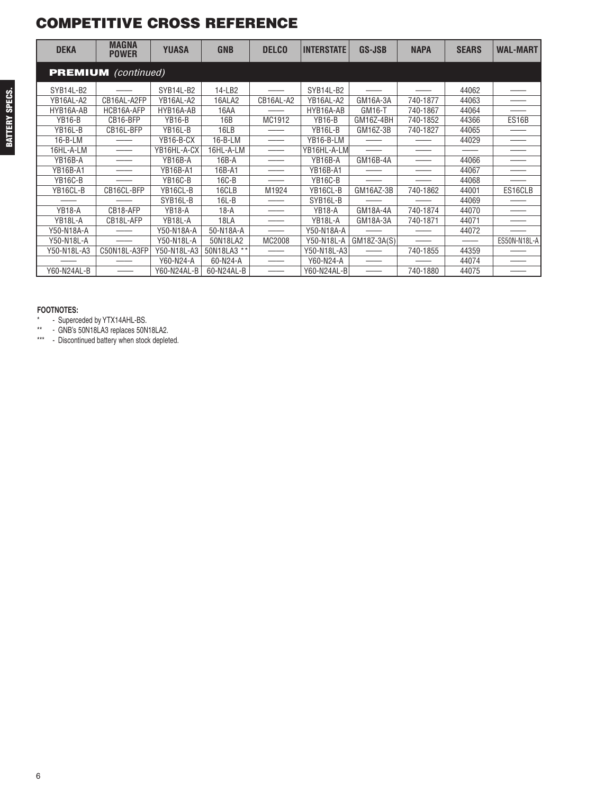#### **COMPETITIVE CROSS REFERENCE**

| <b>DEKA</b>     | <b>MAGNA</b><br><b>POWER</b> | <b>YUASA</b>    | <b>GNB</b>    | <b>DELCO</b> | <b>INTERSTATE</b> | GS-JSB      | <b>NAPA</b> | <b>SEARS</b> | <b>WAL-MART</b> |
|-----------------|------------------------------|-----------------|---------------|--------------|-------------------|-------------|-------------|--------------|-----------------|
|                 | <b>PREMIUM</b> (continued)   |                 |               |              |                   |             |             |              |                 |
| SYB14L-B2       |                              | SYB14L-B2       | 14-LB2        |              | SYB14L-B2         |             |             | 44062        |                 |
| YB16AL-A2       | CB16AL-A2FP                  | YB16AL-A2       | 16ALA2        | CB16AL-A2    | YB16AL-A2         | GM16A-3A    | 740-1877    | 44063        |                 |
| HYB16A-AB       | HCB16A-AFP                   | HYB16A-AB       | 16AA          |              | HYB16A-AB         | GM16-T      | 740-1867    | 44064        |                 |
| <b>YB16-B</b>   | CB16-BFP                     | <b>YB16-B</b>   | 16B           | MC1912       | <b>YB16-B</b>     | GM16Z-4BH   | 740-1852    | 44366        | ES16B           |
| YB16L-B         | CB16L-BFP                    | YB16L-B         | 16LB          |              | YB16L-B           | GM16Z-3B    | 740-1827    | 44065        |                 |
| $16 - B - LM$   |                              | YB16-B-CX       | $16 - B - LM$ |              | YB16-B-LM         |             |             | 44029        |                 |
| 16HL-A-LM       |                              | YB16HL-A-CX     | 16HL-A-LM     |              | YB16HL-A-LM       |             |             |              |                 |
| YB16B-A         |                              | YB16B-A         | $16B - A$     |              | YB16B-A           | GM16B-4A    |             | 44066        |                 |
| <b>YB16B-A1</b> |                              | <b>YB16B-A1</b> | 16B-A1        |              | <b>YB16B-A1</b>   |             |             | 44067        |                 |
| YB16C-B         |                              | <b>YB16C-B</b>  | 16C-B         |              | <b>YB16C-B</b>    |             |             | 44068        |                 |
| YB16CL-B        | CB16CL-BFP                   | YB16CL-B        | 16CLB         | M1924        | YB16CL-B          | GM16AZ-3B   | 740-1862    | 44001        | ES16CLB         |
|                 |                              | SYB16L-B        | $16L - B$     |              | SYB16L-B          |             |             | 44069        |                 |
| <b>YB18-A</b>   | CB18-AFP                     | <b>YB18-A</b>   | $18-A$        |              | <b>YB18-A</b>     | GM18A-4A    | 740-1874    | 44070        |                 |
| YB18L-A         | CB18L-AFP                    | YB18L-A         | 18LA          |              | YB18L-A           | GM18A-3A    | 740-1871    | 44071        |                 |
| Y50-N18A-A      |                              | Y50-N18A-A      | 50-N18A-A     |              | Y50-N18A-A        |             |             | 44072        |                 |
| Y50-N18L-A      |                              | Y50-N18L-A      | 50N18LA2      | MC2008       | Y50-N18L-A        | GM18Z-3A(S) |             |              | ES50N-N18L-A    |
| Y50-N18L-A3     | C50N18L-A3FP                 | Y50-N18L-A3     | 50N18LA3 **   |              | Y50-N18L-A3       |             | 740-1855    | 44359        |                 |
|                 |                              | Y60-N24-A       | 60-N24-A      |              | Y60-N24-A         |             |             | 44074        |                 |
| Y60-N24AL-B     |                              | Y60-N24AL-B     | 60-N24AL-B    |              | Y60-N24AL-BI      |             | 740-1880    | 44075        |                 |

#### **FOOTNOTES:**

\* - Superceded by YTX14AHL-BS.

\*\* - GNB's 50N18LA3 replaces 50N18LA2.

\*\*\* - Discontinued battery when stock depleted.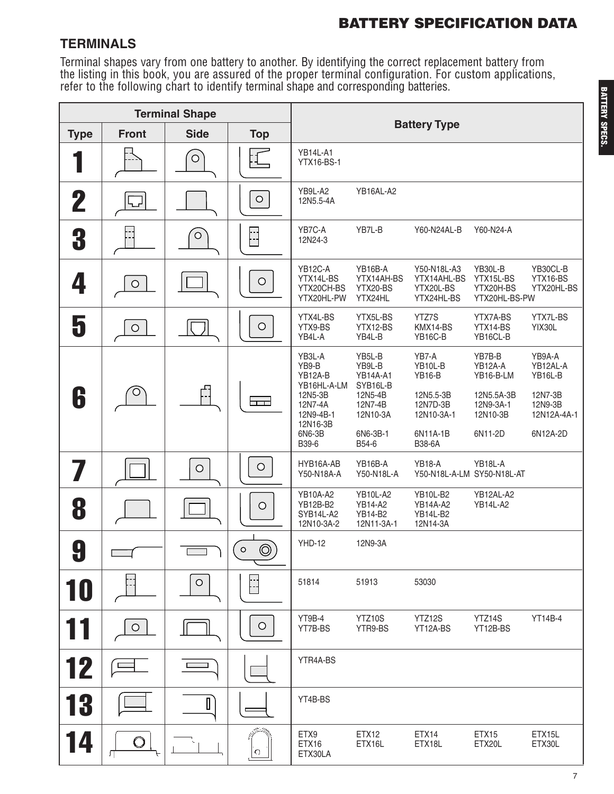#### **TERMINALS**

Terminal shapes vary from one battery to another. By identifying the correct replacement battery from the listing in this book, you are assured of the proper terminal configuration. For custom applications,<br>refer to the following chart to identify terminal shape and corresponding batteries.

|             |              | <b>Terminal Shape</b> |                           |                                                                                                             |                                                                                                        |                                                                                                |                                                                                  |                                                                                |
|-------------|--------------|-----------------------|---------------------------|-------------------------------------------------------------------------------------------------------------|--------------------------------------------------------------------------------------------------------|------------------------------------------------------------------------------------------------|----------------------------------------------------------------------------------|--------------------------------------------------------------------------------|
| <b>Type</b> | <b>Front</b> | <b>Side</b>           | <b>Top</b>                |                                                                                                             |                                                                                                        | <b>Battery Type</b>                                                                            |                                                                                  |                                                                                |
|             |              | $\circ$               |                           | <b>YB14L-A1</b><br><b>YTX16-BS-1</b>                                                                        |                                                                                                        |                                                                                                |                                                                                  |                                                                                |
| 2           |              |                       | $\bigcirc$                | YB9L-A2<br>12N5.5-4A                                                                                        | YB16AL-A2                                                                                              |                                                                                                |                                                                                  |                                                                                |
| 3           |              | $\bigcirc$            | $\frac{1}{2}$             | YB7C-A<br>12N24-3                                                                                           | YB7L-B                                                                                                 | Y60-N24AL-B                                                                                    | Y60-N24-A                                                                        |                                                                                |
| 4           | $\bigcirc$   |                       | $\bigcirc$                | YB12C-A<br>YTX14L-BS<br>YTX20CH-BS<br>YTX20HL-PW                                                            | YB16B-A<br>YTX14AH-BS<br>YTX20-BS<br>YTX24HL                                                           | Y50-N18L-A3<br>YTX14AHL-BS<br>YTX20L-BS<br>YTX24HL-BS                                          | YB30L-B<br>YTX15L-BS<br>YTX20H-BS<br>YTX20HL-BS-PW                               | YB30CL-B<br>YTX16-BS<br>YTX20HL-BS                                             |
| 5           | $\circ$      |                       | $\bigcirc$                | YTX4L-BS<br>YTX9-BS<br>YB4L-A                                                                               | YTX5L-BS<br>YTX12-BS<br>YB4L-B                                                                         | YTZ7S<br>KMX14-BS<br><b>YB16C-B</b>                                                            | YTX7A-BS<br>YTX14-BS<br>YB16CL-B                                                 | YTX7L-BS<br>YIX30L                                                             |
| 6           | O            | "                     | $\overline{\phantom{a}}$  | YB3L-A<br>YB9-B<br>YB12A-B<br>YB16HL-A-LM<br>12N5-3B<br>12N7-4A<br>12N9-4B-1<br>12N16-3B<br>6N6-3B<br>B39-6 | YB5L-B<br>YB9L-B<br><b>YB14A-A1</b><br>SYB16L-B<br>12N5-4B<br>12N7-4B<br>12N10-3A<br>6N6-3B-1<br>B54-6 | YB7-A<br>YB10L-B<br><b>YB16-B</b><br>12N5.5-3B<br>12N7D-3B<br>12N10-3A-1<br>6N11A-1B<br>B38-6A | YB7B-B<br>YB12A-A<br>YB16-B-LM<br>12N5.5A-3B<br>12N9-3A-1<br>12N10-3B<br>6N11-2D | YB9A-A<br>YB12AL-A<br>YB16L-B<br>12N7-3B<br>12N9-3B<br>12N12A-4A-1<br>6N12A-2D |
|             |              | $\bigcirc$            | $\bigcirc$                | HYB16A-AB<br>Y50-N18A-A                                                                                     | YB16B-A<br>Y50-N18L-A                                                                                  | <b>YB18-A</b><br>Y50-N18L-A-LM SY50-N18L-AT                                                    | YB18L-A                                                                          |                                                                                |
| 8           |              |                       | $\bigcirc$                | YB10A-A2<br>YB12B-B2<br>SYB14L-A2<br>12N10-3A-2                                                             | YB10L-A2<br>YB14-A2<br>YB14-B2<br>12N11-3A-1                                                           | YB10L-B2<br><b>YB14A-A2</b><br><b>YB14L-B2</b><br>12N14-3A                                     | YB12AL-A2<br>YB14L-A2                                                            |                                                                                |
| 0<br>Ù      |              |                       | $\circledcirc$<br>$\circ$ | <b>YHD-12</b>                                                                                               | 12N9-3A                                                                                                |                                                                                                |                                                                                  |                                                                                |
| 10          |              | $\circ$               | $\mathbb{R}$              | 51814                                                                                                       | 51913                                                                                                  | 53030                                                                                          |                                                                                  |                                                                                |
|             | $\bigcirc$   |                       | $\circ$                   | YT9B-4<br>YT7B-BS                                                                                           | YTZ10S<br>YTR9-BS                                                                                      | YTZ12S<br>YT12A-BS                                                                             | YTZ14S<br>YT12B-BS                                                               | <b>YT14B-4</b>                                                                 |
| 12          |              |                       |                           | YTR4A-BS                                                                                                    |                                                                                                        |                                                                                                |                                                                                  |                                                                                |
| 13          |              |                       |                           | YT4B-BS                                                                                                     |                                                                                                        |                                                                                                |                                                                                  |                                                                                |
| 14          |              |                       | $\circ$                   | ETX9<br><b>ETX16</b><br>ETX30LA                                                                             | <b>ETX12</b><br>ETX16L                                                                                 | ETX14<br>ETX18L                                                                                | ETX <sub>15</sub><br>ETX20L                                                      | ETX15L<br>ETX30L                                                               |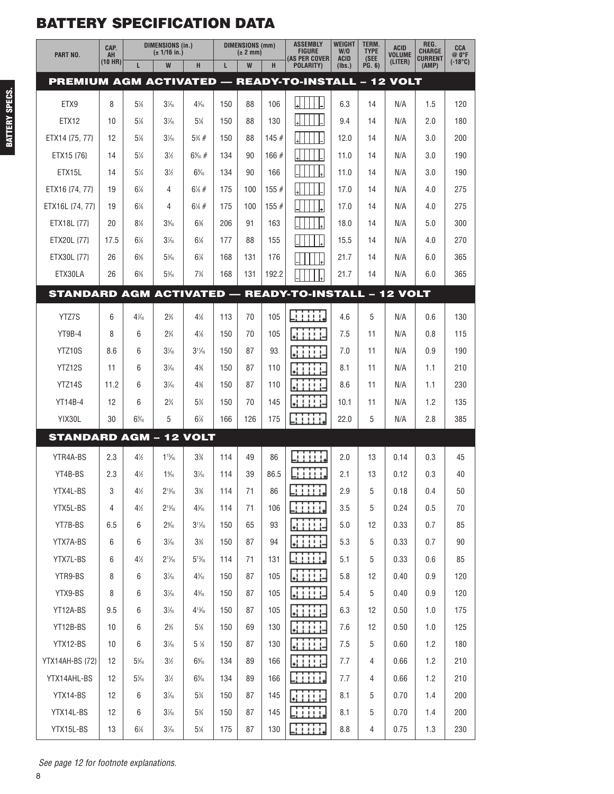| PART NO.                                                   | CAP.<br>AH | <b>DIMENSIONS (in.)</b><br>(± 1/16 in.) |                  | <b>DIMENSIONS (mm)</b><br>$(\pm 2$ mm) |     |     | <b>ASSEMBLY</b><br><b>FIGURE</b> | <b>WEIGHT</b><br>W/O           | TERM.<br><b>TYPE</b>  | <b>ACID</b><br><b>VOLUME</b> | REG.<br><b>CHARGE</b> | <b>CCA</b><br>@ O°F     |                  |
|------------------------------------------------------------|------------|-----------------------------------------|------------------|----------------------------------------|-----|-----|----------------------------------|--------------------------------|-----------------------|------------------------------|-----------------------|-------------------------|------------------|
|                                                            | (10 HR)    | L                                       | W                | H                                      | L.  | W   | н                                | (AS PER COVER<br>POLARITY)     | <b>ACID</b><br>(Ibs.) | (SEE<br><b>PG. 6)</b>        | (LITER)               | <b>CURRENT</b><br>(AMP) | $(-18^{\circ}C)$ |
| PREMIUM AGM ACTIVATED — READY-TO-INSTALL – 12 VOLT         |            |                                         |                  |                                        |     |     |                                  |                                |                       |                              |                       |                         |                  |
| ETX9                                                       | 8          | 5%                                      | $3\frac{7}{6}$   | $4\frac{3}{16}$                        | 150 | 88  | 106                              |                                | 6.3                   | 14                           | N/A                   | 1.5                     | 120              |
| ETX12                                                      | 10         | 5%                                      | $3\frac{7}{6}$   | 5%                                     | 150 | 88  | 130                              |                                | 9.4                   | 14                           | N/A                   | 2.0                     | 180              |
| ETX14 {75, 77}                                             | 12         | 5%                                      | $3\frac{7}{6}$   | $5\% +$                                | 150 | 88  | 145#                             |                                | 12.0                  | 14                           | N/A                   | 3.0                     | 200              |
| ETX15 {76}                                                 | 14         | 51⁄4                                    | $3\%$            | $6\%$ #                                | 134 | 90  | 166#                             |                                | 11.0                  | 14                           | N/A                   | 3.0                     | 190              |
| ETX15L                                                     | 14         | $5\%$                                   | $3\%$            | $6\%$                                  | 134 | 90  | 166                              |                                | 11.0                  | 14                           | N/A                   | 3.0                     | 190              |
| ETX16 {74, 77}                                             | 19         | $6\%$                                   | 4                | $6\frac{1}{6}$ #                       | 175 | 100 | 155#                             |                                | 17.0                  | 14                           | N/A                   | 4.0                     | 275              |
| ETX16L {74, 77}                                            | 19         | $6\%$                                   | 4                | $6\frac{1}{6}$ #                       | 175 | 100 | 155#                             |                                | 17.0                  | 14                           | N/A                   | 4.0                     | 275              |
| ETX18L {77}                                                | 20         | 8%                                      | $3\%$            | 6%                                     | 206 | 91  | 163                              |                                | 18.0                  | 14                           | N/A                   | 5.0                     | 300              |
| ETX20L {77}                                                | 17.5       | $6\%$                                   | $3\frac{7}{6}$   | $6\%$                                  | 177 | 88  | 155                              |                                | 15.5                  | 14                           | N/A                   | 4.0                     | 270              |
| ETX30L {77}                                                | 26         | $6\%$                                   | $5\frac{3}{16}$  | 6%                                     | 168 | 131 | 176                              |                                | 21.7                  | 14                           | N/A                   | 6.0                     | 365              |
| ETX30LA                                                    | 26         | 6%                                      | $5\%$            | $7\frac{3}{4}$                         | 168 | 131 | 192.2                            |                                | 21.7                  | 14                           | N/A                   | 6.0                     | 365              |
| <b>STANDARD AGM ACTIVATED - READY-TO-INSTALL - 12 VOLT</b> |            |                                         |                  |                                        |     |     |                                  |                                |                       |                              |                       |                         |                  |
| YTZ7S                                                      | 6          | $4\frac{7}{16}$                         | $2\frac{3}{4}$   | 4%                                     | 113 | 70  | 105                              | لتنتنت                         | 4.6                   | 5                            | N/A                   | 0.6                     | 130              |
| YT9B-4                                                     | 8          | 6                                       | $2\frac{3}{4}$   | $4\%$                                  | 150 | 70  | 105                              | 41111                          | 7.5                   | 11                           | N/A                   | 0.8                     | 115              |
| YTZ10S                                                     | 8.6        | 6                                       | $3\frac{7}{6}$   | $3^{11}/16$                            | 150 | 87  | 93                               | iite                           | 7.0                   | 11                           | N/A                   | 0.9                     | 190              |
| YTZ12S                                                     | 11         | 6                                       | $3\frac{7}{6}$   | 4%                                     | 150 | 87  | 110                              | 41111-                         | 8.1                   | 11                           | N/A                   | 1.1                     | 210              |
| YTZ14S                                                     | 11.2       | 6                                       | $3\frac{7}{6}$   | 4%                                     | 150 | 87  | 110                              | .                              | 8.6                   | 11                           | N/A                   | 1.1                     | 230              |
| <b>YT14B-4</b>                                             | 12         | 6                                       | $2\frac{3}{4}$   | 5%                                     | 150 | 70  | 145                              | 1111                           | 10.1                  | 11                           | N/A                   | 1.2                     | 135              |
| YIX30L                                                     | 30         | $6\%$                                   | 5                | $6\frac{7}{8}$                         | 166 | 126 | 175                              | iiii                           | 22.0                  | 5                            | N/A                   | 2.8                     | 385              |
| <b>STANDARD AGM - 12 VOLT</b>                              |            |                                         |                  |                                        |     |     |                                  |                                |                       |                              |                       |                         |                  |
| YTR4A-BS                                                   | 2.3        | 4%                                      | $1\frac{15}{16}$ | 3%                                     | 114 | 49  | 86                               | iiiiy                          | 2.0                   | 13                           | 0.14                  | 0.3                     | 45               |
| YT4B-BS                                                    | 2.3        | 4%                                      | $1\%$            | $3\frac{7}{6}$                         | 114 | 39  | 86.5                             | 11111.                         | 2.1                   | 13                           | 0.12                  | 0.3                     | 40               |
| YTX4L-BS                                                   | 3          | $4\%$                                   | $2^{13}/_{16}$   | $3%$                                   | 114 | 71  | 86                               | T T T<br>.<br><u>i i i i t</u> | $2.9\,$               | $5\,$                        | 0.18                  | 0.4                     | 50               |
| YTX5L-BS                                                   | 4          | $4\frac{1}{2}$                          | $2^{13}/_{16}$   | $4\frac{3}{16}$                        | 114 | 71  | 106                              | mm                             | 3.5                   | 5                            | 0.24                  | 0.5                     | 70               |
| YT7B-BS                                                    | 6.5        | 6                                       | $2\%$            | $3^{11}/_{16}$                         | 150 | 65  | 93                               | Li i i i i 1                   | 5.0                   | 12                           | 0.33                  | 0.7                     | 85               |
| YTX7A-BS                                                   | 6          | 6                                       | $3\frac{7}{6}$   | $3\frac{3}{4}$                         | 150 | 87  | 94                               | WHILE                          | 5.3                   | 5                            | 0.33                  | 0.7                     | 90               |
| YTX7L-BS                                                   | 6          | $4\frac{1}{2}$                          | $2^{13}/_{16}$   | $5^{13}/_{16}$                         | 114 | 71  | 131                              | لأنانا أتأ                     | 5.1                   | 5                            | 0.33                  | 0.6                     | 85               |
| YTR9-BS                                                    | 8          | 6                                       | $3\frac{7}{6}$   | $4\frac{3}{16}$                        | 150 | 87  | 105                              | 麻醉科                            | 5.8                   | 12                           | 0.40                  | 0.9                     | 120              |
| YTX9-BS                                                    | 8          | 6                                       | $3\frac{7}{6}$   | $4\frac{3}{16}$                        | 150 | 87  | 105                              | <b>Littlich</b>                | 5.4                   | 5                            | 0.40                  | 0.9                     | 120              |
| YT12A-BS                                                   | 9.5        | 6                                       | $3\frac{7}{6}$   | $4^{13}/_{16}$                         | 150 | 87  | 105                              | ki i i i i-                    | 6.3                   | 12                           | 0.50                  | 1.0                     | 175              |
| YT12B-BS                                                   | 10         | 6                                       | $2\frac{3}{4}$   | $5\%$                                  | 150 | 69  | 130                              | 医甘草                            | 7.6                   | 12                           | 0.50                  | 1.0                     | 125              |
| YTX12-BS                                                   | 10         | 6                                       | $3\frac{7}{6}$   | $5\%$                                  | 150 | 87  | 130                              | anne                           | 7.5                   | 5                            | 0.60                  | 1.2                     | 180              |
| YTX14AH-BS {72}                                            | 12         | $5\frac{5}{16}$                         | $3\%$            | $6\%$                                  | 134 | 89  | 166                              | anne                           | 7.7                   | 4                            | 0.66                  | 1.2                     | 210              |
| YTX14AHL-BS                                                | 12         | $5\%$                                   | $3\frac{1}{2}$   | $6\%$                                  | 134 | 89  | 166                              | 11111                          | 7.7                   | 4                            | 0.66                  | 1.2                     | 210              |
| YTX14-BS                                                   | 12         | 6                                       | $3\frac{7}{6}$   | 5%                                     | 150 | 87  | 145                              |                                | 8.1                   | 5                            | 0.70                  | 1.4                     | 200              |
| YTX14L-BS                                                  | 12         | 6                                       | $3\frac{7}{6}$   | $5\%$                                  | 150 | 87  | 145                              | <b>Citica</b>                  | 8.1                   | 5                            | 0.70                  | 1.4                     | 200              |
| YTX15L-BS                                                  | 13         | $6\%$                                   | $3\frac{7}{6}$   | $5\%$                                  | 175 | 87  | 130                              | <b>Entritt</b>                 | 8.8                   | $\overline{4}$               | 0.75                  | 1.3                     | 230              |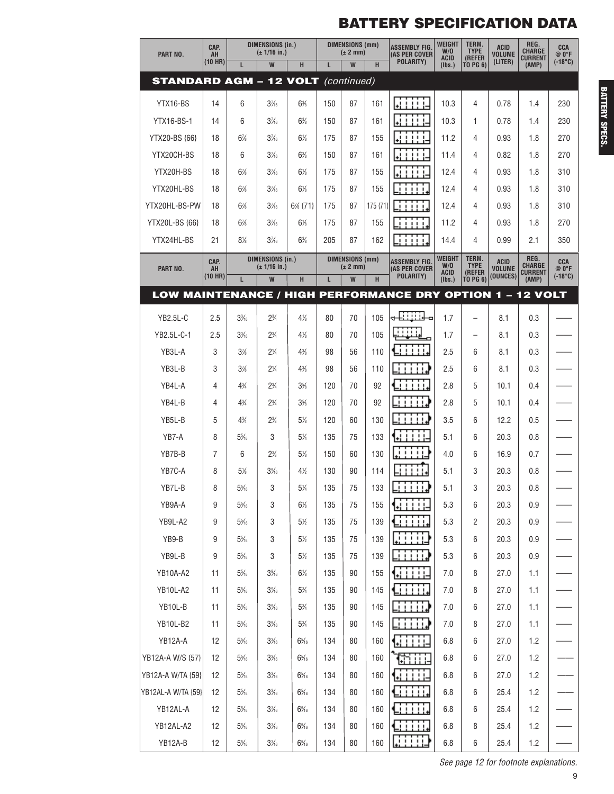| PART NO.                                                  | CAP.<br>AH    | <b>DIMENSIONS (in.)</b><br>(± 1/16 in.) |                                         |                | <b>DIMENSIONS (mm)</b><br>$(\pm 2$ mm) |                                        | <b>ASSEMBLY FIG.</b><br>(AS PER COVER | WEIGHT<br>W/O                                                | TERM.<br><b>TYPE</b><br>(REFER | <b>ACID</b><br><b>VOLUME</b> | REG.<br><b>CHARGE</b>     | CCA<br>@ O°F            |                           |
|-----------------------------------------------------------|---------------|-----------------------------------------|-----------------------------------------|----------------|----------------------------------------|----------------------------------------|---------------------------------------|--------------------------------------------------------------|--------------------------------|------------------------------|---------------------------|-------------------------|---------------------------|
|                                                           | (10 HR)       | L                                       | W                                       | H              | L                                      | W                                      | H                                     | POLARITY)                                                    | <b>ACID</b><br>(Ibs.)          | TO PG 6)                     | (LITER)                   | <b>CURRENT</b><br>(AMP) | $(-18^{\circ}C)$          |
| <b>STANDARD AGM - 12 VOLT (continued)</b>                 |               |                                         |                                         |                |                                        |                                        |                                       |                                                              |                                |                              |                           |                         |                           |
| YTX16-BS                                                  | 14            | 6                                       | $3\frac{7}{6}$                          | 6%             | 150                                    | 87                                     | 161                                   | WHIP                                                         | 10.3                           | 4                            | 0.78                      | 1.4                     | 230                       |
| <b>YTX16-BS-1</b>                                         | 14            | 6                                       | $3\frac{7}{6}$                          | 6%             | 150                                    | 87                                     | 161                                   | WHI.                                                         | 10.3                           | 1                            | 0.78                      | 1.4                     | 230                       |
| YTX20-BS {66}                                             | 18            | $6\%$                                   | $3\frac{7}{6}$                          | $6\%$          | 175                                    | 87                                     | 155                                   | 44444                                                        | 11.2                           | 4                            | 0.93                      | 1.8                     | 270                       |
| YTX20CH-BS                                                | 18            | 6                                       | $3\frac{7}{6}$                          | 6%             | 150                                    | 87                                     | 161                                   | <b>LIL</b>                                                   | 11.4                           | 4                            | 0.82                      | 1.8                     | 270                       |
| YTX20H-BS                                                 | 18            | 6%                                      | $3\frac{7}{6}$                          | $6\%$          | 175                                    | 87                                     | 155                                   | $\cdots$                                                     | 12.4                           | 4                            | 0.93                      | 1.8                     | 310                       |
| YTX20HL-BS                                                | 18            | $6\%$                                   | $3\frac{7}{6}$                          | $6\%$          | 175                                    | 87                                     | 155                                   | 1.1.1.1                                                      | 12.4                           | 4                            | 0.93                      | 1.8                     | 310                       |
| YTX20HL-BS-PW                                             | 18            | 6%                                      | $3\frac{7}{6}$                          | $6\%$ {71}     | 175                                    | 87                                     | 175 {71}                              | 111111                                                       | 12.4                           | 4                            | 0.93                      | 1.8                     | 310                       |
| YTX20L-BS {66}                                            | 18            | 6%                                      | $3\frac{7}{6}$                          | $6\%$          | 175                                    | 87                                     | 155                                   | $\begin{array}{c} 1 & 1 & 1 & 1 \end{array}$                 | 11.2                           | 4                            | 0.93                      | 1.8                     | 270                       |
| YTX24HL-BS                                                | 21            | 8%                                      | $3\frac{7}{6}$                          | 6%             | 205                                    | 87                                     | 162                                   | <b>FILL</b>                                                  | 14.4                           | 4                            | 0.99                      | 2.1                     | 350                       |
|                                                           | CAP.          |                                         | <b>DIMENSIONS (in.)</b><br>(± 1/16 in.) |                |                                        | <b>DIMENSIONS (mm)</b><br>$(\pm 2$ mm) |                                       | <b>ASSEMBLY FIG.</b>                                         | WEIGHT<br>W/0                  | TERM.<br><b>TYPE</b>         | <b>ACID</b>               | REG.<br><b>CHARGE</b>   | CCA                       |
| PART NO.                                                  | AH<br>(10 HR) | L                                       | W                                       | H              | L                                      | W                                      | H                                     | (AS PER COVER<br>POLARITY)                                   | ACID<br>(Ibs.)                 | (REFER<br><b>TO PG 6)</b>    | <b>VOLUME</b><br>(OUNCES) | <b>CURRENT</b><br>(AMP) | @ O°F<br>$(-18^{\circ}C)$ |
| LOW MAINTENANCE / HIGH PERFORMANCE DRY OPTION 1 – 12 VOLT |               |                                         |                                         |                |                                        |                                        |                                       |                                                              |                                |                              |                           |                         |                           |
| YB2.5L-C                                                  | 2.5           | $3\frac{3}{6}$                          | $2\frac{3}{4}$                          | $4\%$          | 80                                     | 70                                     | 105                                   | +BBR<br>o                                                    | 1.7                            | $\overline{\phantom{0}}$     | 8.1                       | 0.3                     |                           |
| YB2.5L-C-1                                                | 2.5           | $3\frac{3}{16}$                         | $2\frac{3}{4}$                          | 4%             | 80                                     | 70                                     | 105                                   | iiiii.                                                       | 1.7                            |                              | 8.1                       | 0.3                     |                           |
| YB3L-A                                                    | 3             | 3%                                      | $2\frac{1}{4}$                          | 4%             | 98                                     | 56                                     | 110                                   | 11111.                                                       | 2.5                            | 6                            | 8.1                       | 0.3                     |                           |
| YB3L-B                                                    | 3             | 3%                                      | $2\frac{1}{4}$                          | 4%             | 98                                     | 56                                     | 110                                   | .                                                            | 2.5                            | 6                            | 8.1                       | 0.3                     |                           |
| YB4L-A                                                    | 4             | $4\frac{3}{4}$                          | $2\frac{3}{4}$                          | $3\%$          | 120                                    | 70                                     | 92                                    | 1111.                                                        | 2.8                            | 5                            | 10.1                      | 0.4                     |                           |
| YB4L-B                                                    | 4             | $4\frac{3}{4}$                          | $2\frac{3}{4}$                          | 3%             | 120                                    | 70                                     | 92                                    | $1 + 1 + 1 + 1$                                              | 2.8                            | 5                            | 10.1                      | 0.4                     |                           |
| YB5L-B                                                    | 5             | $4\frac{3}{4}$                          | 2%                                      | 5%             | 120                                    | 60                                     | 130                                   | $\begin{array}{ccccccccccccc} 1 & 1 & 1 & 1 & 1 \end{array}$ | 3.5                            | 6                            | 12.2                      | 0.5                     |                           |
| YB7-A                                                     | 8             | $5\%$                                   | 3                                       | 5%             | 135                                    | 75                                     | 133                                   | $1 + 1 + 1$<br>ųÌ,                                           | 5.1                            | 6                            | 20.3                      | 0.8                     |                           |
| YB7B-B                                                    | 7             | 6                                       | 2%                                      | 5%             | 150                                    | 60                                     | 130                                   | .                                                            | 4.0                            | 6                            | 16.9                      | 0.7                     |                           |
| YB7C-A                                                    | 8             | 5%                                      | 3%                                      | 4%             | 130                                    | 90                                     | 114                                   | ,,,,,                                                        | 5.1                            | 3                            | 20.3                      | 0.8                     |                           |
| YB7L-B                                                    | 8             | $5\%$                                   | 3                                       | $5\%$          | 135                                    | 75                                     | 133                                   | n milid                                                      | 5.1                            | 3                            | 20.3                      | $0.8\,$                 |                           |
| YB9A-A                                                    | 9             | $5\%$                                   | 3                                       | $6\%$          | 135                                    | 75                                     | 155                                   |                                                              | 5.3                            | 6                            | 20.3                      | 0.9                     |                           |
| YB9L-A2                                                   | 9             | $5\%$                                   | 3                                       | $5\frac{1}{2}$ | 135                                    | 75                                     | 139                                   | tiili                                                        | 5.3                            | 2                            | 20.3                      | 0.9                     |                           |
| YB9-B                                                     | 9             | $5\%$                                   | 3                                       | 5%             | 135                                    | 75                                     | 139                                   | u ma                                                         | 5.3                            | 6                            | 20.3                      | 0.9                     |                           |
| YB9L-B                                                    | 9             | $5\%$                                   | 3                                       | 5½             | 135                                    | 75                                     | 139                                   | g print                                                      | 5.3                            | 6                            | 20.3                      | 0.9                     |                           |
| YB10A-A2                                                  | 11            | $5\%$                                   | $3\%$                                   | 6%             | 135                                    | 90                                     | 155                                   | <u>Gillia</u>                                                | 7.0                            | 8                            | 27.0                      | 1.1                     |                           |
| YB10L-A2                                                  | 11            | $5\%$                                   | $3\%$                                   | $5\%$          | 135                                    | 90                                     | 145                                   | <b>Cititi</b>                                                | 7.0                            | 8                            | 27.0                      | 1.1                     |                           |
| YB10L-B                                                   | 11            | $5\%$                                   | $3\%$                                   | $5\%$          | 135                                    | 90                                     | 145                                   | ∃ ∷ ∷                                                        | 7.0                            | 6                            | 27.0                      | 1.1                     |                           |
| <b>YB10L-B2</b>                                           | 11            | $5\%$                                   | $3\%$                                   | 5%             | 135                                    | 90                                     | 145                                   | _i i i i i ♪                                                 | 7.0                            | 8                            | 27.0                      | 1.1                     |                           |
| YB12A-A                                                   | 12            | $5\%$                                   | $3\frac{3}{16}$                         | $6\%$          | 134                                    | 80                                     | 160                                   | Li Ti i i l                                                  | 6.8                            | 6                            | 27.0                      | 1.2                     |                           |
| YB12A-A W/S {57}                                          | 12            | $5\%$                                   | $3\frac{3}{16}$                         | $6\%$          | 134                                    | 80                                     | 160                                   | ងារដ                                                         | 6.8                            | 6                            | 27.0                      | 1.2                     |                           |
| YB12A-A W/TA {59}                                         | 12            | $5\%$                                   | $3\frac{3}{16}$                         | $6\%$          | 134                                    | 80                                     | 160                                   | <u>Cini</u> l                                                | 6.8                            | 6                            | 27.0                      | 1.2                     |                           |
| YB12AL-A W/TA {59}                                        | 12            | $5\%$                                   | $3\frac{3}{16}$                         | $6\%$          | 134                                    | 80                                     | 160                                   | <b>Cititi</b>                                                | $6.8\,$                        | 6                            | 25.4                      | 1.2                     |                           |
| YB12AL-A                                                  | 12            | $5\%$                                   | $3\frac{3}{6}$                          | $6\%$          | 134                                    | 80                                     | 160                                   | <b>Girin.</b>                                                | 6.8                            | 6                            | 25.4                      | 1.2                     |                           |
| YB12AL-A2                                                 | 12            | $5\%$                                   | $3\frac{3}{16}$                         | $6\%$          | 134                                    | 80                                     | 160                                   | ti i i i i.                                                  | 6.8                            | 8                            | 25.4                      | 1.2                     |                           |
| YB12A-B                                                   | 12            | $5\%$                                   | $3\frac{3}{6}$                          | $6\%$          | 134                                    | 80                                     | 160                                   | فننننا                                                       | $6.8\,$                        | 6                            | 25.4                      | 1.2                     |                           |

**BATTERY BATTERY SPECS.**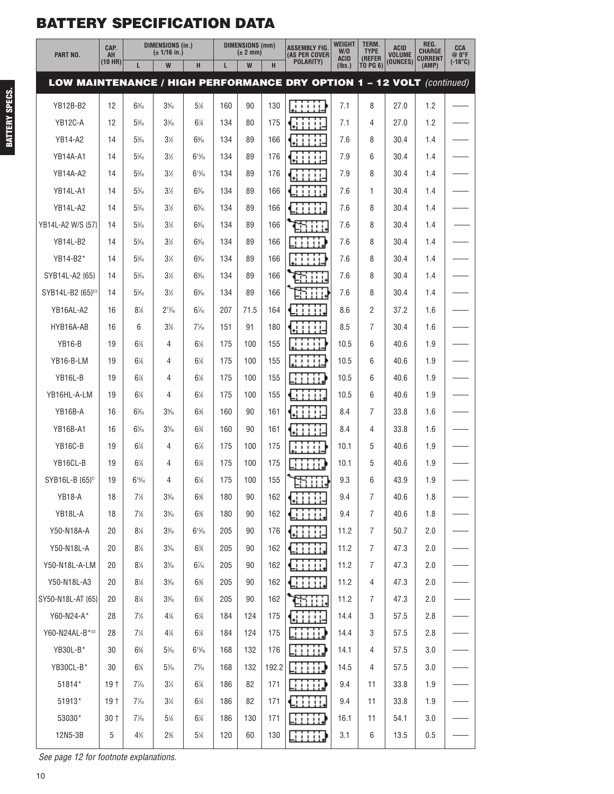| PART NO.                                                              | CAP.<br>AH      | <b>DIMENSIONS (in.)</b><br>(± 1/16 in.) |                | <b>DIMENSIONS (mm)</b><br>$(\pm 2$ mm) |     | <b>ASSEMBLY FIG.</b><br>(AS PER COVER | <b>WEIGHT</b><br>W/O<br><b>ACID</b> | TERM.<br><b>TYPE</b><br>(REFER | <b>ACID</b><br><b>VOLUME</b> | REG.<br><b>CHARGE</b><br><b>CURRENT</b> | <b>CCA</b><br>@0°F |         |                  |
|-----------------------------------------------------------------------|-----------------|-----------------------------------------|----------------|----------------------------------------|-----|---------------------------------------|-------------------------------------|--------------------------------|------------------------------|-----------------------------------------|--------------------|---------|------------------|
|                                                                       | (10 HR)         | L                                       | W              | H                                      | L   | W                                     | H                                   | POLARITY)                      | (Ibs.)                       | TO PG 6)                                | (OUNCES)           | (AMP)   | $(-18^{\circ}C)$ |
| LOW MAINTENANCE / HIGH PERFORMANCE DRY OPTION 1 - 12 VOLT (continued) |                 |                                         |                |                                        |     |                                       |                                     |                                |                              |                                         |                    |         |                  |
| <b>YB12B-B2</b>                                                       | 12              | $6\%$                                   | $3\%$          | 5%                                     | 160 | 90                                    | 130                                 | .                              | 7.1                          | 8                                       | 27.0               | 1.2     |                  |
| YB12C-A                                                               | 12              | $5\%$                                   | $3\frac{3}{6}$ | 6%                                     | 134 | 80                                    | 175                                 | .                              | 7.1                          | 4                                       | 27.0               | 1.2     |                  |
| <b>YB14-A2</b>                                                        | 14              | $5\%$                                   | $3\%$          | $6\%$                                  | 134 | 89                                    | 166                                 | ,,,,,                          | 7.6                          | 8                                       | 30.4               | 1.4     |                  |
| <b>YB14A-A1</b>                                                       | 14              | $5\%$                                   | $3\%$          | $6^{15}/6$                             | 134 | 89                                    | 176                                 |                                | 7.9                          | 6                                       | 30.4               | 1.4     |                  |
| <b>YB14A-A2</b>                                                       | 14              | $5\%$                                   | 3½             | $6^{15}/6$                             | 134 | 89                                    | 176                                 |                                | 7.9                          | 8                                       | 30.4               | 1.4     |                  |
| <b>YB14L-A1</b>                                                       | 14              | $5\%$                                   | $3\%$          | $6\%$                                  | 134 | 89                                    | 166                                 |                                | 7.6                          | 1                                       | 30.4               | 1.4     |                  |
| YB14L-A2                                                              | 14              | $5\%$                                   | $3\%$          | $6\%$                                  | 134 | 89                                    | 166                                 | 11111.                         | 7.6                          | 8                                       | 30.4               | 1.4     |                  |
| YB14L-A2 W/S {57}                                                     | 14              | $5\%$                                   | $3\%$          | $6\%$                                  | 134 | 89                                    | 166                                 |                                | 7.6                          | 8                                       | 30.4               | 1.4     |                  |
| <b>YB14L-B2</b>                                                       | 14              | $5\%$                                   | 3½             | $6\%$                                  | 134 | 89                                    | 166                                 | .                              | 7.6                          | 8                                       | 30.4               | 1.4     |                  |
| YB14-B2*                                                              | 14              | $5\%$                                   | $3\%$          | $6\%$                                  | 134 | 89                                    | 166                                 | .                              | 7.6                          | 8                                       | 30.4               | 1.4     |                  |
| SYB14L-A2 {65}                                                        | 14              | $5\%$                                   | $3\%$          | $6\%$                                  | 134 | 89                                    | 166                                 |                                | 7.6                          | 8                                       | 30.4               | 1.4     |                  |
| SYB14L-B2 {65} <sup>D3</sup>                                          | 14              | $5\%$                                   | $3\%$          | $6\%$                                  | 134 | 89                                    | 166                                 |                                | 7.6                          | 8                                       | 30.4               | 1.4     |                  |
| YB16AL-A2                                                             | 16              | $8\%$                                   | $2^{13}/16$    | $6\frac{7}{6}$                         | 207 | 71.5                                  | 164                                 |                                | 8.6                          | 2                                       | 37.2               | 1.6     |                  |
| HYB16A-AB                                                             | 16              | 6                                       | 3%             | $7\frac{1}{6}$                         | 151 | 91                                    | 180                                 |                                | 8.5                          | 7                                       | 30.4               | 1.6     |                  |
| <b>YB16-B</b>                                                         | 19              | 6%                                      | 4              | $6\%$                                  | 175 | 100                                   | 155                                 | .                              | 10.5                         | 6                                       | 40.6               | 1.9     |                  |
| YB16-B-LM                                                             | 19              | 6%                                      | 4              | $6\%$                                  | 175 | 100                                   | 155                                 | .                              | 10.5                         | 6                                       | 40.6               | 1.9     |                  |
| YB16L-B                                                               | 19              | $6\%$                                   | 4              | $6\%$                                  | 175 | 100                                   | 155                                 | ,,,,,                          | 10.5                         | 6                                       | 40.6               | 1.9     |                  |
| YB16HL-A-LM                                                           | 19              | 6%                                      | 4              | $6\%$                                  | 175 | 100                                   | 155                                 |                                | 10.5                         | 6                                       | 40.6               | 1.9     |                  |
| YB16B-A                                                               | 16              | $6\%$                                   | $3\%$          | 6%                                     | 160 | 90                                    | 161                                 | ,,,,                           | 8.4                          | 7                                       | 33.8               | 1.6     |                  |
| <b>YB16B-A1</b>                                                       | 16              | $6\%$                                   | $3\%$          | 6%                                     | 160 | 90                                    | 161                                 |                                | 8.4                          | 4                                       | 33.8               | 1.6     |                  |
| YB <sub>16</sub> C-B                                                  | 19              | $6\%$                                   | 4              | $6\%$                                  | 175 | 100                                   | 175                                 | .                              | 10.1                         | 5                                       | 40.6               | 1.9     |                  |
| YB16CL-B                                                              | 19              | 6%                                      | 4              | $6\frac{7}{8}$                         | 175 | 100                                   | 175                                 |                                | 10.1                         | 5                                       | 40.6               | 1.9     |                  |
| SYB16L-B {65} <sup>p</sup>                                            | 19              | $6^{15}/_{16}$                          | 4              | $6\%$                                  | 175 | 100                                   | 155                                 | ET 1114                        | 9.3                          | 6                                       | 43.9               | 1.9     |                  |
| YB18-A                                                                | 18              | 7%                                      | $3\%$          | 6%                                     | 180 | 90                                    | 162                                 | ti i i i i-                    | 9.4                          | $\overline{7}$                          | 40.6               | 1.8     |                  |
| YB18L-A                                                               | 18              | $7\%$                                   | $3\%$          | 6%                                     | 180 | 90                                    | 162                                 | Ginn                           | 9.4                          | $\overline{7}$                          | 40.6               | 1.8     |                  |
| Y50-N18A-A                                                            | 20              | $8\%$                                   | $3\%$          | $6^{15}/_{16}$                         | 205 | 90                                    | 176                                 | GT 111                         | 11.2                         | $\overline{7}$                          | 50.7               | 2.0     |                  |
| Y50-N18L-A                                                            | 20              | $8\%$                                   | $3\%$          | 6%                                     | 205 | 90                                    | 162                                 | Giliti.                        | 11.2                         | $\overline{7}$                          | 47.3               | $2.0\,$ |                  |
| Y50-N18L-A-LM                                                         | 20              | 8%                                      | $3\%$          | $6\frac{7}{6}$                         | 205 | 90                                    | 162                                 | Gillia.                        | 11.2                         | $\overline{7}$                          | 47.3               | 2.0     |                  |
| Y50-N18L-A3                                                           | 20              | 8%                                      | $3\%$          | 6%                                     | 205 | 90                                    | 162                                 | tiiii                          | 11.2                         | 4                                       | 47.3               | 2.0     |                  |
| SY50-N18L-AT {65}                                                     | 20              | 8%                                      | $3\%$          | 6%                                     | 205 | 90                                    | 162                                 |                                | 11.2                         | $\overline{7}$                          | 47.3               | 2.0     |                  |
| Y60-N24-A*                                                            | 28              | $7\frac{1}{4}$                          | $4\frac{7}{8}$ | $6\%$                                  | 184 | 124                                   | 175                                 | ¶a i i i i⊐                    | 14.4                         | 3                                       | 57.5               | 2.8     |                  |
| Y60-N24AL-B*D2                                                        | 28              | 7¼                                      | 4%             | $6\%$                                  | 184 | 124                                   | 175                                 | <b>Filip</b>                   | 14.4                         | 3                                       | 57.5               | 2.8     |                  |
| YB30L-B*                                                              | 30              | 6%                                      | $5\%$          | $6^{15}/6$                             | 168 | 132                                   | 176                                 | 31111.)                        | 14.1                         | 4                                       | 57.5               | 3.0     |                  |
| YB30CL-B*                                                             | 30              | $6\%$                                   | $5\%$          | $7\%$                                  | 168 | 132                                   | 192.2                               | Li i i i i i                   | 14.5                         | 4                                       | 57.5               | 3.0     |                  |
| 51814*                                                                | 19 <sup>†</sup> | $7\frac{7}{16}$                         | $3\frac{1}{4}$ | $6\%$                                  | 186 | 82                                    | 171                                 | ر زبانات                       | 9.4                          | 11                                      | 33.8               | 1.9     |                  |
| 51913*                                                                | 19 <sup>†</sup> | $7\frac{7}{16}$                         | $3\frac{1}{4}$ | $6\%$                                  | 186 | 82                                    | 171                                 | iiii.                          | 9.4                          | 11                                      | 33.8               | 1.9     |                  |
| 53030*                                                                | $30+$           | $7\frac{7}{16}$                         | $5\%$          | $6\%$                                  | 186 | 130                                   | 171                                 | لاتنتانا                       | 16.1                         | 11                                      | 54.1               | $3.0\,$ |                  |
| 12N5-3B                                                               | 5               | $4\frac{3}{4}$                          | 2%             | $5\%$                                  | 120 | 60                                    | 130                                 | EN 111.                        | 3.1                          | 6                                       | 13.5               | 0.5     |                  |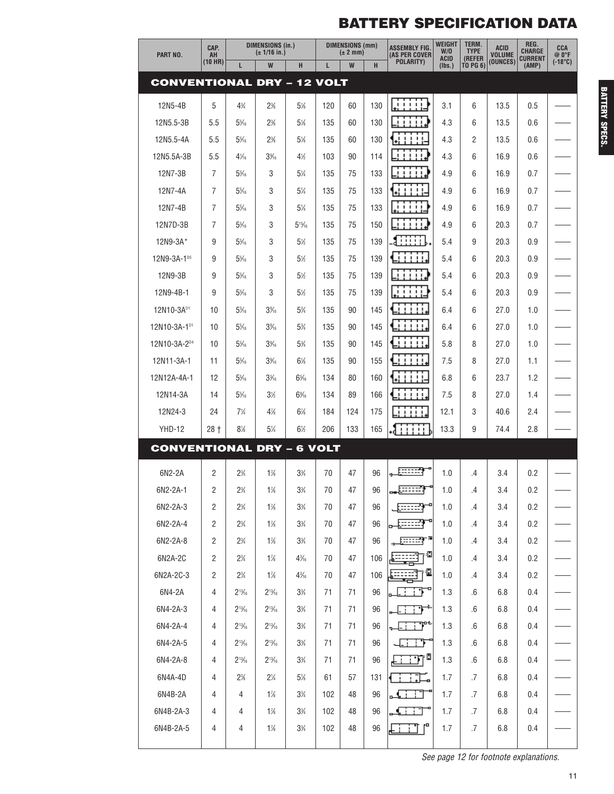| PART NO.                          | CAP.<br>AH     | <b>DIMENSIONS (in.)</b><br>$(\pm 1/16$ in.) |                 |                 | <b>DIMENSIONS (mm)</b><br>$(\pm 2$ mm) |     | <b>ASSEMBLY FIG</b><br>(AS PER COVER | <b>WEIGHT</b><br>W/O                                                                                                        | TERM.<br><b>TYPE</b>  | ACID<br><b>VOLUME</b>     | REG.<br><b>CHARGE</b> | CCA<br>@ O°F            |                  |
|-----------------------------------|----------------|---------------------------------------------|-----------------|-----------------|----------------------------------------|-----|--------------------------------------|-----------------------------------------------------------------------------------------------------------------------------|-----------------------|---------------------------|-----------------------|-------------------------|------------------|
|                                   | (10 HR)        | L                                           | W               | H               | L                                      | W   | H                                    | POLARITY)                                                                                                                   | <b>ACID</b><br>(Ibs.) | (REFER<br><b>TO PG 6)</b> | (OUNCES)              | <b>CURRENT</b><br>(AMP) | $(-18^{\circ}C)$ |
| <b>CONVENTIONAL DRY - 12 VOLT</b> |                |                                             |                 |                 |                                        |     |                                      |                                                                                                                             |                       |                           |                       |                         |                  |
| 12N5-4B                           | 5              | $4\frac{3}{4}$                              | 2%              | 5%              | 120                                    | 60  | 130                                  | .                                                                                                                           | 3.1                   | 6                         | 13.5                  | 0.5                     |                  |
| 12N5.5-3B                         | 5.5            | $5\%$                                       | 2%              | 5%              | 135                                    | 60  | 130                                  | 11111                                                                                                                       | 4.3                   | 6                         | 13.5                  | 0.6                     |                  |
| 12N5.5-4A                         | 5.5            | $5\%$                                       | 2%              | 5%              | 135                                    | 60  | 130                                  | $\begin{array}{c} \hline \end{array} \qquad \begin{array}{c} \hline \end{array} \qquad \begin{array}{c} \hline \end{array}$ | 4.3                   | $\overline{2}$            | 13.5                  | 0.6                     |                  |
| 12N5.5A-3B                        | 5.5            | $4\frac{1}{16}$                             | $3\%$           | 4%              | 103                                    | 90  | 114                                  | -------                                                                                                                     | 4.3                   | 6                         | 16.9                  | 0.6                     |                  |
| 12N7-3B                           | $\overline{7}$ | $5\%$                                       | 3               | 5%              | 135                                    | 75  | 133                                  | $\begin{array}{ccccccccccccc} 1 & 1 & 1 & 1 & 1 \end{array}$                                                                | 4.9                   | 6                         | 16.9                  | 0.7                     |                  |
| 12N7-4A                           | $\overline{7}$ | $5\%$                                       | 3               | 5%              | 135                                    | 75  | 133                                  | .                                                                                                                           | 4.9                   | 6                         | 16.9                  | 0.7                     |                  |
| 12N7-4B                           | $\overline{7}$ | $5\%$                                       | 3               | 5%              | 135                                    | 75  | 133                                  | iin<br>٠                                                                                                                    | 4.9                   | 6                         | 16.9                  | 0.7                     |                  |
| 12N7D-3B                          | $\overline{7}$ | $5\%$                                       | 3               | $5^{15/6}$      | 135                                    | 75  | 150                                  | , , , , , , ,                                                                                                               | 4.9                   | 6                         | 20.3                  | 0.7                     |                  |
| 12N9-3A*                          | 9              | $5\%$                                       | 3               | 5%              | 135                                    | 75  | 139                                  | a : : : : : .                                                                                                               | 5.4                   | 9                         | 20.3                  | 0.9                     |                  |
| 12N9-3A-1 <sup>D5</sup>           | 9              | $5\%$                                       | 3               | 5%              | 135                                    | 75  | 139                                  | ,,,,,,                                                                                                                      | 5.4                   | 6                         | 20.3                  | 0.9                     |                  |
| 12N9-3B                           | 9              | $5\%$                                       | 3               | 5%              | 135                                    | 75  | 139                                  | $\begin{array}{cccccccccccccc} 1 & 1 & 1 & 1 & 1 & 1 \end{array}$<br>- 1                                                    | 5.4                   | 6                         | 20.3                  | 0.9                     |                  |
| 12N9-4B-1                         | 9              | $5\%$                                       | 3               | 5%              | 135                                    | 75  | 139                                  | .                                                                                                                           | 5.4                   | 6                         | 20.3                  | 0.9                     |                  |
| 12N10-3A <sup>D1</sup>            | 10             | $5\%$                                       | 3%              | 5%              | 135                                    | 90  | 145                                  | 11111                                                                                                                       | 6.4                   | 6                         | 27.0                  | 1.0                     |                  |
| 12N10-3A-1 <sup>D1</sup>          | 10             | $5\%$                                       | $3\%$           | 5%              | 135                                    | 90  | 145                                  | 1111                                                                                                                        | 6.4                   | 6                         | 27.0                  | 1.0                     |                  |
| 12N10-3A-2 <sup>D4</sup>          | 10             | $5\%$                                       | $3\%$           | 5%              | 135                                    | 90  | 145                                  | ,,,,,,                                                                                                                      | 5.8                   | 8                         | 27.0                  | 1.0                     |                  |
| 12N11-3A-1                        | 11             | $5\%$                                       | 3%5             | $6\%$           | 135                                    | 90  | 155                                  | <b>TITI</b>                                                                                                                 | 7.5                   | 8                         | 27.0                  | 1.1                     |                  |
| 12N12A-4A-1                       | 12             | $5\%$                                       | $3\frac{3}{16}$ | $6\%$           | 134                                    | 80  | 160                                  | ,,,,,                                                                                                                       | 6.8                   | 6                         | 23.7                  | 1.2                     |                  |
| 12N14-3A                          | 14             | $5\%$                                       | $3\%$           | $6\%$           | 134                                    | 89  | 166                                  | <b>TITIL</b>                                                                                                                | 7.5                   | 8                         | 27.0                  | 1.4                     |                  |
| 12N24-3                           | 24             | $7\frac{1}{4}$                              | $4\frac{7}{8}$  | 6%              | 184                                    | 124 | 175                                  | 111111                                                                                                                      | 12.1                  | 3                         | 40.6                  | 2.4                     |                  |
| <b>YHD-12</b>                     | $28+$          | 8%                                          | 5%              | $6\%$           | 206                                    | 133 | 165                                  | -1:::::                                                                                                                     | 13.3                  | 9                         | 74.4                  | 2.8                     |                  |
| <b>CONVENTIONAL DRY - 6 VOLT</b>  |                |                                             |                 |                 |                                        |     |                                      |                                                                                                                             |                       |                           |                       |                         |                  |
| 6N2-2A                            | 2              | $2\frac{3}{4}$                              | $1\%$           | $3\frac{3}{4}$  | 70                                     | 47  | 96                                   |                                                                                                                             | 1.0                   | .4                        | 3.4                   | 0.2                     |                  |
| 6N2-2A-1                          | $\overline{c}$ | $2\frac{3}{4}$                              | $1\%$           | $3\frac{3}{4}$  | $70\,$                                 | 47  | 96                                   | <u>. 1999 - 1999 - 1999 - 1999 - 1999 - 1999 - 1999 - 1999 - 1999 - 1999 - 1999 - 1999 - 1999 - 1999 - 1999 - 19</u>        | 1.0                   | $.4\,$                    | 3.4                   | 0.2                     |                  |
| 6N2-2A-3                          | $\overline{2}$ | $2\frac{3}{4}$                              | $1\%$           | $3\frac{3}{4}$  | 70                                     | 47  | 96                                   | ्लिक                                                                                                                        | 1.0                   | .4                        | 3.4                   | 0.2                     |                  |
| 6N2-2A-4                          | 2              | $2\frac{3}{4}$                              | $1\%$           | $3\frac{3}{4}$  | 70                                     | 47  | 96                                   |                                                                                                                             | 1.0                   | .4                        | 3.4                   | 0.2                     |                  |
| 6N2-2A-8                          | $\overline{2}$ | $2\frac{3}{4}$                              | $1\%$           | $3\frac{3}{4}$  | 70                                     | 47  | 96                                   | <u>                  </u>                                                                                                   | 1.0                   | .4                        | 3.4                   | 0.2                     |                  |
| 6N2A-2C                           | $\overline{c}$ | $2\frac{3}{4}$                              | $1\%$           | $4\frac{3}{16}$ | 70                                     | 47  | 106                                  | <del>⊞</del> ⊞∃⊺®                                                                                                           | 1.0                   | .4                        | 3.4                   | 0.2                     |                  |
| 6N2A-2C-3                         | $\overline{2}$ | $2\frac{3}{4}$                              | $1\%$           | $4\frac{3}{16}$ | 70                                     | 47  | 106                                  | Щ                                                                                                                           | 1.0                   | .4                        | 3.4                   | 0.2                     |                  |
| 6N4-2A                            | $\overline{4}$ | $2^{13}/_{16}$                              | $2^{13}/_{16}$  | $3\%$           | 71                                     | 71  | 96                                   | .                                                                                                                           | 1.3                   | .6                        | 6.8                   | 0.4                     |                  |
| 6N4-2A-3                          | 4              | $2^{13}/_{16}$                              | $2^{13}/_{16}$  | $3\frac{3}{4}$  | 71                                     | 71  | 96                                   | جوان انا                                                                                                                    | 1.3                   | .6                        | 6.8                   | 0.4                     |                  |
| 6N4-2A-4                          | 4              | $2^{13}/_{16}$                              | $2^{13}/_{16}$  | $3\frac{3}{4}$  | 71                                     | 71  | 96                                   | $\sqrt{1 + \frac{1}{2}}$                                                                                                    | 1.3                   | .6                        | 6.8                   | 0.4                     |                  |
| 6N4-2A-5                          | 4              | $2^{13}/_{16}$                              | $2^{13}/_{16}$  | $3\frac{3}{4}$  | 71                                     | 71  | 96                                   | J. <del>.</del>                                                                                                             | 1.3                   | .6                        | 6.8                   | 0.4                     |                  |
| 6N4-2A-8                          | 4              | $2^{13}/_{16}$                              | $2^{13}/_{16}$  | $3\frac{3}{4}$  | 71                                     | 71  | 96                                   | ▙▁▁▔▛▔ <sup>▊</sup>                                                                                                         | 1.3                   | .6                        | 6.8                   | 0.4                     |                  |
| 6N4A-4D                           | 4              | 2%                                          | $2\frac{1}{4}$  | $5\%$           | 61                                     | 57  | 131                                  | <b>TEST</b>                                                                                                                 | 1.7                   | .7                        | 6.8                   | 0.4                     |                  |
| 6N4B-2A                           | 4              | $\overline{4}$                              | $1\%$           | $3\frac{3}{4}$  | 102                                    | 48  | 96                                   | 11 آگ                                                                                                                       | 1.7                   | .7                        | 6.8                   | 0.4                     |                  |
| 6N4B-2A-3                         | 4              | 4                                           | $1\%$           | $3\frac{3}{4}$  | 102                                    | 48  | 96                                   | آ گ                                                                                                                         | 1.7                   | $.7\phantom{0}$           | 6.8                   | 0.4                     |                  |
| 6N4B-2A-5                         | 4              | 4                                           | 1%              | $3\%$           | 102                                    | 48  | 96                                   |                                                                                                                             | 1.7                   | $.7\,$                    | 6.8                   | 0.4                     |                  |
|                                   |                |                                             |                 |                 |                                        |     |                                      |                                                                                                                             |                       |                           |                       |                         |                  |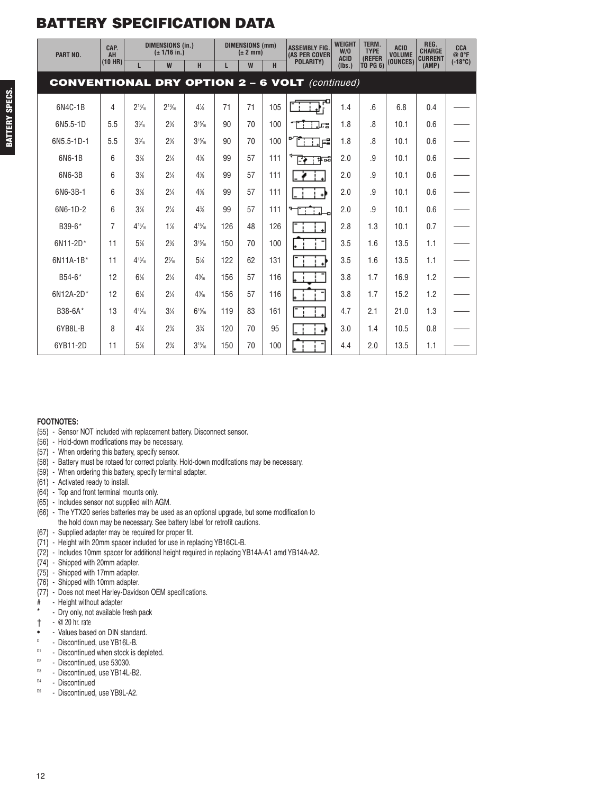| PART NO.                                              | CAP.<br>AH<br>$(10$ HR) |                          | <b>DIMENSIONS (in.)</b><br>$(\pm 1/16$ in.) |            |     | <b>DIMENSIONS (mm)</b><br>$(\pm 2$ mm) |     | <b>ASSEMBLY FIG.</b><br><b>(AS PER COVER</b><br><b>POLARITY)</b> | <b>WEIGHT</b><br>W/O<br><b>ACID</b> | <b>TERM.</b><br><b>TYPE</b><br>(REFER | <b>ACID</b><br><b>VOLUME</b><br>(OUNCES) | REG.<br><b>CHARGE</b><br><b>CURRENT</b> | CCA<br>$@0^{\circ}F$<br>$(-18^{\circ}C)$ |
|-------------------------------------------------------|-------------------------|--------------------------|---------------------------------------------|------------|-----|----------------------------------------|-----|------------------------------------------------------------------|-------------------------------------|---------------------------------------|------------------------------------------|-----------------------------------------|------------------------------------------|
|                                                       |                         | L                        | W                                           | H          | L   | W                                      | H   |                                                                  | (Ibs.)                              | <b>TO PG 6)</b>                       |                                          | (AMP)                                   |                                          |
| <b>CONVENTIONAL DRY OPTION 2 - 6 VOLT</b> (continued) |                         |                          |                                             |            |     |                                        |     |                                                                  |                                     |                                       |                                          |                                         |                                          |
| 6N4C-1B                                               | 4                       | $2^{13}/6$               | $2^{13}/6$                                  | $4\%$      | 71  | 71                                     | 105 |                                                                  | 1.4                                 | $6 \,$                                | 6.8                                      | 0.4                                     |                                          |
| 6N5.5-1D                                              | 5.5                     | 3%                       | $2\frac{3}{4}$                              | $3^{15}/6$ | 90  | 70                                     | 100 | مبل ا                                                            | 1.8                                 | 8 <sup>1</sup>                        | 10.1                                     | 0.6                                     |                                          |
| 6N5.5-1D-1                                            | 5.5                     | 3%                       | $2\frac{3}{4}$                              | $3^{15}/6$ | 90  | 70                                     | 100 | ∎ב                                                               | 1.8                                 | $\mathcal{B}$                         | 10.1                                     | 0.6                                     |                                          |
| 6N6-1B                                                | 6                       | 3%                       | $2\frac{1}{4}$                              | 4%         | 99  | 57                                     | 111 | ਵਿਸਾਸ ਵੀ ਸ                                                       | 2.0                                 | .9                                    | 10.1                                     | 0.6                                     |                                          |
| 6N6-3B                                                | 6                       | 3%                       | $2\frac{1}{4}$                              | 4%         | 99  | 57                                     | 111 |                                                                  | 2.0                                 | .9                                    | 10.1                                     | 0.6                                     |                                          |
| 6N6-3B-1                                              | 6                       | 3%                       | $2\frac{1}{4}$                              | 4%         | 99  | 57                                     | 111 |                                                                  | 2.0                                 | .9                                    | 10.1                                     | 0.6                                     |                                          |
| 6N6-1D-2                                              | 6                       | 3%                       | $2\frac{1}{4}$                              | 4%         | 99  | 57                                     | 111 |                                                                  | 2.0                                 | .9                                    | 10.1                                     | 0.6                                     |                                          |
| B39-6*                                                | 7                       | $4^{15}/6$               | $1\%$                                       | $4^{15}/6$ | 126 | 48                                     | 126 |                                                                  | 2.8                                 | 1.3                                   | 10.1                                     | 0.7                                     |                                          |
| 6N11-2D*                                              | 11                      | 5%                       | $2\frac{3}{4}$                              | $3^{15}/6$ | 150 | 70                                     | 100 |                                                                  | 3.5                                 | 1.6                                   | 13.5                                     | 1.1                                     |                                          |
| 6N11A-1B*                                             | 11                      | $4^{13}/6$               | $2\frac{7}{6}$                              | 5%         | 122 | 62                                     | 131 |                                                                  | 3.5                                 | 1.6                                   | 13.5                                     | 1.1                                     |                                          |
| $B54-6*$                                              | 12                      | $6\%$                    | $2\frac{1}{4}$                              | 4%         | 156 | 57                                     | 116 |                                                                  | 3.8                                 | 1.7                                   | 16.9                                     | 1.2                                     |                                          |
| 6N12A-2D*                                             | 12                      | $6\%$                    | $2\frac{1}{4}$                              | 4%5        | 156 | 57                                     | 116 |                                                                  | 3.8                                 | 1.7                                   | 15.2                                     | 1.2                                     |                                          |
| B38-6A*                                               | 13                      | $4^{11}$ / <sub>16</sub> | $3\frac{1}{4}$                              | $6^{15}/6$ | 119 | 83                                     | 161 |                                                                  | 4.7                                 | 2.1                                   | 21.0                                     | 1.3                                     |                                          |
| 6YB8L-B                                               | 8                       | $4\frac{3}{4}$           | $2\frac{3}{4}$                              | $3\%$      | 120 | 70                                     | 95  | ام !                                                             | 3.0                                 | 1.4                                   | 10.5                                     | 0.8                                     |                                          |
| 6YB11-2D                                              | 11                      | 5%                       | $2\frac{3}{4}$                              | $3^{15}/6$ | 150 | 70                                     | 100 |                                                                  | 4.4                                 | 2.0                                   | 13.5                                     | 1.1                                     |                                          |

#### **FOOTNOTES:**

- {55} Sensor NOT included with replacement battery. Disconnect sensor.
- {56} Hold-down modifications may be necessary.
- {57} When ordering this battery, specify sensor.
- {58} Battery must be rotaed for correct polarity. Hold-down modifcations may be necessary.
- {59} When ordering this battery, specify terminal adapter.
- {61} Activated ready to install.
- {64} Top and front terminal mounts only.
- {65} Includes sensor not supplied with AGM.
- {66} The YTX20 series batteries may be used as an optional upgrade, but some modification to the hold down may be necessary. See battery label for retrofit cautions.
- {67} Supplied adapter may be required for proper fit.
- {71} Height with 20mm spacer included for use in replacing YB16CL-B.
- {72} Includes 10mm spacer for additional height required in replacing YB14A-A1 amd YB14A-A2.
- {74} Shipped with 20mm adapter.
- {75} Shipped with 17mm adapter.
- {76} Shipped with 10mm adapter.
- {77} Does not meet Harley-Davidson OEM specifications.
- # Height without adapter
- Dry only, not available fresh pack
- † @ 20 hr. rate
- - Values based on DIN standard.<br>
<sup>D</sup> Discontinued use YB16L-B
- $D = D$  iscontinued, use YB16L-B.
- $D1$  Discontinued when stock is depleted.
- $D^2$  Discontinued, use 53030.
- Discontinued, use YB14L-B2.
- D4 Discontinued
- D5 Discontinued, use YB9L-A2.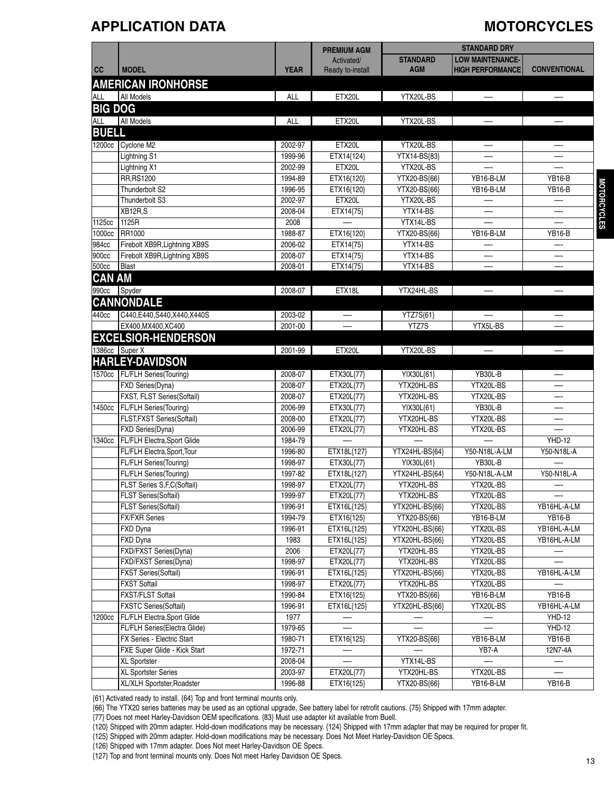#### **APPLICATION DATA MOTORCYCLES**

|                |                                   |             | <b>PREMIUM AGM</b> |                 | <b>STANDARD DRY</b>      |                                     |
|----------------|-----------------------------------|-------------|--------------------|-----------------|--------------------------|-------------------------------------|
|                |                                   |             | Activated/         | <b>STANDARD</b> | <b>LOW MAINTENANCE-</b>  |                                     |
| cc             | <b>MODEL</b>                      | <b>YEAR</b> | Ready to-install   | <b>AGM</b>      | <b>HIGH PERFORMANCE</b>  | <b>CONVENTIONAL</b>                 |
|                | <b>AMERICAN IRONHORSE</b>         |             |                    |                 |                          |                                     |
| <b>ALL</b>     | All Models                        | <b>ALL</b>  | ETX20L             | YTX20L-BS       |                          |                                     |
| <b>BIG DOG</b> |                                   |             |                    |                 |                          |                                     |
| ALL            | <b>All Models</b>                 | <b>ALL</b>  | ETX20L             | YTX20L-BS       |                          |                                     |
| <b>BUELL</b>   |                                   |             |                    |                 |                          |                                     |
|                |                                   |             |                    |                 |                          |                                     |
|                | 1200cc Cyclone M2                 | 2002-97     | ETX20L             | YTX20L-BS       |                          |                                     |
|                | Lightning S1                      | 1999-96     | ETX14{124}         | YTX14-BS{83}    |                          |                                     |
|                | Lightning X1                      | 2002-99     | ETX20L             | YTX20L-BS       |                          |                                     |
|                | <b>RR, RS1200</b>                 | 1994-89     | ETX16{120}         | YTX20-BS{66}    | YB16-B-LM                | <b>YB16-B</b>                       |
|                | Thunderbolt S2                    | 1996-95     | ETX16{120}         | YTX20-BS{66}    | YB16-B-LM                | <b>MOTORCYCLES</b><br><b>YB16-B</b> |
|                | Thunderbolt S3                    | 2002-97     | ETX20L             | YTX20L-BS       |                          |                                     |
|                | XB12R,S                           | 2008-04     | ETX14{75}          | YTX14-BS        |                          |                                     |
| 1125cc         | 1125R                             | 2008        |                    | YTX14L-BS       |                          |                                     |
| 1000cc         | <b>RR1000</b>                     | 1988-87     | ETX16{120}         | YTX20-BS{66}    | YB16-B-LM                | <b>YB16-B</b>                       |
| 984cc          | Firebolt XB9R, Lightning XB9S     | 2006-02     | ETX14{75}          | YTX14-BS        |                          |                                     |
| 900cc          | Firebolt XB9R, Lightning XB9S     | 2008-07     | ETX14{75}          | YTX14-BS        |                          |                                     |
| 500cc          | Blast                             | 2008-01     | ETX14{75}          | YTX14-BS        |                          |                                     |
| <b>CAN AM</b>  |                                   |             |                    |                 |                          |                                     |
| 990cc          | Spyder                            | 2008-07     | ETX18L             | YTX24HL-BS      |                          |                                     |
|                | <b>CANNONDALE</b>                 |             |                    |                 |                          |                                     |
| 440cc          | C440, E440, S440, X440, X440S     | 2003-02     | —-                 | YTZ7S{61}       | $\overline{\phantom{a}}$ |                                     |
|                | EX400, MX400, XC400               | 2001-00     |                    | YTZ7S           | YTX5L-BS                 |                                     |
|                | <b>EXCELSIOR-HENDERSON</b>        |             |                    |                 |                          |                                     |
|                |                                   |             |                    |                 |                          |                                     |
|                | 1386cc Super X                    | 2001-99     | ETX20L             | YTX20L-BS       | —                        |                                     |
|                | <b>HARLEY-DAVIDSON</b>            |             |                    |                 |                          |                                     |
|                | 1570cc   FL/FLH Series(Touring)   | 2008-07     | ETX30L{77}         | YIX30L{61}      | YB30L-B                  |                                     |
|                | <b>FXD Series(Dyna)</b>           | 2008-07     | ETX20L{77}         | YTX20HL-BS      | YTX20L-BS                |                                     |
|                | <b>FXST, FLST Series(Softail)</b> | 2008-07     | ETX20L{77}         | YTX20HL-BS      | YTX20L-BS                |                                     |
| 1450cc         | FL/FLH Series(Touring)            | 2006-99     | ETX30L{77}         | YIX30L{61}      | YB30L-B                  |                                     |
|                | FLST, FXST Series (Softail)       | 2008-00     | ETX20L{77}         | YTX20HL-BS      | YTX20L-BS                |                                     |
|                | FXD Series(Dyna)                  | 2006-99     | ETX20L{77}         | YTX20HL-BS      | YTX20L-BS                |                                     |
| 1340cc         | FL/FLH Electra, Sport Glide       | 1984-79     |                    | —-              |                          | <b>YHD-12</b>                       |
|                | FL/FLH Electra, Sport, Tour       | 1996-80     | ETX18L{127}        | YTX24HL-BS{64}  | Y50-N18L-A-LM            | Y50-N18L-A                          |
|                | FL/FLH Series(Touring)            | 1998-97     | ETX30L{77}         | YIX30L{61}      | YB30L-B                  |                                     |
|                | FL/FLH Series(Touring)            | 1997-82     | ETX18L{127}        | YTX24HL-BS{64}  | Y50-N18L-A-LM            | Y50-N18L-A                          |
|                | FLST Series S,F,C(Softail)        | 1998-97     | ETX20L{77}         | YTX20HL-BS      | YTX20L-BS                |                                     |
|                | <b>FLST Series(Softail)</b>       | 1999-97     | $ETX20L{77}$       | YTX20HL-BS      | YTX20L-BS                |                                     |
|                | <b>FLST Series(Softail)</b>       | 1996-91     | ETX16L{125}        | YTX20HL-BS{66}  | YTX20L-BS                | YB16HL-A-LM                         |
|                | <b>FX/FXR Series</b>              | 1994-79     | ETX16{125}         | YTX20-BS{66}    | YB16-B-LM                | <b>YB16-B</b>                       |
|                | FXD Dyna                          | 1996-91     | ETX16L{125}        | YTX20HL-BS{66}  | YTX20L-BS                | YB16HL-A-LM                         |
|                | FXD Dyna                          | 1983        | ETX16L{125}        | YTX20HL-BS{66}  | YTX20L-BS                | YB16HL-A-LM                         |
|                | FXD/FXST Series(Dyna)             | 2006        | ETX20L{77}         | YTX20HL-BS      | YTX20L-BS                |                                     |
|                | FXD/FXST Series(Dyna)             | 1998-97     | ETX20L{77}         | YTX20HL-BS      | YTX20L-BS                |                                     |
|                | <b>FXST Series(Softail)</b>       | 1996-91     | ETX16L{125}        | YTX20HL-BS{66}  | YTX20L-BS                | YB16HL-A-LM                         |
|                | <b>FXST Softail</b>               | 1998-97     | ETX20L{77}         | YTX20HL-BS      | YTX20L-BS                |                                     |
|                | <b>FXST/FLST Softail</b>          | 1990-84     | ETX16{125}         | YTX20-BS{66}    | YB16-B-LM                | <b>YB16-B</b>                       |
|                | <b>FXSTC Series(Softail)</b>      | 1996-91     | ETX16L{125}        | YTX20HL-BS{66}  | YTX20L-BS                | YB16HL-A-LM                         |
| 1200cc         | FL/FLH Electra, Sport Glide       | 1977        |                    |                 |                          | <b>YHD-12</b>                       |
|                | FL/FLH Series(Electra Glide)      | 1979-65     |                    |                 |                          | <b>YHD-12</b>                       |
|                | FX Series - Electric Start        | 1980-71     | ETX16{125}         | YTX20-BS{66}    | YB16-B-LM                | <b>YB16-B</b>                       |
|                | FXE Super Glide - Kick Start      | 1972-71     |                    |                 | YB7-A                    | 12N7-4A                             |
|                | XL Sportster                      | 2008-04     |                    | YTX14L-BS       |                          |                                     |
|                | XL Sportster Series               | 2003-97     | ETX20L{77}         | YTX20HL-BS      | YTX20L-BS                |                                     |
|                | XL/XLH Sportster, Roadster        | 1996-88     | ETX16{125}         | YTX20-BS{66}    | YB16-B-LM                | <b>YB16-B</b>                       |
|                |                                   |             |                    |                 |                          |                                     |

{61} Activated ready to install. {64} Top and front terminal mounts only.

{66} The YTX20 series batteries may be used as an optional upgrade, See battery label for retrofit cautions. {75} Shipped with 17mm adapter.

{77} Does not meet Harley-Davidson OEM specifications. {83} Must use adapter kit available from Buell.

{120} Shipped with 20mm adapter. Hold-down modifications may be necessary. {124} Shipped with 17mm adapter that may be required for proper fit.

{125} Shipped with 20mm adapter. Hold-down modifications may be necessary. Does Not Meet Harley-Davidson OE Specs.

{126} Shipped with 17mm adapter. Does Not meet Harley-Davidson OE Specs.

{127} Top and front terminal mounts only. Does Not meet Harley Davidson OE Specs.

13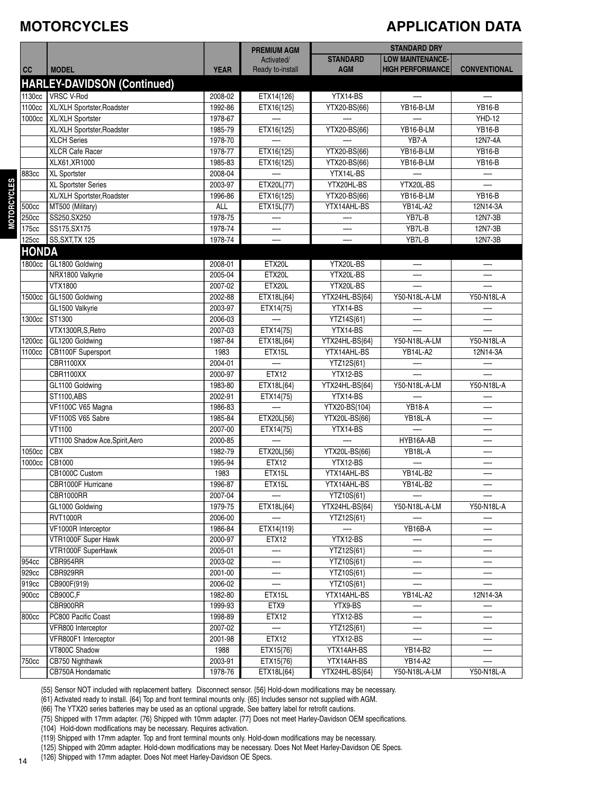### **MOTORCYCLES**

### **APPLICATION DATA**

|                |                                           |                    | <b>PREMIUM AGM</b>       | <b>STANDARD DRY</b>      |                          |                          |
|----------------|-------------------------------------------|--------------------|--------------------------|--------------------------|--------------------------|--------------------------|
|                |                                           |                    | Activated/               | <b>STANDARD</b>          | <b>LOW MAINTENANCE-</b>  |                          |
| cc             | <b>MODEL</b>                              | <b>YEAR</b>        | Ready to-install         | <b>AGM</b>               | <b>HIGH PERFORMANCE</b>  | <b>CONVENTIONAL</b>      |
|                | <b>HARLEY-DAVIDSON (Continued)</b>        |                    |                          |                          |                          |                          |
| 1130cc         | <b>VRSC V-Rod</b>                         | 2008-02            | ETX14{126}               | YTX14-BS                 | $\overline{\phantom{0}}$ | $\overline{\phantom{0}}$ |
| 1100cc         | XL/XLH Sportster, Roadster                | 1992-86            | ETX16{125}               | YTX20-BS{66}             | YB16-B-LM                | <b>YB16-B</b>            |
| 1000cc         | XL/XLH Sportster                          | 1978-67            |                          |                          |                          | <b>YHD-12</b>            |
|                | XL/XLH Sportster, Roadster                | 1985-79            | ETX16{125}               | YTX20-BS{66}             | YB16-B-LM                | <b>YB16-B</b>            |
|                | <b>XLCH Series</b>                        | 1978-70            |                          |                          | YB7-A                    | 12N7-4A                  |
|                | <b>XLCR Cafe Racer</b>                    | 1978-77            | ETX16{125}               | YTX20-BS{66}             | YB16-B-LM                | <b>YB16-B</b>            |
|                | XLX61, XR1000                             | 1985-83            | ETX16{125}               | YTX20-BS{66}             | YB16-B-LM                | <b>YB16-B</b>            |
| 883cc          | XL Sportster                              | 2008-04            |                          | YTX14L-BS                |                          |                          |
|                | XL Sportster Series                       | 2003-97            | ETX20L{77}               | YTX20HL-BS               | YTX20L-BS                |                          |
|                | XL/XLH Sportster, Roadster                | 1996-86            | ETX16{125}               | YTX20-BS{66}             | YB16-B-LM                | <b>YB16-B</b>            |
| 500cc          | MT500 (Military)                          | ALL                | ETX15L{77}               | YTX14AHL-BS              | <b>YB14L-A2</b>          | 12N14-3A                 |
| 250cc          | SS250, SX250                              | 1978-75            |                          |                          | YB7L-B                   | 12N7-3B                  |
| 175cc          | SS175, SX175                              | 1978-74            | —-                       |                          | YB7L-B                   | 12N7-3B                  |
| 125cc          | <b>SS, SXT, TX 125</b>                    | 1978-74            |                          |                          | YB7L-B                   | 12N7-3B                  |
| <b>HONDA</b>   |                                           |                    |                          |                          |                          |                          |
| 1800cc         | GL1800 Goldwing                           | 2008-01            | ETX20L                   | YTX20L-BS                | —-                       | —                        |
|                | NRX1800 Valkyrie                          | 2005-04            | ETX20L                   | YTX20L-BS                | —-                       |                          |
|                | VTX1800                                   | 2007-02            | ETX20L                   | YTX20L-BS                |                          |                          |
| 1500cc         | GL1500 Goldwing                           | 2002-88            | ETX18L{64}               | YTX24HL-BS{64}           | Y50-N18L-A-LM            | Y50-N18L-A               |
|                | GL1500 Valkyrie                           | 2003-97            | ETX14{75}                | YTX14-BS                 |                          |                          |
| 1300cc         | ST1300                                    | 2006-03            |                          | YTZ14S{61}               | —-                       |                          |
|                | VTX1300R,S,Retro                          | 2007-03            | ETX14{75}                | YTX14-BS                 |                          |                          |
| 1200cc         | GL1200 Goldwing                           | 1987-84            | ETX18L{64}               | YTX24HL-BS{64}           | Y50-N18L-A-LM            | Y50-N18L-A               |
| 1100cc         | CB1100F Supersport                        | 1983               | ETX15L                   | YTX14AHL-BS              | <b>YB14L-A2</b>          | 12N14-3A                 |
|                | CBR1100XX                                 | 2004-01            |                          | YTZ12S{61}               |                          |                          |
|                | CBR1100XX                                 | 2000-97            | ETX12                    | YTX12-BS                 |                          |                          |
|                | GL1100 Goldwing                           | 1983-80            | ETX18L{64}               | YTX24HL-BS{64}           | Y50-N18L-A-LM            | Y50-N18L-A               |
|                | ST1100,ABS                                | 2002-91            | ETX14{75}                | YTX14-BS                 |                          |                          |
|                | VF1100C V65 Magna                         | 1986-83            |                          | YTX20-BS{104}            | <b>YB18-A</b>            |                          |
|                | VF1100S V65 Sabre                         | 1985-84            | ETX20L{56}               | YTX20L-BS{66}            | YB18L-A                  |                          |
|                | VT1100                                    | 2007-00            | ETX14{75}                | YTX14-BS                 |                          |                          |
|                | VT1100 Shadow Ace, Spirit, Aero           | 2000-85            |                          |                          | HYB16A-AB                | —-                       |
| 1050cc         | <b>CBX</b>                                | 1982-79            | ETX20L{56}               | YTX20L-BS{66}            | YB18L-A                  |                          |
| 1000cc         | CB1000                                    | 1995-94            | ETX12                    | YTX12-BS                 |                          |                          |
|                | CB1000C Custom                            | 1983               | ETX15L                   | YTX14AHL-BS              | <b>YB14L-B2</b>          |                          |
|                | CBR1000F Hurricane                        | 1996-87            | ETX15L                   | YTX14AHL-BS              | <b>YB14L-B2</b>          |                          |
|                | CBR1000RR                                 | 2007-04            | $\overline{\phantom{0}}$ | YTZ10S{61}               |                          |                          |
|                | GL1000 Goldwing                           | 1979-75            | ETX18L{64}               | YTX24HL-BS{64}           | Y50-N18L-A-LM            | Y50-N18L-A               |
|                | <b>RVT1000R</b>                           | 2006-00            |                          | YTZ12S{61}               |                          |                          |
|                | VF1000R Interceptor                       | 1986-84<br>2000-97 | ETX14{119}               |                          | YB16B-A                  | —-                       |
|                | VTR1000F Super Hawk<br>VTR1000F SuperHawk | 2005-01            | ETX12                    | YTX12-BS<br>YTZ12S{61}   | —-                       | —-                       |
|                |                                           | 2003-02            |                          |                          |                          |                          |
| 954cc<br>929cc | CBR954RR<br>CBR929RR                      | 2001-00            |                          | YTZ10S{61}<br>YTZ10S{61} |                          |                          |
| 919cc          | CB900F(919)                               | 2006-02            | —-                       | YTZ10S{61}               | —-                       |                          |
| 900cc          | CB900C,F                                  | 1982-80            | ETX15L                   | YTX14AHL-BS              | <b>YB14L-A2</b>          | 12N14-3A                 |
|                | CBR900RR                                  | 1999-93            | ETX9                     | YTX9-BS                  | —-                       | —-                       |
| 800cc          | PC800 Pacific Coast                       | 1998-89            | ETX12                    | YTX12-BS                 |                          |                          |
|                | VFR800 Interceptor                        | 2007-02            |                          | YTZ12S{61}               |                          |                          |
|                | VFR800F1 Interceptor                      | 2001-98            | <b>ETX12</b>             | YTX12-BS                 | —-                       |                          |
|                | VT800C Shadow                             | 1988               | ETX15{76}                | YTX14AH-BS               | YB14-B2                  |                          |
| 750cc          | CB750 Nighthawk                           | 2003-91            | ETX15{76}                | YTX14AH-BS               | YB14-A2                  |                          |
|                | CB750A Hondamatic                         | 1978-76            | ETX18L{64}               | YTX24HL-BS{64}           | Y50-N18L-A-LM            | Y50-N18L-A               |
|                |                                           |                    |                          |                          |                          |                          |

{55} Sensor NOT included with replacement battery. Disconnect sensor. {56} Hold-down modifications may be necessary.

{61} Activated ready to install. {64} Top and front terminal mounts only. {65} Includes sensor not supplied with AGM.

{66} The YTX20 series batteries may be used as an optional upgrade, See battery label for retrofit cautions.

{104} Hold-down modifications may be necessary. Requires activation.

{119} Shipped with 17mm adapter. Top and front terminal mounts only. Hold-down modifications may be necessary.

{125} Shipped with 20mm adapter. Hold-down modifications may be necessary. Does Not Meet Harley-Davidson OE Specs.

{126} Shipped with 17mm adapter. Does Not meet Harley-Davidson OE Specs.

<sup>{75}</sup> Shipped with 17mm adapter. {76} Shipped with 10mm adapter. {77} Does not meet Harley-Davidson OEM specifications.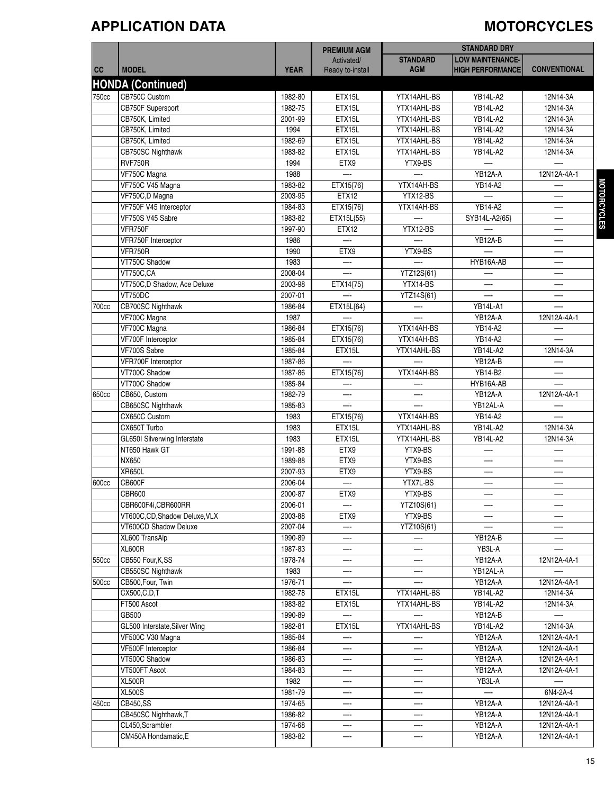### **APPLICATION DATA MOTORCYCLES**

|       |                                        |                    | <b>PREMIUM AGM</b> |                 | <b>STANDARD DRY</b>     |                            |
|-------|----------------------------------------|--------------------|--------------------|-----------------|-------------------------|----------------------------|
|       |                                        |                    | Activated/         | <b>STANDARD</b> | <b>LOW MAINTENANCE-</b> |                            |
| cc    | <b>MODEL</b>                           | <b>YEAR</b>        | Ready to-install   | <b>AGM</b>      | <b>HIGH PERFORMANCE</b> | <b>CONVENTIONAL</b>        |
|       | <b>HONDA (Continued)</b>               |                    |                    |                 |                         |                            |
| 750cc | CB750C Custom                          | 1982-80            | ETX15L             | YTX14AHL-BS     | <b>YB14L-A2</b>         | 12N14-3A                   |
|       | CB750F Supersport                      | 1982-75            | ETX15L             | YTX14AHL-BS     | <b>YB14L-A2</b>         | 12N14-3A                   |
|       | CB750K, Limited                        | 2001-99            | ETX15L             | YTX14AHL-BS     | YB14L-A2                | 12N14-3A                   |
|       | CB750K, Limited                        | 1994               | ETX15L             | YTX14AHL-BS     | <b>YB14L-A2</b>         | 12N14-3A                   |
|       | CB750K, Limited                        | 1982-69            | ETX15L             | YTX14AHL-BS     | YB14L-A2                | 12N14-3A                   |
|       | CB750SC Nighthawk                      | 1983-82            | ETX15L             | YTX14AHL-BS     | YB14L-A2                | 12N14-3A                   |
|       | RVF750R                                | 1994               | ETX9               | YTX9-BS         |                         |                            |
|       | VF750C Magna                           | 1988               |                    |                 | YB12A-A                 | 12N12A-4A-1                |
|       | VF750C V45 Magna                       | 1983-82            | ETX15{76}          | YTX14AH-BS      | YB14-A2                 |                            |
|       | VF750C,D Magna                         | 2003-95            | ETX12              | YTX12-BS        |                         | —-                         |
|       | VF750F V45 Interceptor                 | 1984-83            | ETX15{76}          | YTX14AH-BS      | YB14-A2                 | —.                         |
|       | VF750S V45 Sabre                       | 1983-82            | ETX15L{55}         |                 | SYB14L-A2{65}           | —                          |
|       | VFR750F                                | 1997-90            | <b>ETX12</b>       | YTX12-BS        |                         | —                          |
|       | VFR750F Interceptor                    | 1986               |                    |                 | YB12A-B                 |                            |
|       | VFR750R                                | 1990               | ETX9               | YTX9-BS         |                         |                            |
|       | VT750C Shadow                          | 1983               |                    |                 | HYB16A-AB               | —                          |
|       | <b>VT750C,CA</b>                       | 2008-04            |                    | YTZ12S{61}      |                         | —                          |
|       | VT750C,D Shadow, Ace Deluxe            | 2003-98            | ETX14{75}          | YTX14-BS        |                         | —                          |
|       | VT750DC                                | 2007-01            |                    | YTZ14S{61}      |                         |                            |
| 700cc | CB700SC Nighthawk                      | 1986-84            | ETX15L{64}         |                 | <b>YB14L-A1</b>         |                            |
|       | VF700C Magna                           | 1987               |                    |                 | YB12A-A                 | 12N12A-4A-1                |
|       | VF700C Magna                           | 1986-84            | ETX15{76}          | YTX14AH-BS      | YB14-A2                 |                            |
|       | VF700F Interceptor                     | 1985-84            | ETX15{76}          | YTX14AH-BS      | YB14-A2                 |                            |
|       | VF700S Sabre                           | 1985-84            | ETX15L             | YTX14AHL-BS     | <b>YB14L-A2</b>         | 12N14-3A                   |
|       | VFR700F Interceptor                    | 1987-86            |                    |                 | YB12A-B                 |                            |
|       | VT700C Shadow                          | 1987-86            | ETX15{76}          | YTX14AH-BS      | YB14-B2                 |                            |
|       | VT700C Shadow                          | 1985-84            |                    |                 | HYB16A-AB               |                            |
| 650cc | CB650, Custom                          | 1982-79            | —-                 |                 | YB12A-A                 | 12N12A-4A-1                |
|       | CB650SC Nighthawk                      | 1985-83            |                    |                 | YB12AL-A                |                            |
|       | CX650C Custom                          | 1983               | ETX15{76}          | YTX14AH-BS      | YB14-A2                 |                            |
|       | CX650T Turbo                           | 1983               | ETX15L             | YTX14AHL-BS     | <b>YB14L-A2</b>         | 12N14-3A                   |
|       | GL650I Silverwing Interstate           | 1983               | ETX15L             | YTX14AHL-BS     | YB14L-A2                | 12N14-3A                   |
|       | NT650 Hawk GT                          | 1991-88            | ETX9               | YTX9-BS         |                         |                            |
|       | NX650                                  | 1989-88            | ETX9               | YTX9-BS         | —                       | —                          |
|       | <b>XR650L</b>                          | 2007-93            | ETX9               | YTX9-BS         |                         | —                          |
| 600cc | <b>CB600F</b>                          | 2006-04            |                    | YTX7L-BS        |                         | —                          |
|       | <b>CBR600</b>                          | 2000-87            | ETX9               | YTX9-BS         |                         |                            |
|       | CBR600F4i,CBR600RR                     | 2006-01            |                    | YTZ10S{61}      |                         |                            |
|       | VT600C,CD,Shadow Deluxe,VLX            | 2003-88            | ETX9               | YTX9-BS         |                         |                            |
|       | VT600CD Shadow Deluxe                  | 2007-04            | —-                 | YTZ10S{61}      |                         | --                         |
|       | XL600 TransAlp                         | 1990-89            |                    |                 | YB12A-B                 |                            |
|       | <b>XL600R</b>                          | 1987-83            |                    |                 | YB3L-A                  |                            |
| 550cc | CB550 Four, K, SS                      | 1978-74            |                    |                 | YB12A-A                 | 12N12A-4A-1                |
|       |                                        |                    |                    |                 |                         |                            |
|       | CB550SC Nighthawk                      | 1983<br>1976-71    |                    |                 | YB12AL-A                | 12N12A-4A-1                |
| 500cc | CB500, Four, Twin                      | 1982-78            |                    |                 | YB12A-A                 | 12N14-3A                   |
|       | CX500, C, D, T<br>FT500 Ascot          | 1983-82            | ETX15L             | YTX14AHL-BS     | YB14L-A2                |                            |
|       |                                        |                    | ETX15L             | YTX14AHL-BS     | YB14L-A2<br>YB12A-B     | 12N14-3A                   |
|       | GB500<br>GL500 Interstate, Silver Wing | 1990-89<br>1982-81 | ETX15L             | YTX14AHL-BS     | YB14L-A2                | 12N14-3A                   |
|       |                                        |                    |                    |                 |                         |                            |
|       | VF500C V30 Magna                       | 1985-84<br>1986-84 |                    |                 | YB12A-A<br>YB12A-A      | 12N12A-4A-1<br>12N12A-4A-1 |
|       | VF500F Interceptor                     |                    |                    |                 |                         |                            |
|       | VT500C Shadow                          | 1986-83            | —-                 | —-              | YB12A-A                 | 12N12A-4A-1                |
|       | VT500FT Ascot                          | 1984-83            |                    |                 | YB12A-A                 | 12N12A-4A-1                |
|       | <b>XL500R</b>                          | 1982               |                    |                 | YB3L-A                  |                            |
|       | <b>XL500S</b>                          | 1981-79            |                    |                 |                         | 6N4-2A-4                   |
| 450cc | CB450,SS                               | 1974-65            |                    |                 | YB12A-A                 | 12N12A-4A-1                |
|       | CB450SC Nighthawk, T                   | 1986-82            |                    |                 | YB12A-A                 | 12N12A-4A-1                |
|       | CL450, Scrambler                       | 1974-68            | —-                 | —-              | YB12A-A                 | 12N12A-4A-1                |
|       | CM450A Hondamatic, E                   | 1983-82            |                    |                 | YB12A-A                 | 12N12A-4A-1                |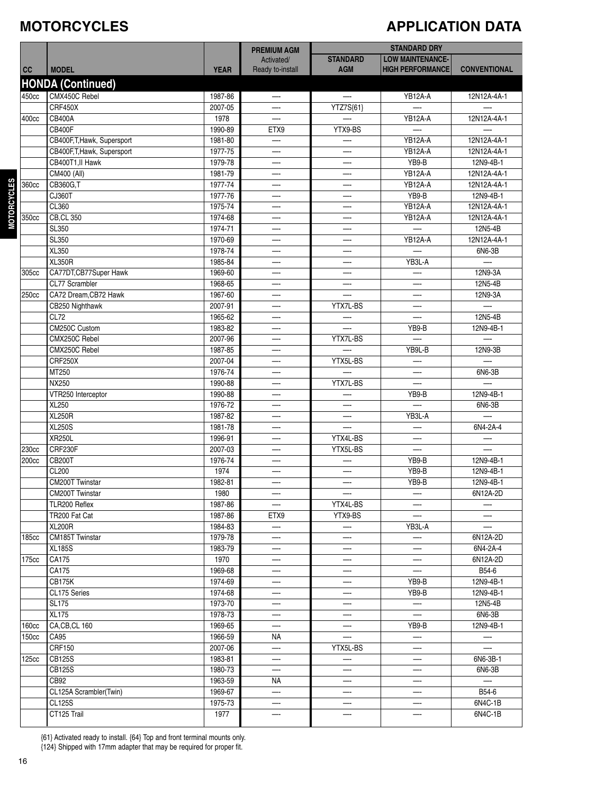#### **MOTORCYCLES**

### **APPLICATION DATA**

|                |                                |                    | <b>PREMIUM AGM</b>       |                          | <b>STANDARD DRY</b>     |                     |
|----------------|--------------------------------|--------------------|--------------------------|--------------------------|-------------------------|---------------------|
|                |                                |                    | Activated/               | <b>STANDARD</b>          | <b>LOW MAINTENANCE-</b> |                     |
| cc             | <b>MODEL</b>                   | <b>YEAR</b>        | Ready to-install         | <b>AGM</b>               | <b>HIGH PERFORMANCE</b> | <b>CONVENTIONAL</b> |
|                | <b>HONDA</b> (Continued)       |                    |                          |                          |                         |                     |
| 450cc          | CMX450C Rebel                  | 1987-86            |                          |                          | YB12A-A                 | 12N12A-4A-1         |
|                | CRF450X                        | 2007-05            |                          | YTZ7S{61}                |                         |                     |
| 400cc          | <b>CB400A</b>                  | 1978               |                          |                          | YB12A-A                 | 12N12A-4A-1         |
|                | <b>CB400F</b>                  | 1990-89            | ETX9                     | YTX9-BS                  |                         |                     |
|                | CB400F, T, Hawk, Supersport    | 1981-80            |                          |                          | YB12A-A                 | 12N12A-4A-1         |
|                | CB400F, T, Hawk, Supersport    | 1977-75            |                          |                          | YB12A-A                 | 12N12A-4A-1         |
|                | CB400T1, II Hawk               | 1979-78            | —-                       | —.                       | YB9-B                   | 12N9-4B-1           |
|                | CM400 (All)                    | 1981-79            |                          | —                        | YB12A-A                 | 12N12A-4A-1         |
| 360cc          | CB360G,T                       | 1977-74            | —-                       | —                        | YB12A-A                 | 12N12A-4A-1         |
| MOTORCYCLES    | CJ360T                         | 1977-76            |                          |                          | YB9-B                   | 12N9-4B-1           |
|                | CL360                          | 1975-74            |                          | –                        | YB12A-A                 | 12N12A-4A-1         |
| 350cc          | <b>CB, CL 350</b>              | 1974-68            |                          |                          | YB12A-A                 | 12N12A-4A-1         |
|                | SL350                          | 1974-71            | –                        |                          |                         | 12N5-4B             |
|                | SL350                          | 1970-69            |                          | —                        | YB12A-A                 | 12N12A-4A-1         |
|                | XL350                          | 1978-74            | —-                       | —-                       |                         | 6N6-3B              |
|                | XL350R                         | 1985-84            |                          | —                        | YB3L-A                  | —.                  |
| 305cc          | CA77DT, CB77Super Hawk         | 1969-60            |                          |                          |                         | 12N9-3A             |
|                | CL77 Scrambler                 | 1968-65            |                          |                          |                         | 12N5-4B             |
| 250cc          | CA72 Dream, CB72 Hawk          | 1967-60            |                          |                          |                         | 12N9-3A             |
|                | CB250 Nighthawk                | 2007-91            | –                        | YTX7L-BS                 |                         |                     |
|                | CL72                           | 1965-62            | —-                       |                          |                         | 12N5-4B             |
|                | CM250C Custom                  | 1983-82            |                          |                          | YB9-B                   | 12N9-4B-1           |
|                | CMX250C Rebel                  | 2007-96            |                          | YTX7L-BS                 |                         | —.                  |
|                | CMX250C Rebel                  | 1987-85            |                          |                          | YB9L-B                  | 12N9-3B             |
|                | <b>CRF250X</b>                 | 2007-04            | —.                       | YTX5L-BS                 |                         |                     |
|                | MT250                          | 1976-74            |                          |                          |                         | 6N6-3B              |
|                | NX250                          | 1990-88            | —-                       | YTX7L-BS                 |                         |                     |
|                | VTR250 Interceptor             | 1990-88            |                          |                          | YB9-B                   | 12N9-4B-1           |
|                | XL250                          | 1976-72            |                          |                          |                         | 6N6-3B              |
|                | <b>XL250R</b>                  | 1987-82            |                          |                          | YB3L-A                  |                     |
|                | <b>XL250S</b><br><b>XR250L</b> | 1981-78<br>1996-91 | —-                       | YTX4L-BS                 | —-                      | 6N4-2A-4            |
|                | CRF230F                        | 2007-03            |                          | YTX5L-BS                 |                         |                     |
| 230cc<br>200cc | <b>CB200T</b>                  | 1976-74            | —-                       | –                        | YB9-B                   | 12N9-4B-1           |
|                | CL200                          | 1974               |                          |                          | YB9-B                   | 12N9-4B-1           |
|                | <b>CM200T Twinstar</b>         | 1982-81            |                          | —                        | YB9-B                   | 12N9-4B-1           |
|                | CM200T Twinstar                | 1980               |                          | $\overline{\phantom{m}}$ |                         | 6N12A-2D            |
|                | TLR200 Reflex                  | 1987-86            |                          | YTX4L-BS                 |                         |                     |
|                | TR200 Fat Cat                  | 1987-86            | ETX9                     | YTX9-BS                  |                         |                     |
|                | <b>XL200R</b>                  | 1984-83            |                          |                          | YB3L-A                  |                     |
| 185cc          | CM185T Twinstar                | 1979-78            | —.                       | —                        | —-                      | 6N12A-2D            |
|                | <b>XL185S</b>                  | 1983-79            |                          |                          |                         | 6N4-2A-4            |
| 175cc          | CA175                          | 1970               | —-                       | —                        | —-                      | 6N12A-2D            |
|                | CA175                          | 1969-68            | —-                       | $\overline{\phantom{0}}$ |                         | B54-6               |
|                | <b>CB175K</b>                  | 1974-69            | —-                       | —-                       | YB9-B                   | 12N9-4B-1           |
|                | CL175 Series                   | 1974-68            | —-                       | —                        | YB9-B                   | 12N9-4B-1           |
|                | <b>SL175</b>                   | 1973-70            |                          |                          | —-                      | 12N5-4B             |
|                | <b>XL175</b>                   | 1978-73            | —-                       | —                        |                         | 6N6-3B              |
| 160cc          | CA,CB,CL 160                   | 1969-65            | —-                       |                          | YB9-B                   | 12N9-4B-1           |
| 150cc          | CA95                           | 1966-59            | ΝA                       |                          | —-                      | $-\cdot$            |
|                | CRF150                         | 2007-06            | —-                       | YTX5L-BS                 | —-                      | —-                  |
| 125cc          | <b>CB125S</b>                  | 1983-81            |                          |                          |                         | 6N6-3B-1            |
|                | CB125S                         | 1980-73            |                          | —                        |                         | 6N6-3B              |
|                | CB92                           | 1963-59            | NA                       |                          |                         | —                   |
|                | CL125A Scrambler(Twin)         | 1969-67            | $\overline{\phantom{0}}$ | —                        | —-                      | B54-6               |
|                | CL125S                         | 1975-73            | —-                       | —-                       |                         | 6N4C-1B             |
|                | CT125 Trail                    | 1977               |                          |                          |                         | 6N4C-1B             |
|                |                                |                    |                          |                          |                         |                     |

{61} Activated ready to install. {64} Top and front terminal mounts only. {124} Shipped with 17mm adapter that may be required for proper fit.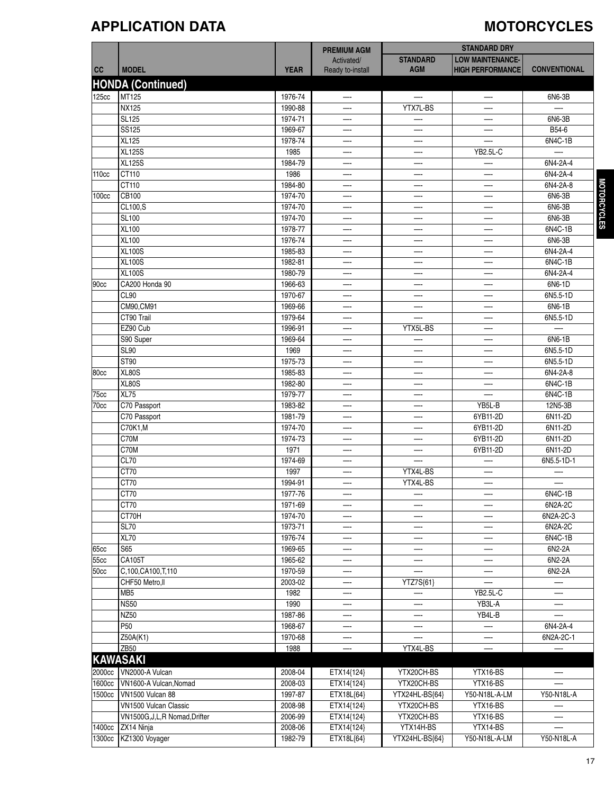### **APPLICATION DATA MOTORCYCLES**

|                   |                                    |                    | <b>PREMIUM AGM</b> | <b>STANDARD DRY</b> |                         |                          |
|-------------------|------------------------------------|--------------------|--------------------|---------------------|-------------------------|--------------------------|
|                   |                                    |                    | Activated/         | <b>STANDARD</b>     | <b>LOW MAINTENANCE-</b> |                          |
| cc                | <b>MODEL</b>                       | <b>YEAR</b>        | Ready to-install   | <b>AGM</b>          | <b>HIGH PERFORMANCE</b> | <b>CONVENTIONAL</b>      |
|                   | <b>HONDA (Continued)</b>           |                    |                    |                     |                         |                          |
| 125cc             | MT125                              | 1976-74            |                    |                     |                         | 6N6-3B                   |
|                   | <b>NX125</b>                       |                    | —-                 | YTX7L-BS            | —                       |                          |
|                   | <b>SL125</b>                       | 1990-88<br>1974-71 |                    |                     |                         | 6N6-3B                   |
|                   | SS125                              | 1969-67            |                    |                     |                         | B54-6                    |
|                   | <b>XL125</b>                       | 1978-74            | —-                 |                     |                         | 6N4C-1B                  |
|                   | <b>XL125S</b>                      | 1985               |                    |                     | <b>YB2.5L-C</b>         |                          |
|                   | <b>XL125S</b>                      | 1984-79            | —-<br>—-           | —-<br>—             |                         | 6N4-2A-4                 |
| 110cc             | CT110                              | 1986               |                    |                     |                         | 6N4-2A-4                 |
|                   | CT110                              | 1984-80            | —-                 |                     |                         | 6N4-2A-8                 |
| 100 <sub>cc</sub> | CB100                              | 1974-70            | —-                 |                     |                         | 6N6-3B                   |
|                   | CL100,S                            | 1974-70            |                    |                     |                         | 6N6-3B                   |
|                   | <b>SL100</b>                       | 1974-70            | —                  |                     |                         | 6N6-3B                   |
|                   | XL100                              | 1978-77            | —-                 | —-                  |                         | 6N4C-1B                  |
|                   | <b>XL100</b>                       | 1976-74            |                    |                     |                         | 6N6-3B                   |
|                   | <b>XL100S</b>                      | 1985-83            | —-                 |                     |                         | 6N4-2A-4                 |
|                   | <b>XL100S</b>                      | 1982-81            |                    |                     |                         | 6N4C-1B                  |
|                   | <b>XL100S</b>                      | 1980-79            | —-                 | —                   | —-                      | 6N4-2A-4                 |
|                   | CA200 Honda 90                     | 1966-63            |                    |                     |                         | 6N6-1D                   |
| 90cc              | CL90                               | 1970-67            | —                  | —                   | —-                      | 6N5.5-1D                 |
|                   |                                    |                    | —-                 | —-                  |                         |                          |
|                   | CM90, CM91<br>CT90 Trail           | 1969-66<br>1979-64 | —-                 | —-                  |                         | 6N6-1B<br>6N5.5-1D       |
|                   | EZ90 Cub                           | 1996-91            | —-                 | YTX5L-BS            |                         |                          |
|                   | S90 Super                          | 1969-64            | Ш.                 |                     | —                       | 6N6-1B                   |
|                   | <b>SL90</b>                        |                    |                    |                     |                         | 6N5.5-1D                 |
|                   | ST90                               | 1969<br>1975-73    | —                  |                     |                         | 6N5.5-1D                 |
|                   |                                    |                    | —-                 | —-                  |                         |                          |
| 80cc              | XL80S<br><b>XL80S</b>              | 1985-83<br>1982-80 |                    |                     |                         | 6N4-2A-8<br>6N4C-1B      |
|                   | XL75                               | 1979-77            |                    |                     |                         | 6N4C-1B                  |
| 75cc<br>70cc      | C70 Passport                       | 1983-82            | —-                 |                     | YB5L-B                  | 12N5-3B                  |
|                   | C70 Passport                       | 1981-79            |                    |                     | 6YB11-2D                | 6N11-2D                  |
|                   | C70K1,M                            | 1974-70            | —-<br>—-           | —-<br>—-            | 6YB11-2D                | 6N11-2D                  |
|                   | C70M                               | 1974-73            |                    |                     | 6YB11-2D                | 6N11-2D                  |
|                   | C70M                               | 1971               |                    |                     | 6YB11-2D                | 6N11-2D                  |
|                   | CL70                               | 1974-69            | —-                 |                     | —-                      | 6N5.5-1D-1               |
|                   | CT70                               | 1997               |                    | YTX4L-BS            |                         |                          |
|                   | CT70                               | 1994-91            | —                  | YTX4L-BS            |                         | —-                       |
|                   |                                    |                    |                    |                     | $-\cdot$                |                          |
|                   | CT70<br>CT70                       | 1977-76            | —-                 | —-                  |                         | 6N4C-1B                  |
|                   | CT70H                              | 1971-69            |                    |                     |                         | 6N2A-2C                  |
|                   | <b>SL70</b>                        | 1974-70            | —-<br>—            |                     |                         | 6N2A-2C-3                |
|                   | XL70                               | 1973-71            | —-                 | —-                  |                         | 6N2A-2C                  |
|                   | <b>S65</b>                         | 1976-74            |                    |                     |                         | 6N4C-1B                  |
| 65cc              | CA105T                             | 1969-65            | —-                 | —-                  |                         | 6N2-2A                   |
| 55cc              |                                    | 1965-62            | —-                 | —                   |                         | 6N2-2A                   |
| 50cc              | C,100,CA100,T,110                  | 1970-59<br>2003-02 |                    |                     |                         | 6N2-2A                   |
|                   | CHF50 Metro, II<br>MB <sub>5</sub> |                    | —-                 | YTZ7S{61}           | <b>YB2.5L-C</b>         |                          |
|                   |                                    | 1982               | —-                 | —.                  |                         | $\overline{\phantom{a}}$ |
|                   | <b>NS50</b>                        | 1990               |                    |                     | YB3L-A                  |                          |
|                   | NZ50                               | 1987-86            | —-                 | —-                  | YB4L-B                  |                          |
|                   | P50                                | 1968-67            | —-                 | —-                  |                         | 6N4-2A-4                 |
|                   | Z50A(K1)                           | 1970-68            |                    |                     |                         | 6N2A-2C-1                |
|                   | <b>ZB50</b>                        | 1988               | —-                 | YTX4L-BS            |                         |                          |
|                   | <b>KAWASAKI</b>                    |                    |                    |                     |                         |                          |
| 2000cc            | VN2000-A Vulcan                    | 2008-04            | ETX14{124}         | YTX20CH-BS          | YTX16-BS                |                          |
| 1600cc            | VN1600-A Vulcan, Nomad             | 2008-03            | ETX14{124}         | YTX20CH-BS          | YTX16-BS                |                          |
| 1500cc            | VN1500 Vulcan 88                   | 1997-87            | ETX18L{64}         | YTX24HL-BS{64}      | Y50-N18L-A-LM           | Y50-N18L-A               |
|                   | VN1500 Vulcan Classic              | 2008-98            | ETX14{124}         | YTX20CH-BS          | YTX16-BS                |                          |
|                   | VN1500G, J, L, R Nomad, Drifter    | 2006-99            | ETX14{124}         | YTX20CH-BS          | YTX16-BS                | —-                       |
|                   | 1400cc ZX14 Ninja                  | 2008-06            | ETX14{124}         | YTX14H-BS           | YTX14-BS                |                          |
|                   | 1300cc KZ1300 Voyager              | 1982-79            | ETX18L{64}         | YTX24HL-BS{64}      | Y50-N18L-A-LM           | Y50-N18L-A               |

**MOTORCYCLES OTORCYCLES**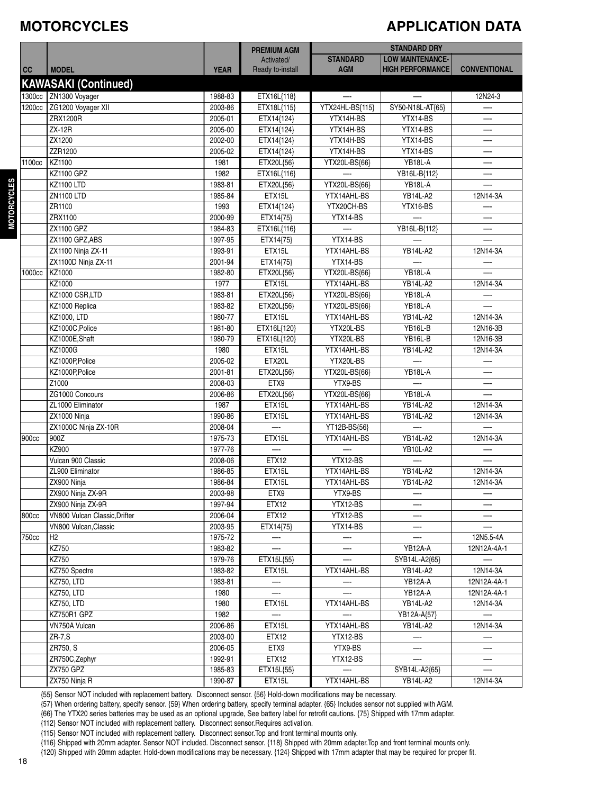#### **MOTORCYCLES**

## **APPLICATION DATA**

|        |                               |             | <b>PREMIUM AGM</b>       | <b>STANDARD DRY</b>      |                          |                          |
|--------|-------------------------------|-------------|--------------------------|--------------------------|--------------------------|--------------------------|
|        |                               |             | Activated/               | <b>STANDARD</b>          | <b>LOW MAINTENANCE-</b>  |                          |
| cc     | <b>MODEL</b>                  | <b>YEAR</b> | Ready to-install         | <b>AGM</b>               | <b>HIGH PERFORMANCE</b>  | <b>CONVENTIONAL</b>      |
|        | <b>KAWASAKI (Continued)</b>   |             |                          |                          |                          |                          |
|        |                               |             |                          | $\overline{\phantom{a}}$ | $\overline{\phantom{a}}$ |                          |
| 1300cc | ZN1300 Voyager                | 1988-83     | ETX16L{118}              |                          |                          | 12N24-3                  |
| 1200cc | ZG1200 Voyager XII            | 2003-86     | ETX18L{115}              | YTX24HL-BS{115}          | SY50-N18L-AT{65}         |                          |
|        | ZRX1200R                      | 2005-01     | ETX14{124}               | YTX14H-BS                | YTX14-BS                 | —-                       |
|        | <b>ZX-12R</b>                 | 2005-00     | ETX14{124}               | YTX14H-BS                | YTX14-BS                 |                          |
|        | ZX1200                        | 2002-00     | ETX14{124}               | YTX14H-BS                | YTX14-BS                 |                          |
|        | ZZR1200                       | 2005-02     | ETX14{124}               | YTX14H-BS                | YTX14-BS                 |                          |
| 1100cc | KZ1100                        | 1981        | ETX20L{56}               | YTX20L-BS{66}            | YB18L-A                  |                          |
|        | <b>KZ1100 GPZ</b>             | 1982        | ETX16L{116}              |                          | YB16L-B{112}             | —-                       |
|        | <b>KZ1100 LTD</b>             | 1983-81     | ETX20L{56}               | YTX20L-BS{66}            | YB18L-A                  |                          |
|        | <b>ZN1100 LTD</b>             | 1985-84     | ETX15L                   | YTX14AHL-BS              | <b>YB14L-A2</b>          | 12N14-3A                 |
|        | ZR1100                        | 1993        | ETX14{124}               | YTX20CH-BS               | YTX16-BS                 |                          |
|        | ZRX1100                       | 2000-99     | ETX14{75}                | YTX14-BS                 |                          |                          |
|        | ZX1100 GPZ                    | 1984-83     | ETX16L{116}              |                          | YB16L-B{112}             | $\overline{\phantom{0}}$ |
|        | ZX1100 GPZ,ABS                | 1997-95     | ETX14{75}                | YTX14-BS                 |                          |                          |
|        | ZX1100 Ninja ZX-11            | 1993-91     | ETX15L                   | YTX14AHL-BS              | <b>YB14L-A2</b>          | 12N14-3A                 |
|        | ZX1100D Ninja ZX-11           | 2001-94     | ETX14{75}                | YTX14-BS                 |                          |                          |
| 1000cc | KZ1000                        | 1982-80     | ETX20L{56}               | YTX20L-BS{66}            | YB18L-A                  |                          |
|        | KZ1000                        | 1977        | ETX15L                   | YTX14AHL-BS              | <b>YB14L-A2</b>          | 12N14-3A                 |
|        | KZ1000 CSR,LTD                | 1983-81     | ETX20L{56}               | YTX20L-BS{66}            | YB18L-A                  |                          |
|        | KZ1000 Replica                | 1983-82     | ETX20L{56}               | YTX20L-BS{66}            | YB18L-A                  |                          |
|        | KZ1000, LTD                   | 1980-77     | ETX15L                   | YTX14AHL-BS              | <b>YB14L-A2</b>          | 12N14-3A                 |
|        | KZ1000C, Police               | 1981-80     | ETX16L{120}              | YTX20L-BS                | YB16L-B                  | 12N16-3B                 |
|        | KZ1000E, Shaft                | 1980-79     | ETX16L{120}              | YTX20L-BS                | YB16L-B                  | 12N16-3B                 |
|        | KZ1000G                       | 1980        | ETX15L                   | YTX14AHL-BS              | <b>YB14L-A2</b>          | 12N14-3A                 |
|        | KZ1000P,Police                | 2005-02     | ETX20L                   | YTX20L-BS                |                          |                          |
|        | KZ1000P,Police                | 2001-81     | ETX20L{56}               | YTX20L-BS{66}            | YB18L-A                  | —-                       |
|        | Z1000                         | 2008-03     | ETX9                     | YTX9-BS                  |                          |                          |
|        | ZG1000 Concours               | 2006-86     | ETX20L{56}               | YTX20L-BS{66}            | YB18L-A                  |                          |
|        | ZL1000 Eliminator             | 1987        | ETX15L                   | YTX14AHL-BS              | <b>YB14L-A2</b>          | 12N14-3A                 |
|        | ZX1000 Ninja                  | 1990-86     | ETX15L                   | YTX14AHL-BS              | <b>YB14L-A2</b>          | 12N14-3A                 |
|        | ZX1000C Ninja ZX-10R          | 2008-04     | $\overline{\phantom{a}}$ | YT12B-BS{56}             |                          |                          |
| 900cc  | 900Z                          | 1975-73     | ETX15L                   | YTX14AHL-BS              | <b>YB14L-A2</b>          | 12N14-3A                 |
|        | KZ900                         | 1977-76     |                          |                          | <b>YB10L-A2</b>          |                          |
|        | Vulcan 900 Classic            | 2008-06     | ETX12                    | YTX12-BS                 |                          |                          |
|        | ZL900 Eliminator              | 1986-85     | ETX15L                   | YTX14AHL-BS              | <b>YB14L-A2</b>          | 12N14-3A                 |
|        | ZX900 Ninja                   | 1986-84     | ETX15L                   | YTX14AHL-BS              | <b>YB14L-A2</b>          | 12N14-3A                 |
|        | ZX900 Ninja ZX-9R             | 2003-98     | ETX9                     | YTX9-BS                  |                          |                          |
|        | ZX900 Ninja ZX-9R             | 1997-94     | ETX12                    | YTX12-BS                 |                          |                          |
| 800cc  | VN800 Vulcan Classic, Drifter | 2006-04     | ETX12                    | YTX12-BS                 |                          |                          |
|        | VN800 Vulcan, Classic         | 2003-95     | ETX14{75}                | YTX14-BS                 |                          |                          |
| 750cc  | H2                            | 1975-72     | —                        |                          |                          | 12N5.5-4A                |
|        | KZ750                         | 1983-82     |                          |                          | YB12A-A                  | 12N12A-4A-1              |
|        | KZ750                         | 1979-76     | ETX15L{55}               |                          | SYB14L-A2{65}            |                          |
|        | KZ750 Spectre                 | 1983-82     | ETX15L                   | YTX14AHL-BS              | YB14L-A2                 | 12N14-3A                 |
|        | <b>KZ750, LTD</b>             | 1983-81     |                          |                          | YB12A-A                  | 12N12A-4A-1              |
|        | <b>KZ750, LTD</b>             | 1980        |                          |                          | YB12A-A                  | 12N12A-4A-1              |
|        | <b>KZ750, LTD</b>             | 1980        | ETX15L                   | YTX14AHL-BS              | <b>YB14L-A2</b>          | 12N14-3A                 |
|        | KZ750R1 GPZ                   | 1982        |                          |                          | YB12A-A{57}              |                          |
|        | VN750A Vulcan                 | 2006-86     | ETX15L                   | YTX14AHL-BS              | <b>YB14L-A2</b>          | 12N14-3A                 |
|        | $ZR-7, S$                     | 2003-00     | ETX12                    | YTX12-BS                 |                          |                          |
|        | ZR750, S                      | 2006-05     | ETX9                     | YTX9-BS                  | —-                       |                          |
|        | ZR750C, Zephyr                | 1992-91     | ETX12                    | YTX12-BS                 |                          |                          |
|        | <b>ZX750 GPZ</b>              | 1985-83     | ETX15L{55}               |                          | SYB14L-A2{65}            |                          |
|        | ZX750 Ninja R                 | 1990-87     | ETX15L                   | YTX14AHL-BS              | YB14L-A2                 | 12N14-3A                 |

{55} Sensor NOT included with replacement battery. Disconnect sensor. {56} Hold-down modifications may be necessary.

{57} When ordering battery, specify sensor. {59} When ordering battery, specify terminal adapter. {65} Includes sensor not supplied with AGM.

{66} The YTX20 series batteries may be used as an optional upgrade, See battery label for retrofit cautions. {75} Shipped with 17mm adapter.

{112} Sensor NOT included with replacement battery. Disconnect sensor.Requires activation.

{115} Sensor NOT included with replacement battery. Disconnect sensor.Top and front terminal mounts only.

{116} Shipped with 20mm adapter. Sensor NOT included. Disconnect sensor. {118} Shipped with 20mm adapter.Top and front terminal mounts only.

{120} Shipped with 20mm adapter. Hold-down modifications may be necessary. {124} Shipped with 17mm adapter that may be required for proper fit.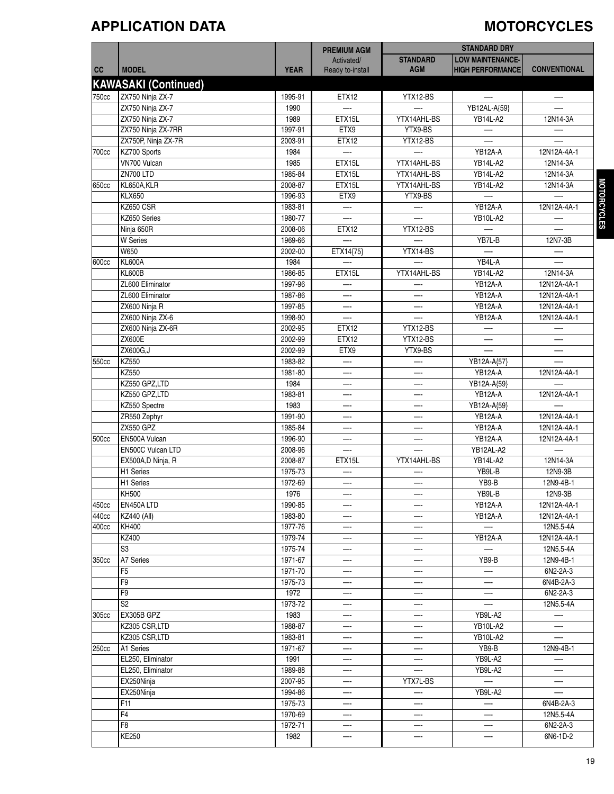### **APPLICATION DATA MOTORCYCLES**

| <b>STANDARD</b><br><b>LOW MAINTENANCE-</b><br>Activated/<br><b>HIGH PERFORMANCE</b><br>cc<br><b>MODEL</b><br><b>YEAR</b><br>Ready to-install<br><b>AGM</b><br><b>CONVENTIONAL</b><br><b>KAWASAKI (Continued)</b><br>ZX750 Ninja ZX-7<br>750cc<br>1995-91<br><b>ETX12</b><br>YTX12-BS<br>$\overline{\phantom{a}}$<br>—<br>ZX750 Ninja ZX-7<br>1990<br>YB12AL-A{59}<br>ZX750 Ninja ZX-7<br>ETX15L<br>YTX14AHL-BS<br><b>YB14L-A2</b><br>1989<br>12N14-3A<br>ZX750 Ninja ZX-7RR<br>1997-91<br>ETX9<br>YTX9-BS<br>YTX12-BS<br>ZX750P, Ninja ZX-7R<br>2003-91<br>ETX12<br>KZ700 Sports<br>1984<br>YB12A-A<br>700cc<br>12N12A-4A-1<br>ETX15L<br>VN700 Vulcan<br>1985<br>YTX14AHL-BS<br><b>YB14L-A2</b><br>12N14-3A<br>ZN700 LTD<br>1985-84<br>ETX15L<br><b>YB14L-A2</b><br>YTX14AHL-BS<br>12N14-3A<br>KL650A,KLR<br>2008-87<br>YTX14AHL-BS<br>ETX15L<br><b>YB14L-A2</b><br>12N14-3A<br>650cc<br><b>KLX650</b><br>1996-93<br>ETX9<br>YTX9-BS<br>KZ650 CSR<br>YB12A-A<br>1983-81<br>12N12A-4A-1<br>$\overline{\phantom{0}}$<br>KZ650 Series<br>1980-77<br><b>YB10L-A2</b><br>Ninja 650R<br>2008-06<br><b>ETX12</b><br>YTX12-BS<br><b>W</b> Series<br>1969-66<br>YB7L-B<br>12N7-3B<br><b>W650</b><br>YTX14-BS<br>2002-00<br>ETX14{75}<br>$\overline{\phantom{0}}$<br><b>KL600A</b><br>1984<br>YB4L-A<br>600cc<br>—<br><b>KL600B</b><br>ETX15L<br>1986-85<br>YTX14AHL-BS<br><b>YB14L-A2</b><br>12N14-3A<br>ZL600 Eliminator<br>1997-96<br>YB12A-A<br>12N12A-4A-1<br>ZL600 Eliminator<br>1987-86<br>YB12A-A<br>12N12A-4A-1<br>—-<br>ZX600 Ninja R<br>1997-85<br>YB12A-A<br>12N12A-4A-1<br>1998-90<br>ZX600 Ninja ZX-6<br>YB12A-A<br>12N12A-4A-1<br>—-<br>ETX12<br>ZX600 Ninja ZX-6R<br>2002-95<br>YTX12-BS<br>$\overline{\phantom{0}}$<br><b>ZX600E</b><br>2002-99<br>ETX12<br>YTX12-BS<br>$\overline{\phantom{0}}$<br>ZX600G,J<br>ETX9<br>YTX9-BS<br>2002-99<br><b>KZ550</b><br>1983-82<br>550cc<br>YB12A-A{57}<br>—-<br>—-<br>KZ550<br>YB12A-A<br>1981-80<br>12N12A-4A-1<br>KZ550 GPZ,LTD<br>1984<br>YB12A-A{59}<br>KZ550 GPZ,LTD<br>1983-81<br>YB12A-A<br>12N12A-4A-1<br>—-<br>KZ550 Spectre<br>1983<br>YB12A-A{59}<br>—<br>ZR550 Zephyr<br>1991-90<br>YB12A-A<br>12N12A-4A-1<br>—-<br><b>ZX550 GPZ</b><br>1985-84<br>YB12A-A<br>12N12A-4A-1<br>—-<br>EN500A Vulcan<br>YB12A-A<br>1996-90<br>12N12A-4A-1<br>500cc<br>2008-96<br>EN500C Vulcan LTD<br>YB12AL-A2<br>12N14-3A<br>EX500A,D Ninja, R<br>2008-87<br>ETX15L<br>YTX14AHL-BS<br><b>YB14L-A2</b><br>H1 Series<br>1975-73<br>YB9L-B<br>12N9-3B<br>H1 Series<br>1972-69<br>YB9-B<br>12N9-4B-1<br><b>KH500</b><br>1976<br>YB9L-B<br>12N9-3B<br>EN450A LTD<br>1990-85<br>YB12A-A<br>12N12A-4A-1<br>450cc<br><b>KZ440 (All)</b><br>1983-80<br>YB12A-A<br>440cc<br>12N12A-4A-1<br>400cc<br>1977-76<br>KH400<br>12N5.5-4A<br>—-<br>KZ400<br>1979-74<br>12N12A-4A-1<br>YB12A-A<br>S <sub>3</sub><br>1975-74<br>12N5.5-4A<br>A7 Series<br>350cc<br>1971-67<br>YB9-B<br>12N9-4B-1<br>F <sub>5</sub><br>1971-70<br>6N2-2A-3<br>F9<br>1975-73<br>6N4B-2A-3<br>—<br>—-<br>F9<br>6N2-2A-3<br>1972<br>—<br>—-<br>S <sub>2</sub><br>1973-72<br>12N5.5-4A<br>—<br>EX305B GPZ<br>1983<br>YB9L-A2<br>305cc<br>—<br>—-<br>—-<br>1988-87<br>KZ305 CSR,LTD<br>YB10L-A2<br>—-<br>—-<br>KZ305 CSR,LTD<br>1983-81<br><b>YB10L-A2</b><br>1971-67<br>YB9-B<br>A1 Series<br>12N9-4B-1<br>250cc<br>YB9L-A2<br>EL250, Eliminator<br>1991<br>—-<br>EL250, Eliminator<br>1989-88<br>YB9L-A2<br>—<br>2007-95<br>EX250Ninja<br>YTX7L-BS<br>—-<br>1994-86<br>EX250Ninja<br>YB9L-A2<br>—-<br>—−<br>F11<br>1975-73<br>6N4B-2A-3<br>F <sub>4</sub><br>1970-69<br>12N5.5-4A<br>F <sub>8</sub><br>1972-71<br>6N2-2A-3<br>—-<br>—-<br>—-<br><b>KE250</b><br>1982<br>6N6-1D-2 |  | <b>PREMIUM AGM</b> | <b>STANDARD DRY</b> |  |  |
|----------------------------------------------------------------------------------------------------------------------------------------------------------------------------------------------------------------------------------------------------------------------------------------------------------------------------------------------------------------------------------------------------------------------------------------------------------------------------------------------------------------------------------------------------------------------------------------------------------------------------------------------------------------------------------------------------------------------------------------------------------------------------------------------------------------------------------------------------------------------------------------------------------------------------------------------------------------------------------------------------------------------------------------------------------------------------------------------------------------------------------------------------------------------------------------------------------------------------------------------------------------------------------------------------------------------------------------------------------------------------------------------------------------------------------------------------------------------------------------------------------------------------------------------------------------------------------------------------------------------------------------------------------------------------------------------------------------------------------------------------------------------------------------------------------------------------------------------------------------------------------------------------------------------------------------------------------------------------------------------------------------------------------------------------------------------------------------------------------------------------------------------------------------------------------------------------------------------------------------------------------------------------------------------------------------------------------------------------------------------------------------------------------------------------------------------------------------------------------------------------------------------------------------------------------------------------------------------------------------------------------------------------------------------------------------------------------------------------------------------------------------------------------------------------------------------------------------------------------------------------------------------------------------------------------------------------------------------------------------------------------------------------------------------------------------------------------------------------------------------------------------------------------------------------------------------------------------------------------------------------------------------------------------------------------------------------------------------------------------------------------------------------------------------------------------------------------------------------------------------------------------------------------------------------------------------------------------------------------------------------------------------------------------------------------|--|--------------------|---------------------|--|--|
|                                                                                                                                                                                                                                                                                                                                                                                                                                                                                                                                                                                                                                                                                                                                                                                                                                                                                                                                                                                                                                                                                                                                                                                                                                                                                                                                                                                                                                                                                                                                                                                                                                                                                                                                                                                                                                                                                                                                                                                                                                                                                                                                                                                                                                                                                                                                                                                                                                                                                                                                                                                                                                                                                                                                                                                                                                                                                                                                                                                                                                                                                                                                                                                                                                                                                                                                                                                                                                                                                                                                                                                                                                                                                  |  |                    |                     |  |  |
|                                                                                                                                                                                                                                                                                                                                                                                                                                                                                                                                                                                                                                                                                                                                                                                                                                                                                                                                                                                                                                                                                                                                                                                                                                                                                                                                                                                                                                                                                                                                                                                                                                                                                                                                                                                                                                                                                                                                                                                                                                                                                                                                                                                                                                                                                                                                                                                                                                                                                                                                                                                                                                                                                                                                                                                                                                                                                                                                                                                                                                                                                                                                                                                                                                                                                                                                                                                                                                                                                                                                                                                                                                                                                  |  |                    |                     |  |  |
|                                                                                                                                                                                                                                                                                                                                                                                                                                                                                                                                                                                                                                                                                                                                                                                                                                                                                                                                                                                                                                                                                                                                                                                                                                                                                                                                                                                                                                                                                                                                                                                                                                                                                                                                                                                                                                                                                                                                                                                                                                                                                                                                                                                                                                                                                                                                                                                                                                                                                                                                                                                                                                                                                                                                                                                                                                                                                                                                                                                                                                                                                                                                                                                                                                                                                                                                                                                                                                                                                                                                                                                                                                                                                  |  |                    |                     |  |  |
|                                                                                                                                                                                                                                                                                                                                                                                                                                                                                                                                                                                                                                                                                                                                                                                                                                                                                                                                                                                                                                                                                                                                                                                                                                                                                                                                                                                                                                                                                                                                                                                                                                                                                                                                                                                                                                                                                                                                                                                                                                                                                                                                                                                                                                                                                                                                                                                                                                                                                                                                                                                                                                                                                                                                                                                                                                                                                                                                                                                                                                                                                                                                                                                                                                                                                                                                                                                                                                                                                                                                                                                                                                                                                  |  |                    |                     |  |  |
|                                                                                                                                                                                                                                                                                                                                                                                                                                                                                                                                                                                                                                                                                                                                                                                                                                                                                                                                                                                                                                                                                                                                                                                                                                                                                                                                                                                                                                                                                                                                                                                                                                                                                                                                                                                                                                                                                                                                                                                                                                                                                                                                                                                                                                                                                                                                                                                                                                                                                                                                                                                                                                                                                                                                                                                                                                                                                                                                                                                                                                                                                                                                                                                                                                                                                                                                                                                                                                                                                                                                                                                                                                                                                  |  |                    |                     |  |  |
|                                                                                                                                                                                                                                                                                                                                                                                                                                                                                                                                                                                                                                                                                                                                                                                                                                                                                                                                                                                                                                                                                                                                                                                                                                                                                                                                                                                                                                                                                                                                                                                                                                                                                                                                                                                                                                                                                                                                                                                                                                                                                                                                                                                                                                                                                                                                                                                                                                                                                                                                                                                                                                                                                                                                                                                                                                                                                                                                                                                                                                                                                                                                                                                                                                                                                                                                                                                                                                                                                                                                                                                                                                                                                  |  |                    |                     |  |  |
|                                                                                                                                                                                                                                                                                                                                                                                                                                                                                                                                                                                                                                                                                                                                                                                                                                                                                                                                                                                                                                                                                                                                                                                                                                                                                                                                                                                                                                                                                                                                                                                                                                                                                                                                                                                                                                                                                                                                                                                                                                                                                                                                                                                                                                                                                                                                                                                                                                                                                                                                                                                                                                                                                                                                                                                                                                                                                                                                                                                                                                                                                                                                                                                                                                                                                                                                                                                                                                                                                                                                                                                                                                                                                  |  |                    |                     |  |  |
|                                                                                                                                                                                                                                                                                                                                                                                                                                                                                                                                                                                                                                                                                                                                                                                                                                                                                                                                                                                                                                                                                                                                                                                                                                                                                                                                                                                                                                                                                                                                                                                                                                                                                                                                                                                                                                                                                                                                                                                                                                                                                                                                                                                                                                                                                                                                                                                                                                                                                                                                                                                                                                                                                                                                                                                                                                                                                                                                                                                                                                                                                                                                                                                                                                                                                                                                                                                                                                                                                                                                                                                                                                                                                  |  |                    |                     |  |  |
|                                                                                                                                                                                                                                                                                                                                                                                                                                                                                                                                                                                                                                                                                                                                                                                                                                                                                                                                                                                                                                                                                                                                                                                                                                                                                                                                                                                                                                                                                                                                                                                                                                                                                                                                                                                                                                                                                                                                                                                                                                                                                                                                                                                                                                                                                                                                                                                                                                                                                                                                                                                                                                                                                                                                                                                                                                                                                                                                                                                                                                                                                                                                                                                                                                                                                                                                                                                                                                                                                                                                                                                                                                                                                  |  |                    |                     |  |  |
|                                                                                                                                                                                                                                                                                                                                                                                                                                                                                                                                                                                                                                                                                                                                                                                                                                                                                                                                                                                                                                                                                                                                                                                                                                                                                                                                                                                                                                                                                                                                                                                                                                                                                                                                                                                                                                                                                                                                                                                                                                                                                                                                                                                                                                                                                                                                                                                                                                                                                                                                                                                                                                                                                                                                                                                                                                                                                                                                                                                                                                                                                                                                                                                                                                                                                                                                                                                                                                                                                                                                                                                                                                                                                  |  |                    |                     |  |  |
|                                                                                                                                                                                                                                                                                                                                                                                                                                                                                                                                                                                                                                                                                                                                                                                                                                                                                                                                                                                                                                                                                                                                                                                                                                                                                                                                                                                                                                                                                                                                                                                                                                                                                                                                                                                                                                                                                                                                                                                                                                                                                                                                                                                                                                                                                                                                                                                                                                                                                                                                                                                                                                                                                                                                                                                                                                                                                                                                                                                                                                                                                                                                                                                                                                                                                                                                                                                                                                                                                                                                                                                                                                                                                  |  |                    |                     |  |  |
|                                                                                                                                                                                                                                                                                                                                                                                                                                                                                                                                                                                                                                                                                                                                                                                                                                                                                                                                                                                                                                                                                                                                                                                                                                                                                                                                                                                                                                                                                                                                                                                                                                                                                                                                                                                                                                                                                                                                                                                                                                                                                                                                                                                                                                                                                                                                                                                                                                                                                                                                                                                                                                                                                                                                                                                                                                                                                                                                                                                                                                                                                                                                                                                                                                                                                                                                                                                                                                                                                                                                                                                                                                                                                  |  |                    |                     |  |  |
|                                                                                                                                                                                                                                                                                                                                                                                                                                                                                                                                                                                                                                                                                                                                                                                                                                                                                                                                                                                                                                                                                                                                                                                                                                                                                                                                                                                                                                                                                                                                                                                                                                                                                                                                                                                                                                                                                                                                                                                                                                                                                                                                                                                                                                                                                                                                                                                                                                                                                                                                                                                                                                                                                                                                                                                                                                                                                                                                                                                                                                                                                                                                                                                                                                                                                                                                                                                                                                                                                                                                                                                                                                                                                  |  |                    |                     |  |  |
|                                                                                                                                                                                                                                                                                                                                                                                                                                                                                                                                                                                                                                                                                                                                                                                                                                                                                                                                                                                                                                                                                                                                                                                                                                                                                                                                                                                                                                                                                                                                                                                                                                                                                                                                                                                                                                                                                                                                                                                                                                                                                                                                                                                                                                                                                                                                                                                                                                                                                                                                                                                                                                                                                                                                                                                                                                                                                                                                                                                                                                                                                                                                                                                                                                                                                                                                                                                                                                                                                                                                                                                                                                                                                  |  |                    |                     |  |  |
|                                                                                                                                                                                                                                                                                                                                                                                                                                                                                                                                                                                                                                                                                                                                                                                                                                                                                                                                                                                                                                                                                                                                                                                                                                                                                                                                                                                                                                                                                                                                                                                                                                                                                                                                                                                                                                                                                                                                                                                                                                                                                                                                                                                                                                                                                                                                                                                                                                                                                                                                                                                                                                                                                                                                                                                                                                                                                                                                                                                                                                                                                                                                                                                                                                                                                                                                                                                                                                                                                                                                                                                                                                                                                  |  |                    |                     |  |  |
|                                                                                                                                                                                                                                                                                                                                                                                                                                                                                                                                                                                                                                                                                                                                                                                                                                                                                                                                                                                                                                                                                                                                                                                                                                                                                                                                                                                                                                                                                                                                                                                                                                                                                                                                                                                                                                                                                                                                                                                                                                                                                                                                                                                                                                                                                                                                                                                                                                                                                                                                                                                                                                                                                                                                                                                                                                                                                                                                                                                                                                                                                                                                                                                                                                                                                                                                                                                                                                                                                                                                                                                                                                                                                  |  |                    |                     |  |  |
|                                                                                                                                                                                                                                                                                                                                                                                                                                                                                                                                                                                                                                                                                                                                                                                                                                                                                                                                                                                                                                                                                                                                                                                                                                                                                                                                                                                                                                                                                                                                                                                                                                                                                                                                                                                                                                                                                                                                                                                                                                                                                                                                                                                                                                                                                                                                                                                                                                                                                                                                                                                                                                                                                                                                                                                                                                                                                                                                                                                                                                                                                                                                                                                                                                                                                                                                                                                                                                                                                                                                                                                                                                                                                  |  |                    |                     |  |  |
|                                                                                                                                                                                                                                                                                                                                                                                                                                                                                                                                                                                                                                                                                                                                                                                                                                                                                                                                                                                                                                                                                                                                                                                                                                                                                                                                                                                                                                                                                                                                                                                                                                                                                                                                                                                                                                                                                                                                                                                                                                                                                                                                                                                                                                                                                                                                                                                                                                                                                                                                                                                                                                                                                                                                                                                                                                                                                                                                                                                                                                                                                                                                                                                                                                                                                                                                                                                                                                                                                                                                                                                                                                                                                  |  |                    |                     |  |  |
|                                                                                                                                                                                                                                                                                                                                                                                                                                                                                                                                                                                                                                                                                                                                                                                                                                                                                                                                                                                                                                                                                                                                                                                                                                                                                                                                                                                                                                                                                                                                                                                                                                                                                                                                                                                                                                                                                                                                                                                                                                                                                                                                                                                                                                                                                                                                                                                                                                                                                                                                                                                                                                                                                                                                                                                                                                                                                                                                                                                                                                                                                                                                                                                                                                                                                                                                                                                                                                                                                                                                                                                                                                                                                  |  |                    |                     |  |  |
|                                                                                                                                                                                                                                                                                                                                                                                                                                                                                                                                                                                                                                                                                                                                                                                                                                                                                                                                                                                                                                                                                                                                                                                                                                                                                                                                                                                                                                                                                                                                                                                                                                                                                                                                                                                                                                                                                                                                                                                                                                                                                                                                                                                                                                                                                                                                                                                                                                                                                                                                                                                                                                                                                                                                                                                                                                                                                                                                                                                                                                                                                                                                                                                                                                                                                                                                                                                                                                                                                                                                                                                                                                                                                  |  |                    |                     |  |  |
|                                                                                                                                                                                                                                                                                                                                                                                                                                                                                                                                                                                                                                                                                                                                                                                                                                                                                                                                                                                                                                                                                                                                                                                                                                                                                                                                                                                                                                                                                                                                                                                                                                                                                                                                                                                                                                                                                                                                                                                                                                                                                                                                                                                                                                                                                                                                                                                                                                                                                                                                                                                                                                                                                                                                                                                                                                                                                                                                                                                                                                                                                                                                                                                                                                                                                                                                                                                                                                                                                                                                                                                                                                                                                  |  |                    |                     |  |  |
|                                                                                                                                                                                                                                                                                                                                                                                                                                                                                                                                                                                                                                                                                                                                                                                                                                                                                                                                                                                                                                                                                                                                                                                                                                                                                                                                                                                                                                                                                                                                                                                                                                                                                                                                                                                                                                                                                                                                                                                                                                                                                                                                                                                                                                                                                                                                                                                                                                                                                                                                                                                                                                                                                                                                                                                                                                                                                                                                                                                                                                                                                                                                                                                                                                                                                                                                                                                                                                                                                                                                                                                                                                                                                  |  |                    |                     |  |  |
|                                                                                                                                                                                                                                                                                                                                                                                                                                                                                                                                                                                                                                                                                                                                                                                                                                                                                                                                                                                                                                                                                                                                                                                                                                                                                                                                                                                                                                                                                                                                                                                                                                                                                                                                                                                                                                                                                                                                                                                                                                                                                                                                                                                                                                                                                                                                                                                                                                                                                                                                                                                                                                                                                                                                                                                                                                                                                                                                                                                                                                                                                                                                                                                                                                                                                                                                                                                                                                                                                                                                                                                                                                                                                  |  |                    |                     |  |  |
|                                                                                                                                                                                                                                                                                                                                                                                                                                                                                                                                                                                                                                                                                                                                                                                                                                                                                                                                                                                                                                                                                                                                                                                                                                                                                                                                                                                                                                                                                                                                                                                                                                                                                                                                                                                                                                                                                                                                                                                                                                                                                                                                                                                                                                                                                                                                                                                                                                                                                                                                                                                                                                                                                                                                                                                                                                                                                                                                                                                                                                                                                                                                                                                                                                                                                                                                                                                                                                                                                                                                                                                                                                                                                  |  |                    |                     |  |  |
|                                                                                                                                                                                                                                                                                                                                                                                                                                                                                                                                                                                                                                                                                                                                                                                                                                                                                                                                                                                                                                                                                                                                                                                                                                                                                                                                                                                                                                                                                                                                                                                                                                                                                                                                                                                                                                                                                                                                                                                                                                                                                                                                                                                                                                                                                                                                                                                                                                                                                                                                                                                                                                                                                                                                                                                                                                                                                                                                                                                                                                                                                                                                                                                                                                                                                                                                                                                                                                                                                                                                                                                                                                                                                  |  |                    |                     |  |  |
|                                                                                                                                                                                                                                                                                                                                                                                                                                                                                                                                                                                                                                                                                                                                                                                                                                                                                                                                                                                                                                                                                                                                                                                                                                                                                                                                                                                                                                                                                                                                                                                                                                                                                                                                                                                                                                                                                                                                                                                                                                                                                                                                                                                                                                                                                                                                                                                                                                                                                                                                                                                                                                                                                                                                                                                                                                                                                                                                                                                                                                                                                                                                                                                                                                                                                                                                                                                                                                                                                                                                                                                                                                                                                  |  |                    |                     |  |  |
|                                                                                                                                                                                                                                                                                                                                                                                                                                                                                                                                                                                                                                                                                                                                                                                                                                                                                                                                                                                                                                                                                                                                                                                                                                                                                                                                                                                                                                                                                                                                                                                                                                                                                                                                                                                                                                                                                                                                                                                                                                                                                                                                                                                                                                                                                                                                                                                                                                                                                                                                                                                                                                                                                                                                                                                                                                                                                                                                                                                                                                                                                                                                                                                                                                                                                                                                                                                                                                                                                                                                                                                                                                                                                  |  |                    |                     |  |  |
|                                                                                                                                                                                                                                                                                                                                                                                                                                                                                                                                                                                                                                                                                                                                                                                                                                                                                                                                                                                                                                                                                                                                                                                                                                                                                                                                                                                                                                                                                                                                                                                                                                                                                                                                                                                                                                                                                                                                                                                                                                                                                                                                                                                                                                                                                                                                                                                                                                                                                                                                                                                                                                                                                                                                                                                                                                                                                                                                                                                                                                                                                                                                                                                                                                                                                                                                                                                                                                                                                                                                                                                                                                                                                  |  |                    |                     |  |  |
|                                                                                                                                                                                                                                                                                                                                                                                                                                                                                                                                                                                                                                                                                                                                                                                                                                                                                                                                                                                                                                                                                                                                                                                                                                                                                                                                                                                                                                                                                                                                                                                                                                                                                                                                                                                                                                                                                                                                                                                                                                                                                                                                                                                                                                                                                                                                                                                                                                                                                                                                                                                                                                                                                                                                                                                                                                                                                                                                                                                                                                                                                                                                                                                                                                                                                                                                                                                                                                                                                                                                                                                                                                                                                  |  |                    |                     |  |  |
|                                                                                                                                                                                                                                                                                                                                                                                                                                                                                                                                                                                                                                                                                                                                                                                                                                                                                                                                                                                                                                                                                                                                                                                                                                                                                                                                                                                                                                                                                                                                                                                                                                                                                                                                                                                                                                                                                                                                                                                                                                                                                                                                                                                                                                                                                                                                                                                                                                                                                                                                                                                                                                                                                                                                                                                                                                                                                                                                                                                                                                                                                                                                                                                                                                                                                                                                                                                                                                                                                                                                                                                                                                                                                  |  |                    |                     |  |  |
|                                                                                                                                                                                                                                                                                                                                                                                                                                                                                                                                                                                                                                                                                                                                                                                                                                                                                                                                                                                                                                                                                                                                                                                                                                                                                                                                                                                                                                                                                                                                                                                                                                                                                                                                                                                                                                                                                                                                                                                                                                                                                                                                                                                                                                                                                                                                                                                                                                                                                                                                                                                                                                                                                                                                                                                                                                                                                                                                                                                                                                                                                                                                                                                                                                                                                                                                                                                                                                                                                                                                                                                                                                                                                  |  |                    |                     |  |  |
|                                                                                                                                                                                                                                                                                                                                                                                                                                                                                                                                                                                                                                                                                                                                                                                                                                                                                                                                                                                                                                                                                                                                                                                                                                                                                                                                                                                                                                                                                                                                                                                                                                                                                                                                                                                                                                                                                                                                                                                                                                                                                                                                                                                                                                                                                                                                                                                                                                                                                                                                                                                                                                                                                                                                                                                                                                                                                                                                                                                                                                                                                                                                                                                                                                                                                                                                                                                                                                                                                                                                                                                                                                                                                  |  |                    |                     |  |  |
|                                                                                                                                                                                                                                                                                                                                                                                                                                                                                                                                                                                                                                                                                                                                                                                                                                                                                                                                                                                                                                                                                                                                                                                                                                                                                                                                                                                                                                                                                                                                                                                                                                                                                                                                                                                                                                                                                                                                                                                                                                                                                                                                                                                                                                                                                                                                                                                                                                                                                                                                                                                                                                                                                                                                                                                                                                                                                                                                                                                                                                                                                                                                                                                                                                                                                                                                                                                                                                                                                                                                                                                                                                                                                  |  |                    |                     |  |  |
|                                                                                                                                                                                                                                                                                                                                                                                                                                                                                                                                                                                                                                                                                                                                                                                                                                                                                                                                                                                                                                                                                                                                                                                                                                                                                                                                                                                                                                                                                                                                                                                                                                                                                                                                                                                                                                                                                                                                                                                                                                                                                                                                                                                                                                                                                                                                                                                                                                                                                                                                                                                                                                                                                                                                                                                                                                                                                                                                                                                                                                                                                                                                                                                                                                                                                                                                                                                                                                                                                                                                                                                                                                                                                  |  |                    |                     |  |  |
|                                                                                                                                                                                                                                                                                                                                                                                                                                                                                                                                                                                                                                                                                                                                                                                                                                                                                                                                                                                                                                                                                                                                                                                                                                                                                                                                                                                                                                                                                                                                                                                                                                                                                                                                                                                                                                                                                                                                                                                                                                                                                                                                                                                                                                                                                                                                                                                                                                                                                                                                                                                                                                                                                                                                                                                                                                                                                                                                                                                                                                                                                                                                                                                                                                                                                                                                                                                                                                                                                                                                                                                                                                                                                  |  |                    |                     |  |  |
|                                                                                                                                                                                                                                                                                                                                                                                                                                                                                                                                                                                                                                                                                                                                                                                                                                                                                                                                                                                                                                                                                                                                                                                                                                                                                                                                                                                                                                                                                                                                                                                                                                                                                                                                                                                                                                                                                                                                                                                                                                                                                                                                                                                                                                                                                                                                                                                                                                                                                                                                                                                                                                                                                                                                                                                                                                                                                                                                                                                                                                                                                                                                                                                                                                                                                                                                                                                                                                                                                                                                                                                                                                                                                  |  |                    |                     |  |  |
|                                                                                                                                                                                                                                                                                                                                                                                                                                                                                                                                                                                                                                                                                                                                                                                                                                                                                                                                                                                                                                                                                                                                                                                                                                                                                                                                                                                                                                                                                                                                                                                                                                                                                                                                                                                                                                                                                                                                                                                                                                                                                                                                                                                                                                                                                                                                                                                                                                                                                                                                                                                                                                                                                                                                                                                                                                                                                                                                                                                                                                                                                                                                                                                                                                                                                                                                                                                                                                                                                                                                                                                                                                                                                  |  |                    |                     |  |  |
|                                                                                                                                                                                                                                                                                                                                                                                                                                                                                                                                                                                                                                                                                                                                                                                                                                                                                                                                                                                                                                                                                                                                                                                                                                                                                                                                                                                                                                                                                                                                                                                                                                                                                                                                                                                                                                                                                                                                                                                                                                                                                                                                                                                                                                                                                                                                                                                                                                                                                                                                                                                                                                                                                                                                                                                                                                                                                                                                                                                                                                                                                                                                                                                                                                                                                                                                                                                                                                                                                                                                                                                                                                                                                  |  |                    |                     |  |  |
|                                                                                                                                                                                                                                                                                                                                                                                                                                                                                                                                                                                                                                                                                                                                                                                                                                                                                                                                                                                                                                                                                                                                                                                                                                                                                                                                                                                                                                                                                                                                                                                                                                                                                                                                                                                                                                                                                                                                                                                                                                                                                                                                                                                                                                                                                                                                                                                                                                                                                                                                                                                                                                                                                                                                                                                                                                                                                                                                                                                                                                                                                                                                                                                                                                                                                                                                                                                                                                                                                                                                                                                                                                                                                  |  |                    |                     |  |  |
|                                                                                                                                                                                                                                                                                                                                                                                                                                                                                                                                                                                                                                                                                                                                                                                                                                                                                                                                                                                                                                                                                                                                                                                                                                                                                                                                                                                                                                                                                                                                                                                                                                                                                                                                                                                                                                                                                                                                                                                                                                                                                                                                                                                                                                                                                                                                                                                                                                                                                                                                                                                                                                                                                                                                                                                                                                                                                                                                                                                                                                                                                                                                                                                                                                                                                                                                                                                                                                                                                                                                                                                                                                                                                  |  |                    |                     |  |  |
|                                                                                                                                                                                                                                                                                                                                                                                                                                                                                                                                                                                                                                                                                                                                                                                                                                                                                                                                                                                                                                                                                                                                                                                                                                                                                                                                                                                                                                                                                                                                                                                                                                                                                                                                                                                                                                                                                                                                                                                                                                                                                                                                                                                                                                                                                                                                                                                                                                                                                                                                                                                                                                                                                                                                                                                                                                                                                                                                                                                                                                                                                                                                                                                                                                                                                                                                                                                                                                                                                                                                                                                                                                                                                  |  |                    |                     |  |  |
|                                                                                                                                                                                                                                                                                                                                                                                                                                                                                                                                                                                                                                                                                                                                                                                                                                                                                                                                                                                                                                                                                                                                                                                                                                                                                                                                                                                                                                                                                                                                                                                                                                                                                                                                                                                                                                                                                                                                                                                                                                                                                                                                                                                                                                                                                                                                                                                                                                                                                                                                                                                                                                                                                                                                                                                                                                                                                                                                                                                                                                                                                                                                                                                                                                                                                                                                                                                                                                                                                                                                                                                                                                                                                  |  |                    |                     |  |  |
|                                                                                                                                                                                                                                                                                                                                                                                                                                                                                                                                                                                                                                                                                                                                                                                                                                                                                                                                                                                                                                                                                                                                                                                                                                                                                                                                                                                                                                                                                                                                                                                                                                                                                                                                                                                                                                                                                                                                                                                                                                                                                                                                                                                                                                                                                                                                                                                                                                                                                                                                                                                                                                                                                                                                                                                                                                                                                                                                                                                                                                                                                                                                                                                                                                                                                                                                                                                                                                                                                                                                                                                                                                                                                  |  |                    |                     |  |  |
|                                                                                                                                                                                                                                                                                                                                                                                                                                                                                                                                                                                                                                                                                                                                                                                                                                                                                                                                                                                                                                                                                                                                                                                                                                                                                                                                                                                                                                                                                                                                                                                                                                                                                                                                                                                                                                                                                                                                                                                                                                                                                                                                                                                                                                                                                                                                                                                                                                                                                                                                                                                                                                                                                                                                                                                                                                                                                                                                                                                                                                                                                                                                                                                                                                                                                                                                                                                                                                                                                                                                                                                                                                                                                  |  |                    |                     |  |  |
|                                                                                                                                                                                                                                                                                                                                                                                                                                                                                                                                                                                                                                                                                                                                                                                                                                                                                                                                                                                                                                                                                                                                                                                                                                                                                                                                                                                                                                                                                                                                                                                                                                                                                                                                                                                                                                                                                                                                                                                                                                                                                                                                                                                                                                                                                                                                                                                                                                                                                                                                                                                                                                                                                                                                                                                                                                                                                                                                                                                                                                                                                                                                                                                                                                                                                                                                                                                                                                                                                                                                                                                                                                                                                  |  |                    |                     |  |  |
|                                                                                                                                                                                                                                                                                                                                                                                                                                                                                                                                                                                                                                                                                                                                                                                                                                                                                                                                                                                                                                                                                                                                                                                                                                                                                                                                                                                                                                                                                                                                                                                                                                                                                                                                                                                                                                                                                                                                                                                                                                                                                                                                                                                                                                                                                                                                                                                                                                                                                                                                                                                                                                                                                                                                                                                                                                                                                                                                                                                                                                                                                                                                                                                                                                                                                                                                                                                                                                                                                                                                                                                                                                                                                  |  |                    |                     |  |  |
|                                                                                                                                                                                                                                                                                                                                                                                                                                                                                                                                                                                                                                                                                                                                                                                                                                                                                                                                                                                                                                                                                                                                                                                                                                                                                                                                                                                                                                                                                                                                                                                                                                                                                                                                                                                                                                                                                                                                                                                                                                                                                                                                                                                                                                                                                                                                                                                                                                                                                                                                                                                                                                                                                                                                                                                                                                                                                                                                                                                                                                                                                                                                                                                                                                                                                                                                                                                                                                                                                                                                                                                                                                                                                  |  |                    |                     |  |  |
|                                                                                                                                                                                                                                                                                                                                                                                                                                                                                                                                                                                                                                                                                                                                                                                                                                                                                                                                                                                                                                                                                                                                                                                                                                                                                                                                                                                                                                                                                                                                                                                                                                                                                                                                                                                                                                                                                                                                                                                                                                                                                                                                                                                                                                                                                                                                                                                                                                                                                                                                                                                                                                                                                                                                                                                                                                                                                                                                                                                                                                                                                                                                                                                                                                                                                                                                                                                                                                                                                                                                                                                                                                                                                  |  |                    |                     |  |  |
|                                                                                                                                                                                                                                                                                                                                                                                                                                                                                                                                                                                                                                                                                                                                                                                                                                                                                                                                                                                                                                                                                                                                                                                                                                                                                                                                                                                                                                                                                                                                                                                                                                                                                                                                                                                                                                                                                                                                                                                                                                                                                                                                                                                                                                                                                                                                                                                                                                                                                                                                                                                                                                                                                                                                                                                                                                                                                                                                                                                                                                                                                                                                                                                                                                                                                                                                                                                                                                                                                                                                                                                                                                                                                  |  |                    |                     |  |  |
|                                                                                                                                                                                                                                                                                                                                                                                                                                                                                                                                                                                                                                                                                                                                                                                                                                                                                                                                                                                                                                                                                                                                                                                                                                                                                                                                                                                                                                                                                                                                                                                                                                                                                                                                                                                                                                                                                                                                                                                                                                                                                                                                                                                                                                                                                                                                                                                                                                                                                                                                                                                                                                                                                                                                                                                                                                                                                                                                                                                                                                                                                                                                                                                                                                                                                                                                                                                                                                                                                                                                                                                                                                                                                  |  |                    |                     |  |  |
|                                                                                                                                                                                                                                                                                                                                                                                                                                                                                                                                                                                                                                                                                                                                                                                                                                                                                                                                                                                                                                                                                                                                                                                                                                                                                                                                                                                                                                                                                                                                                                                                                                                                                                                                                                                                                                                                                                                                                                                                                                                                                                                                                                                                                                                                                                                                                                                                                                                                                                                                                                                                                                                                                                                                                                                                                                                                                                                                                                                                                                                                                                                                                                                                                                                                                                                                                                                                                                                                                                                                                                                                                                                                                  |  |                    |                     |  |  |
|                                                                                                                                                                                                                                                                                                                                                                                                                                                                                                                                                                                                                                                                                                                                                                                                                                                                                                                                                                                                                                                                                                                                                                                                                                                                                                                                                                                                                                                                                                                                                                                                                                                                                                                                                                                                                                                                                                                                                                                                                                                                                                                                                                                                                                                                                                                                                                                                                                                                                                                                                                                                                                                                                                                                                                                                                                                                                                                                                                                                                                                                                                                                                                                                                                                                                                                                                                                                                                                                                                                                                                                                                                                                                  |  |                    |                     |  |  |
|                                                                                                                                                                                                                                                                                                                                                                                                                                                                                                                                                                                                                                                                                                                                                                                                                                                                                                                                                                                                                                                                                                                                                                                                                                                                                                                                                                                                                                                                                                                                                                                                                                                                                                                                                                                                                                                                                                                                                                                                                                                                                                                                                                                                                                                                                                                                                                                                                                                                                                                                                                                                                                                                                                                                                                                                                                                                                                                                                                                                                                                                                                                                                                                                                                                                                                                                                                                                                                                                                                                                                                                                                                                                                  |  |                    |                     |  |  |
|                                                                                                                                                                                                                                                                                                                                                                                                                                                                                                                                                                                                                                                                                                                                                                                                                                                                                                                                                                                                                                                                                                                                                                                                                                                                                                                                                                                                                                                                                                                                                                                                                                                                                                                                                                                                                                                                                                                                                                                                                                                                                                                                                                                                                                                                                                                                                                                                                                                                                                                                                                                                                                                                                                                                                                                                                                                                                                                                                                                                                                                                                                                                                                                                                                                                                                                                                                                                                                                                                                                                                                                                                                                                                  |  |                    |                     |  |  |
|                                                                                                                                                                                                                                                                                                                                                                                                                                                                                                                                                                                                                                                                                                                                                                                                                                                                                                                                                                                                                                                                                                                                                                                                                                                                                                                                                                                                                                                                                                                                                                                                                                                                                                                                                                                                                                                                                                                                                                                                                                                                                                                                                                                                                                                                                                                                                                                                                                                                                                                                                                                                                                                                                                                                                                                                                                                                                                                                                                                                                                                                                                                                                                                                                                                                                                                                                                                                                                                                                                                                                                                                                                                                                  |  |                    |                     |  |  |
|                                                                                                                                                                                                                                                                                                                                                                                                                                                                                                                                                                                                                                                                                                                                                                                                                                                                                                                                                                                                                                                                                                                                                                                                                                                                                                                                                                                                                                                                                                                                                                                                                                                                                                                                                                                                                                                                                                                                                                                                                                                                                                                                                                                                                                                                                                                                                                                                                                                                                                                                                                                                                                                                                                                                                                                                                                                                                                                                                                                                                                                                                                                                                                                                                                                                                                                                                                                                                                                                                                                                                                                                                                                                                  |  |                    |                     |  |  |
|                                                                                                                                                                                                                                                                                                                                                                                                                                                                                                                                                                                                                                                                                                                                                                                                                                                                                                                                                                                                                                                                                                                                                                                                                                                                                                                                                                                                                                                                                                                                                                                                                                                                                                                                                                                                                                                                                                                                                                                                                                                                                                                                                                                                                                                                                                                                                                                                                                                                                                                                                                                                                                                                                                                                                                                                                                                                                                                                                                                                                                                                                                                                                                                                                                                                                                                                                                                                                                                                                                                                                                                                                                                                                  |  |                    |                     |  |  |
|                                                                                                                                                                                                                                                                                                                                                                                                                                                                                                                                                                                                                                                                                                                                                                                                                                                                                                                                                                                                                                                                                                                                                                                                                                                                                                                                                                                                                                                                                                                                                                                                                                                                                                                                                                                                                                                                                                                                                                                                                                                                                                                                                                                                                                                                                                                                                                                                                                                                                                                                                                                                                                                                                                                                                                                                                                                                                                                                                                                                                                                                                                                                                                                                                                                                                                                                                                                                                                                                                                                                                                                                                                                                                  |  |                    |                     |  |  |
|                                                                                                                                                                                                                                                                                                                                                                                                                                                                                                                                                                                                                                                                                                                                                                                                                                                                                                                                                                                                                                                                                                                                                                                                                                                                                                                                                                                                                                                                                                                                                                                                                                                                                                                                                                                                                                                                                                                                                                                                                                                                                                                                                                                                                                                                                                                                                                                                                                                                                                                                                                                                                                                                                                                                                                                                                                                                                                                                                                                                                                                                                                                                                                                                                                                                                                                                                                                                                                                                                                                                                                                                                                                                                  |  |                    |                     |  |  |
|                                                                                                                                                                                                                                                                                                                                                                                                                                                                                                                                                                                                                                                                                                                                                                                                                                                                                                                                                                                                                                                                                                                                                                                                                                                                                                                                                                                                                                                                                                                                                                                                                                                                                                                                                                                                                                                                                                                                                                                                                                                                                                                                                                                                                                                                                                                                                                                                                                                                                                                                                                                                                                                                                                                                                                                                                                                                                                                                                                                                                                                                                                                                                                                                                                                                                                                                                                                                                                                                                                                                                                                                                                                                                  |  |                    |                     |  |  |
|                                                                                                                                                                                                                                                                                                                                                                                                                                                                                                                                                                                                                                                                                                                                                                                                                                                                                                                                                                                                                                                                                                                                                                                                                                                                                                                                                                                                                                                                                                                                                                                                                                                                                                                                                                                                                                                                                                                                                                                                                                                                                                                                                                                                                                                                                                                                                                                                                                                                                                                                                                                                                                                                                                                                                                                                                                                                                                                                                                                                                                                                                                                                                                                                                                                                                                                                                                                                                                                                                                                                                                                                                                                                                  |  |                    |                     |  |  |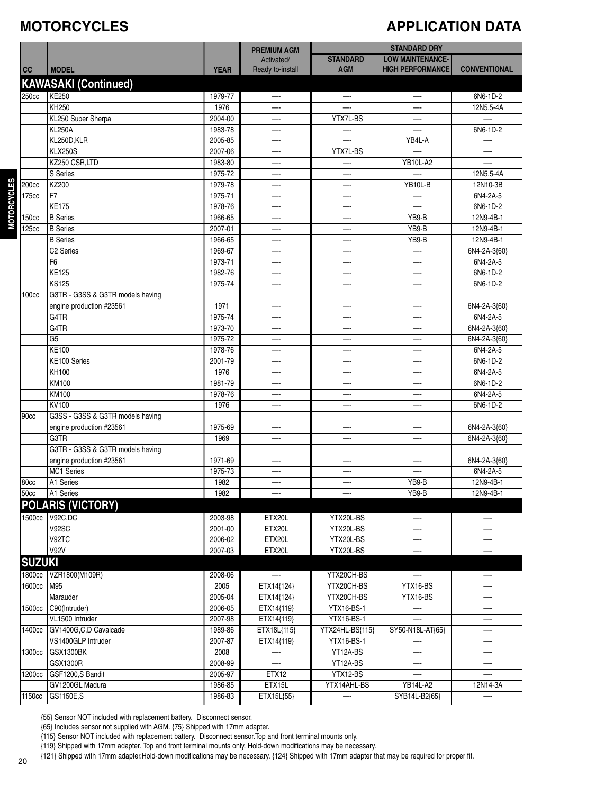#### **MOTORCYCLES**

#### **APPLICATION DATA**

|                   |                                  |                    | <b>PREMIUM AGM</b>             |                               | <b>STANDARD DRY</b>                                |                          |
|-------------------|----------------------------------|--------------------|--------------------------------|-------------------------------|----------------------------------------------------|--------------------------|
| cc                | <b>MODEL</b>                     | <b>YEAR</b>        | Activated/<br>Ready to-install | <b>STANDARD</b><br><b>AGM</b> | <b>LOW MAINTENANCE-</b><br><b>HIGH PERFORMANCE</b> | <b>CONVENTIONAL</b>      |
|                   |                                  |                    |                                |                               |                                                    |                          |
|                   | <b>KAWASAKI (Continued)</b>      |                    |                                |                               |                                                    |                          |
| 250cc             | <b>KE250</b>                     | 1979-77            |                                |                               |                                                    | 6N6-1D-2                 |
|                   | <b>KH250</b>                     | 1976               |                                |                               |                                                    | 12N5.5-4A                |
|                   | KL250 Super Sherpa               | 2004-00            | —-                             | YTX7L-BS                      |                                                    |                          |
|                   | <b>KL250A</b>                    | 1983-78            |                                |                               |                                                    | 6N6-1D-2                 |
|                   | KL250D,KLR                       | 2005-85            |                                |                               | YB4L-A                                             |                          |
|                   | <b>KLX250S</b>                   | 2007-06            | —−                             | YTX7L-BS                      |                                                    |                          |
|                   | KZ250 CSR,LTD<br>S Series        | 1983-80            |                                |                               | <b>YB10L-A2</b>                                    |                          |
|                   | KZ200                            | 1975-72            |                                |                               |                                                    | 12N5.5-4A                |
| 200cc             | F7                               | 1979-78<br>1975-71 | —                              | —                             | YB10L-B                                            | 12N10-3B<br>6N4-2A-5     |
| 175cc             | <b>KE175</b>                     | 1978-76            |                                | —∙<br>–                       |                                                    | 6N6-1D-2                 |
|                   | <b>B</b> Series                  |                    |                                |                               | YB9-B                                              | 12N9-4B-1                |
| 150cc<br>125cc    | <b>B</b> Series                  | 1966-65<br>2007-01 | —-                             | --                            | YB9-B                                              | 12N9-4B-1                |
|                   | <b>B</b> Series                  | 1966-65            |                                |                               | YB9-B                                              | 12N9-4B-1                |
|                   | C <sub>2</sub> Series            | 1969-67            | —-                             | —-                            | —-                                                 | 6N4-2A-3{60}             |
|                   | F <sub>6</sub>                   | 1973-71            |                                |                               |                                                    | 6N4-2A-5                 |
|                   | <b>KE125</b>                     | 1982-76            |                                | —-                            |                                                    | 6N6-1D-2                 |
|                   | <b>KS125</b>                     | 1975-74            |                                | —.                            |                                                    | 6N6-1D-2                 |
| 100 <sub>cc</sub> | G3TR - G3SS & G3TR models having |                    |                                |                               |                                                    |                          |
|                   | engine production #23561         | 1971               |                                |                               |                                                    | 6N4-2A-3{60}             |
|                   | G4TR                             | 1975-74            | —-                             | –                             |                                                    | 6N4-2A-5                 |
|                   | G4TR                             | 1973-70            | —-                             | —                             |                                                    | 6N4-2A-3{60}             |
|                   | G <sub>5</sub>                   | 1975-72            |                                | $\overline{\phantom{a}}$      |                                                    | 6N4-2A-3{60}             |
|                   | <b>KE100</b>                     | 1978-76            |                                | —-                            |                                                    | 6N4-2A-5                 |
|                   | KE100 Series                     | 2001-79            |                                |                               |                                                    | 6N6-1D-2                 |
|                   | KH100                            | 1976               |                                |                               |                                                    | 6N4-2A-5                 |
|                   | <b>KM100</b>                     | 1981-79            | —-                             | —-                            | —-                                                 | 6N6-1D-2                 |
|                   | <b>KM100</b>                     | 1978-76            |                                |                               |                                                    | 6N4-2A-5                 |
|                   | KV100                            | 1976               |                                |                               |                                                    | 6N6-1D-2                 |
| 90cc              | G3SS - G3SS & G3TR models having |                    |                                |                               |                                                    |                          |
|                   | engine production #23561         | 1975-69            |                                |                               |                                                    | 6N4-2A-3{60}             |
|                   | G3TR                             | 1969               |                                |                               |                                                    | 6N4-2A-3{60}             |
|                   | G3TR - G3SS & G3TR models having |                    |                                |                               |                                                    |                          |
|                   | engine production #23561         | 1971-69            |                                |                               |                                                    | 6N4-2A-3{60}             |
|                   | MC1 Series                       | 1975-73            |                                |                               |                                                    | 6N4-2A-5                 |
| 180cc             | A1 Series                        | 1982               |                                |                               | YB9-B                                              | 12N9-4B-1                |
| 50cc              | A1 Series                        | 1982               |                                |                               | YB9-B                                              | 12N9-4B-1                |
|                   | <b>POLARIS (VICTORY)</b>         |                    |                                |                               |                                                    |                          |
| 1500cc            | V92C,DC                          | 2003-98            | ETX20L                         | YTX20L-BS                     |                                                    |                          |
|                   | V92SC                            | 2001-00            | ETX20L                         | YTX20L-BS                     |                                                    |                          |
|                   | V92TC                            | 2006-02            | ETX20L                         | YTX20L-BS                     | —-                                                 | —-                       |
|                   | <b>V92V</b>                      | 2007-03            | ETX20L                         | YTX20L-BS                     |                                                    |                          |
| <b>SUZUKI</b>     |                                  |                    |                                |                               |                                                    |                          |
| 1800cc            | VZR1800(M109R)                   | 2008-06            | $\overline{\phantom{0}}$       | YTX20CH-BS                    | —                                                  | $\overline{\phantom{0}}$ |
| 1600cc            | M95                              | 2005               | ETX14{124}                     | YTX20CH-BS                    | YTX16-BS                                           |                          |
|                   |                                  |                    |                                | YTX20CH-BS                    |                                                    | —-                       |
| 1500cc            | Marauder<br>C90(Intruder)        | 2005-04<br>2006-05 | ETX14{124}                     | YTX16-BS-1                    | YTX16-BS                                           | —-                       |
|                   | VL1500 Intruder                  | 2007-98            | ETX14{119}                     | YTX16-BS-1                    |                                                    |                          |
| 1400cc            | GV1400G,C,D Cavalcade            | 1989-86            | ETX14{119}                     |                               | SY50-N18L-AT{65}                                   | —                        |
|                   | VS1400GLP Intruder               | 2007-87            | ETX18L{115}                    | YTX24HL-BS{115}<br>YTX16-BS-1 |                                                    |                          |
| 1300cc            | GSX1300BK                        | 2008               | ETX14{119}                     | YT12A-BS                      | —-                                                 | —-                       |
|                   | GSX1300R                         | 2008-99            |                                | YT12A-BS                      |                                                    |                          |
| 1200cc            | GSF1200,S Bandit                 | 2005-97            | ETX12                          | YTX12-BS                      |                                                    |                          |
|                   | GV1200GL Madura                  | 1986-85            | ETX15L                         | YTX14AHL-BS                   | YB14L-A2                                           | 12N14-3A                 |
| 1150cc            | GS1150E,S                        | 1986-83            | ETX15L{55}                     |                               | SYB14L-B2{65}                                      |                          |
|                   |                                  |                    |                                |                               |                                                    |                          |

{55} Sensor NOT included with replacement battery. Disconnect sensor.

{65} Includes sensor not supplied with AGM. {75} Shipped with 17mm adapter.

{115} Sensor NOT included with replacement battery. Disconnect sensor.Top and front terminal mounts only.

{119} Shipped with 17mm adapter. Top and front terminal mounts only. Hold-down modifications may be necessary.

{121} Shipped with 17mm adapter.Hold-down modifications may be necessary. {124} Shipped with 17mm adapter that may be required for proper fit.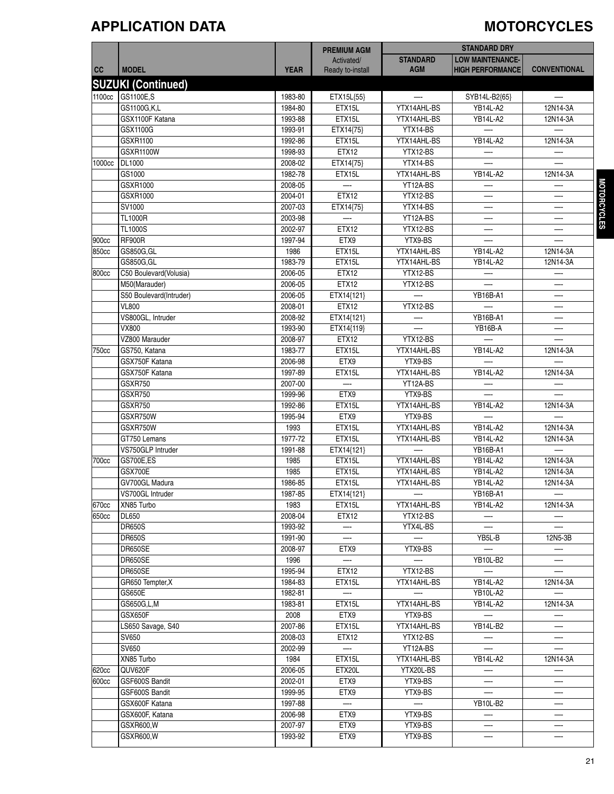### **APPLICATION DATA MOTORCYCLES**

|        |                           |             | <b>PREMIUM AGM</b>       |                          | <b>STANDARD DRY</b>      |                          |
|--------|---------------------------|-------------|--------------------------|--------------------------|--------------------------|--------------------------|
|        |                           |             | Activated/               | <b>STANDARD</b>          | <b>LOW MAINTENANCE-</b>  |                          |
| cc     | <b>MODEL</b>              | <b>YEAR</b> | Ready to-install         | <b>AGM</b>               | <b>HIGH PERFORMANCE</b>  | <b>CONVENTIONAL</b>      |
|        | <b>SUZUKI (Continued)</b> |             |                          |                          |                          |                          |
| 1100cc | GS1100E,S                 | 1983-80     | ETX15L{55}               | —                        | SYB14L-B2{65}            | —-                       |
|        | GS1100G,K,L               | 1984-80     | ETX15L                   | YTX14AHL-BS              | <b>YB14L-A2</b>          | 12N14-3A                 |
|        |                           |             |                          |                          |                          |                          |
|        | GSX1100F Katana           | 1993-88     | ETX15L                   | YTX14AHL-BS              | <b>YB14L-A2</b>          | 12N14-3A                 |
|        | GSX1100G                  | 1993-91     | ETX14{75}                | YTX14-BS                 |                          |                          |
|        | GSXR1100                  | 1992-86     | ETX15L                   | YTX14AHL-BS              | <b>YB14L-A2</b>          | 12N14-3A                 |
| 1000cc | <b>GSXR1100W</b>          | 1998-93     | ETX12                    | YTX12-BS<br>YTX14-BS     |                          |                          |
|        | DL1000                    | 2008-02     | ETX14{75}                |                          |                          |                          |
|        | GS1000<br>GSXR1000        | 1982-78     | ETX15L                   | YTX14AHL-BS<br>YT12A-BS  | <b>YB14L-A2</b>          | 12N14-3A                 |
|        |                           | 2008-05     | <b>ETX12</b>             |                          |                          |                          |
|        | GSXR1000                  | 2004-01     |                          | YTX12-BS                 |                          |                          |
|        | SV1000                    | 2007-03     | ETX14{75}                | YTX14-BS                 | —                        | —                        |
|        | <b>TL1000R</b>            | 2003-98     |                          | YT12A-BS                 |                          | —-                       |
|        | <b>TL1000S</b>            | 2002-97     | ETX12                    | YTX12-BS                 |                          | —-                       |
| 900cc  | <b>RF900R</b>             | 1997-94     | ETX9                     | YTX9-BS                  |                          |                          |
| 850cc  | GS850G, GL                | 1986        | ETX15L                   | YTX14AHL-BS              | <b>YB14L-A2</b>          | 12N14-3A                 |
|        | GS850G, GL                | 1983-79     | ETX15L                   | YTX14AHL-BS              | <b>YB14L-A2</b>          | 12N14-3A                 |
| 800cc  | C50 Boulevard (Volusia)   | 2006-05     | ETX12                    | YTX12-BS                 |                          |                          |
|        | M50(Marauder)             | 2006-05     | <b>ETX12</b>             | YTX12-BS                 |                          |                          |
|        | S50 Boulevard(Intruder)   | 2006-05     | ETX14{121}               |                          | <b>YB16B-A1</b>          | —-                       |
|        | <b>VL800</b>              | 2008-01     | ETX12                    | YTX12-BS                 |                          | —-                       |
|        | VS800GL, Intruder         | 2008-92     | ETX14{121}               |                          | <b>YB16B-A1</b>          |                          |
|        | VX800                     | 1993-90     | ETX14{119}               |                          | YB16B-A                  | —-                       |
|        | VZ800 Marauder            | 2008-97     | ETX12                    | YTX12-BS                 |                          |                          |
| 750cc  | GS750, Katana             | 1983-77     | ETX15L                   | YTX14AHL-BS              | <b>YB14L-A2</b>          | 12N14-3A                 |
|        | GSX750F Katana            | 2006-98     | ETX9                     | YTX9-BS                  |                          |                          |
|        | GSX750F Katana            | 1997-89     | ETX15L                   | YTX14AHL-BS              | <b>YB14L-A2</b>          | 12N14-3A                 |
|        | <b>GSXR750</b>            | 2007-00     |                          | YT12A-BS                 |                          |                          |
|        | <b>GSXR750</b>            | 1999-96     | ETX9                     | YTX9-BS                  |                          | —                        |
|        | GSXR750                   | 1992-86     | ETX15L                   | YTX14AHL-BS              | <b>YB14L-A2</b>          | 12N14-3A                 |
|        | GSXR750W                  | 1995-94     | ETX9                     | YTX9-BS                  |                          |                          |
|        | GSXR750W                  | 1993        | ETX15L                   | YTX14AHL-BS              | <b>YB14L-A2</b>          | 12N14-3A                 |
|        | GT750 Lemans              | 1977-72     | ETX15L                   | YTX14AHL-BS              | <b>YB14L-A2</b>          | 12N14-3A                 |
|        | VS750GLP Intruder         | 1991-88     | ETX14{121}               |                          | YB16B-A1                 |                          |
| 700cc  | GS700E,ES                 | 1985        | ETX15L                   | YTX14AHL-BS              | <b>YB14L-A2</b>          | 12N14-3A                 |
|        | GSX700E                   | 1985        | ETX15L                   | YTX14AHL-BS              | <b>YB14L-A2</b>          | 12N14-3A                 |
|        | GV700GL Madura            | 1986-85     | ETX15L                   | YTX14AHL-BS              | <b>YB14L-A2</b>          | 12N14-3A                 |
|        | VS700GL Intruder          | 1987-85     | ETX14{121}               | $-$                      | <b>YB16B-A1</b>          | $-\!$                    |
| 670cc  | XN85 Turbo                | 1983        | ETX15L                   | YTX14AHL-BS              | <b>YB14L-A2</b>          | 12N14-3A                 |
| 650cc  | <b>DL650</b>              | 2008-04     | ETX12                    | YTX12-BS                 |                          |                          |
|        | <b>DR650S</b>             | 1993-92     | $-\cdot$                 | YTX4L-BS                 | $\overline{\phantom{0}}$ | $\overline{\phantom{0}}$ |
|        | <b>DR650S</b>             | 1991-90     |                          |                          | YB5L-B                   | 12N5-3B                  |
|        | DR650SE                   | 2008-97     | ETX9                     | YTX9-BS                  |                          |                          |
|        | DR650SE                   | 1996        | —                        | $\overline{\phantom{0}}$ | <b>YB10L-B2</b>          | $-$                      |
|        | DR650SE                   | 1995-94     | ETX12                    | YTX12-BS                 |                          |                          |
|        | GR650 Tempter, X          | 1984-83     | ETX15L                   | YTX14AHL-BS              | YB14L-A2                 | 12N14-3A                 |
|        | GS650E                    | 1982-81     | $\overline{\phantom{0}}$ | $\overline{\phantom{0}}$ | <b>YB10L-A2</b>          |                          |
|        | GS650G,L,M                | 1983-81     | ETX15L                   | YTX14AHL-BS              | <b>YB14L-A2</b>          | 12N14-3A                 |
|        | <b>GSX650F</b>            | 2008        | ETX9                     | YTX9-BS                  |                          |                          |
|        | LS650 Savage, S40         | 2007-86     | ETX15L                   | YTX14AHL-BS              | YB14L-B2                 | $-$                      |
|        | SV650                     | 2008-03     | ETX12                    | YTX12-BS                 |                          |                          |
|        | SV650                     | 2002-99     |                          | YT12A-BS                 |                          |                          |
|        | XN85 Turbo                | 1984        | ETX15L                   | YTX14AHL-BS              | YB14L-A2                 | 12N14-3A                 |
| 620cc  | QUV620F                   | 2006-05     | ETX20L                   | YTX20L-BS                |                          |                          |
| 600cc  | GSF600S Bandit            | 2002-01     | ETX9                     | YTX9-BS                  |                          | --                       |
|        | GSF600S Bandit            | 1999-95     | ETX9                     | YTX9-BS                  |                          | —∙                       |
|        | GSX600F Katana            | 1997-88     |                          | $-\cdot$                 | YB10L-B2                 |                          |
|        | GSX600F, Katana           | 2006-98     | ETX9                     | YTX9-BS                  |                          |                          |
|        | GSXR600, W                | 2007-97     | ETX9                     | YTX9-BS                  | —                        | —-                       |
|        | GSXR600, W                | 1993-92     | ETX9                     | YTX9-BS                  |                          |                          |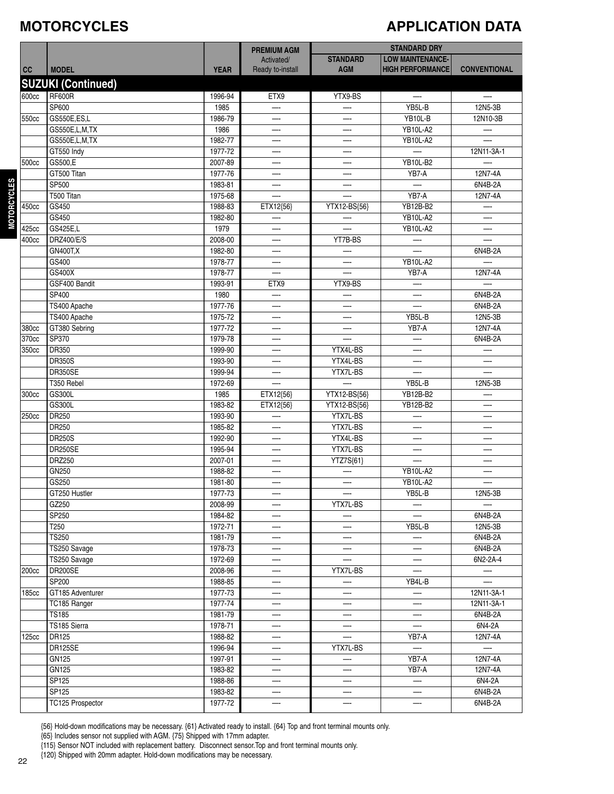#### **MOTORCYCLES**

### **APPLICATION DATA**

|              |                           |             | <b>PREMIUM AGM</b>       |                          | <b>STANDARD DRY</b>      |                          |  |
|--------------|---------------------------|-------------|--------------------------|--------------------------|--------------------------|--------------------------|--|
|              |                           |             | Activated/               | <b>STANDARD</b>          | <b>LOW MAINTENANCE-</b>  |                          |  |
| cc           | <b>MODEL</b>              | <b>YEAR</b> | Ready to-install         | <b>AGM</b>               | <b>HIGH PERFORMANCE</b>  | <b>CONVENTIONAL</b>      |  |
|              | <b>SUZUKI (Continued)</b> |             |                          |                          |                          |                          |  |
| 600cc        | <b>RF600R</b>             | 1996-94     | ETX9                     | YTX9-BS                  | $\overline{\phantom{0}}$ | $\overline{\phantom{a}}$ |  |
|              | SP600                     | 1985        |                          |                          | YB5L-B                   | 12N5-3B                  |  |
| 550cc        | GS550E,ES,L               | 1986-79     |                          | —-                       | YB10L-B                  | 12N10-3B                 |  |
|              | GS550E, L, M, TX          | 1986        |                          |                          | <b>YB10L-A2</b>          | —-                       |  |
|              | GS550E,L,M,TX             | 1982-77     | —-                       |                          | <b>YB10L-A2</b>          |                          |  |
|              | GT550 Indy                | 1977-72     |                          |                          |                          | 12N11-3A-1               |  |
| 500cc        | GS500,E                   | 2007-89     |                          |                          | <b>YB10L-B2</b>          |                          |  |
|              | GT500 Titan               | 1977-76     | —                        | —                        | YB7-A                    | 12N7-4A                  |  |
|              | SP500                     | 1983-81     | —-                       |                          |                          | 6N4B-2A                  |  |
|              | T500 Titan                | 1975-68     |                          |                          | YB7-A                    | 12N7-4A                  |  |
| 450cc        | GS450                     | 1988-83     | ETX12{56}                | YTX12-BS{56}             | YB12B-B2                 |                          |  |
|              | GS450                     | 1982-80     |                          |                          | <b>YB10L-A2</b>          |                          |  |
| 425cc        | GS425E,L                  | 1979        |                          |                          | <b>YB10L-A2</b>          | L.                       |  |
| 400cc        | DRZ400/E/S                | 2008-00     | —                        | YT7B-BS                  |                          |                          |  |
|              | <b>GN400T,X</b>           | 1982-80     | —-                       |                          |                          | 6N4B-2A                  |  |
|              | GS400                     | 1978-77     |                          |                          | <b>YB10L-A2</b>          |                          |  |
|              | GS400X                    | 1978-77     |                          |                          | YB7-A                    | 12N7-4A                  |  |
|              | GSF400 Bandit             | 1993-91     | ETX9                     | YTX9-BS                  |                          | $\overline{\phantom{0}}$ |  |
|              | SP400                     | 1980        | $\overline{\phantom{0}}$ |                          | L.                       | 6N4B-2A                  |  |
|              | TS400 Apache              | 1977-76     | —-                       | —                        | —-                       | 6N4B-2A                  |  |
|              | TS400 Apache              | 1975-72     |                          |                          | YB5L-B                   | 12N5-3B                  |  |
| 380cc        | GT380 Sebring             | 1977-72     | —-<br>—                  |                          | YB7-A                    | 12N7-4A                  |  |
| 370cc        | SP370                     | 1979-78     | —-                       |                          | —-                       | 6N4B-2A                  |  |
| 350cc        | DR350                     | 1999-90     |                          | YTX4L-BS                 |                          |                          |  |
|              | <b>DR350S</b>             | 1993-90     |                          | YTX4L-BS                 | —.                       |                          |  |
|              | DR350SE                   | 1999-94     |                          | YTX7L-BS                 |                          |                          |  |
|              | T350 Rebel                | 1972-69     | —-                       |                          | YB5L-B                   | 12N5-3B                  |  |
| 300cc        | GS300L                    | 1985        | ETX12{56}                | YTX12-BS{56}             | YB12B-B2                 | –−                       |  |
|              | GS300L                    | 1983-82     | ETX12{56}                | YTX12-BS{56}             | YB12B-B2                 |                          |  |
| 250cc        | DR250                     | 1993-90     |                          | YTX7L-BS                 |                          |                          |  |
|              | DR250                     | 1985-82     |                          | YTX7L-BS                 |                          |                          |  |
|              | <b>DR250S</b>             | 1992-90     | —-                       | YTX4L-BS                 | —-                       | —-                       |  |
|              | <b>DR250SE</b>            | 1995-94     | —-                       | YTX7L-BS                 | —-                       |                          |  |
|              | DRZ250                    | 2007-01     | –                        | YTZ7S{61}                |                          |                          |  |
|              | GN250                     | 1988-82     |                          |                          | <b>YB10L-A2</b>          |                          |  |
|              | GS250                     | 1981-80     |                          |                          | <b>YB10L-A2</b>          |                          |  |
|              | GT250 Hustler             | 1977-73     |                          | —                        | YB5L-B                   | 12N5-3B                  |  |
|              | GZ250                     | 2008-99     | —-                       | YTX7L-BS                 |                          |                          |  |
|              | SP250                     | 1984-82     | —-                       |                          | —-                       | 6N4B-2A                  |  |
|              | T250                      | 1972-71     | —                        |                          | YB5L-B                   | 12N5-3B                  |  |
|              | <b>TS250</b>              | 1981-79     | —-                       | —                        | —-                       | 6N4B-2A                  |  |
|              | TS250 Savage              | 1978-73     |                          |                          |                          | 6N4B-2A                  |  |
|              | TS250 Savage              | 1972-69     | —.                       |                          | —-                       | 6N2-2A-4                 |  |
| 200cc        | DR200SE                   | 2008-96     | —-                       | YTX7L-BS                 | —-                       | —-                       |  |
|              | SP200                     | 1988-85     | —-                       | —-                       | YB4L-B                   |                          |  |
| 185cc        | GT185 Adventurer          | 1977-73     |                          |                          |                          | 12N11-3A-1               |  |
|              | TC185 Ranger              | 1977-74     | —-                       |                          | —-                       | 12N11-3A-1               |  |
|              | <b>TS185</b>              | 1981-79     |                          |                          |                          | 6N4B-2A                  |  |
|              | TS185 Sierra              | 1978-71     | —                        | $\overline{\phantom{a}}$ | L.                       | 6N4-2A                   |  |
| <b>125cc</b> | DR125                     | 1988-82     | —-                       | $\overline{\phantom{m}}$ | YB7-A                    | 12N7-4A                  |  |
|              | DR125SE                   | 1996-94     | —-                       | YTX7L-BS                 | —-                       | $\overline{\phantom{0}}$ |  |
|              | GN125                     | 1997-91     | —                        | —                        | YB7-A                    | 12N7-4A                  |  |
|              | GN125                     | 1983-82     | —                        |                          | YB7-A                    | 12N7-4A                  |  |
|              | SP125                     | 1988-86     | —-                       |                          | —                        | 6N4-2A                   |  |
|              | SP125                     | 1983-82     |                          |                          |                          | 6N4B-2A                  |  |
|              | TC125 Prospector          | 1977-72     | —-                       |                          |                          | 6N4B-2A                  |  |
|              |                           |             |                          |                          |                          |                          |  |

{56} Hold-down modifications may be necessary. {61} Activated ready to install. {64} Top and front terminal mounts only.

{65} Includes sensor not supplied with AGM. {75} Shipped with 17mm adapter.

{115} Sensor NOT included with replacement battery. Disconnect sensor.Top and front terminal mounts only.

{120} Shipped with 20mm adapter. Hold-down modifications may be necessary.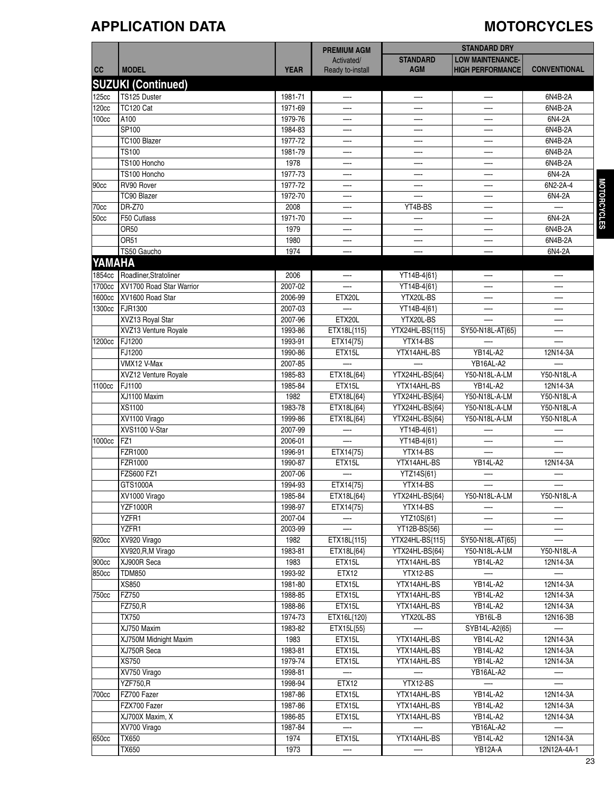#### **APPLICATION DATA MOTORCYCLES**

|              |                           |             | <b>PREMIUM AGM</b>       |                          | <b>STANDARD DRY</b>     |                          |
|--------------|---------------------------|-------------|--------------------------|--------------------------|-------------------------|--------------------------|
|              |                           |             | Activated/               | <b>STANDARD</b>          | <b>LOW MAINTENANCE-</b> |                          |
| <b>CC</b>    | <b>MODEL</b>              | <b>YEAR</b> | Ready to-install         | <b>AGM</b>               | <b>HIGH PERFORMANCE</b> | <b>CONVENTIONAL</b>      |
|              | <b>SUZUKI (Continued)</b> |             |                          |                          |                         |                          |
|              |                           |             |                          |                          |                         |                          |
| 125cc        | TS125 Duster              | 1981-71     |                          |                          |                         | 6N4B-2A                  |
| <b>120cc</b> | TC120 Cat                 | 1971-69     |                          |                          |                         | 6N4B-2A                  |
| 100cc        | A100                      | 1979-76     | —-                       | —-                       | —-                      | 6N4-2A                   |
|              | SP100                     | 1984-83     | —-                       |                          |                         | 6N4B-2A                  |
|              | TC100 Blazer              | 1977-72     | —-                       | —-                       | —                       | 6N4B-2A                  |
|              | <b>TS100</b>              | 1981-79     | —∙                       |                          |                         | 6N4B-2A                  |
|              | TS100 Honcho              | 1978        |                          |                          |                         | 6N4B-2A                  |
|              | TS100 Honcho              | 1977-73     | —-                       |                          |                         | 6N4-2A                   |
| 90cc         | RV90 Rover                | 1977-72     |                          |                          |                         | 6N2-2A-4                 |
|              | TC90 Blazer               | 1972-70     | —                        |                          |                         | 6N4-2A                   |
| 70cc         | <b>DR-Z70</b>             | 2008        |                          | YT4B-BS                  | —-                      |                          |
| <b>50cc</b>  | F50 Cutlass               | 1971-70     | –−                       | —                        |                         | 6N4-2A                   |
|              | <b>OR50</b>               | 1979        |                          |                          |                         | 6N4B-2A                  |
|              | <b>OR51</b>               | 1980        |                          |                          |                         | 6N4B-2A                  |
|              | TS50 Gaucho               | 1974        | —-                       | —-                       | —-                      | 6N4-2A                   |
|              |                           |             |                          |                          |                         |                          |
| YAMAHA       |                           |             |                          |                          |                         |                          |
| 1854cc       | Roadliner, Stratoliner    | 2006        | —-                       | YT14B-4{61}              | —                       | --                       |
| 1700cc       | XV1700 Road Star Warrior  | 2007-02     |                          | YT14B-4{61}              |                         |                          |
| 1600cc       | XV1600 Road Star          | 2006-99     | ETX20L                   | YTX20L-BS                |                         | —-                       |
| 1300cc       | FJR1300                   | 2007-03     |                          | YT14B-4{61}              | —∙                      | —                        |
|              | XVZ13 Royal Star          | 2007-96     | ETX20L                   | YTX20L-BS                |                         | —-                       |
|              | XVZ13 Venture Royale      | 1993-86     | ETX18L{115}              | YTX24HL-BS{115}          | SY50-N18L-AT{65}        |                          |
| 1200cc       | FJ1200                    | 1993-91     | ETX14{75}                | $\overline{YTX14-BS}$    |                         |                          |
|              | FJ1200                    | 1990-86     | ETX15L                   | YTX14AHL-BS              | YB14L-A2                | 12N14-3A                 |
|              | VMX12 V-Max               | 2007-85     |                          |                          | YB16AL-A2               |                          |
|              | XVZ12 Venture Royale      | 1985-83     | ETX18L{64}               | YTX24HL-BS{64}           | Y50-N18L-A-LM           | Y50-N18L-A               |
| 1100cc       | FJ1100                    | 1985-84     | ETX15L                   | YTX14AHL-BS              | YB14L-A2                | 12N14-3A                 |
|              | XJ1100 Maxim              | 1982        | ETX18L{64}               | YTX24HL-BS{64}           | Y50-N18L-A-LM           | Y50-N18L-A               |
|              | XS1100                    | 1983-78     | ETX18L{64}               | YTX24HL-BS{64}           | Y50-N18L-A-LM           | Y50-N18L-A               |
|              | XV1100 Virago             | 1999-86     | ETX18L{64}               | YTX24HL-BS{64}           | Y50-N18L-A-LM           | Y50-N18L-A               |
|              | XVS1100 V-Star            | 2007-99     |                          |                          |                         |                          |
|              | FZ1                       |             | $\overline{\phantom{a}}$ | YT14B-4{61}              |                         | —-                       |
| 1000cc       |                           | 2006-01     |                          | YT14B-4{61}              |                         |                          |
|              | FZR1000                   | 1996-91     | ETX14{75}                | YTX14-BS                 |                         |                          |
|              | FZR1000                   | 1990-87     | ETX15L                   | YTX14AHL-BS              | <b>YB14L-A2</b>         | 12N14-3A                 |
|              | FZS600 FZ1                | 2007-06     |                          | YTZ14S{61}               |                         |                          |
|              | GTS1000A                  | 1994-93     | ETX14{75}                | YTX14-BS                 | —                       | $-\cdot$                 |
|              | XV1000 Virago             | 1985-84     | ETX18L{64}               | YTX24HL-BS{64}           | Y50-N18L-A-LM           | Y50-N18L-A               |
|              | <b>YZF1000R</b>           | 1998-97     | ETX14{75}                | YTX14-BS                 |                         |                          |
|              | YZFR1                     | 2007-04     |                          | YTZ10S{61}               |                         |                          |
|              | YZFR1                     | 2003-99     |                          | YT12B-BS{56}             |                         |                          |
| 920cc        | XV920 Virago              | 1982        | ETX18L{115}              | YTX24HL-BS{115}          | SY50-N18L-AT{65}        | $\overline{\phantom{0}}$ |
|              | XV920, R, M Virago        | 1983-81     | ETX18L{64}               | YTX24HL-BS{64}           | Y50-N18L-A-LM           | Y50-N18L-A               |
| 900cc        | XJ900R Seca               | 1983        | ETX15L                   | YTX14AHL-BS              | <b>YB14L-A2</b>         | 12N14-3A                 |
| 850cc        | <b>TDM850</b>             | 1993-92     | ETX12                    | YTX12-BS                 | —                       | —-                       |
|              | XS850                     | 1981-80     | ETX15L                   | YTX14AHL-BS              | YB14L-A2                | 12N14-3A                 |
| 750cc        | FZ750                     | 1988-85     | ETX15L                   | YTX14AHL-BS              | <b>YB14L-A2</b>         | 12N14-3A                 |
|              | FZ750,R                   | 1988-86     | ETX15L                   | YTX14AHL-BS              | YB14L-A2                | 12N14-3A                 |
|              | <b>TX750</b>              | 1974-73     | ETX16L{120}              | YTX20L-BS                | YB16L-B                 | 12N16-3B                 |
|              | XJ750 Maxim               | 1983-82     |                          |                          | SYB14L-A2{65}           |                          |
|              |                           |             | ETX15L{55}               |                          |                         |                          |
|              | XJ750M Midnight Maxim     | 1983        | ETX15L                   | YTX14AHL-BS              | <b>YB14L-A2</b>         | 12N14-3A                 |
|              | XJ750R Seca               | 1983-81     | ETX15L                   | YTX14AHL-BS              | YB14L-A2                | 12N14-3A                 |
|              | XS750                     | 1979-74     | ETX15L                   | YTX14AHL-BS              | <b>YB14L-A2</b>         | 12N14-3A                 |
|              | XV750 Virago              | 1998-81     | $-\cdot$                 | $\overline{\phantom{0}}$ | YB16AL-A2               | $-\cdot$                 |
|              | <b>YZF750,R</b>           | 1998-94     | <b>ETX12</b>             | YTX12-BS                 |                         |                          |
| 700cc        | FZ700 Fazer               | 1987-86     | ETX15L                   | YTX14AHL-BS              | YB14L-A2                | 12N14-3A                 |
|              | FZX700 Fazer              | 1987-86     | ETX15L                   | YTX14AHL-BS              | <b>YB14L-A2</b>         | 12N14-3A                 |
|              | XJ700X Maxim, X           | 1986-85     | ETX15L                   | YTX14AHL-BS              | YB14L-A2                | 12N14-3A                 |
|              | XV700 Virago              | 1987-84     |                          |                          | YB16AL-A2               |                          |
| 650cc        | <b>TX650</b>              | 1974        | ETX15L                   | YTX14AHL-BS              | <b>YB14L-A2</b>         | 12N14-3A                 |
|              | TX650                     | 1973        |                          | —                        | YB12A-A                 | 12N12A-4A-1              |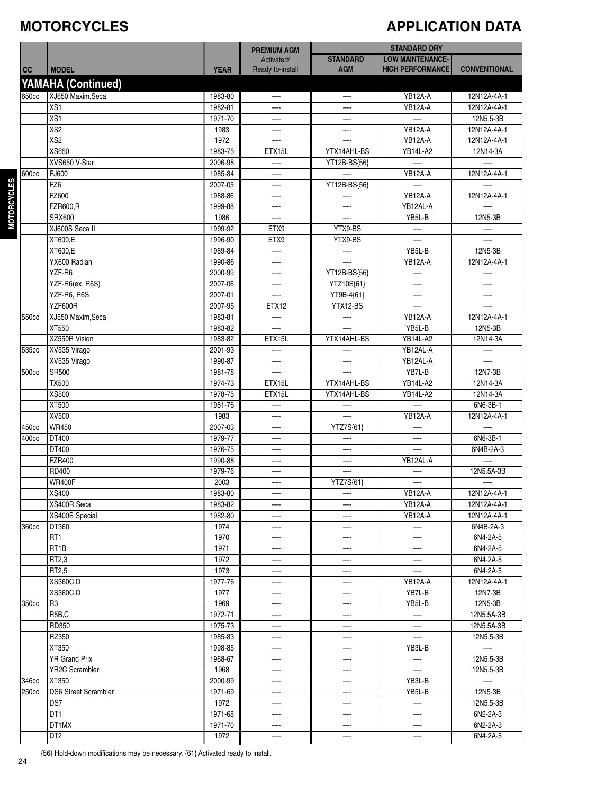#### **MOTORCYCLES**

## **APPLICATION DATA**

|           |                                |             | <b>PREMIUM AGM</b>             |                               | <b>STANDARD DRY</b>                                |                          |
|-----------|--------------------------------|-------------|--------------------------------|-------------------------------|----------------------------------------------------|--------------------------|
| <b>CC</b> | <b>MODEL</b>                   | <b>YEAR</b> | Activated/<br>Ready to-install | <b>STANDARD</b><br><b>AGM</b> | <b>LOW MAINTENANCE-</b><br><b>HIGH PERFORMANCE</b> | <b>CONVENTIONAL</b>      |
|           | YAMAHA (Continued)             |             |                                |                               |                                                    |                          |
| 650cc     | XJ650 Maxim, Seca              | 1983-80     | —-                             | —                             | YB12A-A                                            | 12N12A-4A-1              |
|           | XS <sub>1</sub>                | 1982-81     |                                |                               | YB12A-A                                            | 12N12A-4A-1              |
|           |                                |             |                                |                               |                                                    |                          |
|           | XS1                            | 1971-70     |                                |                               |                                                    | 12N5.5-3B                |
|           | XS2                            | 1983        |                                |                               | YB12A-A                                            | 12N12A-4A-1              |
|           | XS2                            | 1972        |                                |                               | YB12A-A                                            | 12N12A-4A-1              |
|           | XS650                          | 1983-75     | ETX15L                         | YTX14AHL-BS                   | YB14L-A2                                           | 12N14-3A                 |
|           | XVS650 V-Star                  | 2006-98     |                                | YT12B-BS{56}                  |                                                    |                          |
| 600cc     | FJ600                          | 1985-84     |                                |                               | YB12A-A                                            | 12N12A-4A-1              |
|           | FZ6                            | 2007-05     | —-                             | YT12B-BS{56}                  |                                                    |                          |
|           | FZ600                          | 1988-86     |                                |                               | YB12A-A                                            | 12N12A-4A-1              |
|           | <b>FZR600,R</b>                | 1999-88     | —.                             |                               | YB12AL-A                                           |                          |
|           | SRX600                         | 1986        | $\overline{\phantom{0}}$       |                               | YB5L-B                                             | 12N5-3B                  |
|           | XJ600S Secall                  | 1999-92     | ETX9                           | YTX9-BS                       |                                                    |                          |
|           | XT600,E                        | 1996-90     | ETX9                           | YTX9-BS                       |                                                    |                          |
|           | XT600.E                        | 1989-84     |                                | $\overline{\phantom{0}}$      | YB5L-B                                             | 12N5-3B                  |
|           | YX600 Radian                   | 1990-86     |                                |                               | YB12A-A                                            | 12N12A-4A-1              |
|           | YZF-R6                         | 2000-99     |                                | YT12B-BS{56}                  |                                                    |                          |
|           | YZF-R6(ex. R6S)                | 2007-06     | —-                             |                               | —                                                  | —.                       |
|           |                                |             |                                | YTZ10S{61}                    |                                                    |                          |
|           | YZF-R6, R6S                    | 2007-01     |                                | YT9B-4{61}                    | —                                                  |                          |
|           | <b>YZF600R</b>                 | 2007-95     | <b>ETX12</b>                   | YTX12-BS                      |                                                    |                          |
| 550cc     | XJ550 Maxim, Seca              | 1983-81     |                                | —-                            | YB12A-A                                            | 12N12A-4A-1              |
|           | XT550                          | 1983-82     |                                |                               | YB5L-B                                             | 12N5-3B                  |
|           | XZ550R Vision                  | 1983-82     | ETX15L                         | YTX14AHL-BS                   | YB14L-A2                                           | 12N14-3A                 |
| 535cc     | XV535 Virago                   | 2001-93     | –−                             |                               | YB12AL-A                                           | —                        |
|           | XV535 Virago                   | 1990-87     | —-                             |                               | YB12AL-A                                           |                          |
| 500cc     | SR500                          | 1981-78     |                                |                               | YB7L-B                                             | 12N7-3B                  |
|           | <b>TX500</b>                   | 1974-73     | ETX15L                         | YTX14AHL-BS                   | <b>YB14L-A2</b>                                    | 12N14-3A                 |
|           | <b>XS500</b>                   | 1978-75     | ETX15L                         | YTX14AHL-BS                   | <b>YB14L-A2</b>                                    | 12N14-3A                 |
|           | XT500                          | 1981-76     |                                |                               |                                                    | 6N6-3B-1                 |
|           | <b>XV500</b>                   | 1983        | —.                             |                               | YB12A-A                                            | 12N12A-4A-1              |
| 450cc     | <b>WR450</b>                   | 2007-03     | —-                             | YTZ7S{61}                     |                                                    |                          |
| 400cc     | DT400                          | 1979-77     | —-                             |                               | —                                                  | 6N6-3B-1                 |
|           | DT400                          | 1976-75     |                                |                               |                                                    | 6N4B-2A-3                |
|           |                                |             |                                |                               | YB12AL-A                                           |                          |
|           | <b>FZR400</b>                  | 1990-88     | <u>.</u>                       |                               |                                                    | 12N5.5A-3B               |
|           | RD400                          | 1979-76     |                                |                               |                                                    |                          |
|           | <b>WR400F</b>                  | 2003        | —-                             | YTZ7S{61}                     | —                                                  |                          |
|           | XS400                          | 1983-80     |                                |                               | <b>YB12A-A</b>                                     | 12N12A-4A-1              |
|           | XS400R Seca                    | 1983-82     |                                |                               | YB12A-A                                            | 12N12A-4A-1              |
|           | XS400S Special                 | 1982-80     | —-                             |                               | YB12A-A                                            | 12N12A-4A-1              |
| 360cc     | DT360                          | 1974        |                                |                               | —-                                                 | 6N4B-2A-3                |
|           | RT <sub>1</sub>                | 1970        | —-                             | —                             | —                                                  | 6N4-2A-5                 |
|           | RT1B                           | 1971        |                                |                               | —-                                                 | 6N4-2A-5                 |
|           | RT2,3                          | 1972        | —-                             | —-                            | —-                                                 | 6N4-2A-5                 |
|           | RT2,5                          | 1973        | —-                             | —-                            |                                                    | 6N4-2A-5                 |
|           | XS360C,D                       | 1977-76     |                                |                               | YB12A-A                                            | 12N12A-4A-1              |
|           | XS360C,D                       | 1977        |                                |                               | YB7L-B                                             | 12N7-3B                  |
| 350cc     | R <sub>3</sub>                 | 1969        |                                |                               | YB5L-B                                             | 12N5-3B                  |
|           | R <sub>5</sub> B <sub>,C</sub> | 1972-71     | —                              | —                             | $\overline{\phantom{0}}$                           | 12N5.5A-3B               |
|           |                                |             |                                |                               |                                                    |                          |
|           | RD350                          | 1975-73     | —-                             | $\overline{\phantom{0}}$      | --<br>$-\cdot$                                     | 12N5.5A-3B               |
|           | RZ350                          | 1985-83     | —-                             | $\overline{\phantom{0}}$      |                                                    | 12N5.5-3B                |
|           | XT350                          | 1998-85     |                                |                               | YB3L-B                                             | $\overline{\phantom{0}}$ |
|           | <b>YR Grand Prix</b>           | 1968-67     |                                |                               | —-                                                 | 12N5.5-3B                |
|           | YR2C Scrambler                 | 1968        |                                |                               |                                                    | 12N5.5-3B                |
| 346cc     | XT350                          | 2000-99     | —                              | $\overline{\phantom{0}}$      | YB3L-B                                             | $\overline{\phantom{0}}$ |
| 250cc     | <b>DS6 Street Scrambler</b>    | 1971-69     | —-                             | $-\!$                         | YB5L-B                                             | 12N5-3B                  |
|           | DS7                            | 1972        | —-                             | —                             | $-\cdot$                                           | 12N5.5-3B                |
|           | DT <sub>1</sub>                | 1971-68     |                                |                               | —-                                                 | 6N2-2A-3                 |
|           | DT1MX                          | 1971-70     |                                |                               |                                                    | 6N2-2A-3                 |
|           | DT <sub>2</sub>                | 1972        | —-                             | $\overline{\phantom{a}}$      | —-                                                 | 6N4-2A-5                 |
|           |                                |             |                                |                               |                                                    |                          |

**M OTORCYCLES**

{56} Hold-down modifications may be necessary. {61} Activated ready to install.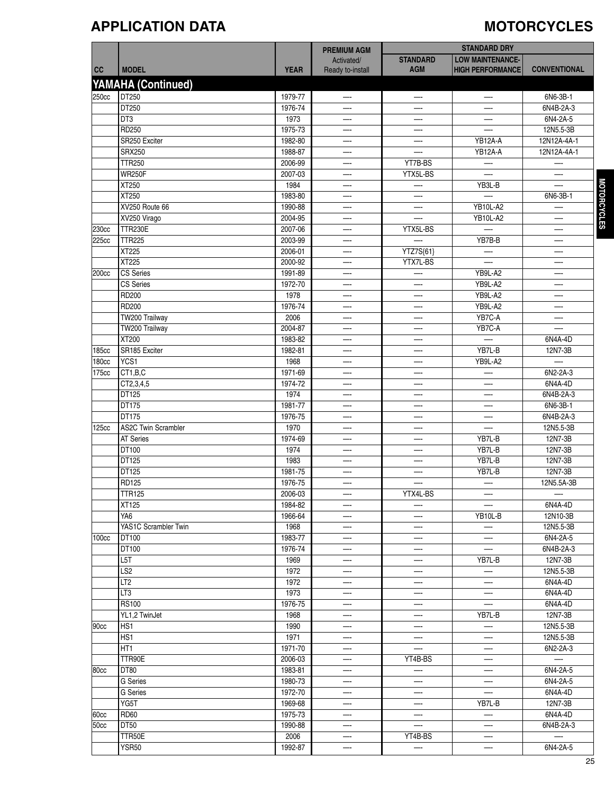### **APPLICATION DATA MOTORCYCLES**

| <b>STANDARD</b><br><b>LOW MAINTENANCE-</b><br>Activated/<br><b>MODEL</b><br><b>AGM</b><br><b>HIGH PERFORMANCE</b><br>cc<br><b>YEAR</b><br>Ready to-install<br><b>YAMAHA (Continued)</b><br>250cc<br>DT250<br>1979-77<br>6N6-3B-1<br>—-<br>—<br>DT250<br>1976-74<br>6N4B-2A-3<br>÷.<br>DT3<br>1973<br>6N4-2A-5<br>RD250<br>1975-73<br>12N5.5-3B<br>SR250 Exciter<br>1982-80<br>YB12A-A<br>12N12A-4A-1<br>—-<br>—-<br><b>SRX250</b><br>1988-87<br>YB12A-A<br>12N12A-4A-1<br>—-<br><b>TTR250</b><br>2006-99<br>YT7B-BS<br>—-<br>—-<br><b>WR250F</b><br>2007-03<br>YTX5L-BS<br>XT250<br>1984<br>YB3L-B<br>—-<br><b>XT250</b><br>1983-80<br>—-<br>XV250 Route 66<br>1990-88<br><b>YB10L-A2</b><br>XV250 Virago<br>2004-95<br><b>YB10L-A2</b><br>—<br>—-<br><b>TTR230E</b><br>230cc<br>2007-06<br>YTX5L-BS<br>—-<br>—-<br><b>TTR225</b><br>225cc<br>2003-99<br>YB7B-B<br>XT225<br>2006-01<br>YTZ7S{61}<br><b>XT225</b><br>2000-92<br>YTX7L-BS<br><b>CS Series</b><br>1991-89<br>YB9L-A2<br>200cc<br>—-<br>$\overline{\phantom{0}}$<br>—-<br>CS Series<br>YB9L-A2<br>1972-70<br>—<br>—-<br>—-<br>RD200<br>YB9L-A2<br>1978<br>—-<br>—-<br>RD200<br>YB9L-A2<br>1976-74<br>—-<br>—-<br>—-<br>YB7C-A<br>TW200 Trailway<br>2006<br>—-<br>YB7C-A<br>TW200 Trailway<br>2004-87<br>XT200<br>$\equiv$<br>1983-82<br>6N4A-4D<br>Ш.<br>—-<br>SR185 Exciter<br>1982-81<br>YB7L-B<br>12N7-3B<br>185cc<br>—-<br>—-<br>YCS1<br>180cc<br>1968<br>YB9L-A2<br>—-<br>—-<br>CT1,B,C<br>1971-69<br>6N2-2A-3<br>175cc<br>$\overline{\phantom{a}}$<br>CT2,3,4,5<br>6N4A-4D<br>1974-72<br><b>DT125</b><br>1974<br>6N4B-2A-3<br>—-<br>DT175<br>1981-77<br>6N6-3B-1<br>—.<br>—<br>—-<br>DT175<br>1976-75<br>—-<br>—-<br><b>AS2C Twin Scrambler</b><br>1970<br>125cc<br>—-<br>—-<br><b>AT Series</b><br>1974-69<br>YB7L-B<br>DT100<br>YB7L-B<br>1974<br><b>DT125</b><br>YB7L-B<br>1983<br>—-<br>—-<br>DT125<br>1981-75<br>YB7L-B<br><b>RD125</b><br>1976-75<br>—<br>--<br>TTR125<br>2006-03<br>YTX4L-BS<br>$-\!$<br>$-\cdot$<br>XT125<br>1984-82<br>YA6<br>1966-64<br>YB10L-B<br>—-<br>—-<br>YAS1C Scrambler Twin<br>1968<br>—<br>--<br>DT100<br>1983-77<br>6N4-2A-5<br>100cc<br>—<br>$\overline{\phantom{0}}$<br>—<br>DT100<br>1976-74<br>6N4B-2A-3<br>$-\cdot$<br>—-<br>--<br>L5T<br>1969<br>YB7L-B<br>12N7-3B<br>—-<br>—-<br>LS <sub>2</sub><br>1972<br>12N5.5-3B<br>—<br>—-<br>LT <sub>2</sub><br>1972<br>6N4A-4D<br>—-<br>—-<br>LT3<br>1973<br>6N4A-4D<br>—-<br>—-<br><b>RS100</b><br>1976-75<br>$\overline{\phantom{0}}$<br>6N4A-4D<br>—-<br>—<br>YL1,2 TwinJet<br>1968<br>YB7L-B<br>12N7-3B<br>—-<br>—-<br>HS1<br>90cc<br>1990<br>12N5.5-3B<br>—-<br>—-<br>—-<br>HS1<br>1971<br>—-<br>—-<br>—-<br>HT1<br>1971-70<br>—<br>—-<br>TTR90E<br>2006-03<br>YT4B-BS<br>$\overline{\phantom{a}}$<br>—-<br>DT80<br>1983-81<br> 80 <sub>cc</sub><br>—-<br>—- |  | <b>PREMIUM AGM</b> | <b>STANDARD DRY</b> |                     |
|------------------------------------------------------------------------------------------------------------------------------------------------------------------------------------------------------------------------------------------------------------------------------------------------------------------------------------------------------------------------------------------------------------------------------------------------------------------------------------------------------------------------------------------------------------------------------------------------------------------------------------------------------------------------------------------------------------------------------------------------------------------------------------------------------------------------------------------------------------------------------------------------------------------------------------------------------------------------------------------------------------------------------------------------------------------------------------------------------------------------------------------------------------------------------------------------------------------------------------------------------------------------------------------------------------------------------------------------------------------------------------------------------------------------------------------------------------------------------------------------------------------------------------------------------------------------------------------------------------------------------------------------------------------------------------------------------------------------------------------------------------------------------------------------------------------------------------------------------------------------------------------------------------------------------------------------------------------------------------------------------------------------------------------------------------------------------------------------------------------------------------------------------------------------------------------------------------------------------------------------------------------------------------------------------------------------------------------------------------------------------------------------------------------------------------------------------------------------------------------------------------------------------------------------------------------------------------------------------------------------------------------------------------------------------------------------------------------------------------------------------------------------------------------------------------------------|--|--------------------|---------------------|---------------------|
|                                                                                                                                                                                                                                                                                                                                                                                                                                                                                                                                                                                                                                                                                                                                                                                                                                                                                                                                                                                                                                                                                                                                                                                                                                                                                                                                                                                                                                                                                                                                                                                                                                                                                                                                                                                                                                                                                                                                                                                                                                                                                                                                                                                                                                                                                                                                                                                                                                                                                                                                                                                                                                                                                                                                                                                                                        |  |                    |                     |                     |
|                                                                                                                                                                                                                                                                                                                                                                                                                                                                                                                                                                                                                                                                                                                                                                                                                                                                                                                                                                                                                                                                                                                                                                                                                                                                                                                                                                                                                                                                                                                                                                                                                                                                                                                                                                                                                                                                                                                                                                                                                                                                                                                                                                                                                                                                                                                                                                                                                                                                                                                                                                                                                                                                                                                                                                                                                        |  |                    |                     | <b>CONVENTIONAL</b> |
|                                                                                                                                                                                                                                                                                                                                                                                                                                                                                                                                                                                                                                                                                                                                                                                                                                                                                                                                                                                                                                                                                                                                                                                                                                                                                                                                                                                                                                                                                                                                                                                                                                                                                                                                                                                                                                                                                                                                                                                                                                                                                                                                                                                                                                                                                                                                                                                                                                                                                                                                                                                                                                                                                                                                                                                                                        |  |                    |                     |                     |
|                                                                                                                                                                                                                                                                                                                                                                                                                                                                                                                                                                                                                                                                                                                                                                                                                                                                                                                                                                                                                                                                                                                                                                                                                                                                                                                                                                                                                                                                                                                                                                                                                                                                                                                                                                                                                                                                                                                                                                                                                                                                                                                                                                                                                                                                                                                                                                                                                                                                                                                                                                                                                                                                                                                                                                                                                        |  |                    |                     |                     |
|                                                                                                                                                                                                                                                                                                                                                                                                                                                                                                                                                                                                                                                                                                                                                                                                                                                                                                                                                                                                                                                                                                                                                                                                                                                                                                                                                                                                                                                                                                                                                                                                                                                                                                                                                                                                                                                                                                                                                                                                                                                                                                                                                                                                                                                                                                                                                                                                                                                                                                                                                                                                                                                                                                                                                                                                                        |  |                    |                     |                     |
|                                                                                                                                                                                                                                                                                                                                                                                                                                                                                                                                                                                                                                                                                                                                                                                                                                                                                                                                                                                                                                                                                                                                                                                                                                                                                                                                                                                                                                                                                                                                                                                                                                                                                                                                                                                                                                                                                                                                                                                                                                                                                                                                                                                                                                                                                                                                                                                                                                                                                                                                                                                                                                                                                                                                                                                                                        |  |                    |                     |                     |
|                                                                                                                                                                                                                                                                                                                                                                                                                                                                                                                                                                                                                                                                                                                                                                                                                                                                                                                                                                                                                                                                                                                                                                                                                                                                                                                                                                                                                                                                                                                                                                                                                                                                                                                                                                                                                                                                                                                                                                                                                                                                                                                                                                                                                                                                                                                                                                                                                                                                                                                                                                                                                                                                                                                                                                                                                        |  |                    |                     |                     |
|                                                                                                                                                                                                                                                                                                                                                                                                                                                                                                                                                                                                                                                                                                                                                                                                                                                                                                                                                                                                                                                                                                                                                                                                                                                                                                                                                                                                                                                                                                                                                                                                                                                                                                                                                                                                                                                                                                                                                                                                                                                                                                                                                                                                                                                                                                                                                                                                                                                                                                                                                                                                                                                                                                                                                                                                                        |  |                    |                     |                     |
|                                                                                                                                                                                                                                                                                                                                                                                                                                                                                                                                                                                                                                                                                                                                                                                                                                                                                                                                                                                                                                                                                                                                                                                                                                                                                                                                                                                                                                                                                                                                                                                                                                                                                                                                                                                                                                                                                                                                                                                                                                                                                                                                                                                                                                                                                                                                                                                                                                                                                                                                                                                                                                                                                                                                                                                                                        |  |                    |                     |                     |
|                                                                                                                                                                                                                                                                                                                                                                                                                                                                                                                                                                                                                                                                                                                                                                                                                                                                                                                                                                                                                                                                                                                                                                                                                                                                                                                                                                                                                                                                                                                                                                                                                                                                                                                                                                                                                                                                                                                                                                                                                                                                                                                                                                                                                                                                                                                                                                                                                                                                                                                                                                                                                                                                                                                                                                                                                        |  |                    |                     |                     |
|                                                                                                                                                                                                                                                                                                                                                                                                                                                                                                                                                                                                                                                                                                                                                                                                                                                                                                                                                                                                                                                                                                                                                                                                                                                                                                                                                                                                                                                                                                                                                                                                                                                                                                                                                                                                                                                                                                                                                                                                                                                                                                                                                                                                                                                                                                                                                                                                                                                                                                                                                                                                                                                                                                                                                                                                                        |  |                    |                     |                     |
|                                                                                                                                                                                                                                                                                                                                                                                                                                                                                                                                                                                                                                                                                                                                                                                                                                                                                                                                                                                                                                                                                                                                                                                                                                                                                                                                                                                                                                                                                                                                                                                                                                                                                                                                                                                                                                                                                                                                                                                                                                                                                                                                                                                                                                                                                                                                                                                                                                                                                                                                                                                                                                                                                                                                                                                                                        |  |                    |                     |                     |
|                                                                                                                                                                                                                                                                                                                                                                                                                                                                                                                                                                                                                                                                                                                                                                                                                                                                                                                                                                                                                                                                                                                                                                                                                                                                                                                                                                                                                                                                                                                                                                                                                                                                                                                                                                                                                                                                                                                                                                                                                                                                                                                                                                                                                                                                                                                                                                                                                                                                                                                                                                                                                                                                                                                                                                                                                        |  |                    |                     |                     |
|                                                                                                                                                                                                                                                                                                                                                                                                                                                                                                                                                                                                                                                                                                                                                                                                                                                                                                                                                                                                                                                                                                                                                                                                                                                                                                                                                                                                                                                                                                                                                                                                                                                                                                                                                                                                                                                                                                                                                                                                                                                                                                                                                                                                                                                                                                                                                                                                                                                                                                                                                                                                                                                                                                                                                                                                                        |  |                    |                     | 6N6-3B-1            |
|                                                                                                                                                                                                                                                                                                                                                                                                                                                                                                                                                                                                                                                                                                                                                                                                                                                                                                                                                                                                                                                                                                                                                                                                                                                                                                                                                                                                                                                                                                                                                                                                                                                                                                                                                                                                                                                                                                                                                                                                                                                                                                                                                                                                                                                                                                                                                                                                                                                                                                                                                                                                                                                                                                                                                                                                                        |  |                    |                     |                     |
|                                                                                                                                                                                                                                                                                                                                                                                                                                                                                                                                                                                                                                                                                                                                                                                                                                                                                                                                                                                                                                                                                                                                                                                                                                                                                                                                                                                                                                                                                                                                                                                                                                                                                                                                                                                                                                                                                                                                                                                                                                                                                                                                                                                                                                                                                                                                                                                                                                                                                                                                                                                                                                                                                                                                                                                                                        |  |                    |                     |                     |
|                                                                                                                                                                                                                                                                                                                                                                                                                                                                                                                                                                                                                                                                                                                                                                                                                                                                                                                                                                                                                                                                                                                                                                                                                                                                                                                                                                                                                                                                                                                                                                                                                                                                                                                                                                                                                                                                                                                                                                                                                                                                                                                                                                                                                                                                                                                                                                                                                                                                                                                                                                                                                                                                                                                                                                                                                        |  |                    |                     |                     |
|                                                                                                                                                                                                                                                                                                                                                                                                                                                                                                                                                                                                                                                                                                                                                                                                                                                                                                                                                                                                                                                                                                                                                                                                                                                                                                                                                                                                                                                                                                                                                                                                                                                                                                                                                                                                                                                                                                                                                                                                                                                                                                                                                                                                                                                                                                                                                                                                                                                                                                                                                                                                                                                                                                                                                                                                                        |  |                    |                     |                     |
|                                                                                                                                                                                                                                                                                                                                                                                                                                                                                                                                                                                                                                                                                                                                                                                                                                                                                                                                                                                                                                                                                                                                                                                                                                                                                                                                                                                                                                                                                                                                                                                                                                                                                                                                                                                                                                                                                                                                                                                                                                                                                                                                                                                                                                                                                                                                                                                                                                                                                                                                                                                                                                                                                                                                                                                                                        |  |                    |                     |                     |
|                                                                                                                                                                                                                                                                                                                                                                                                                                                                                                                                                                                                                                                                                                                                                                                                                                                                                                                                                                                                                                                                                                                                                                                                                                                                                                                                                                                                                                                                                                                                                                                                                                                                                                                                                                                                                                                                                                                                                                                                                                                                                                                                                                                                                                                                                                                                                                                                                                                                                                                                                                                                                                                                                                                                                                                                                        |  |                    |                     |                     |
|                                                                                                                                                                                                                                                                                                                                                                                                                                                                                                                                                                                                                                                                                                                                                                                                                                                                                                                                                                                                                                                                                                                                                                                                                                                                                                                                                                                                                                                                                                                                                                                                                                                                                                                                                                                                                                                                                                                                                                                                                                                                                                                                                                                                                                                                                                                                                                                                                                                                                                                                                                                                                                                                                                                                                                                                                        |  |                    |                     |                     |
|                                                                                                                                                                                                                                                                                                                                                                                                                                                                                                                                                                                                                                                                                                                                                                                                                                                                                                                                                                                                                                                                                                                                                                                                                                                                                                                                                                                                                                                                                                                                                                                                                                                                                                                                                                                                                                                                                                                                                                                                                                                                                                                                                                                                                                                                                                                                                                                                                                                                                                                                                                                                                                                                                                                                                                                                                        |  |                    |                     |                     |
|                                                                                                                                                                                                                                                                                                                                                                                                                                                                                                                                                                                                                                                                                                                                                                                                                                                                                                                                                                                                                                                                                                                                                                                                                                                                                                                                                                                                                                                                                                                                                                                                                                                                                                                                                                                                                                                                                                                                                                                                                                                                                                                                                                                                                                                                                                                                                                                                                                                                                                                                                                                                                                                                                                                                                                                                                        |  |                    |                     |                     |
|                                                                                                                                                                                                                                                                                                                                                                                                                                                                                                                                                                                                                                                                                                                                                                                                                                                                                                                                                                                                                                                                                                                                                                                                                                                                                                                                                                                                                                                                                                                                                                                                                                                                                                                                                                                                                                                                                                                                                                                                                                                                                                                                                                                                                                                                                                                                                                                                                                                                                                                                                                                                                                                                                                                                                                                                                        |  |                    |                     |                     |
|                                                                                                                                                                                                                                                                                                                                                                                                                                                                                                                                                                                                                                                                                                                                                                                                                                                                                                                                                                                                                                                                                                                                                                                                                                                                                                                                                                                                                                                                                                                                                                                                                                                                                                                                                                                                                                                                                                                                                                                                                                                                                                                                                                                                                                                                                                                                                                                                                                                                                                                                                                                                                                                                                                                                                                                                                        |  |                    |                     |                     |
|                                                                                                                                                                                                                                                                                                                                                                                                                                                                                                                                                                                                                                                                                                                                                                                                                                                                                                                                                                                                                                                                                                                                                                                                                                                                                                                                                                                                                                                                                                                                                                                                                                                                                                                                                                                                                                                                                                                                                                                                                                                                                                                                                                                                                                                                                                                                                                                                                                                                                                                                                                                                                                                                                                                                                                                                                        |  |                    |                     |                     |
|                                                                                                                                                                                                                                                                                                                                                                                                                                                                                                                                                                                                                                                                                                                                                                                                                                                                                                                                                                                                                                                                                                                                                                                                                                                                                                                                                                                                                                                                                                                                                                                                                                                                                                                                                                                                                                                                                                                                                                                                                                                                                                                                                                                                                                                                                                                                                                                                                                                                                                                                                                                                                                                                                                                                                                                                                        |  |                    |                     |                     |
|                                                                                                                                                                                                                                                                                                                                                                                                                                                                                                                                                                                                                                                                                                                                                                                                                                                                                                                                                                                                                                                                                                                                                                                                                                                                                                                                                                                                                                                                                                                                                                                                                                                                                                                                                                                                                                                                                                                                                                                                                                                                                                                                                                                                                                                                                                                                                                                                                                                                                                                                                                                                                                                                                                                                                                                                                        |  |                    |                     |                     |
|                                                                                                                                                                                                                                                                                                                                                                                                                                                                                                                                                                                                                                                                                                                                                                                                                                                                                                                                                                                                                                                                                                                                                                                                                                                                                                                                                                                                                                                                                                                                                                                                                                                                                                                                                                                                                                                                                                                                                                                                                                                                                                                                                                                                                                                                                                                                                                                                                                                                                                                                                                                                                                                                                                                                                                                                                        |  |                    |                     |                     |
|                                                                                                                                                                                                                                                                                                                                                                                                                                                                                                                                                                                                                                                                                                                                                                                                                                                                                                                                                                                                                                                                                                                                                                                                                                                                                                                                                                                                                                                                                                                                                                                                                                                                                                                                                                                                                                                                                                                                                                                                                                                                                                                                                                                                                                                                                                                                                                                                                                                                                                                                                                                                                                                                                                                                                                                                                        |  |                    |                     |                     |
|                                                                                                                                                                                                                                                                                                                                                                                                                                                                                                                                                                                                                                                                                                                                                                                                                                                                                                                                                                                                                                                                                                                                                                                                                                                                                                                                                                                                                                                                                                                                                                                                                                                                                                                                                                                                                                                                                                                                                                                                                                                                                                                                                                                                                                                                                                                                                                                                                                                                                                                                                                                                                                                                                                                                                                                                                        |  |                    |                     |                     |
|                                                                                                                                                                                                                                                                                                                                                                                                                                                                                                                                                                                                                                                                                                                                                                                                                                                                                                                                                                                                                                                                                                                                                                                                                                                                                                                                                                                                                                                                                                                                                                                                                                                                                                                                                                                                                                                                                                                                                                                                                                                                                                                                                                                                                                                                                                                                                                                                                                                                                                                                                                                                                                                                                                                                                                                                                        |  |                    |                     |                     |
|                                                                                                                                                                                                                                                                                                                                                                                                                                                                                                                                                                                                                                                                                                                                                                                                                                                                                                                                                                                                                                                                                                                                                                                                                                                                                                                                                                                                                                                                                                                                                                                                                                                                                                                                                                                                                                                                                                                                                                                                                                                                                                                                                                                                                                                                                                                                                                                                                                                                                                                                                                                                                                                                                                                                                                                                                        |  |                    |                     |                     |
|                                                                                                                                                                                                                                                                                                                                                                                                                                                                                                                                                                                                                                                                                                                                                                                                                                                                                                                                                                                                                                                                                                                                                                                                                                                                                                                                                                                                                                                                                                                                                                                                                                                                                                                                                                                                                                                                                                                                                                                                                                                                                                                                                                                                                                                                                                                                                                                                                                                                                                                                                                                                                                                                                                                                                                                                                        |  |                    |                     |                     |
|                                                                                                                                                                                                                                                                                                                                                                                                                                                                                                                                                                                                                                                                                                                                                                                                                                                                                                                                                                                                                                                                                                                                                                                                                                                                                                                                                                                                                                                                                                                                                                                                                                                                                                                                                                                                                                                                                                                                                                                                                                                                                                                                                                                                                                                                                                                                                                                                                                                                                                                                                                                                                                                                                                                                                                                                                        |  |                    |                     | 6N4B-2A-3           |
|                                                                                                                                                                                                                                                                                                                                                                                                                                                                                                                                                                                                                                                                                                                                                                                                                                                                                                                                                                                                                                                                                                                                                                                                                                                                                                                                                                                                                                                                                                                                                                                                                                                                                                                                                                                                                                                                                                                                                                                                                                                                                                                                                                                                                                                                                                                                                                                                                                                                                                                                                                                                                                                                                                                                                                                                                        |  |                    |                     | 12N5.5-3B           |
|                                                                                                                                                                                                                                                                                                                                                                                                                                                                                                                                                                                                                                                                                                                                                                                                                                                                                                                                                                                                                                                                                                                                                                                                                                                                                                                                                                                                                                                                                                                                                                                                                                                                                                                                                                                                                                                                                                                                                                                                                                                                                                                                                                                                                                                                                                                                                                                                                                                                                                                                                                                                                                                                                                                                                                                                                        |  |                    |                     | 12N7-3B             |
|                                                                                                                                                                                                                                                                                                                                                                                                                                                                                                                                                                                                                                                                                                                                                                                                                                                                                                                                                                                                                                                                                                                                                                                                                                                                                                                                                                                                                                                                                                                                                                                                                                                                                                                                                                                                                                                                                                                                                                                                                                                                                                                                                                                                                                                                                                                                                                                                                                                                                                                                                                                                                                                                                                                                                                                                                        |  |                    |                     | 12N7-3B             |
|                                                                                                                                                                                                                                                                                                                                                                                                                                                                                                                                                                                                                                                                                                                                                                                                                                                                                                                                                                                                                                                                                                                                                                                                                                                                                                                                                                                                                                                                                                                                                                                                                                                                                                                                                                                                                                                                                                                                                                                                                                                                                                                                                                                                                                                                                                                                                                                                                                                                                                                                                                                                                                                                                                                                                                                                                        |  |                    |                     | 12N7-3B             |
|                                                                                                                                                                                                                                                                                                                                                                                                                                                                                                                                                                                                                                                                                                                                                                                                                                                                                                                                                                                                                                                                                                                                                                                                                                                                                                                                                                                                                                                                                                                                                                                                                                                                                                                                                                                                                                                                                                                                                                                                                                                                                                                                                                                                                                                                                                                                                                                                                                                                                                                                                                                                                                                                                                                                                                                                                        |  |                    |                     | 12N7-3B             |
|                                                                                                                                                                                                                                                                                                                                                                                                                                                                                                                                                                                                                                                                                                                                                                                                                                                                                                                                                                                                                                                                                                                                                                                                                                                                                                                                                                                                                                                                                                                                                                                                                                                                                                                                                                                                                                                                                                                                                                                                                                                                                                                                                                                                                                                                                                                                                                                                                                                                                                                                                                                                                                                                                                                                                                                                                        |  |                    |                     | 12N5.5A-3B          |
|                                                                                                                                                                                                                                                                                                                                                                                                                                                                                                                                                                                                                                                                                                                                                                                                                                                                                                                                                                                                                                                                                                                                                                                                                                                                                                                                                                                                                                                                                                                                                                                                                                                                                                                                                                                                                                                                                                                                                                                                                                                                                                                                                                                                                                                                                                                                                                                                                                                                                                                                                                                                                                                                                                                                                                                                                        |  |                    |                     |                     |
|                                                                                                                                                                                                                                                                                                                                                                                                                                                                                                                                                                                                                                                                                                                                                                                                                                                                                                                                                                                                                                                                                                                                                                                                                                                                                                                                                                                                                                                                                                                                                                                                                                                                                                                                                                                                                                                                                                                                                                                                                                                                                                                                                                                                                                                                                                                                                                                                                                                                                                                                                                                                                                                                                                                                                                                                                        |  |                    |                     | 6N4A-4D             |
|                                                                                                                                                                                                                                                                                                                                                                                                                                                                                                                                                                                                                                                                                                                                                                                                                                                                                                                                                                                                                                                                                                                                                                                                                                                                                                                                                                                                                                                                                                                                                                                                                                                                                                                                                                                                                                                                                                                                                                                                                                                                                                                                                                                                                                                                                                                                                                                                                                                                                                                                                                                                                                                                                                                                                                                                                        |  |                    |                     | 12N10-3B            |
|                                                                                                                                                                                                                                                                                                                                                                                                                                                                                                                                                                                                                                                                                                                                                                                                                                                                                                                                                                                                                                                                                                                                                                                                                                                                                                                                                                                                                                                                                                                                                                                                                                                                                                                                                                                                                                                                                                                                                                                                                                                                                                                                                                                                                                                                                                                                                                                                                                                                                                                                                                                                                                                                                                                                                                                                                        |  |                    |                     | 12N5.5-3B           |
|                                                                                                                                                                                                                                                                                                                                                                                                                                                                                                                                                                                                                                                                                                                                                                                                                                                                                                                                                                                                                                                                                                                                                                                                                                                                                                                                                                                                                                                                                                                                                                                                                                                                                                                                                                                                                                                                                                                                                                                                                                                                                                                                                                                                                                                                                                                                                                                                                                                                                                                                                                                                                                                                                                                                                                                                                        |  |                    |                     |                     |
|                                                                                                                                                                                                                                                                                                                                                                                                                                                                                                                                                                                                                                                                                                                                                                                                                                                                                                                                                                                                                                                                                                                                                                                                                                                                                                                                                                                                                                                                                                                                                                                                                                                                                                                                                                                                                                                                                                                                                                                                                                                                                                                                                                                                                                                                                                                                                                                                                                                                                                                                                                                                                                                                                                                                                                                                                        |  |                    |                     |                     |
|                                                                                                                                                                                                                                                                                                                                                                                                                                                                                                                                                                                                                                                                                                                                                                                                                                                                                                                                                                                                                                                                                                                                                                                                                                                                                                                                                                                                                                                                                                                                                                                                                                                                                                                                                                                                                                                                                                                                                                                                                                                                                                                                                                                                                                                                                                                                                                                                                                                                                                                                                                                                                                                                                                                                                                                                                        |  |                    |                     |                     |
|                                                                                                                                                                                                                                                                                                                                                                                                                                                                                                                                                                                                                                                                                                                                                                                                                                                                                                                                                                                                                                                                                                                                                                                                                                                                                                                                                                                                                                                                                                                                                                                                                                                                                                                                                                                                                                                                                                                                                                                                                                                                                                                                                                                                                                                                                                                                                                                                                                                                                                                                                                                                                                                                                                                                                                                                                        |  |                    |                     |                     |
|                                                                                                                                                                                                                                                                                                                                                                                                                                                                                                                                                                                                                                                                                                                                                                                                                                                                                                                                                                                                                                                                                                                                                                                                                                                                                                                                                                                                                                                                                                                                                                                                                                                                                                                                                                                                                                                                                                                                                                                                                                                                                                                                                                                                                                                                                                                                                                                                                                                                                                                                                                                                                                                                                                                                                                                                                        |  |                    |                     |                     |
|                                                                                                                                                                                                                                                                                                                                                                                                                                                                                                                                                                                                                                                                                                                                                                                                                                                                                                                                                                                                                                                                                                                                                                                                                                                                                                                                                                                                                                                                                                                                                                                                                                                                                                                                                                                                                                                                                                                                                                                                                                                                                                                                                                                                                                                                                                                                                                                                                                                                                                                                                                                                                                                                                                                                                                                                                        |  |                    |                     |                     |
|                                                                                                                                                                                                                                                                                                                                                                                                                                                                                                                                                                                                                                                                                                                                                                                                                                                                                                                                                                                                                                                                                                                                                                                                                                                                                                                                                                                                                                                                                                                                                                                                                                                                                                                                                                                                                                                                                                                                                                                                                                                                                                                                                                                                                                                                                                                                                                                                                                                                                                                                                                                                                                                                                                                                                                                                                        |  |                    |                     |                     |
|                                                                                                                                                                                                                                                                                                                                                                                                                                                                                                                                                                                                                                                                                                                                                                                                                                                                                                                                                                                                                                                                                                                                                                                                                                                                                                                                                                                                                                                                                                                                                                                                                                                                                                                                                                                                                                                                                                                                                                                                                                                                                                                                                                                                                                                                                                                                                                                                                                                                                                                                                                                                                                                                                                                                                                                                                        |  |                    |                     |                     |
|                                                                                                                                                                                                                                                                                                                                                                                                                                                                                                                                                                                                                                                                                                                                                                                                                                                                                                                                                                                                                                                                                                                                                                                                                                                                                                                                                                                                                                                                                                                                                                                                                                                                                                                                                                                                                                                                                                                                                                                                                                                                                                                                                                                                                                                                                                                                                                                                                                                                                                                                                                                                                                                                                                                                                                                                                        |  |                    |                     |                     |
|                                                                                                                                                                                                                                                                                                                                                                                                                                                                                                                                                                                                                                                                                                                                                                                                                                                                                                                                                                                                                                                                                                                                                                                                                                                                                                                                                                                                                                                                                                                                                                                                                                                                                                                                                                                                                                                                                                                                                                                                                                                                                                                                                                                                                                                                                                                                                                                                                                                                                                                                                                                                                                                                                                                                                                                                                        |  |                    |                     |                     |
|                                                                                                                                                                                                                                                                                                                                                                                                                                                                                                                                                                                                                                                                                                                                                                                                                                                                                                                                                                                                                                                                                                                                                                                                                                                                                                                                                                                                                                                                                                                                                                                                                                                                                                                                                                                                                                                                                                                                                                                                                                                                                                                                                                                                                                                                                                                                                                                                                                                                                                                                                                                                                                                                                                                                                                                                                        |  |                    |                     | 12N5.5-3B           |
|                                                                                                                                                                                                                                                                                                                                                                                                                                                                                                                                                                                                                                                                                                                                                                                                                                                                                                                                                                                                                                                                                                                                                                                                                                                                                                                                                                                                                                                                                                                                                                                                                                                                                                                                                                                                                                                                                                                                                                                                                                                                                                                                                                                                                                                                                                                                                                                                                                                                                                                                                                                                                                                                                                                                                                                                                        |  |                    |                     | 6N2-2A-3            |
|                                                                                                                                                                                                                                                                                                                                                                                                                                                                                                                                                                                                                                                                                                                                                                                                                                                                                                                                                                                                                                                                                                                                                                                                                                                                                                                                                                                                                                                                                                                                                                                                                                                                                                                                                                                                                                                                                                                                                                                                                                                                                                                                                                                                                                                                                                                                                                                                                                                                                                                                                                                                                                                                                                                                                                                                                        |  |                    |                     |                     |
|                                                                                                                                                                                                                                                                                                                                                                                                                                                                                                                                                                                                                                                                                                                                                                                                                                                                                                                                                                                                                                                                                                                                                                                                                                                                                                                                                                                                                                                                                                                                                                                                                                                                                                                                                                                                                                                                                                                                                                                                                                                                                                                                                                                                                                                                                                                                                                                                                                                                                                                                                                                                                                                                                                                                                                                                                        |  |                    |                     | 6N4-2A-5            |
| G Series<br>1980-73<br>—-<br>—-                                                                                                                                                                                                                                                                                                                                                                                                                                                                                                                                                                                                                                                                                                                                                                                                                                                                                                                                                                                                                                                                                                                                                                                                                                                                                                                                                                                                                                                                                                                                                                                                                                                                                                                                                                                                                                                                                                                                                                                                                                                                                                                                                                                                                                                                                                                                                                                                                                                                                                                                                                                                                                                                                                                                                                                        |  |                    |                     | 6N4-2A-5            |
| <b>G</b> Series<br>1972-70<br>--<br>—-                                                                                                                                                                                                                                                                                                                                                                                                                                                                                                                                                                                                                                                                                                                                                                                                                                                                                                                                                                                                                                                                                                                                                                                                                                                                                                                                                                                                                                                                                                                                                                                                                                                                                                                                                                                                                                                                                                                                                                                                                                                                                                                                                                                                                                                                                                                                                                                                                                                                                                                                                                                                                                                                                                                                                                                 |  |                    |                     | 6N4A-4D             |
| YG5T<br>1969-68<br>YB7L-B<br>—-                                                                                                                                                                                                                                                                                                                                                                                                                                                                                                                                                                                                                                                                                                                                                                                                                                                                                                                                                                                                                                                                                                                                                                                                                                                                                                                                                                                                                                                                                                                                                                                                                                                                                                                                                                                                                                                                                                                                                                                                                                                                                                                                                                                                                                                                                                                                                                                                                                                                                                                                                                                                                                                                                                                                                                                        |  |                    |                     | 12N7-3B             |
| 1975-73<br><b>RD60</b><br> 60 <sub>cc</sub>                                                                                                                                                                                                                                                                                                                                                                                                                                                                                                                                                                                                                                                                                                                                                                                                                                                                                                                                                                                                                                                                                                                                                                                                                                                                                                                                                                                                                                                                                                                                                                                                                                                                                                                                                                                                                                                                                                                                                                                                                                                                                                                                                                                                                                                                                                                                                                                                                                                                                                                                                                                                                                                                                                                                                                            |  |                    |                     | 6N4A-4D             |
| 50cc<br>DT50<br>1990-88<br>$\overline{\phantom{0}}$<br>—-<br>—-                                                                                                                                                                                                                                                                                                                                                                                                                                                                                                                                                                                                                                                                                                                                                                                                                                                                                                                                                                                                                                                                                                                                                                                                                                                                                                                                                                                                                                                                                                                                                                                                                                                                                                                                                                                                                                                                                                                                                                                                                                                                                                                                                                                                                                                                                                                                                                                                                                                                                                                                                                                                                                                                                                                                                        |  |                    |                     | 6N4B-2A-3           |
| TTR50E<br>2006<br>YT4B-BS                                                                                                                                                                                                                                                                                                                                                                                                                                                                                                                                                                                                                                                                                                                                                                                                                                                                                                                                                                                                                                                                                                                                                                                                                                                                                                                                                                                                                                                                                                                                                                                                                                                                                                                                                                                                                                                                                                                                                                                                                                                                                                                                                                                                                                                                                                                                                                                                                                                                                                                                                                                                                                                                                                                                                                                              |  |                    |                     |                     |
| <b>YSR50</b><br>1992-87<br>—-<br>$\overline{\phantom{0}}$<br>$\overline{\phantom{m}}$                                                                                                                                                                                                                                                                                                                                                                                                                                                                                                                                                                                                                                                                                                                                                                                                                                                                                                                                                                                                                                                                                                                                                                                                                                                                                                                                                                                                                                                                                                                                                                                                                                                                                                                                                                                                                                                                                                                                                                                                                                                                                                                                                                                                                                                                                                                                                                                                                                                                                                                                                                                                                                                                                                                                  |  |                    |                     | 6N4-2A-5            |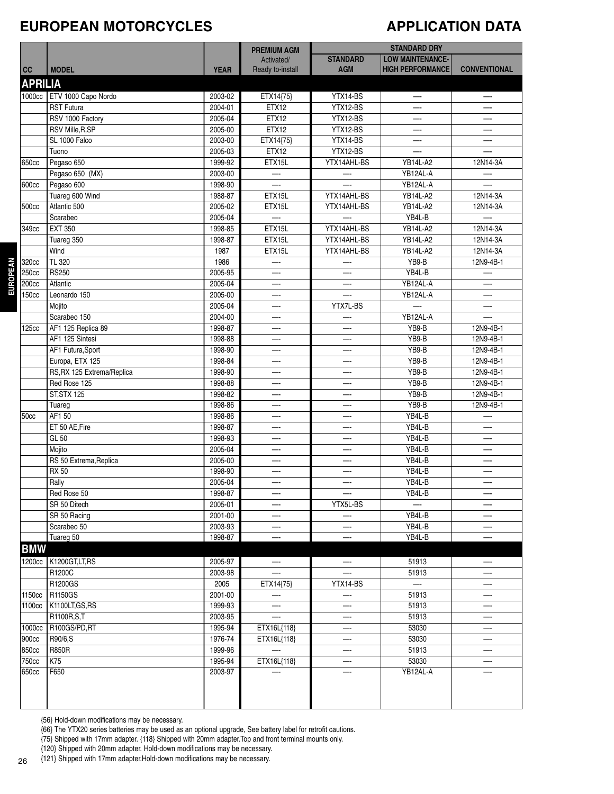#### **EUROPEAN MOTORCYCLES**

#### **APPLICATION DATA**

|                |                            |             | <b>PREMIUM AGM</b>       |                 | <b>STANDARD DRY</b>      |                     |
|----------------|----------------------------|-------------|--------------------------|-----------------|--------------------------|---------------------|
|                |                            |             | Activated/               | <b>STANDARD</b> | <b>LOW MAINTENANCE-</b>  |                     |
| cc             | <b>MODEL</b>               | <b>YEAR</b> | Ready to-install         | <b>AGM</b>      | <b>HIGH PERFORMANCE</b>  | <b>CONVENTIONAL</b> |
| <b>APRILIA</b> |                            |             |                          |                 |                          |                     |
| 1000cc         | ETV 1000 Capo Nordo        | 2003-02     | ETX14{75}                | YTX14-BS        | —-                       |                     |
|                | <b>RST Futura</b>          | 2004-01     | ETX12                    | YTX12-BS        | —-                       |                     |
|                | RSV 1000 Factory           | 2005-04     | ETX12                    | YTX12-BS        | —-                       |                     |
|                | RSV Mille, R, SP           | 2005-00     | ETX12                    | YTX12-BS        | $\overline{\phantom{a}}$ |                     |
|                | SL 1000 Falco              | 2003-00     | ETX14{75}                | YTX14-BS        | —-                       |                     |
|                | Tuono                      | 2005-03     | ETX12                    | YTX12-BS        |                          |                     |
| 650cc          | Pegaso 650                 | 1999-92     | ETX15L                   | YTX14AHL-BS     | <b>YB14L-A2</b>          | 12N14-3A            |
|                | Pegaso 650 (MX)            | 2003-00     | —                        |                 | YB12AL-A                 |                     |
| 600cc          | Pegaso 600                 | 1998-90     |                          |                 | YB12AL-A                 |                     |
|                | Tuareg 600 Wind            | 1988-87     | ETX15L                   | YTX14AHL-BS     | <b>YB14L-A2</b>          | 12N14-3A            |
| 500cc          | Atlantic 500               | 2005-02     | ETX15L                   | YTX14AHL-BS     | YB14L-A2                 | 12N14-3A            |
|                | Scarabeo                   | 2005-04     | $\overline{\phantom{0}}$ |                 | YB4L-B                   | —-                  |
| 349cc          | <b>EXT 350</b>             | 1998-85     | ETX15L                   | YTX14AHL-BS     | YB14L-A2                 | 12N14-3A            |
|                | Tuareg 350                 | 1998-87     | ETX15L                   | YTX14AHL-BS     | <b>YB14L-A2</b>          | 12N14-3A            |
|                | Wind                       | 1987        | ETX15L                   | YTX14AHL-BS     | YB14L-A2                 | 12N14-3A            |
| 320cc          | TL 320                     | 1986        |                          |                 | YB9-B                    | 12N9-4B-1           |
| 250cc          | <b>RS250</b>               | 2005-95     |                          |                 | YB4L-B                   |                     |
| 200cc          | Atlantic                   | 2005-04     |                          |                 | YB12AL-A                 |                     |
| 150cc          | Leonardo 150               | 2005-00     |                          |                 | YB12AL-A                 |                     |
|                | Mojito                     | 2005-04     | —-                       | YTX7L-BS        |                          |                     |
|                | Scarabeo 150               | 2004-00     | —-                       |                 | YB12AL-A                 |                     |
| 125cc          | AF1 125 Replica 89         | 1998-87     |                          |                 | YB9-B                    | 12N9-4B-1           |
|                | AF1 125 Sintesi            | 1998-88     | —-                       |                 | YB9-B                    | 12N9-4B-1           |
|                | AF1 Futura, Sport          | 1998-90     |                          |                 | YB9-B                    | 12N9-4B-1           |
|                | Europa, ETX 125            | 1998-84     |                          |                 | YB9-B                    | 12N9-4B-1           |
|                | RS, RX 125 Extrema/Replica | 1998-90     | —-                       |                 | YB9-B                    | 12N9-4B-1           |
|                | Red Rose 125               | 1998-88     |                          |                 | YB9-B                    | 12N9-4B-1           |
|                | <b>ST, STX 125</b>         | 1998-82     |                          |                 | YB9-B                    | 12N9-4B-1           |
|                | Tuareg                     | 1998-86     | —-                       |                 | YB9-B                    | 12N9-4B-1           |
| 50cc           | AF1 50                     | 1998-86     |                          |                 | YB4L-B                   |                     |
|                | ET 50 AE, Fire             | 1998-87     | —                        |                 | YB4L-B                   |                     |
|                | GL 50                      | 1998-93     | —-                       |                 | YB4L-B                   | —-                  |
|                | Mojito                     | 2005-04     | —-                       |                 | YB4L-B                   |                     |
|                | RS 50 Extrema, Replica     | 2005-00     |                          |                 | YB4L-B                   |                     |
|                | <b>RX 50</b>               | 1998-90     |                          |                 | YB4L-B                   |                     |
|                | Rally                      | 2005-04     |                          |                 | YB4L-B                   |                     |
|                | Red Rose 50                | 1998-87     |                          |                 | YB4L-B                   |                     |
|                | SR 50 Ditech               | 2005-01     | —-                       | YTX5L-BS        |                          |                     |
|                | SR 50 Racing               | 2001-00     | —-                       |                 | YB4L-B                   | —-                  |
|                | Scarabeo 50                | 2003-93     | —                        |                 | YB4L-B                   |                     |
|                | Tuareg 50                  | 1998-87     | —-                       |                 | YB4L-B                   | —-                  |
| <b>BMW</b>     |                            |             |                          |                 |                          |                     |
|                | 1200cc   K1200GT, LT, RS   | 2005-97     |                          |                 | 51913                    |                     |
|                | R1200C                     | 2003-98     |                          |                 | 51913                    |                     |
|                | R1200GS                    | 2005        | ETX14{75}                | YTX14-BS        | $\overline{\phantom{0}}$ |                     |
| 1150cc         | R1150GS                    | 2001-00     |                          | —-              | 51913                    | —-                  |
| 1100cc         | K1100LT, GS, RS            | 1999-93     | —                        | —-              | 51913                    |                     |
|                | R1100R,S,T                 | 2003-95     | ÷.                       |                 | 51913                    |                     |
| 1000cc         | R100GS/PD,RT               | 1995-94     | ETX16L{118}              | —-              | 53030                    |                     |
| 900cc          | R90/6,S                    | 1976-74     | ETX16L{118}              |                 | 53030                    |                     |
| 850cc          | <b>R850R</b>               | 1999-96     | $\equiv$                 |                 | 51913                    |                     |
| 750cc          | K75                        | 1995-94     | ETX16L{118}              |                 | 53030                    | —-                  |
| 650cc          | F650                       | 2003-97     |                          |                 | YB12AL-A                 |                     |
|                |                            |             |                          |                 |                          |                     |
|                |                            |             |                          |                 |                          |                     |

{56} Hold-down modifications may be necessary.

{66} The YTX20 series batteries may be used as an optional upgrade, See battery label for retrofit cautions.

{75} Shipped with 17mm adapter. {118} Shipped with 20mm adapter.Top and front terminal mounts only.

{120} Shipped with 20mm adapter. Hold-down modifications may be necessary.

{121} Shipped with 17mm adapter.Hold-down modifications may be necessary.

**EUROPEAN**

**EUROPEAN**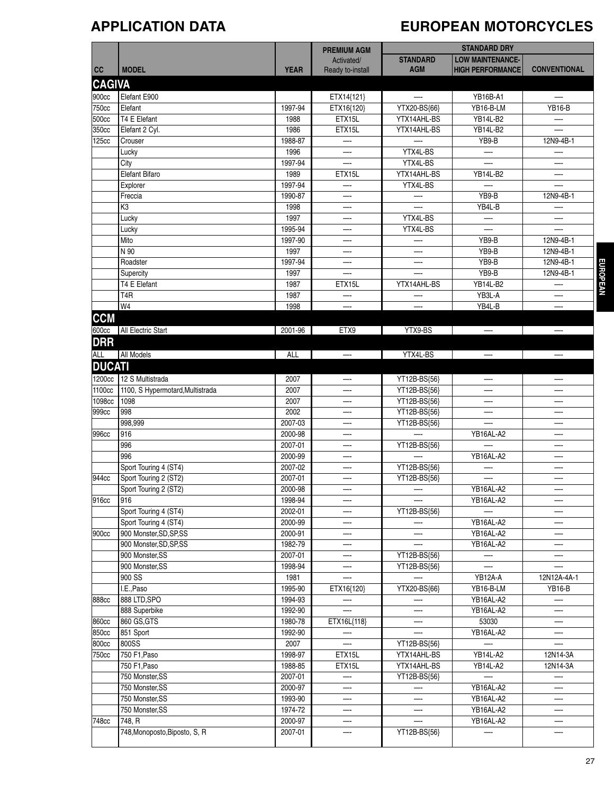# **APPLICATION DATA EUROPEAN MOTORCYCLES**

|               |                                  |             |                                |                          | <b>STANDARD DRY</b>     |                          |
|---------------|----------------------------------|-------------|--------------------------------|--------------------------|-------------------------|--------------------------|
|               |                                  |             | <b>PREMIUM AGM</b>             | <b>STANDARD</b>          | <b>LOW MAINTENANCE-</b> |                          |
| cc            | <b>MODEL</b>                     | <b>YEAR</b> | Activated/<br>Ready to-install | <b>AGM</b>               | <b>HIGH PERFORMANCE</b> | <b>CONVENTIONAL</b>      |
|               |                                  |             |                                |                          |                         |                          |
| <b>CAGIVA</b> |                                  |             |                                |                          |                         |                          |
| 900cc         | Elefant E900                     |             | ETX14{121}                     | $\overline{\phantom{0}}$ | YB16B-A1                |                          |
| 750cc         | Elefant                          | 1997-94     | ETX16{120}                     | YTX20-BS{66}             | YB16-B-LM               | <b>YB16-B</b>            |
| 500cc         | T4 E Elefant                     | 1988        | ETX15L                         | YTX14AHL-BS              | YB14L-B2                |                          |
| 350cc         | Elefant 2 Cyl.                   | 1986        | ETX15L                         | YTX14AHL-BS              | YB14L-B2                |                          |
| 125cc         | Crouser                          | 1988-87     |                                |                          | YB9-B                   | 12N9-4B-1                |
|               | Lucky                            | 1996        |                                | YTX4L-BS                 |                         |                          |
|               | City                             | 1997-94     |                                | YTX4L-BS                 |                         |                          |
|               | Elefant Bifaro                   | 1989        | ETX15L                         | YTX14AHL-BS              | <b>YB14L-B2</b>         | —                        |
|               | Explorer                         | 1997-94     |                                | YTX4L-BS                 |                         |                          |
|               | Freccia                          | 1990-87     |                                |                          | YB9-B                   | 12N9-4B-1                |
|               | K3                               | 1998        | —-                             |                          | YB4L-B                  |                          |
|               | Lucky                            | 1997        |                                | YTX4L-BS                 |                         |                          |
|               | Lucky                            | 1995-94     |                                | YTX4L-BS                 |                         |                          |
|               | Mito                             | 1997-90     | —-                             |                          | YB9-B                   | 12N9-4B-1                |
|               | N 90                             | 1997        |                                |                          | YB9-B                   | 12N9-4B-1                |
|               | Roadster                         | 1997-94     |                                |                          | YB9-B                   | 12N9-4B-1                |
|               | Supercity                        | 1997        |                                | —-                       | YB9-B                   | 12N9-4B-1                |
|               | T4 E Elefant                     | 1987        | ETX15L                         | YTX14AHL-BS              | <b>YB14L-B2</b>         |                          |
|               | T <sub>4</sub> R                 | 1987        |                                |                          | YB3L-A                  |                          |
|               | W4                               | 1998        |                                | —-                       | YB4L-B                  | —                        |
| <b>CCM</b>    |                                  |             |                                |                          |                         |                          |
| 600cc         | All Electric Start               | 2001-96     | ETX9                           | YTX9-BS                  | $-\cdot$                | $\overline{\phantom{0}}$ |
| <b>DRR</b>    |                                  |             |                                |                          |                         |                          |
| <b>ALL</b>    | <b>All Models</b>                | ALL         | $\overline{\phantom{0}}$       | YTX4L-BS                 | $-\cdot$                | $-$                      |
| <b>DUCATI</b> |                                  |             |                                |                          |                         |                          |
|               |                                  |             |                                |                          |                         |                          |
| 1200cc        | 12 S Multistrada                 | 2007        |                                | YT12B-BS{56}             |                         |                          |
| 1100cc        | 1100, S Hypermotard, Multistrada | 2007        |                                | YT12B-BS{56}             |                         |                          |
| 1098cc        | 1098                             | 2007        |                                | YT12B-BS{56}             | —-                      | —-                       |
| 999cc         | 998                              | 2002        |                                | YT12B-BS{56}             |                         |                          |
|               | 998,999                          | 2007-03     |                                | YT12B-BS{56}             |                         |                          |
| 996cc         | 916                              | 2000-98     | —-                             |                          | YB16AL-A2               | —-                       |
|               | 996                              | 2007-01     |                                | YT12B-BS{56}             |                         |                          |
|               | 996                              | 2000-99     |                                |                          | YB16AL-A2               |                          |
|               | Sport Touring 4 (ST4)            | 2007-02     | —-                             | YT12B-BS{56}             |                         |                          |
| 944cc         | Sport Touring 2 (ST2)            | 2007-01     |                                | YT12B-BS{56}             |                         |                          |
|               | Sport Touring 2 (ST2)            | 2000-98     |                                |                          | YB16AL-A2               |                          |
| 916cc         | 916                              | 1998-94     |                                |                          | YB16AL-A2               |                          |
|               | Sport Touring 4 (ST4)            | 2002-01     |                                | YT12B-BS{56}             |                         | —                        |
|               | Sport Touring 4 (ST4)            | 2000-99     |                                |                          | YB16AL-A2               | —-                       |
| 900cc         | 900 Monster, SD, SP, SS          | 2000-91     |                                | —-                       | YB16AL-A2               | —-                       |
|               | 900 Monster, SD, SP, SS          | 1982-79     |                                |                          | YB16AL-A2               | —-                       |
|               | 900 Monster, SS                  | 2007-01     |                                | YT12B-BS{56}             | —-                      |                          |
|               | 900 Monster, SS                  | 1998-94     |                                | YT12B-BS{56}             |                         |                          |
|               | 900 SS                           | 1981        | L.                             |                          | YB12A-A                 | 12N12A-4A-1              |
|               | I.E., Paso                       | 1995-90     | ETX16{120}                     | YTX20-BS{66}             | YB16-B-LM               | <b>YB16-B</b>            |
| 888cc         | 888 LTD, SPO                     | 1994-93     |                                |                          | YB16AL-A2               |                          |
|               | 888 Superbike                    | 1992-90     |                                |                          | YB16AL-A2               | —-                       |
| 860cc         | 860 GS, GTS                      | 1980-78     | ETX16L{118}                    |                          | 53030                   | —-                       |
| 850cc         | 851 Sport                        | 1992-90     |                                |                          | YB16AL-A2               |                          |
| 800cc         | 800SS                            | 2007        | $\overline{\phantom{0}}$       | YT12B-BS{56}             |                         | $\overline{\phantom{0}}$ |
| 750cc         | 750 F1, Paso                     | 1998-97     | ETX15L                         | YTX14AHL-BS              | YB14L-A2                | 12N14-3A                 |
|               | 750 F1, Paso                     | 1988-85     | ETX15L                         | YTX14AHL-BS              | <b>YB14L-A2</b>         | 12N14-3A                 |
|               | 750 Monster, SS                  | 2007-01     |                                | YT12B-BS{56}             |                         | —                        |
|               | 750 Monster, SS                  | 2000-97     |                                |                          | YB16AL-A2               | —-                       |
|               | 750 Monster, SS                  | 1993-90     |                                |                          | YB16AL-A2               | —                        |
|               | 750 Monster, SS                  | 1974-72     | —-                             |                          | YB16AL-A2               | —-                       |
| 748cc         | 748, R                           | 2000-97     |                                |                          | YB16AL-A2               | —-                       |
|               | 748, Monoposto, Biposto, S, R    | 2007-01     | —-                             | YT12B-BS{56}             |                         |                          |
|               |                                  |             |                                |                          |                         |                          |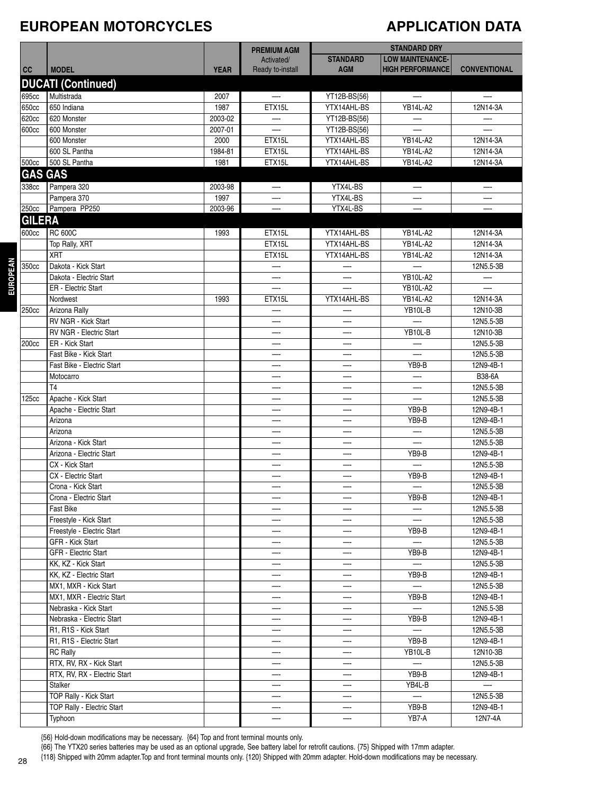#### **EUROPEAN MOTORCYCLES**

#### **APPLICATION DATA**

|                   |                                                |             | <b>PREMIUM AGM</b>       |                          | <b>STANDARD DRY</b>      |                        |
|-------------------|------------------------------------------------|-------------|--------------------------|--------------------------|--------------------------|------------------------|
|                   |                                                |             | Activated/               | <b>STANDARD</b>          | <b>LOW MAINTENANCE-</b>  |                        |
| cc                | <b>MODEL</b>                                   | <b>YEAR</b> | Ready to-install         | <b>AGM</b>               | <b>HIGH PERFORMANCE</b>  | <b>CONVENTIONAL</b>    |
|                   | <b>DUCATI (Continued)</b>                      |             |                          |                          |                          |                        |
| 695cc             | Multistrada                                    | 2007        | $\overline{\phantom{m}}$ | YT12B-BS{56}             | $-\cdot$                 | $-\cdot$               |
| 650cc             | 650 Indiana                                    | 1987        | ETX15L                   | YTX14AHL-BS              | <b>YB14L-A2</b>          | 12N14-3A               |
| 620cc             | 620 Monster                                    | 2003-02     | —                        | YT12B-BS{56}             | $-\cdot$                 | —                      |
| 600cc             | 600 Monster                                    | 2007-01     |                          | YT12B-BS{56}             |                          |                        |
|                   | 600 Monster                                    | 2000        | ETX15L                   | YTX14AHL-BS              | <b>YB14L-A2</b>          | 12N14-3A               |
|                   | 600 SL Pantha                                  | 1984-81     | ETX15L                   | YTX14AHL-BS              | <b>YB14L-A2</b>          | 12N14-3A               |
| 500cc             | 500 SL Pantha                                  | 1981        | ETX15L                   | YTX14AHL-BS              | YB14L-A2                 | 12N14-3A               |
| <b>GAS GAS</b>    |                                                |             |                          |                          |                          |                        |
| 338cc             | Pampera 320                                    | 2003-98     | -                        | YTX4L-BS                 | —                        | —                      |
|                   | Pampera 370                                    | 1997        |                          | YTX4L-BS                 |                          |                        |
| 250cc             | Pampera PP250                                  | 2003-96     | —-                       | YTX4L-BS                 | —-                       |                        |
| <b>GILERA</b>     |                                                |             |                          |                          |                          |                        |
| 600cc             | <b>RC 600C</b>                                 | 1993        | ETX15L                   | YTX14AHL-BS              | <b>YB14L-A2</b>          | 12N14-3A               |
|                   | Top Rally, XRT                                 |             | ETX15L                   | YTX14AHL-BS              | <b>YB14L-A2</b>          | 12N14-3A               |
|                   | <b>XRT</b>                                     |             | ETX15L                   | YTX14AHL-BS              | <b>YB14L-A2</b>          | 12N14-3A               |
| 350cc             | Dakota - Kick Start                            |             |                          |                          |                          | 12N5.5-3B              |
|                   | Dakota - Electric Start                        |             |                          |                          | <b>YB10L-A2</b>          | —-                     |
|                   | ER - Electric Start                            |             |                          |                          | <b>YB10L-A2</b>          |                        |
|                   | Nordwest                                       | 1993        | ETX15L                   | YTX14AHL-BS              | <b>YB14L-A2</b>          | 12N14-3A               |
| 250cc             | Arizona Rally                                  |             |                          |                          | YB10L-B                  | 12N10-3B               |
|                   | RV NGR - Kick Start                            |             |                          |                          |                          | 12N5.5-3B              |
|                   | RV NGR - Electric Start                        |             | —                        | —                        | YB10L-B                  | 12N10-3B               |
| 200cc             | ER - Kick Start                                |             | —                        |                          |                          | 12N5.5-3B              |
|                   | Fast Bike - Kick Start                         |             | —-                       | —                        |                          | 12N5.5-3B              |
|                   | Fast Bike - Electric Start                     |             | —-                       |                          | YB9-B                    | 12N9-4B-1              |
|                   | Motocarro                                      |             |                          |                          | —                        | B38-6A                 |
|                   | T <sub>4</sub>                                 |             |                          |                          |                          | 12N5.5-3B              |
| 125 <sub>cc</sub> | Apache - Kick Start                            |             | —-                       | —                        | —-                       | 12N5.5-3B              |
|                   | Apache - Electric Start                        |             |                          |                          | YB9-B                    | 12N9-4B-1              |
|                   | Arizona                                        |             | —-                       |                          | YB9-B                    | 12N9-4B-1              |
|                   | Arizona                                        |             |                          |                          | —-                       | 12N5.5-3B              |
|                   | Arizona - Kick Start                           |             |                          |                          |                          | 12N5.5-3B              |
|                   | Arizona - Electric Start                       |             |                          |                          | YB9-B                    | 12N9-4B-1              |
|                   | CX - Kick Start                                |             | —-                       | —                        | $\overline{\phantom{0}}$ | 12N5.5-3B              |
|                   | CX - Electric Start                            |             |                          |                          | YB9-B                    | 12N9-4B-1              |
|                   | Crona - Kick Start                             |             | —-                       |                          |                          | 12N5.5-3B              |
|                   | Crona - Electric Start                         |             |                          |                          | YB9-B                    | 12N9-4B-1              |
|                   | Fast Bike                                      |             |                          |                          |                          | 12N5.5-3B              |
|                   | Freestyle - Kick Start                         |             |                          |                          | —-                       | 12N5.5-3B              |
|                   | Freestyle - Electric Start<br>GFR - Kick Start |             | —-                       | —<br>—                   | YB9-B                    | 12N9-4B-1<br>12N5.5-3B |
|                   | GFR - Electric Start                           |             | —-                       |                          | YB9-B                    | 12N9-4B-1              |
|                   | KK, KZ - Kick Start                            |             | —-                       | —                        | —                        | 12N5.5-3B              |
|                   | KK, KZ - Electric Start                        |             |                          |                          | YB9-B                    | 12N9-4B-1              |
|                   | MX1, MXR - Kick Start                          |             |                          |                          |                          | 12N5.5-3B              |
|                   | MX1, MXR - Electric Start                      |             |                          | —                        | YB9-B                    | 12N9-4B-1              |
|                   | Nebraska - Kick Start                          |             |                          |                          |                          | 12N5.5-3B              |
|                   | Nebraska - Electric Start                      |             | ---                      | —-                       | YB9-B                    | 12N9-4B-1              |
|                   | R1, R1S - Kick Start                           |             |                          |                          | —                        | 12N5.5-3B              |
|                   | R1, R1S - Electric Start                       |             |                          |                          | YB9-B                    | 12N9-4B-1              |
|                   | <b>RC Rally</b>                                |             |                          |                          | YB10L-B                  | 12N10-3B               |
|                   | RTX, RV, RX - Kick Start                       |             |                          | —-                       |                          | 12N5.5-3B              |
|                   | RTX, RV, RX - Electric Start                   |             |                          | $\overline{\phantom{0}}$ | YB9-B                    | 12N9-4B-1              |
|                   | Stalker                                        |             | $-\cdot$                 | —-                       | YB4L-B                   | —-                     |
|                   | TOP Rally - Kick Start                         |             | —-                       |                          | $\overline{\phantom{0}}$ | 12N5.5-3B              |
|                   | TOP Rally - Electric Start                     |             |                          |                          | YB9-B                    | 12N9-4B-1              |
|                   | Typhoon                                        |             |                          |                          | YB7-A                    | 12N7-4A                |

{56} Hold-down modifications may be necessary. {64} Top and front terminal mounts only.

{66} The YTX20 series batteries may be used as an optional upgrade, See battery label for retrofit cautions. {75} Shipped with 17mm adapter.

{118} Shipped with 20mm adapter.Top and front terminal mounts only. {120} Shipped with 20mm adapter. Hold-down modifications may be necessary.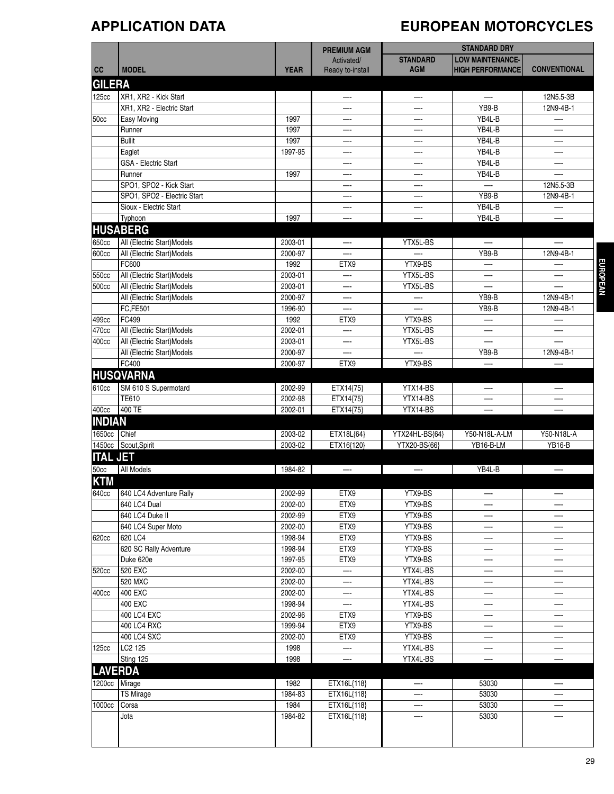# **APPLICATION DATA EUROPEAN MOTORCYCLES**

|                 |                             |             | <b>PREMIUM AGM</b>       |                 | <b>STANDARD DRY</b>      |                     |
|-----------------|-----------------------------|-------------|--------------------------|-----------------|--------------------------|---------------------|
|                 |                             |             | Activated/               | <b>STANDARD</b> | <b>LOW MAINTENANCE-</b>  |                     |
| cc              | <b>MODEL</b>                | <b>YEAR</b> | Ready to-install         | <b>AGM</b>      | <b>HIGH PERFORMANCE</b>  | <b>CONVENTIONAL</b> |
| <b>GILERA</b>   |                             |             |                          |                 |                          |                     |
| 125cc           | XR1, XR2 - Kick Start       |             | —                        | —               | $\overline{\phantom{0}}$ | 12N5.5-3B           |
|                 | XR1, XR2 - Electric Start   |             |                          |                 | YB9-B                    | 12N9-4B-1           |
| 50cc            | Easy Moving                 | 1997        |                          |                 | YB4L-B                   | —-                  |
|                 | Runner                      | 1997        |                          |                 | YB4L-B                   |                     |
|                 | <b>Bullit</b>               | 1997        |                          |                 | YB4L-B                   | —-                  |
|                 | Eaglet                      | 1997-95     | --                       | —-              | YB4L-B                   | —-                  |
|                 | GSA - Electric Start        |             | —                        |                 | YB4L-B                   | —                   |
|                 | Runner                      | 1997        | —-                       | —-              | YB4L-B                   |                     |
|                 | SPO1, SPO2 - Kick Start     |             | —-                       |                 | $-$                      | 12N5.5-3B           |
|                 | SPO1, SPO2 - Electric Start |             |                          |                 | YB9-B                    | 12N9-4B-1           |
|                 | Sioux - Electric Start      |             |                          |                 | YB4L-B                   |                     |
|                 | Typhoon                     | 1997        | —-                       | —-              | YB4L-B                   | —                   |
|                 | <b>HUSABERG</b>             |             |                          |                 |                          |                     |
| 650cc           | All (Electric Start)Models  | 2003-01     | $-\cdot$                 | YTX5L-BS        | $\overline{\phantom{a}}$ |                     |
| 600cc           | All (Electric Start)Models  | 2000-97     |                          |                 | YB9-B                    | 12N9-4B-1           |
|                 | FC600                       | 1992        | ETX9                     | YTX9-BS         |                          |                     |
| 550cc           | All (Electric Start)Models  | 2003-01     | —-                       | YTX5L-BS        | —.                       | —-                  |
| 500cc           | All (Electric Start)Models  | 2003-01     |                          | YTX5L-BS        |                          |                     |
|                 | All (Electric Start)Models  | 2000-97     |                          |                 | YB9-B                    | 12N9-4B-1           |
|                 | FC,FE501                    | 1996-90     | —                        |                 | YB9-B                    | 12N9-4B-1           |
| 499cc           | FC499                       | 1992        | ETX9                     | YTX9-BS         | —                        |                     |
| 470cc           | All (Electric Start)Models  | 2002-01     | —                        | YTX5L-BS        | —-                       | —                   |
| 400cc           | All (Electric Start)Models  | 2003-01     | —-                       | YTX5L-BS        | —-                       |                     |
|                 | All (Electric Start) Models | 2000-97     |                          |                 | YB9-B                    | 12N9-4B-1           |
|                 | FC400                       | 2000-97     | ETX9                     | YTX9-BS         |                          |                     |
|                 | <b>HUSQVARNA</b>            |             |                          |                 |                          |                     |
| 610cc           | SM 610 S Supermotard        | 2002-99     | ETX14{75}                | YTX14-BS        |                          |                     |
|                 | <b>TE610</b>                | 2002-98     | ETX14{75}                | YTX14-BS        |                          |                     |
| 400cc           | $400$ TE                    | 2002-01     | ETX14{75}                | YTX14-BS        |                          |                     |
| <b>INDIAN</b>   |                             |             |                          |                 |                          |                     |
| 1650cc          | <b>Chief</b>                | 2003-02     | ETX18L{64}               | YTX24HL-BS{64}  | Y50-N18L-A-LM            | Y50-N18L-A          |
|                 | 1450cc Scout, Spirit        | 2003-02     | ETX16{120}               | YTX20-BS{66}    | YB16-B-LM                | <b>YB16-B</b>       |
| <b>ITAL JET</b> |                             |             |                          |                 |                          |                     |
| 50cc            | <b>All Models</b>           | 1984-82     | $\overline{\phantom{a}}$ | $-$             | YB4L-B                   | $-\cdot$            |
| <b>KTM</b>      |                             |             |                          |                 |                          |                     |
| 640cc           | 640 LC4 Adventure Rally     | 2002-99     | ETX9                     | YTX9-BS         |                          |                     |
|                 | 640 LC4 Dual                | 2002-00     | ETX9                     | YTX9-BS         |                          |                     |
|                 | 640 LC4 Duke II             | 2002-99     | ETX9                     | YTX9-BS         |                          |                     |
|                 | 640 LC4 Super Moto          | 2002-00     | ETX9                     | YTX9-BS         |                          |                     |
| 620cc           | 620 LC4                     | 1998-94     | ETX9                     | YTX9-BS         | —-                       | —-                  |
|                 | 620 SC Rally Adventure      | 1998-94     | ETX9                     | YTX9-BS         |                          | —-                  |
|                 | Duke 620e                   | 1997-95     | ETX9                     | YTX9-BS         | —-                       | —-                  |
| 520cc           | 520 EXC                     | 2002-00     | —-                       | YTX4L-BS        |                          | —-                  |
|                 | 520 MXC                     | 2002-00     |                          | YTX4L-BS        |                          | —-                  |
| 400cc           | 400 EXC                     | 2002-00     |                          | YTX4L-BS        |                          |                     |
|                 | 400 EXC                     | 1998-94     | $\overline{\phantom{0}}$ | YTX4L-BS        |                          |                     |
|                 | 400 LC4 EXC                 | 2002-96     | ETX9                     | YTX9-BS         | —-                       | —                   |
|                 | 400 LC4 RXC                 | 1999-94     | ETX9                     | YTX9-BS         | —-                       | —                   |
|                 | 400 LC4 SXC                 | 2002-00     | ETX9                     | YTX9-BS         |                          |                     |
| 125cc           | LC2 125                     | 1998        |                          | YTX4L-BS        |                          |                     |
|                 | Sting 125                   | 1998        |                          | YTX4L-BS        |                          |                     |
| <b>LAVERDA</b>  |                             |             |                          |                 |                          |                     |
|                 | 1200cc Mirage               | 1982        | ETX16L{118}              |                 | 53030                    |                     |
|                 | <b>TS Mirage</b>            | 1984-83     | ETX16L{118}              |                 | 53030                    |                     |
| 1000cc          | Corsa                       | 1984        | ETX16L{118}              |                 | 53030                    |                     |
|                 | Jota                        | 1984-82     | ETX16L{118}              |                 | 53030                    |                     |
|                 |                             |             |                          |                 |                          |                     |
|                 |                             |             |                          |                 |                          |                     |
|                 |                             |             |                          |                 |                          |                     |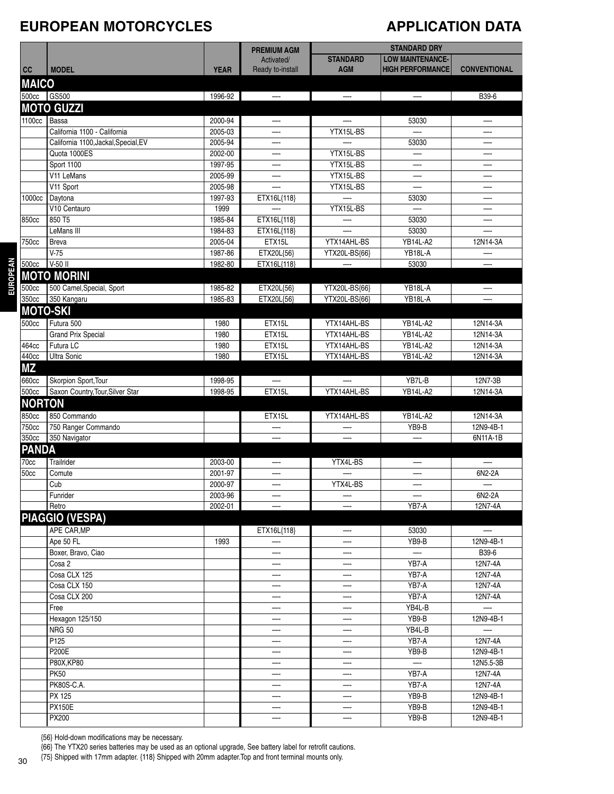#### **EUROPEAN MOTORCYCLES**

## **APPLICATION DATA**

|               |                                      |             |                                  |                 | <b>STANDARD DRY</b>      |                          |
|---------------|--------------------------------------|-------------|----------------------------------|-----------------|--------------------------|--------------------------|
|               |                                      |             | <b>PREMIUM AGM</b><br>Activated/ | <b>STANDARD</b> | <b>LOW MAINTENANCE-</b>  |                          |
| cc            | <b>MODEL</b>                         | <b>YEAR</b> | Ready to-install                 | <b>AGM</b>      | <b>HIGH PERFORMANCE</b>  | <b>CONVENTIONAL</b>      |
| <b>MAICO</b>  |                                      |             |                                  |                 |                          |                          |
| 500cc         | GS500                                | 1996-92     |                                  |                 |                          | B39-6                    |
|               | <b>MOTO GUZZI</b>                    |             |                                  |                 |                          |                          |
| 1100cc        | Bassa                                | 2000-94     |                                  |                 | 53030                    | —.                       |
|               | California 1100 - California         | 2005-03     | —-                               | YTX15L-BS       |                          |                          |
|               | California 1100, Jackal, Special, EV | 2005-94     |                                  |                 | 53030                    |                          |
|               | Quota 1000ES                         | 2002-00     |                                  | YTX15L-BS       | —-                       | —-                       |
|               | Sport 1100                           | 1997-95     |                                  | YTX15L-BS       | —                        |                          |
|               | V11 LeMans                           | 2005-99     |                                  | YTX15L-BS       | —-                       |                          |
|               | V11 Sport                            | 2005-98     |                                  | YTX15L-BS       | —.                       |                          |
| 1000cc        | Daytona                              | 1997-93     | ETX16L{118}                      |                 | 53030                    |                          |
|               | V10 Centauro                         | 1999        |                                  | YTX15L-BS       |                          |                          |
| 850cc         | 850 T5                               | 1985-84     | ETX16L{118}                      |                 | 53030                    | —-                       |
|               | LeMans III                           | 1984-83     | ETX16L{118}                      |                 | 53030                    |                          |
| 750cc         | <b>Breva</b>                         | 2005-04     | ETX15L                           | YTX14AHL-BS     | <b>YB14L-A2</b>          | 12N14-3A                 |
|               | $V-75$                               | 1987-86     | ETX20L{56}                       | YTX20L-BS{66}   | YB18L-A                  |                          |
| 500cc         | V-50 II                              | 1982-80     | ETX16L{118}                      |                 | 53030                    |                          |
|               | <b>MOTO MORINI</b>                   |             |                                  |                 |                          |                          |
| 500cc         | 500 Camel, Special, Sport            | 1985-82     | ETX20L{56}                       | YTX20L-BS{66}   | YB18L-A                  |                          |
| 350cc         | 350 Kangaru                          | 1985-83     | ETX20L{56}                       | YTX20L-BS{66}   | YB18L-A                  |                          |
|               | <b>MOTO-SKI</b>                      |             |                                  |                 |                          |                          |
|               |                                      |             |                                  |                 |                          |                          |
| 500cc         | Futura 500                           | 1980        | ETX15L                           | YTX14AHL-BS     | YB14L-A2                 | 12N14-3A                 |
|               | <b>Grand Prix Special</b>            | 1980        | ETX15L                           | YTX14AHL-BS     | <b>YB14L-A2</b>          | 12N14-3A                 |
| 464cc         | Futura LC                            | 1980        | ETX15L                           | YTX14AHL-BS     | <b>YB14L-A2</b>          | 12N14-3A                 |
| 440cc         | Ultra Sonic                          | 1980        | ETX15L                           | YTX14AHL-BS     | <b>YB14L-A2</b>          | 12N14-3A                 |
| <b>MZ</b>     |                                      |             |                                  |                 |                          |                          |
| 660cc         | Skorpion Sport, Tour                 | 1998-95     | —-                               |                 | YB7L-B                   | 12N7-3B                  |
| 500cc         | Saxon Country, Tour, Silver Star     | 1998-95     | ETX15L                           | YTX14AHL-BS     | YB14L-A2                 | 12N14-3A                 |
| <b>NORTON</b> |                                      |             |                                  |                 |                          |                          |
| 850cc         | 850 Commando                         |             | ETX15L                           | YTX14AHL-BS     | <b>YB14L-A2</b>          | 12N14-3A                 |
| <b>750cc</b>  | 750 Ranger Commando                  |             |                                  |                 | YB9-B                    | 12N9-4B-1                |
| 350cc         | 350 Navigator                        |             |                                  |                 |                          | 6N11A-1B                 |
| <b>PANDA</b>  |                                      |             |                                  |                 |                          |                          |
| 70cc          | Trailrider                           | 2003-00     |                                  | YTX4L-BS        |                          |                          |
| 50cc          | Comute                               | 2001-97     |                                  |                 |                          | 6N2-2A                   |
|               | $\overline{C}$ ub                    | 2000-97     |                                  | YTX4L-BS        |                          |                          |
|               | Funrider                             | 2003-96     |                                  |                 |                          | 6N2-2A                   |
|               | Retro                                | 2002-01     |                                  |                 | YB7-A                    | 12N7-4A                  |
|               | <b>PIAGGIO (VESPA)</b>               |             |                                  |                 |                          |                          |
|               | APE CAR, MP                          |             | ETX16L{118}                      |                 | 53030                    | $\overline{\phantom{0}}$ |
|               | Ape 50 FL                            | 1993        | —-                               |                 | YB9-B                    | 12N9-4B-1                |
|               | Boxer, Bravo, Ciao                   |             |                                  |                 | $\overline{\phantom{0}}$ | B39-6                    |
|               | Cosa 2                               |             |                                  |                 | YB7-A                    | 12N7-4A                  |
|               | Cosa CLX 125                         |             |                                  |                 | YB7-A                    | 12N7-4A                  |
|               | Cosa CLX 150                         |             | —-                               |                 | YB7-A                    | 12N7-4A                  |
|               | Cosa CLX 200                         |             | —-                               |                 | YB7-A                    | 12N7-4A                  |
|               | Free                                 |             | —-                               |                 | YB4L-B                   | $-\cdot$                 |
|               | Hexagon 125/150                      |             |                                  |                 | YB9-B                    | 12N9-4B-1                |
|               | <b>NRG 50</b>                        |             |                                  |                 | YB4L-B                   |                          |
|               | P125                                 |             | —-                               | —-              | YB7-A                    | 12N7-4A                  |
|               | <b>P200E</b>                         |             |                                  |                 | YB9-B                    | 12N9-4B-1                |
|               | P80X, KP80                           |             |                                  |                 |                          | 12N5.5-3B                |
|               | <b>PK50</b>                          |             |                                  |                 | YB7-A                    | 12N7-4A                  |
|               | PK80S-C.A.                           |             |                                  |                 | YB7-A                    | 12N7-4A                  |
|               | PX 125                               |             |                                  |                 | YB9-B                    | 12N9-4B-1                |
|               | <b>PX150E</b>                        |             | —-                               |                 | YB9-B                    | 12N9-4B-1                |
|               | PX200                                |             |                                  | —               | YB9-B                    | 12N9-4B-1                |

{56} Hold-down modifications may be necessary.

{66} The YTX20 series batteries may be used as an optional upgrade, See battery label for retrofit cautions.

{75} Shipped with 17mm adapter. {118} Shipped with 20mm adapter.Top and front terminal mounts only.

**EUROPEAN**

**EUROPEAN**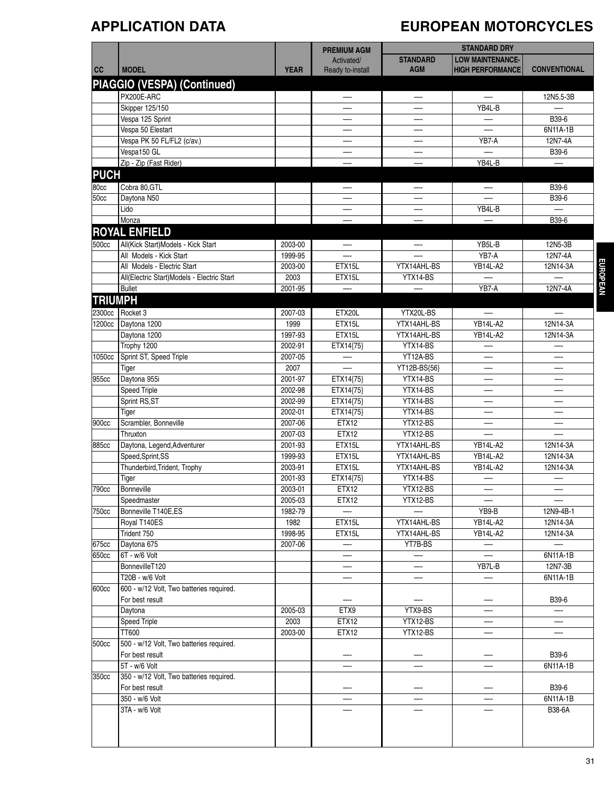# **APPLICATION DATA EUROPEAN MOTORCYCLES**

|                |                                            |             | <b>PREMIUM AGM</b> |                 | <b>STANDARD DRY</b>      |                          |
|----------------|--------------------------------------------|-------------|--------------------|-----------------|--------------------------|--------------------------|
|                |                                            |             | Activated/         | <b>STANDARD</b> | <b>LOW MAINTENANCE-</b>  |                          |
| cc             | <b>MODEL</b>                               | <b>YEAR</b> | Ready to-install   | <b>AGM</b>      | <b>HIGH PERFORMANCE</b>  | <b>CONVENTIONAL</b>      |
|                | PIAGGIO (VESPA) (Continued)                |             |                    |                 |                          |                          |
|                | PX200E-ARC                                 |             |                    |                 | —-                       |                          |
|                |                                            |             | —-                 | —-              | YB4L-B                   | 12N5.5-3B                |
|                | Skipper 125/150<br>Vespa 125 Sprint        |             |                    |                 |                          | B39-6                    |
|                | Vespa 50 Elestart                          |             |                    |                 |                          | 6N11A-1B                 |
|                |                                            |             |                    |                 | YB7-A                    | 12N7-4A                  |
|                | Vespa PK 50 FL/FL2 (c/av.)<br>Vespa150 GL  |             |                    |                 |                          | B39-6                    |
|                | Zip - Zip (Fast Rider)                     |             |                    |                 | YB4L-B                   |                          |
| <b>PUCH</b>    |                                            |             |                    |                 |                          |                          |
|                |                                            |             |                    |                 |                          |                          |
| 80cc           | Cobra 80, GTL                              |             | —-                 | —               | $-\cdot$                 | B39-6                    |
| 50cc           | Daytona N50                                |             |                    |                 |                          | B39-6                    |
|                | Lido                                       |             |                    |                 | YB4L-B                   | —                        |
|                | Monza                                      |             |                    |                 |                          | B39-6                    |
|                | <b>ROYAL ENFIELD</b>                       |             |                    |                 |                          |                          |
| 500cc          | All(Kick Start)Models - Kick Start         | 2003-00     |                    |                 | YB5L-B                   | 12N5-3B                  |
|                | All Models - Kick Start                    | 1999-95     |                    |                 | YB7-A                    | 12N7-4A                  |
|                | All Models - Electric Start                | 2003-00     | ETX15L             | YTX14AHL-BS     | <b>YB14L-A2</b>          | 12N14-3A                 |
|                | All(Electric Start)Models - Electric Start | 2003        | ETX15L             | YTX14-BS        |                          |                          |
|                | <b>Bullet</b>                              | 2001-95     |                    |                 | YB7-A                    | 12N7-4A                  |
| <b>TRIUMPH</b> |                                            |             |                    |                 |                          |                          |
| 2300cc         | Rocket 3                                   | 2007-03     | ETX20L             | YTX20L-BS       | —-                       |                          |
| 1200cc         | Daytona 1200                               | 1999        | ETX15L             | YTX14AHL-BS     | <b>YB14L-A2</b>          | 12N14-3A                 |
|                | Daytona 1200                               | 1997-93     | ETX15L             | YTX14AHL-BS     | <b>YB14L-A2</b>          | 12N14-3A                 |
|                | Trophy 1200                                | 2002-91     | ETX14{75}          | YTX14-BS        |                          |                          |
| 1050cc         | Sprint ST, Speed Triple                    | 2007-05     | —-                 | YT12A-BS        | —                        | —-                       |
|                | Tiger                                      | 2007        |                    | YT12B-BS{56}    |                          | —                        |
| 955cc          | Daytona 955i                               | 2001-97     | ETX14{75}          | YTX14-BS        | —-                       | —-                       |
|                | <b>Speed Triple</b>                        | 2002-98     | ETX14{75}          | YTX14-BS        |                          | —-                       |
|                | Sprint RS, ST                              | 2002-99     | ETX14{75}          | YTX14-BS        |                          |                          |
|                | Tiger                                      | 2002-01     | ETX14{75}          | YTX14-BS        | —-                       |                          |
| 900cc          | Scrambler, Bonneville                      | 2007-06     | ETX12              | YTX12-BS        | —-                       | —-                       |
|                | Thruxton                                   | 2007-03     | ETX12              | YTX12-BS        |                          |                          |
| 885cc          | Daytona, Legend, Adventurer                | 2001-93     | ETX15L             | YTX14AHL-BS     | <b>YB14L-A2</b>          | 12N14-3A                 |
|                | Speed, Sprint, SS                          | 1999-93     | ETX15L             | YTX14AHL-BS     | YB14L-A2                 | 12N14-3A                 |
|                | Thunderbird, Trident, Trophy               | 2003-91     | ETX15L             | YTX14AHL-BS     | <b>YB14L-A2</b>          | 12N14-3A                 |
|                | Tiger                                      | 2001-93     | ETX14{75}          | YTX14-BS        |                          |                          |
| 790cc          | Bonneville                                 | 2003-01     | ETX12              | YTX12-BS        |                          |                          |
|                | Speedmaster                                | 2005-03     | ETX12              | YTX12-BS        | $\overline{\phantom{0}}$ |                          |
| 750cc          | Bonneville T140E,ES                        | 1982-79     |                    |                 | YB9-B                    | 12N9-4B-1                |
|                | Royal T140ES                               | 1982        | ETX15L             | YTX14AHL-BS     | <b>YB14L-A2</b>          | 12N14-3A                 |
|                | Trident 750                                | 1998-95     | ETX15L             | YTX14AHL-BS     | YB14L-A2                 | 12N14-3A                 |
| 675cc          | Daytona 675                                | 2007-06     |                    | YT7B-BS         | $\overline{\phantom{m}}$ | $\overline{\phantom{0}}$ |
| 650cc          | 6T - w/6 Volt                              |             |                    | —               | —-                       | 6N11A-1B                 |
|                | BonnevilleT120                             |             | —-                 | —-              | YB7L-B                   | 12N7-3B                  |
|                | T20B - w/6 Volt                            |             | —-                 | —-              | —                        | 6N11A-1B                 |
| 600cc          | 600 - w/12 Volt, Two batteries required.   |             |                    |                 |                          |                          |
|                | For best result                            |             |                    |                 |                          | B39-6                    |
|                | Daytona                                    | 2005-03     | ETX9               | YTX9-BS         | —                        |                          |
|                | <b>Speed Triple</b>                        | 2003        | ETX12              | YTX12-BS        | —                        | —                        |
|                | TT600                                      | 2003-00     | ETX12              | YTX12-BS        |                          | —                        |
| 500cc          | 500 - w/12 Volt, Two batteries required.   |             |                    |                 |                          |                          |
|                | For best result                            |             |                    |                 |                          | B39-6                    |
|                | 5T - w/6 Volt                              |             |                    |                 |                          | 6N11A-1B                 |
| 350cc          | 350 - w/12 Volt, Two batteries required.   |             |                    |                 |                          |                          |
|                | For best result                            |             |                    |                 |                          | B39-6                    |
|                | 350 - w/6 Volt                             |             |                    |                 |                          | 6N11A-1B                 |
|                | 3TA - w/6 Volt                             |             |                    |                 |                          | B38-6A                   |
|                |                                            |             |                    |                 |                          |                          |
|                |                                            |             |                    |                 |                          |                          |
|                |                                            |             |                    |                 |                          |                          |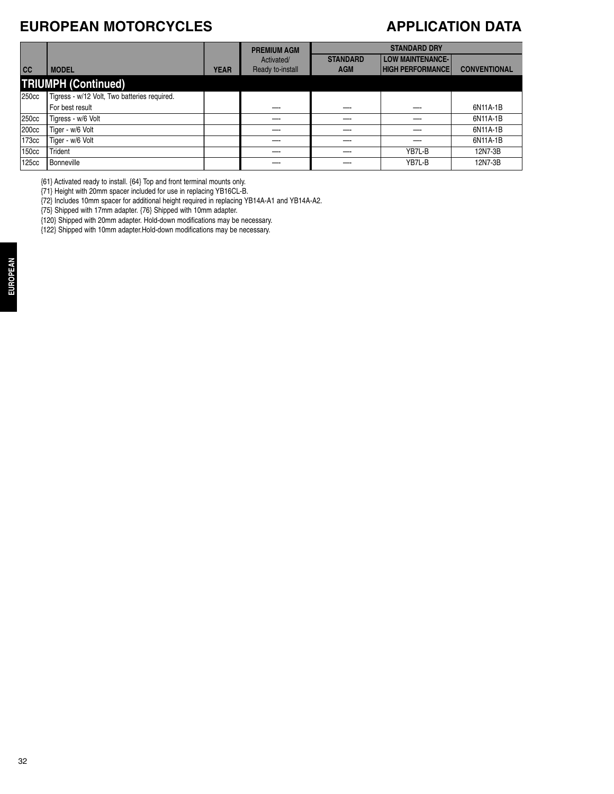### **EUROPEAN MOTORCYCLES**

#### **APPLICATION DATA**

|       |                                              |             | <b>PREMIUM AGM</b>             |                               | <b>STANDARD DRY</b>                                |                     |  |
|-------|----------------------------------------------|-------------|--------------------------------|-------------------------------|----------------------------------------------------|---------------------|--|
| cc    | <b>MODEL</b>                                 | <b>YEAR</b> | Activated/<br>Ready to-install | <b>STANDARD</b><br><b>AGM</b> | <b>LOW MAINTENANCE-</b><br><b>HIGH PERFORMANCE</b> | <b>CONVENTIONAL</b> |  |
|       | <b>TRIUMPH (Continued)</b>                   |             |                                |                               |                                                    |                     |  |
| 250cc | Tigress - w/12 Volt, Two batteries required. |             |                                |                               |                                                    |                     |  |
|       | For best result                              |             |                                |                               |                                                    | 6N11A-1B            |  |
| 250cc | Tigress - w/6 Volt                           |             |                                |                               |                                                    | 6N11A-1B            |  |
| 200cc | Tiger - w/6 Volt                             |             |                                |                               |                                                    | 6N11A-1B            |  |
| 173cc | Tiger - w/6 Volt                             |             |                                |                               |                                                    | 6N11A-1B            |  |
| 150cc | Trident                                      |             |                                |                               | YB7L-B                                             | 12N7-3B             |  |
| 125cc | <b>Bonneville</b>                            |             |                                |                               | YB7L-B                                             | 12N7-3B             |  |

{61} Activated ready to install. {64} Top and front terminal mounts only.

{71} Height with 20mm spacer included for use in replacing YB16CL-B.

{72} Includes 10mm spacer for additional height required in replacing YB14A-A1 and YB14A-A2.

{75} Shipped with 17mm adapter. {76} Shipped with 10mm adapter.

{120} Shipped with 20mm adapter. Hold-down modifications may be necessary.

{122} Shipped with 10mm adapter.Hold-down modifications may be necessary.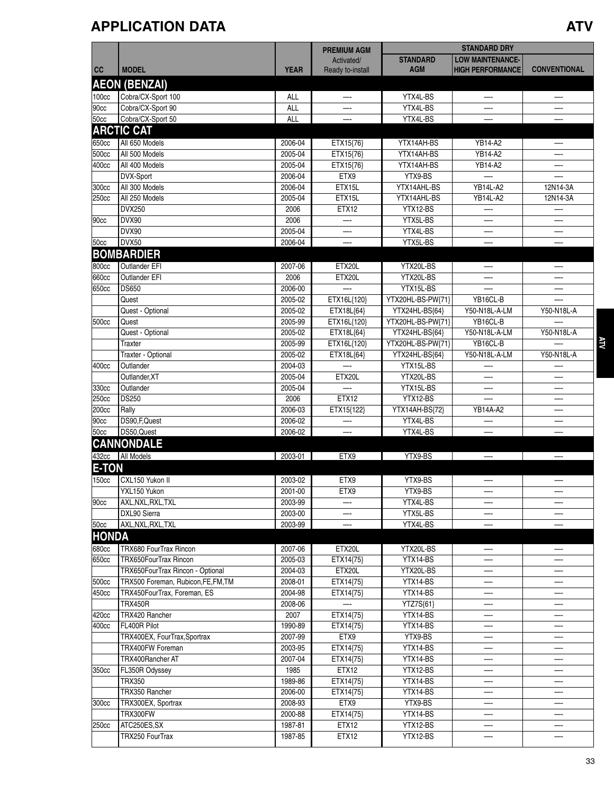## **APPLICATION DATA ATV**

|              |                                     |                    | <b>PREMIUM AGM</b>             |                               | <b>STANDARD DRY</b>                                |                      |            |
|--------------|-------------------------------------|--------------------|--------------------------------|-------------------------------|----------------------------------------------------|----------------------|------------|
| cc           | <b>MODEL</b>                        | <b>YEAR</b>        | Activated/<br>Ready to-install | <b>STANDARD</b><br><b>AGM</b> | <b>LOW MAINTENANCE-</b><br><b>HIGH PERFORMANCE</b> | <b>CONVENTIONAL</b>  |            |
|              |                                     |                    |                                |                               |                                                    |                      |            |
|              | <b>AEON (BENZAI)</b>                |                    |                                |                               |                                                    |                      |            |
| 100cc        | Cobra/CX-Sport 100                  | ALL                | —-                             | YTX4L-BS                      |                                                    |                      |            |
| 90cc         | Cobra/CX-Sport 90                   | <b>ALL</b>         |                                | YTX4L-BS                      |                                                    |                      |            |
| 50cc         | Cobra/CX-Sport 50                   | ALL                |                                | YTX4L-BS                      |                                                    |                      |            |
|              | <b>ARCTIC CAT</b>                   |                    |                                |                               |                                                    |                      |            |
| 650cc        | All 650 Models                      | 2006-04            | ETX15{76}                      | YTX14AH-BS                    | YB14-A2                                            |                      |            |
| 500cc        | All 500 Models                      | 2005-04            | ETX15{76}                      | YTX14AH-BS                    | YB14-A2                                            |                      |            |
| 400cc        | All 400 Models                      | 2005-04            | ETX15{76}                      | YTX14AH-BS                    | YB14-A2                                            |                      |            |
|              | DVX-Sport                           | 2006-04            | ETX9                           | YTX9-BS                       |                                                    |                      |            |
| 300cc        | All 300 Models<br>All 250 Models    | 2006-04<br>2005-04 | ETX15L                         | YTX14AHL-BS                   | <b>YB14L-A2</b><br>YB14L-A2                        | 12N14-3A<br>12N14-3A |            |
| 250cc        | <b>DVX250</b>                       | 2006               | ETX15L<br>ETX12                | YTX14AHL-BS<br>YTX12-BS       |                                                    |                      |            |
|              | DVX90                               | 2006               |                                | YTX5L-BS                      |                                                    |                      |            |
| 90cc         | DVX90                               | 2005-04            |                                |                               |                                                    |                      |            |
| 50cc         | DVX50                               | 2006-04            |                                | YTX4L-BS<br>YTX5L-BS          |                                                    |                      |            |
|              | <b>BOMBARDIER</b>                   |                    |                                |                               |                                                    |                      |            |
|              |                                     |                    |                                |                               |                                                    |                      |            |
| 800cc        | Outlander EFI                       | 2007-06            | ETX20L                         | YTX20L-BS                     | —                                                  | —-                   |            |
| 660cc        | Outlander EFI                       | 2006               | ETX20L                         | YTX20L-BS                     |                                                    |                      |            |
| 650cc        | <b>DS650</b>                        | 2006-00            |                                | YTX15L-BS                     |                                                    |                      |            |
|              | Quest                               | 2005-02            | ETX16L{120}                    | YTX20HL-BS-PW{71}             | YB16CL-B                                           |                      |            |
|              | Quest - Optional                    | 2005-02            | ETX18L{64}                     | YTX24HL-BS{64}                | Y50-N18L-A-LM                                      | Y50-N18L-A           |            |
| 500cc        | Quest                               | 2005-99            | ETX16L{120}                    | YTX20HL-BS-PW{71}             | YB16CL-B                                           |                      |            |
|              | Quest - Optional                    | 2005-02            | ETX18L{64}                     | YTX24HL-BS{64}                | Y50-N18L-A-LM                                      | Y50-N18L-A           |            |
|              | Traxter                             | 2005-99            | ETX16L{120}                    | YTX20HL-BS-PW{71}             | YB16CL-B                                           |                      | <b>ATN</b> |
|              | Traxter - Optional                  | 2005-02            | ETX18L{64}                     | YTX24HL-BS{64}                | Y50-N18L-A-LM                                      | Y50-N18L-A           |            |
| 400cc        | Outlander                           | 2004-03            |                                | YTX15L-BS                     |                                                    |                      |            |
|              | Outlander, XT                       | 2005-04            | ETX20L                         | YTX20L-BS                     |                                                    |                      |            |
| 330cc        | Outlander                           | 2005-04            |                                | YTX15L-BS                     |                                                    |                      |            |
| 250cc        | <b>DS250</b>                        | 2006               | <b>ETX12</b>                   | YTX12-BS                      |                                                    |                      |            |
| 200cc        | Rally                               | 2006-03            | ETX15{122}                     | YTX14AH-BS{72}                | YB14A-A2                                           |                      |            |
| 90cc         | DS90, F, Quest<br>DS50, Quest       | 2006-02            |                                | YTX4L-BS                      |                                                    |                      |            |
| 50cc         |                                     | 2006-02            |                                | YTX4L-BS                      |                                                    |                      |            |
|              | <b>CANNONDALE</b>                   |                    |                                |                               |                                                    |                      |            |
|              | 432cc   All Models                  | 2003-01            | ETX9                           | YTX9-BS                       |                                                    |                      |            |
| <b>E-TON</b> |                                     |                    |                                |                               |                                                    |                      |            |
| 150cc        | CXL150 Yukon II                     | 2003-02            | ETX9                           | YTX9-BS                       |                                                    |                      |            |
|              | YXL150 Yukon                        | 2001-00            | ETX9                           | YTX9-BS                       |                                                    |                      |            |
| 90cc         | AXL, NXL, RXL, TXL                  | 2003-99            |                                | YTX4L-BS                      |                                                    |                      |            |
|              | DXL90 Sierra                        | 2003-00            | —-                             | YTX5L-BS                      |                                                    |                      |            |
| 50cc         | AXL, NXL, RXL, TXL                  | 2003-99            |                                | YTX4L-BS                      |                                                    |                      |            |
| HONDA        |                                     |                    |                                |                               |                                                    |                      |            |
| 680cc        | TRX680 FourTrax Rincon              | 2007-06            | ETX20L                         | YTX20L-BS                     | —                                                  |                      |            |
| 650cc        | TRX650FourTrax Rincon               | 2005-03            | ETX14{75}                      | YTX14-BS                      |                                                    |                      |            |
|              | TRX650FourTrax Rincon - Optional    | 2004-03            | ETX20L                         | YTX20L-BS                     |                                                    |                      |            |
| 500cc        | TRX500 Foreman, Rubicon, FE, FM, TM | 2008-01            | ETX14{75}                      | YTX14-BS                      |                                                    |                      |            |
| 450cc        | TRX450FourTrax, Foreman, ES         | 2004-98            | ETX14{75}                      | YTX14-BS                      | —                                                  |                      |            |
|              | <b>TRX450R</b>                      | 2008-06            |                                | YTZ7S{61}                     | —-                                                 |                      |            |
| 420cc        | TRX420 Rancher                      | 2007               | ETX14{75}                      | YTX14-BS                      |                                                    |                      |            |
| 400cc        | FL400R Pilot                        | 1990-89            | ETX14{75}                      | YTX14-BS                      | —-                                                 |                      |            |
|              | TRX400EX, FourTrax, Sportrax        | 2007-99            | ETX9                           | YTX9-BS                       |                                                    |                      |            |
|              | TRX400FW Foreman                    | 2003-95            | ETX14{75}                      | YTX14-BS                      |                                                    |                      |            |
|              | TRX400Rancher AT                    | 2007-04            | ETX14{75}                      | YTX14-BS                      | —                                                  | —-                   |            |
| 350cc        | FL350R Odyssey                      | 1985               | ETX12                          | YTX12-BS                      | —-                                                 |                      |            |
|              | <b>TRX350</b>                       | 1989-86            | ETX14{75}                      | YTX14-BS                      |                                                    |                      |            |
|              | TRX350 Rancher                      | 2006-00            | ETX14{75}                      | YTX14-BS                      |                                                    |                      |            |
| 300cc        | TRX300EX, Sportrax                  | 2008-93            | ETX9                           | YTX9-BS                       |                                                    |                      |            |
|              | TRX300FW                            | 2000-88            | ETX14{75}                      | YTX14-BS                      |                                                    |                      |            |
| 250cc        | ATC250ES, SX                        | 1987-81            | <b>ETX12</b>                   | YTX12-BS                      |                                                    |                      |            |
|              | TRX250 FourTrax                     | 1987-85            | ETX12                          | YTX12-BS                      |                                                    |                      |            |
|              |                                     |                    |                                |                               |                                                    |                      |            |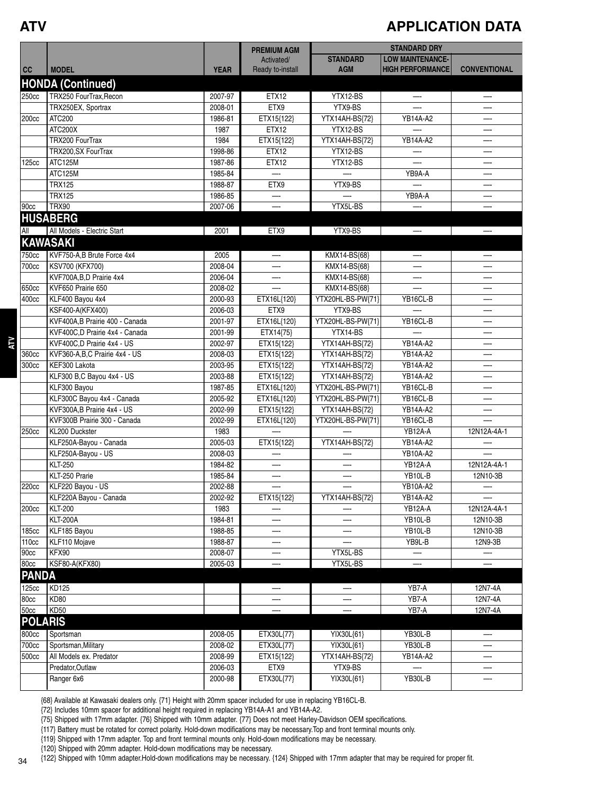**ATV**

**ATV**

#### **APPLICATION DATA**

|                   |                                 |             | <b>PREMIUM AGM</b> |                   | <b>STANDARD DRY</b>     |                     |
|-------------------|---------------------------------|-------------|--------------------|-------------------|-------------------------|---------------------|
|                   |                                 |             | Activated/         | <b>STANDARD</b>   | <b>LOW MAINTENANCE-</b> |                     |
| cc                | <b>MODEL</b>                    | <b>YEAR</b> | Ready to-install   | <b>AGM</b>        | <b>HIGH PERFORMANCE</b> | <b>CONVENTIONAL</b> |
|                   | <b>HONDA (Continued)</b>        |             |                    |                   |                         |                     |
| 250cc             | TRX250 FourTrax, Recon          | 2007-97     | ETX12              | YTX12-BS          |                         |                     |
|                   | TRX250EX, Sportrax              | 2008-01     | ETX9               | YTX9-BS           |                         |                     |
| 200cc             | ATC200                          | 1986-81     | ETX15{122}         | YTX14AH-BS{72}    | YB14A-A2                |                     |
|                   | ATC200X                         | 1987        | ETX12              | YTX12-BS          |                         |                     |
|                   | TRX200 FourTrax                 | 1984        | ETX15{122}         | YTX14AH-BS{72}    | <b>YB14A-A2</b>         |                     |
|                   | TRX200, SX FourTrax             | 1998-86     | ETX12              | YTX12-BS          |                         |                     |
| 125cc             | ATC125M                         | 1987-86     | ETX12              | YTX12-BS          |                         | —-                  |
|                   | ATC125M                         | 1985-84     |                    |                   | YB9A-A                  | —-                  |
|                   | <b>TRX125</b>                   | 1988-87     | ETX9               | YTX9-BS           |                         | —-                  |
|                   | <b>TRX125</b>                   | 1986-85     |                    |                   | YB9A-A                  |                     |
| 90cc              | <b>TRX90</b>                    | 2007-06     |                    | YTX5L-BS          |                         |                     |
|                   | <b>HUSABERG</b>                 |             |                    |                   |                         |                     |
| All               | All Models - Electric Start     | 2001        | ETX9               | YTX9-BS           |                         |                     |
|                   | <b>KAWASAKI</b>                 |             |                    |                   |                         |                     |
| 750cc             | KVF750-A,B Brute Force 4x4      | 2005        |                    | KMX14-BS{68}      |                         |                     |
| 700cc             | <b>KSV700 (KFX700)</b>          | 2008-04     |                    | KMX14-BS{68}      |                         |                     |
|                   | KVF700A, B, D Prairie 4x4       | 2006-04     | —-                 | KMX14-BS{68}      | —-                      | —-                  |
| 650cc             | KVF650 Prairie 650              | 2008-02     |                    | KMX14-BS{68}      |                         |                     |
| 400cc             | KLF400 Bayou 4x4                | 2000-93     | ETX16L{120}        | YTX20HL-BS-PW{71} | YB16CL-B                | —-                  |
|                   | KSF400-A(KFX400)                | 2006-03     | ETX9               | YTX9-BS           |                         | —-                  |
|                   | KVF400A, B Prairie 400 - Canada | 2001-97     | ETX16L{120}        | YTX20HL-BS-PW{71} | YB16CL-B                |                     |
|                   | KVF400C,D Prairie 4x4 - Canada  | 2001-99     | ETX14{75}          | YTX14-BS          |                         |                     |
|                   | KVF400C,D Prairie 4x4 - US      | 2002-97     | ETX15{122}         | YTX14AH-BS{72}    | YB14A-A2                | —-                  |
| 360cc             | KVF360-A,B,C Prairie 4x4 - US   | 2008-03     | ETX15{122}         | YTX14AH-BS{72}    | YB14A-A2                |                     |
| 300cc             | KEF300 Lakota                   | 2003-95     | ETX15{122}         | YTX14AH-BS{72}    | YB14A-A2                | —                   |
|                   | KLF300 B,C Bayou 4x4 - US       | 2003-88     | ETX15{122}         | YTX14AH-BS{72}    | YB14A-A2                | —-                  |
|                   | KLF300 Bayou                    | 1987-85     | ETX16L{120}        | YTX20HL-BS-PW{71} | YB16CL-B                |                     |
|                   | KLF300C Bayou 4x4 - Canada      | 2005-92     | ETX16L{120}        | YTX20HL-BS-PW{71} | YB16CL-B                |                     |
|                   | KVF300A, B Prairie 4x4 - US     | 2002-99     | ETX15{122}         | YTX14AH-BS{72}    | <b>YB14A-A2</b>         | —-                  |
|                   | KVF300B Prairie 300 - Canada    | 2002-99     | ETX16L{120}        | YTX20HL-BS-PW{71} | YB16CL-B                |                     |
| 250cc             | KL200 Duckster                  | 1983        |                    |                   | YB12A-A                 | 12N12A-4A-1         |
|                   | KLF250A-Bayou - Canada          | 2005-03     | ETX15{122}         | YTX14AH-BS{72}    | YB14A-A2                | —-                  |
|                   | KLF250A-Bayou - US              | 2008-03     |                    |                   | YB10A-A2                |                     |
|                   | <b>KLT-250</b>                  | 1984-82     |                    |                   | YB12A-A                 | 12N12A-4A-1         |
|                   | KLT-250 Prarie                  | 1985-84     | —-                 |                   | YB10L-B                 | 12N10-3B            |
| 220cc             | KLF220 Bayou - US               | 2002-88     |                    |                   | YB10A-A2                |                     |
|                   | KLF220A Bayou - Canada          | 2002-92     | ETX15{122}         | YTX14AH-BS{72}    | YB14A-A2                |                     |
| 200cc             | <b>KLT-200</b>                  | 1983        | —-                 |                   | YB12A-A                 | 12N12A-4A-1         |
|                   | <b>KLT-200A</b>                 | 1984-81     |                    |                   | YB10L-B                 | 12N10-3B            |
| 185cc             | KLF185 Bayou                    | 1988-85     |                    |                   | YB10L-B                 | 12N10-3B            |
| 110 <sub>cc</sub> | KLF110 Mojave                   | 1988-87     | —-                 |                   | YB9L-B                  | 12N9-3B             |
| 90cc              | KFX90                           | 2008-07     | —-                 | YTX5L-BS          |                         | —-                  |
| 80cc              | <b>KSF80-A(KFX80)</b>           | 2005-03     |                    | YTX5L-BS          |                         |                     |
| <b>PANDA</b>      |                                 |             |                    |                   |                         |                     |
| 125cc             | KD125                           |             | —-                 | —                 | YB7-A                   | 12N7-4A             |
| 80cc              | KD80                            |             |                    |                   | YB7-A                   | 12N7-4A             |
| 50 <sub>cc</sub>  | <b>KD50</b>                     |             |                    |                   | YB7-A                   | 12N7-4A             |
| <b>POLARIS</b>    |                                 |             |                    |                   |                         |                     |
| 800cc             | Sportsman                       | 2008-05     | ETX30L{77}         | YIX30L{61}        | YB30L-B                 |                     |
| <b>700cc</b>      | Sportsman, Military             | 2008-02     | ETX30L{77}         | YIX30L{61}        | YB30L-B                 |                     |
| 500cc             | All Models ex. Predator         | 2008-99     | ETX15{122}         | YTX14AH-BS{72}    | YB14A-A2                | —-                  |
|                   | Predator, Outlaw                | 2006-03     | ETX9               | YTX9-BS           |                         |                     |
|                   | Ranger 6x6                      | 2000-98     | ETX30L{77}         | YIX30L{61}        | YB30L-B                 |                     |
|                   |                                 |             |                    |                   |                         |                     |

{68} Available at Kawasaki dealers only. {71} Height with 20mm spacer included for use in replacing YB16CL-B.

{72} Includes 10mm spacer for additional height required in replacing YB14A-A1 and YB14A-A2.

{75} Shipped with 17mm adapter. {76} Shipped with 10mm adapter. {77} Does not meet Harley-Davidson OEM specifications.

{117} Battery must be rotated for correct polarity. Hold-down modifications may be necessary.Top and front terminal mounts only.

{119} Shipped with 17mm adapter. Top and front terminal mounts only. Hold-down modifications may be necessary.

{120} Shipped with 20mm adapter. Hold-down modifications may be necessary.

34 {122} Shipped with 10mm adapter.Hold-down modifications may be necessary. {124} Shipped with 17mm adapter that may be required for proper fit.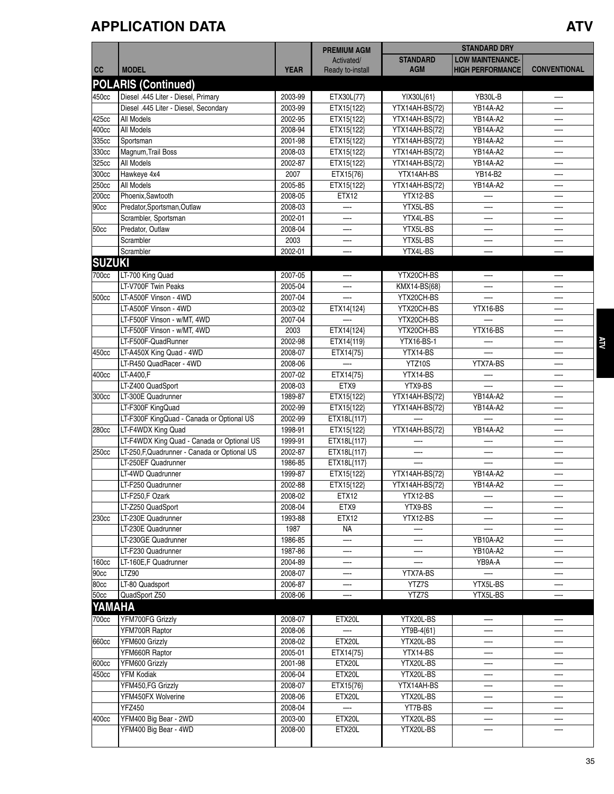## **APPLICATION DATA ATV**

|               |                                               |             | <b>PREMIUM AGM</b>             |                               | <b>STANDARD DRY</b>                                |                     |
|---------------|-----------------------------------------------|-------------|--------------------------------|-------------------------------|----------------------------------------------------|---------------------|
| cc            | <b>MODEL</b>                                  | <b>YEAR</b> | Activated/<br>Ready to-install | <b>STANDARD</b><br><b>AGM</b> | <b>LOW MAINTENANCE-</b><br><b>HIGH PERFORMANCE</b> | <b>CONVENTIONAL</b> |
|               | <b>POLARIS (Continued)</b>                    |             |                                |                               |                                                    |                     |
| 450cc         | Diesel .445 Liter - Diesel, Primary           | 2003-99     |                                |                               | YB30L-B                                            |                     |
|               | Diesel .445 Liter - Diesel, Secondary         | 2003-99     | ETX30L{77}<br>ETX15{122}       | YIX30L{61}<br>YTX14AH-BS{72}  | YB14A-A2                                           |                     |
| 425cc         | All Models                                    | 2002-95     | ETX15{122}                     | YTX14AH-BS{72}                | YB14A-A2                                           |                     |
| 400cc         | All Models                                    | 2008-94     | ETX15{122}                     | YTX14AH-BS{72}                | YB14A-A2                                           |                     |
| 335cc         | Sportsman                                     | 2001-98     |                                | YTX14AH-BS{72}                | YB14A-A2                                           |                     |
| 330cc         | Magnum, Trail Boss                            | 2008-03     | ETX15{122}<br>ETX15{122}       | YTX14AH-BS{72}                | YB14A-A2                                           |                     |
| 325cc         | All Models                                    | 2002-87     | ETX15{122}                     | YTX14AH-BS{72}                | YB14A-A2                                           |                     |
| 300cc         | Hawkeye 4x4                                   | 2007        |                                | YTX14AH-BS                    | YB14-B2                                            |                     |
| 250cc         | All Models                                    | 2005-85     | ETX15{76}<br>ETX15{122}        | YTX14AH-BS{72}                | YB14A-A2                                           |                     |
| 200cc         | Phoenix, Sawtooth                             | 2008-05     | ETX12                          | YTX12-BS                      |                                                    |                     |
| 90cc          | Predator, Sportsman, Outlaw                   | 2008-03     |                                | YTX5L-BS                      |                                                    |                     |
|               | Scrambler, Sportsman                          | 2002-01     |                                | YTX4L-BS                      |                                                    |                     |
|               |                                               |             | —-                             |                               |                                                    |                     |
| 50cc          | Predator, Outlaw                              | 2008-04     |                                | YTX5L-BS                      |                                                    |                     |
|               | Scrambler                                     | 2003        |                                | YTX5L-BS                      |                                                    |                     |
|               | Scrambler                                     | 2002-01     |                                | YTX4L-BS                      |                                                    |                     |
| <b>SUZUKI</b> |                                               |             |                                |                               |                                                    |                     |
| 700cc         | LT-700 King Quad                              | 2007-05     |                                | YTX20CH-BS                    |                                                    |                     |
|               | LT-V700F Twin Peaks                           | 2005-04     | —-                             | KMX14-BS{68}                  |                                                    |                     |
| 500cc         | LT-A500F Vinson - 4WD                         | 2007-04     |                                | YTX20CH-BS                    |                                                    |                     |
|               | LT-A500F Vinson - 4WD                         | 2003-02     | ETX14{124}                     | YTX20CH-BS                    | YTX16-BS                                           |                     |
|               | LT-F500F Vinson - w/MT, 4WD                   | 2007-04     |                                | YTX20CH-BS                    |                                                    |                     |
|               | LT-F500F Vinson - w/MT, 4WD                   | 2003        | ETX14{124}                     | YTX20CH-BS                    | YTX16-BS                                           |                     |
|               | LT-F500F-QuadRunner                           | 2002-98     | ETX14{119}                     | YTX16-BS-1                    |                                                    |                     |
| 450cc         | LT-A450X King Quad - 4WD                      | 2008-07     | ETX14{75}                      | YTX14-BS                      |                                                    |                     |
|               | LT-R450 QuadRacer - 4WD                       | 2008-06     |                                | YTZ10S                        | YTX7A-BS                                           |                     |
| 400cc         | LT-A400,F                                     | 2007-02     | ETX14{75}                      | YTX14-BS                      |                                                    |                     |
|               | LT-Z400 QuadSport                             | 2008-03     | ETX9                           | YTX9-BS                       |                                                    |                     |
| 300cc         | LT-300E Quadrunner                            | 1989-87     | ETX15{122}                     | YTX14AH-BS{72}                | YB14A-A2                                           |                     |
|               | LT-F300F KingQuad                             | 2002-99     | ETX15{122}                     | YTX14AH-BS{72}                | YB14A-A2                                           |                     |
|               | LT-F300F KingQuad - Canada or Optional US     | 2002-99     | ETX18L{117}                    |                               |                                                    |                     |
| 280cc         | LT-F4WDX King Quad                            | 1998-91     | ETX15{122}                     | YTX14AH-BS{72}                | YB14A-A2                                           |                     |
|               | LT-F4WDX King Quad - Canada or Optional US    | 1999-91     | ETX18L{117}                    |                               |                                                    |                     |
| 250cc         | LT-250, F, Quadrunner - Canada or Optional US | 2002-87     | ETX18L{117}                    |                               |                                                    |                     |
|               | LT-250EF Quadrunner                           | 1986-85     | ETX18L{117}                    |                               |                                                    |                     |
|               | LT-4WD Quadrunner                             | 1999-87     | ETX15{122}                     | YTX14AH-BS{72}                | YB14A-A2                                           |                     |
|               | LT-F250 Quadrunner                            | 2002-88     | ETX15{122}                     | YTX14AH-BS{72}                | YB14A-A2                                           |                     |
|               | LT-F250,F Ozark                               | 2008-02     | ETX12                          | YTX12-BS                      |                                                    |                     |
|               | LT-Z250 QuadSport                             | 2008-04     | ETX9                           | YTX9-BS                       |                                                    |                     |
| 230cc         | LT-230E Quadrunner                            | 1993-88     | ETX12                          | YTX12-BS                      |                                                    |                     |
|               | LT-230E Quadrunner                            | 1987        | NA                             |                               |                                                    |                     |
|               | LT-230GE Quadrunner                           | 1986-85     |                                |                               | YB10A-A2                                           |                     |
|               | LT-F230 Quadrunner                            | 1987-86     | —-                             | —-                            | YB10A-A2                                           |                     |
| <b>160cc</b>  | LT-160E,F Quadrunner                          | 2004-89     | —-                             |                               | YB9A-A                                             |                     |
| 90cc          | LTZ90                                         | 2008-07     | —-                             | YTX7A-BS                      |                                                    |                     |
| 80cc          | LT-80 Quadsport                               | 2006-87     |                                | YTZ7S                         | YTX5L-BS                                           |                     |
| 50cc          | QuadSport Z50                                 | 2008-06     |                                | YTZ7S                         | YTX5L-BS                                           |                     |
| YAMAHA        |                                               |             |                                |                               |                                                    |                     |
|               |                                               |             |                                |                               |                                                    |                     |
| 700cc         | YFM700FG Grizzly                              | 2008-07     | ETX20L                         | YTX20L-BS                     |                                                    |                     |
|               | YFM700R Raptor                                | 2008-06     |                                | YT9B-4{61}                    |                                                    |                     |
| 660cc         | YFM600 Grizzly                                | 2008-02     | ETX20L                         | YTX20L-BS                     |                                                    |                     |
|               | YFM660R Raptor                                | 2005-01     | ETX14{75}                      | YTX14-BS                      |                                                    |                     |
| 600cc         | YFM600 Grizzly                                | 2001-98     | ETX20L                         | YTX20L-BS                     | —                                                  |                     |
| 450cc         | <b>YFM Kodiak</b>                             | 2006-04     | ETX20L                         | YTX20L-BS                     | —∙                                                 |                     |
|               | YFM450,FG Grizzly                             | 2008-07     | ETX15{76}                      | YTX14AH-BS                    |                                                    |                     |
|               | YFM450FX Wolverine                            | 2008-06     | ETX20L                         | YTX20L-BS                     |                                                    |                     |
|               | <b>YFZ450</b>                                 | 2008-04     |                                | YT7B-BS                       |                                                    |                     |
|               | YFM400 Big Bear - 2WD                         | 2003-00     | ETX20L                         | YTX20L-BS                     |                                                    |                     |
| 400cc         | YFM400 Big Bear - 4WD                         |             |                                |                               |                                                    |                     |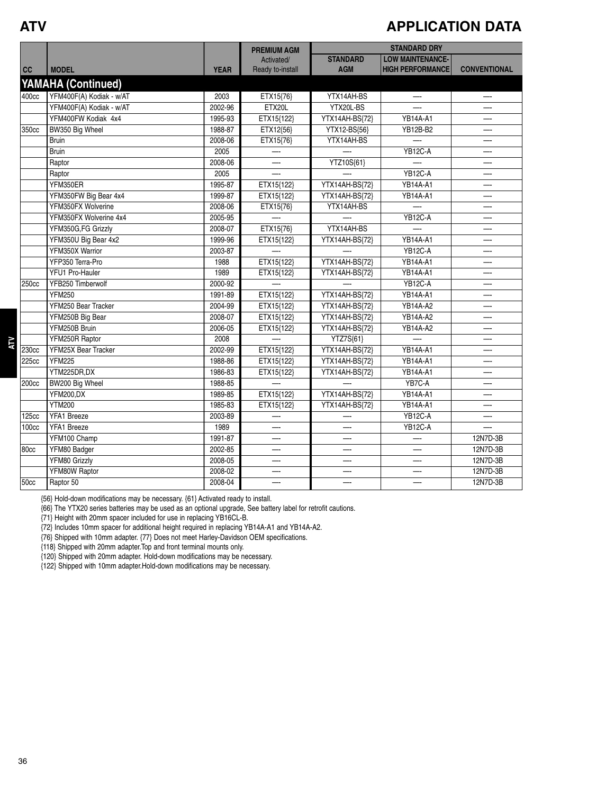#### **ATV**

**ATV**

#### **APPLICATION DATA**

|       |                           |             | <b>PREMIUM AGM</b> | <b>STANDARD DRY</b>   |                         |                     |  |
|-------|---------------------------|-------------|--------------------|-----------------------|-------------------------|---------------------|--|
|       |                           |             | Activated/         | <b>STANDARD</b>       | <b>LOW MAINTENANCE-</b> |                     |  |
| cc    | <b>MODEL</b>              | <b>YEAR</b> | Ready to-install   | <b>AGM</b>            | <b>HIGH PERFORMANCE</b> | <b>CONVENTIONAL</b> |  |
|       | <b>YAMAHA (Continued)</b> |             |                    |                       |                         |                     |  |
| 400cc | YFM400F(A) Kodiak - w/AT  | 2003        | ETX15{76}          | YTX14AH-BS            | —                       | —-                  |  |
|       | YFM400F(A) Kodiak - w/AT  | 2002-96     | ETX20L             | YTX20L-BS             |                         |                     |  |
|       | YFM400FW Kodiak 4x4       | 1995-93     | ETX15{122}         | YTX14AH-BS{72}        | <b>YB14A-A1</b>         |                     |  |
| 350cc | BW350 Big Wheel           | 1988-87     | ETX12{56}          | YTX12-BS{56}          | YB12B-B2                | —-                  |  |
|       | <b>Bruin</b>              | 2008-06     | ETX15{76}          | YTX14AH-BS            |                         | —-                  |  |
|       | <b>Bruin</b>              | 2005        |                    |                       | YB12C-A                 |                     |  |
|       | Raptor                    | 2008-06     | —-                 | YTZ10S{61}            |                         | —-                  |  |
|       | Raptor                    | 2005        |                    |                       | <b>YB12C-A</b>          |                     |  |
|       | YFM350ER                  | 1995-87     | ETX15{122}         | YTX14AH-BS{72}        | <b>YB14A-A1</b>         |                     |  |
|       | YFM350FW Big Bear 4x4     | 1999-87     | ETX15{122}         | YTX14AH-BS{72}        | <b>YB14A-A1</b>         | —-                  |  |
|       | YFM350FX Wolverine        | 2008-06     | ETX15{76}          | YTX14AH-BS            |                         | —-                  |  |
|       | YFM350FX Wolverine 4x4    | 2005-95     |                    |                       | YB12C-A                 |                     |  |
|       | YFM350G,FG Grizzly        | 2008-07     | ETX15{76}          | YTX14AH-BS            |                         |                     |  |
|       | YFM350U Big Bear 4x2      | 1999-96     | ETX15{122}         | YTX14AH-BS{72}        | <b>YB14A-A1</b>         |                     |  |
|       | YFM350X Warrior           | 2003-87     |                    |                       | YB12C-A                 |                     |  |
|       | YFP350 Terra-Pro          | 1988        | ETX15{122}         | YTX14AH-BS{72}        | <b>YB14A-A1</b>         | —-                  |  |
|       | YFU1 Pro-Hauler           | 1989        | ETX15{122}         | YTX14AH-BS{72}        | <b>YB14A-A1</b>         | —-                  |  |
| 250cc | YFB250 Timberwolf         | 2000-92     |                    |                       | YB12C-A                 | —-                  |  |
|       | <b>YFM250</b>             | 1991-89     | ETX15{122}         | YTX14AH-BS{72}        | <b>YB14A-A1</b>         | —-                  |  |
|       | YFM250 Bear Tracker       | 2004-99     | ETX15{122}         | YTX14AH-BS{72}        | YB14A-A2                |                     |  |
|       | YFM250B Big Bear          | 2008-07     | ETX15{122}         | YTX14AH-BS{72}        | YB14A-A2                |                     |  |
|       | YFM250B Bruin             | 2006-05     | ETX15{122}         | YTX14AH-BS{72}        | YB14A-A2                | —-                  |  |
|       | YFM250R Raptor            | 2008        |                    | $\overline{YZ7}S{61}$ |                         |                     |  |
| 230cc | YFM25X Bear Tracker       | 2002-99     | ETX15{122}         | YTX14AH-BS{72}        | YB14A-A1                | —-                  |  |
| 225cc | <b>YFM225</b>             | 1988-86     | ETX15{122}         | YTX14AH-BS{72}        | <b>YB14A-A1</b>         |                     |  |
|       | YTM225DR,DX               | 1986-83     | ETX15{122}         | YTX14AH-BS{72}        | <b>YB14A-A1</b>         |                     |  |
| 200cc | BW200 Big Wheel           | 1988-85     |                    |                       | YB7C-A                  |                     |  |
|       | <b>YFM200,DX</b>          | 1989-85     | ETX15{122}         | YTX14AH-BS{72}        | <b>YB14A-A1</b>         | —-                  |  |
|       | <b>YTM200</b>             | 1985-83     | ETX15{122}         | YTX14AH-BS{72}        | <b>YB14A-A1</b>         |                     |  |
| 125cc | YFA1 Breeze               | 2003-89     |                    |                       | <b>YB12C-A</b>          |                     |  |
| 100cc | YFA1 Breeze               | 1989        |                    |                       | <b>YB12C-A</b>          |                     |  |
|       | YFM100 Champ              | 1991-87     |                    |                       | —-                      | 12N7D-3B            |  |
| 80cc  | YFM80 Badger              | 2002-85     | —-                 |                       | —-                      | 12N7D-3B            |  |
|       | YFM80 Grizzly             | 2008-05     | —-                 | —-                    | —                       | 12N7D-3B            |  |
|       | YFM80W Raptor             | 2008-02     |                    |                       |                         | 12N7D-3B            |  |
| 50cc  | Raptor 50                 | 2008-04     | —-                 | —                     | --                      | 12N7D-3B            |  |

{56} Hold-down modifications may be necessary. {61} Activated ready to install.

{66} The YTX20 series batteries may be used as an optional upgrade, See battery label for retrofit cautions.

{71} Height with 20mm spacer included for use in replacing YB16CL-B.

{72} Includes 10mm spacer for additional height required in replacing YB14A-A1 and YB14A-A2.

{76} Shipped with 10mm adapter. {77} Does not meet Harley-Davidson OEM specifications.

{118} Shipped with 20mm adapter.Top and front terminal mounts only.

{120} Shipped with 20mm adapter. Hold-down modifications may be necessary.

{122} Shipped with 10mm adapter.Hold-down modifications may be necessary.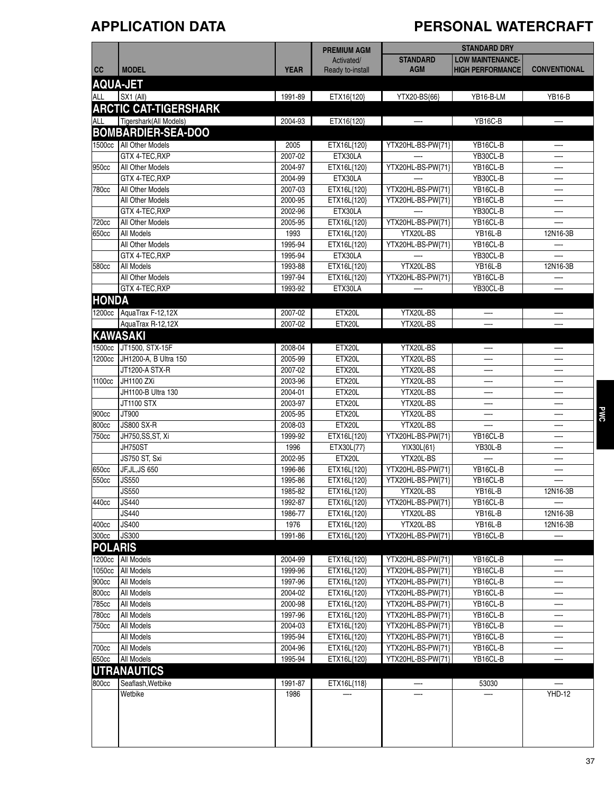# **APPLICATION DATA PERSONAL WATERCRAFT**

|                |                                             |                    | <b>PREMIUM AGM</b>         |                                        | <b>STANDARD DRY</b>      |                     |
|----------------|---------------------------------------------|--------------------|----------------------------|----------------------------------------|--------------------------|---------------------|
|                |                                             |                    | Activated/                 | <b>STANDARD</b>                        | <b>LOW MAINTENANCE-</b>  |                     |
| cc             | <b>MODEL</b>                                | <b>YEAR</b>        | Ready to-install           | <b>AGM</b>                             | <b>HIGH PERFORMANCE</b>  | <b>CONVENTIONAL</b> |
|                | <b>AQUA-JET</b>                             |                    |                            |                                        |                          |                     |
| ALL            | SX1 (All)                                   | 1991-89            | ETX16{120}                 | YTX20-BS{66}                           | YB16-B-LM                | <b>YB16-B</b>       |
|                | <b>ARCTIC CAT-TIGERSHARK</b>                |                    |                            |                                        |                          |                     |
| ALL            | Tigershark(All Models)                      | 2004-93            | ETX16{120}                 |                                        | YB16C-B                  |                     |
|                | <b>BOMBARDIER-SEA-DOO</b>                   |                    |                            |                                        |                          |                     |
|                |                                             |                    |                            |                                        | YB16CL-B                 |                     |
|                | 1500cc   All Other Models<br>GTX 4-TEC, RXP | 2005<br>2007-02    | ETX16L{120}<br>ETX30LA     | YTX20HL-BS-PW{71}                      | YB30CL-B                 |                     |
| 950cc          | All Other Models                            | 2004-97            | ETX16L{120}                | YTX20HL-BS-PW{71}                      | YB16CL-B                 | —∙                  |
|                | GTX 4-TEC, RXP                              | 2004-99            | ETX30LA                    |                                        | YB30CL-B                 |                     |
| 780cc          | All Other Models                            | 2007-03            | ETX16L{120}                | YTX20HL-BS-PW{71}                      | YB16CL-B                 | —-                  |
|                | All Other Models                            | 2000-95            | ETX16L{120}                | YTX20HL-BS-PW{71}                      | YB16CL-B                 |                     |
|                | GTX 4-TEC, RXP                              | 2002-96            | ETX30LA                    |                                        | YB30CL-B                 |                     |
| 720cc          | All Other Models                            | 2005-95            | ETX16L{120}                | YTX20HL-BS-PW{71}                      | YB16CL-B                 |                     |
| 650cc          | All Models                                  | 1993               | ETX16L{120}                | YTX20L-BS                              | <b>YB16L-B</b>           | 12N16-3B            |
|                | All Other Models                            | 1995-94            | ETX16L{120}                | YTX20HL-BS-PW{71}                      | YB16CL-B                 |                     |
|                | GTX 4-TEC, RXP                              | 1995-94            | ETX30LA                    |                                        | YB30CL-B                 |                     |
| 580cc          | All Models                                  | 1993-88            | ETX16L{120}                | YTX20L-BS                              | YB16L-B                  | 12N16-3B            |
|                | All Other Models                            | 1997-94            | ETX16L{120}                | YTX20HL-BS-PW{71}                      | YB16CL-B                 |                     |
|                | GTX 4-TEC, RXP                              | 1993-92            | ETX30LA                    |                                        | YB30CL-B                 |                     |
| <b>HONDA</b>   |                                             |                    |                            |                                        |                          |                     |
|                | 1200cc   AquaTrax F-12,12X                  | 2007-02            | ETX20L                     | YTX20L-BS                              |                          |                     |
|                | AquaTrax R-12,12X                           | 2007-02            | ETX20L                     | YTX20L-BS                              | $\overline{\phantom{0}}$ | —-                  |
|                | <b>KAWASAKI</b>                             |                    |                            |                                        |                          |                     |
| 1500cc         | JT1500, STX-15F                             | 2008-04            | ETX20L                     | YTX20L-BS                              |                          |                     |
| 1200cc         | JH1200-A, B Ultra 150                       | 2005-99            | ETX20L                     | YTX20L-BS                              |                          |                     |
|                | JT1200-A STX-R                              | 2007-02            | ETX20L                     | YTX20L-BS                              |                          |                     |
| 1100cc         | JH1100 ZXi                                  | 2003-96            | ETX20L                     | YTX20L-BS                              | —-                       | —∙                  |
|                | JH1100-B Ultra 130                          | 2004-01            | ETX20L                     | YTX20L-BS                              |                          |                     |
|                | <b>JT1100 STX</b>                           | 2003-97            | ETX20L                     | YTX20L-BS                              |                          |                     |
| 900cc          | JT900                                       | 2005-95            | ETX20L                     | YTX20L-BS                              | —-                       | —∙                  |
| 800cc          | <b>JS800 SX-R</b>                           | 2008-03            | ETX20L                     | YTX20L-BS                              |                          |                     |
| 750cc          | JH750, SS, ST, Xi                           | 1999-92            | ETX16L{120}                | YTX20HL-BS-PW{71}                      | YB16CL-B                 |                     |
|                | JH750ST                                     | 1996               | ETX30L{77}                 | YIX30L{61}                             | YB30L-B                  |                     |
|                | JS750 ST, Sxi                               | 2002-95            | ETX20L                     | YTX20L-BS                              |                          |                     |
| 650cc<br>550cc | JF, JL, JS 650<br><b>JS550</b>              | 1996-86<br>1995-86 | ETX16L{120}<br>ETX16L{120} | YTX20HL-BS-PW{71}<br>YTX20HL-BS-PW{71} | YB16CL-B<br>YB16CL-B     | —∙                  |
|                | <b>JS550</b>                                | 1985-82            | ETX16L{120}                | YTX20L-BS                              | YB16L-B                  | 12N16-3B            |
| 440cc          | JS440                                       | 1992-87            | ETX16L{120}                | YTX20HL-BS-PW{71}                      | YB16CL-B                 |                     |
|                | <b>JS440</b>                                | 1986-77            | ETX16L{120}                | YTX20L-BS                              | YB16L-B                  | 12N16-3B            |
| 400cc          | <b>JS400</b>                                | 1976               | ETX16L{120}                | YTX20L-BS                              | YB16L-B                  | 12N16-3B            |
| 300cc          | <b>JS300</b>                                | 1991-86            | ETX16L{120}                | YTX20HL-BS-PW{71}                      | YB16CL-B                 |                     |
| <b>POLARIS</b> |                                             |                    |                            |                                        |                          |                     |
| 1200cc         | All Models                                  | 2004-99            | ETX16L{120}                | YTX20HL-BS-PW{71}                      | YB16CL-B                 |                     |
| 1050cc         | <b>All Models</b>                           | 1999-96            | ETX16L{120}                | YTX20HL-BS-PW{71}                      | YB16CL-B                 |                     |
| 900cc          | All Models                                  | 1997-96            | ETX16L{120}                | YTX20HL-BS-PW{71}                      | YB16CL-B                 |                     |
| 800cc          | All Models                                  | 2004-02            | ETX16L{120}                | YTX20HL-BS-PW{71}                      | YB16CL-B                 | —-                  |
| 785cc          | All Models                                  | 2000-98            | ETX16L{120}                | YTX20HL-BS-PW{71}                      | YB16CL-B                 |                     |
| 780cc          | All Models                                  | 1997-96            | ETX16L{120}                | YTX20HL-BS-PW{71}                      | YB16CL-B                 |                     |
| 750cc          | All Models                                  | 2004-03            | ETX16L{120}                | YTX20HL-BS-PW{71}                      | YB16CL-B                 |                     |
|                | All Models                                  | 1995-94            | ETX16L{120}                | YTX20HL-BS-PW{71}                      | YB16CL-B                 |                     |
| 700cc          | All Models                                  | 2004-96            | ETX16L{120}                | YTX20HL-BS-PW{71}                      | YB16CL-B                 |                     |
| 650cc          | All Models                                  | 1995-94            | ETX16L{120}                | YTX20HL-BS-PW{71}                      | YB16CL-B                 |                     |
|                | <b>UTRANAUTICS</b>                          |                    |                            |                                        |                          |                     |
| 800cc          | Seaflash, Wetbike                           | 1991-87            | ETX16L{118}                | —                                      | 53030                    |                     |
|                | Wetbike                                     | 1986               |                            |                                        |                          | <b>YHD-12</b>       |
|                |                                             |                    |                            |                                        |                          |                     |
|                |                                             |                    |                            |                                        |                          |                     |
|                |                                             |                    |                            |                                        |                          |                     |
|                |                                             |                    |                            |                                        |                          |                     |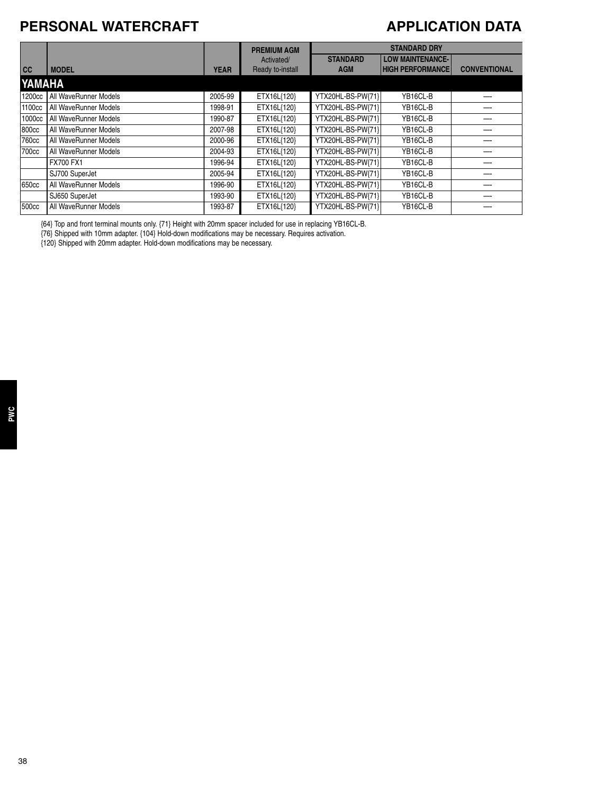#### **PERSONAL WATERCRAFT**

#### **APPLICATION DATA**

|                   |                       |             | <b>PREMIUM AGM</b> | <b>STANDARD DRY</b> |                         |                     |
|-------------------|-----------------------|-------------|--------------------|---------------------|-------------------------|---------------------|
|                   |                       |             | Activated/         | <b>STANDARD</b>     | <b>LOW MAINTENANCE-</b> |                     |
| cc                | <b>MODEL</b>          | <b>YEAR</b> | Ready to-install   | <b>AGM</b>          | <b>HIGH PERFORMANCE</b> | <b>CONVENTIONAL</b> |
| YAMAHA            |                       |             |                    |                     |                         |                     |
| 1200cc            | All WaveRunner Models | 2005-99     | ETX16L{120}        | YTX20HL-BS-PW{71}   | YB16CL-B                |                     |
| 1100cc            | All WaveRunner Models | 1998-91     | ETX16L{120}        | YTX20HL-BS-PW{71}   | YB16CL-B                |                     |
| 1000cc            | All WaveRunner Models | 1990-87     | ETX16L{120}        | YTX20HL-BS-PW{71}   | YB16CL-B                |                     |
| 800cc             | All WaveRunner Models | 2007-98     | ETX16L{120}        | YTX20HL-BS-PW{71}   | YB16CL-B                |                     |
| 760 <sub>cc</sub> | All WaveRunner Models | 2000-96     | ETX16L{120}        | YTX20HL-BS-PW{71}   | YB16CL-B                |                     |
| 700cc             | All WaveRunner Models | 2004-93     | ETX16L{120}        | YTX20HL-BS-PW{71}   | YB16CL-B                |                     |
|                   | FX700 FX1             | 1996-94     | ETX16L{120}        | YTX20HL-BS-PW{71}   | YB16CL-B                |                     |
|                   | SJ700 SuperJet        | 2005-94     | ETX16L{120}        | YTX20HL-BS-PW{71}   | YB16CL-B                |                     |
| 650cc             | All WaveRunner Models | 1996-90     | ETX16L{120}        | YTX20HL-BS-PW{71}   | YB16CL-B                |                     |
|                   | SJ650 SuperJet        | 1993-90     | ETX16L{120}        | YTX20HL-BS-PW{71}   | YB16CL-B                |                     |
| 500cc             | All WaveRunner Models | 1993-87     | ETX16L{120}        | YTX20HL-BS-PW{71}   | YB16CL-B                |                     |

{64} Top and front terminal mounts only. {71} Height with 20mm spacer included for use in replacing YB16CL-B.

{76} Shipped with 10mm adapter. {104} Hold-down modifications may be necessary. Requires activation.

{120} Shipped with 20mm adapter. Hold-down modifications may be necessary.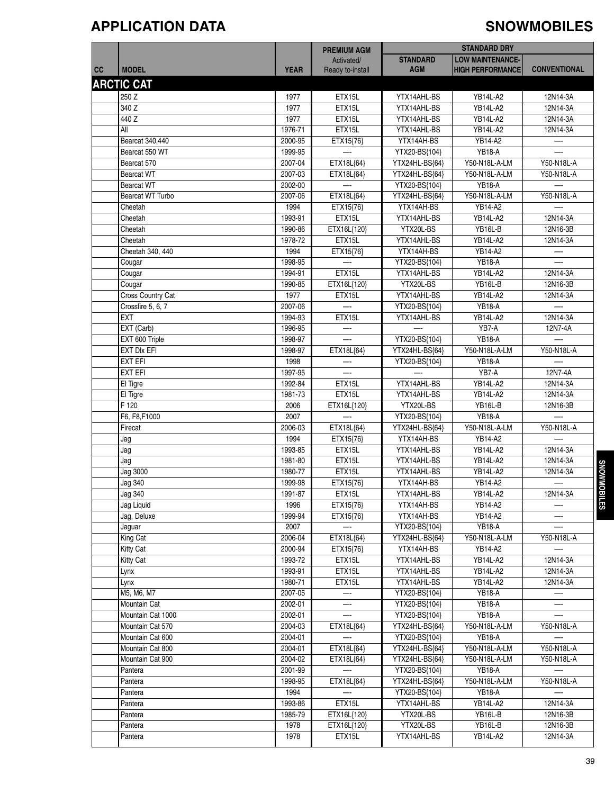### **APPLICATION DATA SNOWMOBILES**

|    |                                      |                    | <b>PREMIUM AGM</b>       |                                 | <b>STANDARD DRY</b>     |                     |
|----|--------------------------------------|--------------------|--------------------------|---------------------------------|-------------------------|---------------------|
|    |                                      |                    | Activated/               | <b>STANDARD</b>                 | <b>LOW MAINTENANCE-</b> |                     |
| cc | <b>MODEL</b>                         | <b>YEAR</b>        | Ready to-install         | <b>AGM</b>                      | <b>HIGH PERFORMANCE</b> | <b>CONVENTIONAL</b> |
|    | <b>ARCTIC CAT</b>                    |                    |                          |                                 |                         |                     |
|    | 250 Z                                | 1977               | ETX15L                   | YTX14AHL-BS                     | <b>YB14L-A2</b>         | 12N14-3A            |
|    | 340 Z                                |                    |                          | YTX14AHL-BS                     |                         |                     |
|    |                                      | 1977               | ETX15L                   |                                 | <b>YB14L-A2</b>         | 12N14-3A            |
|    | 440 Z                                | 1977               | ETX15L                   | YTX14AHL-BS                     | <b>YB14L-A2</b>         | 12N14-3A            |
|    | All                                  | 1976-71            | ETX15L                   | YTX14AHL-BS                     | YB14L-A2                | 12N14-3A            |
|    | Bearcat 340,440                      | 2000-95            | ETX15{76}                | YTX14AH-BS                      | YB14-A2                 | —                   |
|    | Bearcat 550 WT                       | 1999-95            |                          | YTX20-BS{104}                   | <b>YB18-A</b>           |                     |
|    | Bearcat 570                          | 2007-04            | ETX18L{64}               | YTX24HL-BS{64}                  | Y50-N18L-A-LM           | Y50-N18L-A          |
|    | <b>Bearcat WT</b>                    | 2007-03            | ETX18L{64}               | YTX24HL-BS{64}                  | Y50-N18L-A-LM           | Y50-N18L-A          |
|    | <b>Bearcat WT</b>                    | 2002-00            |                          | YTX20-BS{104}                   | <b>YB18-A</b>           |                     |
|    | Bearcat WT Turbo                     | 2007-06            | ETX18L{64}               | YTX24HL-BS{64}                  | Y50-N18L-A-LM           | Y50-N18L-A          |
|    | Cheetah                              | 1994               | ETX15{76}                | YTX14AH-BS                      | YB14-A2                 |                     |
|    | Cheetah                              | 1993-91            | ETX15L                   | YTX14AHL-BS                     | <b>YB14L-A2</b>         | 12N14-3A            |
|    | Cheetah                              | 1990-86            | ETX16L{120}              | YTX20L-BS                       | YB16L-B                 | 12N16-3B            |
|    | Cheetah                              | 1978-72            | ETX15L                   | YTX14AHL-BS                     | <b>YB14L-A2</b>         | 12N14-3A            |
|    | Cheetah 340, 440                     | 1994               | ETX15{76}                | YTX14AH-BS                      | YB14-A2                 |                     |
|    | Cougar                               | 1998-95            | $\overline{\phantom{a}}$ | YTX20-BS{104}                   | <b>YB18-A</b>           |                     |
|    | Cougar                               | 1994-91            | ETX15L                   | YTX14AHL-BS                     | <b>YB14L-A2</b>         | 12N14-3A            |
|    | Cougar                               | 1990-85            | ETX16L{120}              | YTX20L-BS                       | YB16L-B                 | 12N16-3B            |
|    | <b>Cross Country Cat</b>             | 1977               | ETX15L                   | YTX14AHL-BS                     | <b>YB14L-A2</b>         | 12N14-3A            |
|    | Crossfire 5, 6, 7                    | 2007-06            |                          | YTX20-BS{104}                   | <b>YB18-A</b>           |                     |
|    | <b>EXT</b>                           | 1994-93            | ETX15L                   | YTX14AHL-BS                     | <b>YB14L-A2</b>         | 12N14-3A            |
|    | EXT (Carb)                           | 1996-95            | —                        | $-$                             | YB7-A                   | 12N7-4A             |
|    | EXT 600 Triple                       | 1998-97            |                          | YTX20-BS{104}                   | <b>YB18-A</b>           |                     |
|    | <b>EXT DIX EFI</b>                   | 1998-97            | ETX18L{64}               | YTX24HL-BS{64}                  | Y50-N18L-A-LM           | Y50-N18L-A          |
|    | <b>EXT EFI</b>                       | 1998               | $-\cdot$                 | YTX20-BS{104}                   | <b>YB18-A</b>           |                     |
|    | <b>EXT EFI</b>                       | 1997-95            |                          |                                 | YB7-A                   | 12N7-4A             |
|    | El Tigre                             | 1992-84            | ETX15L                   | YTX14AHL-BS                     | <b>YB14L-A2</b>         | 12N14-3A            |
|    | El Tigre                             | 1981-73            | ETX15L                   | YTX14AHL-BS                     | <b>YB14L-A2</b>         | 12N14-3A            |
|    | F 120                                | 2006               | ETX16L{120}              | YTX20L-BS                       | YB16L-B                 | 12N16-3B            |
|    | F6, F8, F1000                        | 2007               |                          | YTX20-BS{104}                   | <b>YB18-A</b>           |                     |
|    | Firecat                              | 2006-03            | ETX18L{64}               | YTX24HL-BS{64}                  | Y50-N18L-A-LM           | Y50-N18L-A          |
|    | Jag                                  | 1994               | ETX15{76}                | YTX14AH-BS                      | YB14-A2                 |                     |
|    | Jag                                  | 1993-85            | ETX15L                   | YTX14AHL-BS                     | <b>YB14L-A2</b>         | 12N14-3A            |
|    | Jag                                  | 1981-80            | ETX15L                   | YTX14AHL-BS                     | YB14L-A2                | 12N14-3A            |
|    | Jag 3000                             | 1980-77            | ETX15L                   | YTX14AHL-BS                     | YB14L-A2                | 12N14-3A            |
|    | Jag 340                              | 1999-98            | ETX15{76}                | YTX14AH-BS                      | YB14-A2                 |                     |
|    | Jag 340                              | 1991-87            | ETX15L                   | YTX14AHL-BS                     | <b>YB14L-A2</b>         | 12N14-3A            |
|    | Jag Liguid                           | 1996               | ETX15{76}                | YTX14AH-BS                      | YB14-A2                 |                     |
|    | Jag, Deluxe                          | 1999-94            | ETX15{76}                | YTX14AH-BS                      | YB14-A2                 |                     |
|    | Jaguar                               | 2007               | $-$                      | YTX20-BS{104}                   | <b>YB18-A</b>           |                     |
|    | King Cat                             | 2006-04            | ETX18L{64}               | YTX24HL-BS{64}                  | Y50-N18L-A-LM           | Y50-N18L-A          |
|    | Kitty Cat                            | 2000-94            | ETX15{76}                | YTX14AH-BS                      | YB14-A2                 |                     |
|    | Kitty Cat                            | 1993-72            | ETX15L                   | YTX14AHL-BS                     | YB14L-A2                | 12N14-3A            |
|    | Lynx                                 | 1993-91            | ETX15L                   | YTX14AHL-BS                     | YB14L-A2                | 12N14-3A            |
|    | Lynx                                 | 1980-71            | ETX15L                   | YTX14AHL-BS                     | <b>YB14L-A2</b>         | 12N14-3A            |
|    | M5, M6, M7                           | 2007-05            | —-                       | YTX20-BS{104}                   | <b>YB18-A</b>           | —                   |
|    | Mountain Cat                         | 2002-01            |                          | YTX20-BS{104}                   | <b>YB18-A</b>           |                     |
|    | Mountain Cat 1000                    | 2002-01            |                          | YTX20-BS{104}                   | <b>YB18-A</b>           |                     |
|    | Mountain Cat 570                     | 2004-03            | ETX18L{64}               | YTX24HL-BS{64}                  | Y50-N18L-A-LM           | Y50-N18L-A          |
|    |                                      |                    |                          |                                 | <b>YB18-A</b>           |                     |
|    | Mountain Cat 600<br>Mountain Cat 800 | 2004-01<br>2004-01 | ETX18L{64}               | YTX20-BS{104}<br>YTX24HL-BS{64} | Y50-N18L-A-LM           | Y50-N18L-A          |
|    |                                      |                    |                          |                                 |                         |                     |
|    | Mountain Cat 900                     | 2004-02            | ETX18L{64}               | YTX24HL-BS{64}                  | Y50-N18L-A-LM           | Y50-N18L-A          |
|    | Pantera                              | 2001-99            | —                        | YTX20-BS{104}                   | <b>YB18-A</b>           |                     |
|    | Pantera                              | 1998-95            | ETX18L{64}               | YTX24HL-BS{64}                  | Y50-N18L-A-LM           | Y50-N18L-A          |
|    | Pantera                              | 1994               |                          | YTX20-BS{104}                   | <b>YB18-A</b>           |                     |
|    | Pantera                              | 1993-86            | ETX15L                   | YTX14AHL-BS                     | <b>YB14L-A2</b>         | 12N14-3A            |
|    | Pantera                              | 1985-79            | ETX16L{120}              | YTX20L-BS                       | YB16L-B                 | 12N16-3B            |
|    | Pantera                              | 1978               | ETX16L{120}              | YTX20L-BS                       | YB16L-B                 | 12N16-3B            |
|    | Pantera                              | 1978               | ETX15L                   | YTX14AHL-BS                     | <b>YB14L-A2</b>         | 12N14-3A            |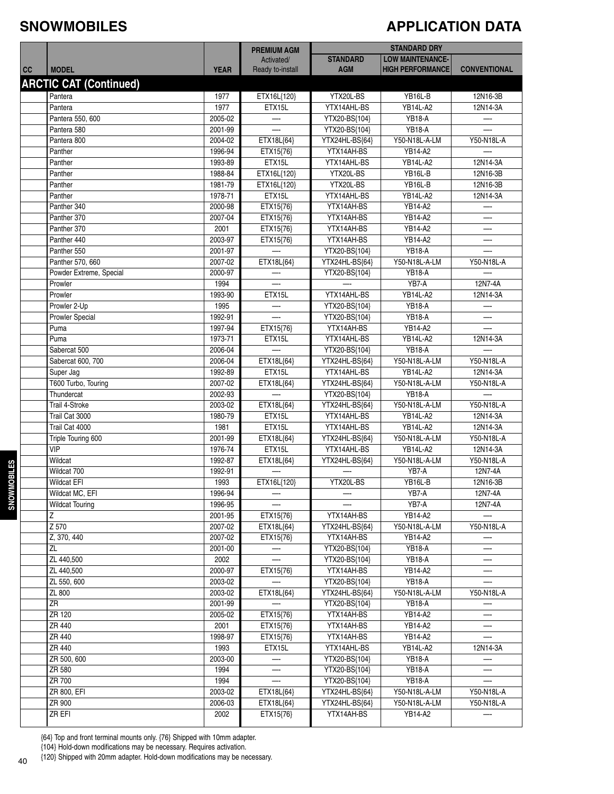#### **SNOWMOBILES**

#### **APPLICATION DATA**

|    |                               |                    | <b>PREMIUM AGM</b>             | <b>STANDARD DRY</b>             |                                                    |                     |
|----|-------------------------------|--------------------|--------------------------------|---------------------------------|----------------------------------------------------|---------------------|
| cc | <b>MODEL</b>                  | <b>YEAR</b>        | Activated/<br>Ready to-install | <b>STANDARD</b><br><b>AGM</b>   | <b>LOW MAINTENANCE-</b><br><b>HIGH PERFORMANCE</b> | <b>CONVENTIONAL</b> |
|    | <b>ARCTIC CAT (Continued)</b> |                    |                                |                                 |                                                    |                     |
|    | Pantera                       | 1977               | ETX16L{120}                    | YTX20L-BS                       | YB16L-B                                            | 12N16-3B            |
|    | Pantera                       | 1977               | ETX15L                         | YTX14AHL-BS                     | <b>YB14L-A2</b>                                    | 12N14-3A            |
|    | Pantera 550, 600              | 2005-02            |                                | YTX20-BS{104}                   | <b>YB18-A</b>                                      |                     |
|    | Pantera 580                   | 2001-99            |                                | YTX20-BS{104}                   | <b>YB18-A</b>                                      |                     |
|    | Pantera 800                   | 2004-02            | ETX18L{64}                     | YTX24HL-BS{64}                  | Y50-N18L-A-LM                                      | Y50-N18L-A          |
|    | Panther                       | 1996-94            | ETX15{76}                      | YTX14AH-BS                      | YB14-A2                                            |                     |
|    | Panther                       | 1993-89            | ETX15L                         | YTX14AHL-BS                     | <b>YB14L-A2</b>                                    | 12N14-3A            |
|    | Panther                       | 1988-84            | ETX16L{120}                    | YTX20L-BS                       | YB16L-B                                            | 12N16-3B            |
|    | Panther                       | 1981-79            | ETX16L{120}                    | YTX20L-BS                       | YB16L-B                                            | 12N16-3B            |
|    | Panther                       | 1978-71            | ETX15L                         | YTX14AHL-BS                     | <b>YB14L-A2</b>                                    | 12N14-3A            |
|    | Panther 340                   | 2000-98            | ETX15{76}                      | YTX14AH-BS                      | YB14-A2                                            |                     |
|    | Panther 370                   | 2007-04            | ETX15{76}                      | YTX14AH-BS                      | YB14-A2                                            |                     |
|    | Panther 370                   | 2001               | ETX15{76}                      | YTX14AH-BS                      | YB14-A2                                            |                     |
|    | Panther 440                   | 2003-97            | ETX15{76}                      | YTX14AH-BS                      | YB14-A2                                            |                     |
|    | Panther 550                   | 2001-97            |                                | YTX20-BS{104}                   | <b>YB18-A</b>                                      |                     |
|    | Panther 570, 660              | 2007-02            | ETX18L{64}                     | YTX24HL-BS{64}                  | Y50-N18L-A-LM                                      | Y50-N18L-A          |
|    | Powder Extreme, Special       | 2000-97            | —                              | YTX20-BS{104}                   | <b>YB18-A</b>                                      |                     |
|    | Prowler                       | 1994               |                                |                                 | YB7-A                                              | 12N7-4A             |
|    | Prowler                       | 1993-90            | ETX15L                         | YTX14AHL-BS                     | <b>YB14L-A2</b>                                    | 12N14-3A            |
|    | Prowler 2-Up                  | 1995               |                                | YTX20-BS{104}                   | <b>YB18-A</b>                                      |                     |
|    | <b>Prowler Special</b>        | 1992-91            |                                | YTX20-BS{104}                   | <b>YB18-A</b>                                      |                     |
|    | Puma                          | 1997-94            | ETX15{76}                      | YTX14AH-BS                      | YB14-A2                                            |                     |
|    | Puma                          | 1973-71            | ETX15L                         | YTX14AHL-BS                     | <b>YB14L-A2</b>                                    | 12N14-3A            |
|    | Sabercat 500                  | 2006-04            |                                | YTX20-BS{104}                   | <b>YB18-A</b>                                      |                     |
|    | Sabercat 600, 700             | 2006-04            | ETX18L{64}                     | YTX24HL-BS{64}                  | Y50-N18L-A-LM                                      | Y50-N18L-A          |
|    | Super Jag                     | 1992-89            | ETX15L                         | YTX14AHL-BS                     | YB14L-A2                                           | 12N14-3A            |
|    | T600 Turbo, Touring           | 2007-02            | ETX18L{64}                     | YTX24HL-BS{64}                  | Y50-N18L-A-LM                                      | Y50-N18L-A          |
|    | Thundercat<br>Trail 4-Stroke  | 2002-93<br>2003-02 | ETX18L{64}                     | YTX20-BS{104}<br>YTX24HL-BS{64} | <b>YB18-A</b><br>Y50-N18L-A-LM                     | Y50-N18L-A          |
|    | Trail Cat 3000                | 1980-79            | ETX15L                         | YTX14AHL-BS                     | <b>YB14L-A2</b>                                    | 12N14-3A            |
|    | Trail Cat 4000                | 1981               | ETX15L                         | YTX14AHL-BS                     | <b>YB14L-A2</b>                                    | 12N14-3A            |
|    | Triple Touring 600            | 2001-99            | ETX18L{64}                     | YTX24HL-BS{64}                  | Y50-N18L-A-LM                                      | Y50-N18L-A          |
|    | <b>VIP</b>                    | 1976-74            | ETX15L                         | YTX14AHL-BS                     | YB14L-A2                                           | 12N14-3A            |
|    | Wildcat                       | 1992-87            | ETX18L{64}                     | YTX24HL-BS{64}                  | Y50-N18L-A-LM                                      | Y50-N18L-A          |
|    | Wildcat 700                   | 1992-91            |                                |                                 | YB7-A                                              | 12N7-4A             |
|    | <b>Wildcat EFI</b>            | 1993               | ETX16L{120}                    | YTX20L-BS                       | YB16L-B                                            | 12N16-3B            |
|    | Wildcat MC, EFI               | 1996-94            |                                |                                 | YB7-A                                              | 12N7-4A             |
|    | <b>Wildcat Touring</b>        | 1996-95            |                                |                                 | YB7-A                                              | 12N7-4A             |
|    | Ζ                             | 2001-95            | ETX15{76}                      | YTX14AH-BS                      | YB14-A2                                            |                     |
|    | $\overline{Z}$ 570            | 2007-02            | ETX18L{64}                     | YTX24HL-BS{64}                  | Y50-N18L-A-LM                                      | Y50-N18L-A          |
|    | Z, 370, 440                   | 2007-02            | ETX15{76}                      | YTX14AH-BS                      | YB14-A2                                            |                     |
|    | ZL                            | 2001-00            |                                | YTX20-BS{104}                   | <b>YB18-A</b>                                      |                     |
|    | ZL 440,500                    | 2002               |                                | YTX20-BS{104}                   | <b>YB18-A</b>                                      |                     |
|    | ZL 440,500                    | 2000-97            | ETX15{76}                      | YTX14AH-BS                      | YB14-A2                                            |                     |
|    | ZL 550, 600                   | 2003-02            |                                | YTX20-BS{104}                   | <b>YB18-A</b>                                      |                     |
|    | ZL 800                        | 2003-02            | ETX18L{64}                     | YTX24HL-BS{64}                  | Y50-N18L-A-LM                                      | Y50-N18L-A          |
|    | ZR                            | 2001-99            |                                | YTX20-BS{104}                   | <b>YB18-A</b>                                      |                     |
|    | ZR 120                        | 2005-02            | ETX15{76}                      | YTX14AH-BS                      | YB14-A2                                            |                     |
|    | ZR 440                        | 2001               | ETX15{76}                      | YTX14AH-BS                      | YB14-A2                                            |                     |
|    | ZR 440                        | 1998-97            | ETX15{76}                      | YTX14AH-BS                      | YB14-A2                                            |                     |
|    | ZR 440                        | 1993               | ETX15L                         | YTX14AHL-BS                     | <b>YB14L-A2</b>                                    | 12N14-3A            |
|    | ZR 500, 600                   | 2003-00            |                                | YTX20-BS{104}                   | <b>YB18-A</b>                                      |                     |
|    | ZR 580                        | 1994               | $\overline{\phantom{0}}$       | YTX20-BS{104}                   | <b>YB18-A</b>                                      | —                   |
|    | ZR 700                        | 1994               |                                | YTX20-BS{104}                   | <b>YB18-A</b>                                      |                     |
|    | ZR 800, EFI                   | 2003-02            | ETX18L{64}                     | YTX24HL-BS{64}                  | Y50-N18L-A-LM                                      | Y50-N18L-A          |
|    | ZR 900                        | 2006-03            | ETX18L{64}                     | YTX24HL-BS{64}                  | Y50-N18L-A-LM                                      | Y50-N18L-A          |
|    | ZR EFI                        | 2002               | ETX15{76}                      | YTX14AH-BS                      | YB14-A2                                            |                     |

{64} Top and front terminal mounts only. {76} Shipped with 10mm adapter.

{104} Hold-down modifications may be necessary. Requires activation.

{120} Shipped with 20mm adapter. Hold-down modifications may be necessary.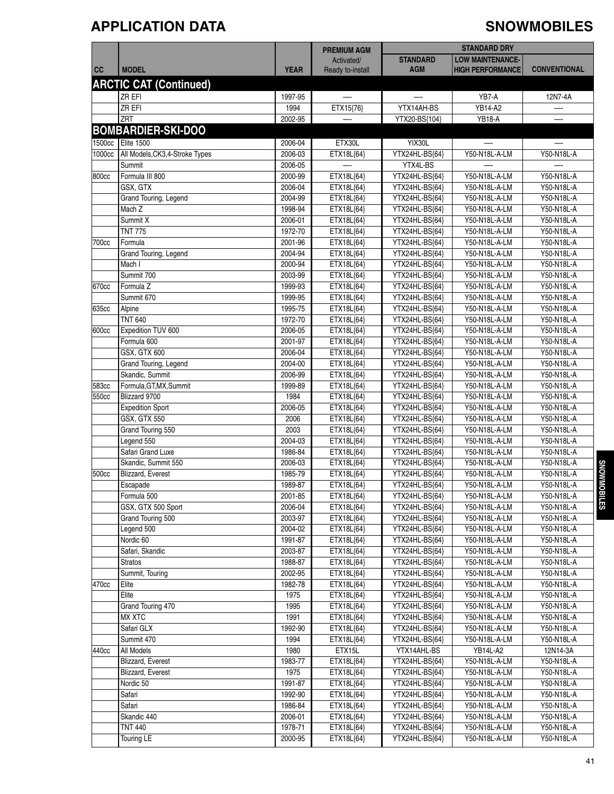### **APPLICATION DATA SNOWMOBILES**

|        |                                 |             | <b>PREMIUM AGM</b> | <b>STANDARD DRY</b> |                         |                     |
|--------|---------------------------------|-------------|--------------------|---------------------|-------------------------|---------------------|
|        |                                 |             | Activated/         | <b>STANDARD</b>     | <b>LOW MAINTENANCE-</b> |                     |
| cc     | <b>MODEL</b>                    | <b>YEAR</b> | Ready to-install   | <b>AGM</b>          | <b>HIGH PERFORMANCE</b> | <b>CONVENTIONAL</b> |
|        |                                 |             |                    |                     |                         |                     |
|        | <b>ARCTIC CAT (Continued)</b>   |             |                    |                     |                         |                     |
|        | ZR EFI                          | 1997-95     |                    |                     | YB7-A                   | 12N7-4A             |
|        | ZR EFI                          | 1994        | ETX15{76}          | YTX14AH-BS          | YB14-A2                 |                     |
|        | ZRT                             | 2002-95     |                    | YTX20-BS{104}       | <b>YB18-A</b>           |                     |
|        | <b>BOMBARDIER-SKI-DOO</b>       |             |                    |                     |                         |                     |
| 1500cc | <b>Elite 1500</b>               | 2006-04     | ETX30L             | YIX30L              | —                       |                     |
| 1000cc | All Models, CK3, 4-Stroke Types | 2006-03     | ETX18L{64}         | YTX24HL-BS{64}      | Y50-N18L-A-LM           | Y50-N18L-A          |
|        | Summit                          | 2006-05     |                    | YTX4L-BS            |                         |                     |
| 800cc  | Formula III 800                 | 2000-99     | ETX18L{64}         | YTX24HL-BS{64}      | Y50-N18L-A-LM           | Y50-N18L-A          |
|        | GSX, GTX                        | 2006-04     | ETX18L{64}         | YTX24HL-BS{64}      | Y50-N18L-A-LM           | Y50-N18L-A          |
|        | Grand Touring, Legend           | 2004-99     | ETX18L{64}         | YTX24HL-BS{64}      | Y50-N18L-A-LM           | Y50-N18L-A          |
|        | Mach Z                          | 1998-94     | ETX18L{64}         | YTX24HL-BS{64}      | Y50-N18L-A-LM           | Y50-N18L-A          |
|        | Summit X                        | 2006-01     | ETX18L{64}         | YTX24HL-BS{64}      | Y50-N18L-A-LM           | Y50-N18L-A          |
|        | <b>TNT 775</b>                  | 1972-70     | ETX18L{64}         | YTX24HL-BS{64}      | Y50-N18L-A-LM           | Y50-N18L-A          |
| 700cc  | Formula                         | 2001-96     | ETX18L{64}         | YTX24HL-BS{64}      | Y50-N18L-A-LM           | Y50-N18L-A          |
|        | Grand Touring, Legend           | 2004-94     | ETX18L{64}         | YTX24HL-BS{64}      | Y50-N18L-A-LM           | Y50-N18L-A          |
|        | Mach I                          | 2000-94     | ETX18L{64}         | YTX24HL-BS{64}      | Y50-N18L-A-LM           | Y50-N18L-A          |
|        | Summit 700                      | 2003-99     | ETX18L{64}         | YTX24HL-BS{64}      | Y50-N18L-A-LM           | Y50-N18L-A          |
| 670cc  | Formula <sub>Z</sub>            | 1999-93     | ETX18L{64}         | YTX24HL-BS{64}      | Y50-N18L-A-LM           | Y50-N18L-A          |
|        | Summit 670                      | 1999-95     | ETX18L{64}         | YTX24HL-BS{64}      | Y50-N18L-A-LM           | Y50-N18L-A          |
| 635cc  | Alpine                          | 1995-75     | ETX18L{64}         | YTX24HL-BS{64}      | Y50-N18L-A-LM           | Y50-N18L-A          |
|        | <b>TNT 640</b>                  | 1972-70     | ETX18L{64}         | YTX24HL-BS{64}      | Y50-N18L-A-LM           | Y50-N18L-A          |
| 600cc  | Expedition TUV 600              | 2006-05     | ETX18L{64}         | YTX24HL-BS{64}      | Y50-N18L-A-LM           | Y50-N18L-A          |
|        | Formula 600                     | 2001-97     | ETX18L{64}         | YTX24HL-BS{64}      | Y50-N18L-A-LM           | Y50-N18L-A          |
|        | GSX, GTX 600                    | 2006-04     | ETX18L{64}         | YTX24HL-BS{64}      | Y50-N18L-A-LM           | Y50-N18L-A          |
|        | Grand Touring, Legend           | 2004-00     | ETX18L{64}         | YTX24HL-BS{64}      | Y50-N18L-A-LM           | Y50-N18L-A          |
|        | Skandic, Summit                 | 2006-99     | ETX18L{64}         | YTX24HL-BS{64}      | Y50-N18L-A-LM           | Y50-N18L-A          |
| 583cc  | Formula, GT, MX, Summit         | 1999-89     | ETX18L{64}         | YTX24HL-BS{64}      | Y50-N18L-A-LM           | Y50-N18L-A          |
| 550cc  | Blizzard 9700                   | 1984        | ETX18L{64}         | YTX24HL-BS{64}      | Y50-N18L-A-LM           | Y50-N18L-A          |
|        | <b>Expedition Sport</b>         | 2006-05     | ETX18L{64}         | YTX24HL-BS{64}      | Y50-N18L-A-LM           | Y50-N18L-A          |
|        | GSX, GTX 550                    | 2006        | ETX18L{64}         | YTX24HL-BS{64}      | Y50-N18L-A-LM           | Y50-N18L-A          |
|        | Grand Touring 550               | 2003        | ETX18L{64}         | YTX24HL-BS{64}      | Y50-N18L-A-LM           | Y50-N18L-A          |
|        | Legend 550                      | 2004-03     | ETX18L{64}         | YTX24HL-BS{64}      | Y50-N18L-A-LM           | Y50-N18L-A          |
|        | Safari Grand Luxe               | 1986-84     | ETX18L{64}         | YTX24HL-BS{64}      | Y50-N18L-A-LM           | Y50-N18L-A          |
|        | Skandic, Summit 550             | 2006-03     | ETX18L{64}         | YTX24HL-BS{64}      | Y50-N18L-A-LM           | Y50-N18L-A          |
| 500cc  | Blizzard, Everest               | 1985-79     | ETX18L{64}         | YTX24HL-BS{64}      | Y50-N18L-A-LM           | Y50-N18L-A          |
|        | Escapade                        | 1989-87     | ETX18L{64}         | YTX24HL-BS{64}      | Y50-N18L-A-LM           | Y50-N18L-A          |
|        | Formula 500                     | 2001-85     | ETX18L{64}         | YTX24HL-BS{64}      | Y50-N18L-A-LM           | Y50-N18L-A          |
|        | GSX, GTX 500 Sport              | 2006-04     | ETX18L{64}         | YTX24HL-BS{64}      | Y50-N18L-A-LM           | Y50-N18L-A          |
|        | Grand Touring 500               | 2003-97     | ETX18L{64}         | YTX24HL-BS{64}      | Y50-N18L-A-LM           | Y50-N18L-A          |
|        | Legend 500                      | 2004-02     | ETX18L{64}         | YTX24HL-BS{64}      | Y50-N18L-A-LM           | Y50-N18L-A          |
|        | Nordic 60                       | 1991-87     | ETX18L{64}         | YTX24HL-BS{64}      | Y50-N18L-A-LM           | Y50-N18L-A          |
|        | Safari, Skandic                 | 2003-87     | ETX18L{64}         | YTX24HL-BS{64}      | Y50-N18L-A-LM           | Y50-N18L-A          |
|        | <b>Stratos</b>                  | 1988-87     | ETX18L{64}         | YTX24HL-BS{64}      | Y50-N18L-A-LM           | Y50-N18L-A          |
|        | Summit, Touring                 | 2002-95     | ETX18L{64}         | YTX24HL-BS{64}      | Y50-N18L-A-LM           | Y50-N18L-A          |
| 470cc  | Elite                           | 1982-78     | ETX18L{64}         | YTX24HL-BS{64}      | Y50-N18L-A-LM           | Y50-N18L-A          |
|        | Elite                           | 1975        | ETX18L{64}         | YTX24HL-BS{64}      | Y50-N18L-A-LM           | Y50-N18L-A          |
|        | Grand Touring 470               | 1995        | ETX18L{64}         | YTX24HL-BS{64}      | Y50-N18L-A-LM           | Y50-N18L-A          |
|        | <b>MX XTC</b>                   | 1991        | ETX18L{64}         | YTX24HL-BS{64}      | Y50-N18L-A-LM           | Y50-N18L-A          |
|        | Safari GLX                      | 1992-90     | ETX18L{64}         | YTX24HL-BS{64}      | Y50-N18L-A-LM           | Y50-N18L-A          |
|        | Summit 470                      | 1994        |                    |                     | Y50-N18L-A-LM           |                     |
|        | All Models                      |             | ETX18L{64}         | YTX24HL-BS{64}      |                         | Y50-N18L-A          |
| 440cc  |                                 | 1980        | ETX15L             | YTX14AHL-BS         | <b>YB14L-A2</b>         | 12N14-3A            |
|        | Blizzard, Everest               | 1983-77     | ETX18L{64}         | YTX24HL-BS{64}      | Y50-N18L-A-LM           | Y50-N18L-A          |
|        | Blizzard, Everest               | 1975        | ETX18L{64}         | YTX24HL-BS{64}      | Y50-N18L-A-LM           | Y50-N18L-A          |
|        | Nordic 50                       | 1991-87     | ETX18L{64}         | YTX24HL-BS{64}      | Y50-N18L-A-LM           | Y50-N18L-A          |
|        | Safari                          | 1992-90     | ETX18L{64}         | YTX24HL-BS{64}      | Y50-N18L-A-LM           | Y50-N18L-A          |
|        | Safari                          | 1986-84     | ETX18L{64}         | YTX24HL-BS{64}      | Y50-N18L-A-LM           | Y50-N18L-A          |
|        | Skandic 440                     | 2006-01     | ETX18L{64}         | YTX24HL-BS{64}      | Y50-N18L-A-LM           | Y50-N18L-A          |
|        | <b>TNT 440</b>                  | 1978-71     | ETX18L{64}         | YTX24HL-BS{64}      | Y50-N18L-A-LM           | Y50-N18L-A          |
|        | Touring LE                      | 2000-95     | ETX18L{64}         | YTX24HL-BS{64}      | Y50-N18L-A-LM           | Y50-N18L-A          |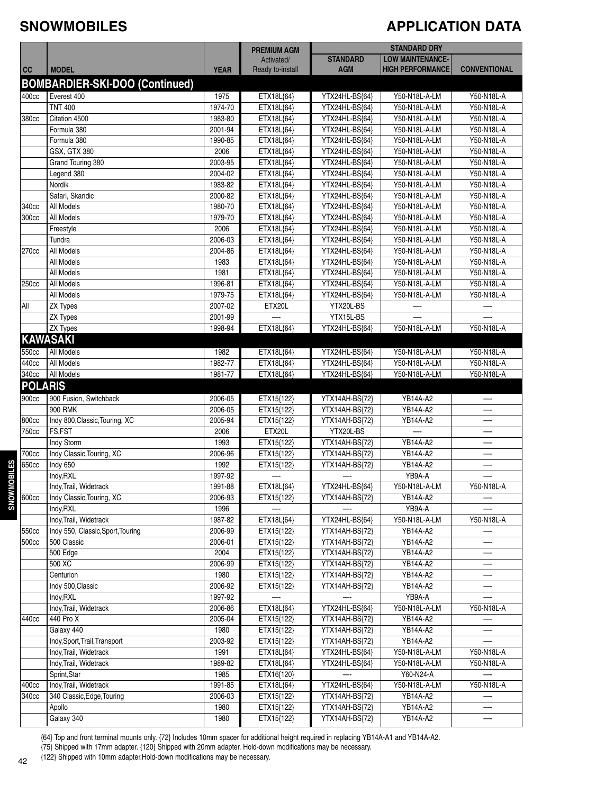#### **SNOWMOBILES**

#### **APPLICATION DATA**

|                |                                       |             | <b>PREMIUM AGM</b> | <b>STANDARD DRY</b> |                         |                     |
|----------------|---------------------------------------|-------------|--------------------|---------------------|-------------------------|---------------------|
|                |                                       |             | Activated/         | <b>STANDARD</b>     | <b>LOW MAINTENANCE-</b> |                     |
| cc             | <b>MODEL</b>                          | <b>YEAR</b> | Ready to-install   | <b>AGM</b>          | <b>HIGH PERFORMANCE</b> | <b>CONVENTIONAL</b> |
|                | <b>BOMBARDIER-SKI-DOO (Continued)</b> |             |                    |                     |                         |                     |
| 400cc          | Everest 400                           | 1975        | ETX18L{64}         | YTX24HL-BS{64}      | Y50-N18L-A-LM           | Y50-N18L-A          |
|                | <b>TNT 400</b>                        | 1974-70     | ETX18L{64}         | YTX24HL-BS{64}      | Y50-N18L-A-LM           | Y50-N18L-A          |
| 380cc          | Citation 4500                         | 1983-80     | ETX18L{64}         | YTX24HL-BS{64}      | Y50-N18L-A-LM           | Y50-N18L-A          |
|                | Formula 380                           | 2001-94     | ETX18L{64}         | YTX24HL-BS{64}      | Y50-N18L-A-LM           | Y50-N18L-A          |
|                | Formula 380                           | 1990-85     | ETX18L{64}         | YTX24HL-BS{64}      | Y50-N18L-A-LM           | Y50-N18L-A          |
|                | GSX, GTX 380                          | 2006        | ETX18L{64}         | YTX24HL-BS{64}      | Y50-N18L-A-LM           | Y50-N18L-A          |
|                | Grand Touring 380                     | 2003-95     | ETX18L{64}         | YTX24HL-BS{64}      | Y50-N18L-A-LM           | Y50-N18L-A          |
|                | Legend 380                            | 2004-02     | ETX18L{64}         | YTX24HL-BS{64}      | Y50-N18L-A-LM           | Y50-N18L-A          |
|                | Nordik                                | 1983-82     | ETX18L{64}         | YTX24HL-BS{64}      | Y50-N18L-A-LM           | Y50-N18L-A          |
|                | Safari, Skandic                       | 2000-82     | ETX18L{64}         | YTX24HL-BS{64}      | Y50-N18L-A-LM           | Y50-N18L-A          |
| 340cc          | All Models                            | 1980-70     | ETX18L{64}         | YTX24HL-BS{64}      | Y50-N18L-A-LM           | Y50-N18L-A          |
| 300cc          | All Models                            | 1979-70     | ETX18L{64}         | YTX24HL-BS{64}      | Y50-N18L-A-LM           | Y50-N18L-A          |
|                | Freestyle                             | 2006        | ETX18L{64}         | YTX24HL-BS{64}      | Y50-N18L-A-LM           | Y50-N18L-A          |
|                | Tundra                                | 2006-03     | ETX18L{64}         | YTX24HL-BS{64}      | Y50-N18L-A-LM           | Y50-N18L-A          |
| 270cc          | All Models                            | 2004-86     | ETX18L{64}         | YTX24HL-BS{64}      | Y50-N18L-A-LM           | Y50-N18L-A          |
|                | All Models                            | 1983        | ETX18L{64}         | YTX24HL-BS{64}      | Y50-N18L-A-LM           | Y50-N18L-A          |
|                | All Models                            | 1981        | ETX18L{64}         | YTX24HL-BS{64}      | Y50-N18L-A-LM           | Y50-N18L-A          |
| 250cc          | All Models                            | 1996-81     | ETX18L{64}         | YTX24HL-BS{64}      | Y50-N18L-A-LM           | Y50-N18L-A          |
|                | All Models                            | 1979-75     | ETX18L{64}         | YTX24HL-BS{64}      | Y50-N18L-A-LM           | Y50-N18L-A          |
| All            | <b>ZX Types</b>                       | 2007-02     | ETX20L             | YTX20L-BS           |                         |                     |
|                | <b>ZX Types</b>                       | 2001-99     |                    | YTX15L-BS           |                         |                     |
|                | <b>ZX Types</b>                       | 1998-94     | ETX18L{64}         | YTX24HL-BS{64}      | Y50-N18L-A-LM           | Y50-N18L-A          |
|                | <b>KAWASAKI</b>                       |             |                    |                     |                         |                     |
| 550cc          | <b>All Models</b>                     | 1982        | ETX18L{64}         | YTX24HL-BS{64}      | Y50-N18L-A-LM           | Y50-N18L-A          |
| 440cc          | All Models                            | 1982-77     | ETX18L{64}         | YTX24HL-BS{64}      | Y50-N18L-A-LM           | Y50-N18L-A          |
| 340cc          | All Models                            | 1981-77     | ETX18L{64}         | YTX24HL-BS{64}      | Y50-N18L-A-LM           | Y50-N18L-A          |
| <b>POLARIS</b> |                                       |             |                    |                     |                         |                     |
|                |                                       |             |                    |                     |                         |                     |
| 900cc          | 900 Fusion, Switchback                | 2006-05     | ETX15{122}         | YTX14AH-BS{72}      | YB14A-A2                |                     |
|                | <b>900 RMK</b>                        | 2006-05     | ETX15{122}         | YTX14AH-BS{72}      | YB14A-A2                |                     |
| 800cc          | Indy 800, Classic, Touring, XC        | 2005-94     | ETX15{122}         | YTX14AH-BS{72}      | YB14A-A2                |                     |
| 750cc          | FS,FST                                | 2006        | ETX20L             | YTX20L-BS           |                         |                     |
|                | Indy Storm                            | 1993        | ETX15{122}         | YTX14AH-BS{72}      | YB14A-A2                |                     |
| 700cc          | Indy Classic, Touring, XC             | 2006-96     | ETX15{122}         | YTX14AH-BS{72}      | YB14A-A2                |                     |
| 650cc          | Indy 650                              | 1992        | ETX15{122}         | YTX14AH-BS{72}      | YB14A-A2                |                     |
|                | Indy, RXL                             | 1997-92     |                    |                     | YB9A-A                  |                     |
|                | Indv.Trail. Widetrack                 | 1991-88     | ETX18L{64}         | YTX24HL-BS{64}      | Y50-N18L-A-LM           | Y50-N18L-A          |
| 600cc          | Indy Classic, Touring, XC             | 2006-93     | ETX15{122}         | YTX14AH-BS{72}      | YB14A-A2                |                     |
|                | Indy, RXL                             | 1996        |                    |                     | YB9A-A                  |                     |
|                | Indy, Trail, Widetrack                | 1987-82     | ETX18L{64}         | YTX24HL-BS{64}      | Y50-N18L-A-LM           | Y50-N18L-A          |
| 550cc          | Indy 550, Classic, Sport, Touring     | 2006-99     | ETX15{122}         | YTX14AH-BS{72}      | <b>YB14A-A2</b>         |                     |
| 500cc          | 500 Classic                           | 2006-01     | ETX15{122}         | YTX14AH-BS{72}      | <b>YB14A-A2</b>         | —-                  |
|                | 500 Edge                              | 2004        | ETX15{122}         | YTX14AH-BS{72}      | YB14A-A2                |                     |
|                | 500 XC                                | 2006-99     | ETX15{122}         | YTX14AH-BS{72}      | YB14A-A2                |                     |
|                | Centurion                             | 1980        | ETX15{122}         | YTX14AH-BS{72}      | YB14A-A2                |                     |
|                | Indy 500, Classic                     | 2006-92     | ETX15{122}         | YTX14AH-BS{72}      | YB14A-A2                |                     |
|                | Indy, RXL                             | 1997-92     |                    |                     | YB9A-A                  |                     |
|                | Indy, Trail, Widetrack                | 2006-86     | ETX18L{64}         | YTX24HL-BS{64}      | Y50-N18L-A-LM           | Y50-N18L-A          |
| 440cc          | 440 Pro X                             | 2005-04     | ETX15{122}         | YTX14AH-BS{72}      | YB14A-A2                |                     |
|                | Galaxy 440                            | 1980        | ETX15{122}         | YTX14AH-BS{72}      | YB14A-A2                |                     |
|                | Indy, Sport, Trail, Transport         | 2003-92     | ETX15{122}         | YTX14AH-BS{72}      | YB14A-A2                |                     |
|                | Indy, Trail, Widetrack                | 1991        | ETX18L{64}         | YTX24HL-BS{64}      | Y50-N18L-A-LM           | Y50-N18L-A          |
|                | Indy, Trail, Widetrack                | 1989-82     | ETX18L{64}         | YTX24HL-BS{64}      | Y50-N18L-A-LM           | Y50-N18L-A          |
|                | Sprint, Star                          | 1985        | ETX16{120}         |                     | Y60-N24-A               |                     |
| 400cc          | Indy, Trail, Widetrack                | 1991-85     | ETX18L{64}         | YTX24HL-BS{64}      | Y50-N18L-A-LM           | Y50-N18L-A          |
| 340cc          | 340 Classic, Edge, Touring            | 2006-03     | ETX15{122}         | YTX14AH-BS{72}      | YB14A-A2                |                     |
|                | Apollo                                | 1980        | ETX15{122}         | YTX14AH-BS{72}      | YB14A-A2                |                     |
|                | Galaxy 340                            | 1980        | ETX15{122}         | YTX14AH-BS{72}      | YB14A-A2                |                     |

{64} Top and front terminal mounts only. {72} Includes 10mm spacer for additional height required in replacing YB14A-A1 and YB14A-A2.

{75} Shipped with 17mm adapter. {120} Shipped with 20mm adapter. Hold-down modifications may be necessary.

{122} Shipped with 10mm adapter.Hold-down modifications may be necessary.

**SNO W M OBILES**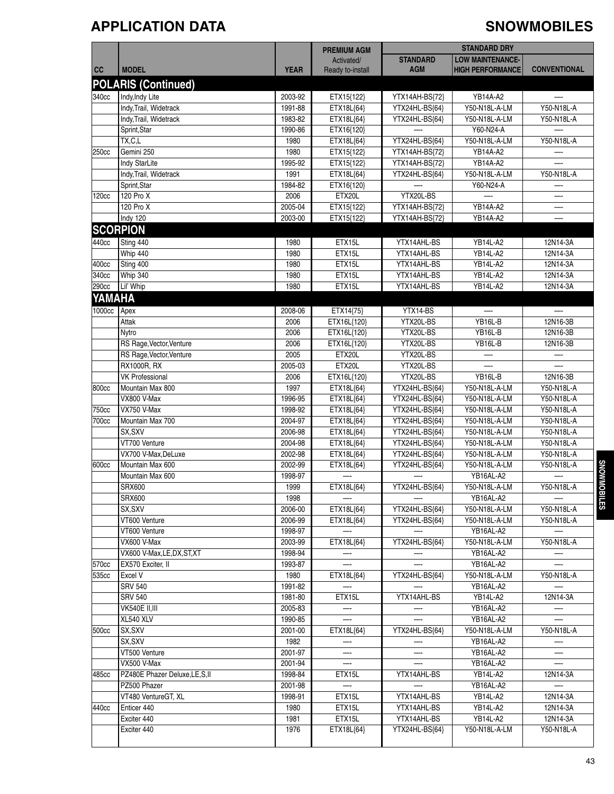### **APPLICATION DATA SNOWMOBILES**

|                   |                                            |                    | <b>PREMIUM AGM</b>             |                               | <b>STANDARD DRY</b>                                |                          |
|-------------------|--------------------------------------------|--------------------|--------------------------------|-------------------------------|----------------------------------------------------|--------------------------|
| cc                | <b>MODEL</b>                               | <b>YEAR</b>        | Activated/<br>Ready to-install | <b>STANDARD</b><br><b>AGM</b> | <b>LOW MAINTENANCE-</b><br><b>HIGH PERFORMANCE</b> | <b>CONVENTIONAL</b>      |
|                   | <b>POLARIS (Continued)</b>                 |                    |                                |                               |                                                    |                          |
| 340cc             | Indy, Indy Lite                            | 2003-92            | ETX15{122}                     | YTX14AH-BS{72}                | YB14A-A2                                           |                          |
|                   | Indy, Trail, Widetrack                     | 1991-88            | ETX18L{64}                     | YTX24HL-BS{64}                | Y50-N18L-A-LM                                      | Y50-N18L-A               |
|                   | Indy, Trail, Widetrack                     | 1983-82            | ETX18L{64}                     | YTX24HL-BS{64}                | Y50-N18L-A-LM                                      | Y50-N18L-A               |
|                   | Sprint, Star                               | 1990-86            | ETX16{120}                     |                               | Y60-N24-A                                          |                          |
|                   | TX, C, L                                   | 1980               | ETX18L{64}                     | YTX24HL-BS{64}                | Y50-N18L-A-LM                                      | Y50-N18L-A               |
| 250cc             | Gemini 250                                 | 1980               | ETX15{122}                     | YTX14AH-BS{72}                | YB14A-A2                                           |                          |
|                   | Indy StarLite                              | 1995-92            | ETX15{122}                     | YTX14AH-BS{72}                | YB14A-A2                                           |                          |
|                   | Indy, Trail, Widetrack                     | 1991               | ETX18L{64}                     | YTX24HL-BS{64}                | Y50-N18L-A-LM                                      | Y50-N18L-A               |
|                   | Sprint, Star                               | 1984-82            | ETX16{120}                     |                               | Y60-N24-A                                          |                          |
| 120 <sub>cc</sub> | 120 Pro X                                  | 2006               | ETX20L                         | YTX20L-BS                     |                                                    |                          |
|                   | 120 Pro X                                  | 2005-04            | ETX15{122}                     | YTX14AH-BS{72}                | YB14A-A2                                           |                          |
|                   | Indy 120                                   | 2003-00            | ETX15{122}                     | YTX14AH-BS{72}                | YB14A-A2                                           | $\overline{\phantom{0}}$ |
|                   | <b>SCORPION</b>                            |                    |                                |                               |                                                    |                          |
| 440cc             | Sting 440                                  | 1980               | ETX15L                         | YTX14AHL-BS                   | <b>YB14L-A2</b>                                    | 12N14-3A                 |
|                   | Whip 440                                   | 1980               | ETX15L                         | YTX14AHL-BS                   | <b>YB14L-A2</b>                                    | 12N14-3A                 |
| 400cc             | Sting 400                                  | 1980               | ETX15L                         | YTX14AHL-BS                   | <b>YB14L-A2</b>                                    | 12N14-3A                 |
| 340cc             | Whip 340                                   | 1980               | ETX15L                         | YTX14AHL-BS                   | YB14L-A2                                           | 12N14-3A                 |
| 290cc             | Lil' Whip                                  | 1980               | ETX15L                         | YTX14AHL-BS                   | YB14L-A2                                           | 12N14-3A                 |
| YAMAHA            |                                            |                    |                                |                               |                                                    |                          |
| 1000cc Apex       |                                            | 2008-06            | ETX14{75}                      | YTX14-BS                      |                                                    |                          |
|                   | Attak                                      | 2006               | ETX16L{120}                    | YTX20L-BS                     | YB16L-B                                            | 12N16-3B                 |
|                   | Nytro                                      | 2006               | ETX16L{120}                    | YTX20L-BS                     | YB16L-B                                            | 12N16-3B                 |
|                   | RS Rage, Vector, Venture                   | 2006               | ETX16L{120}                    | YTX20L-BS                     | YB16L-B                                            | 12N16-3B                 |
|                   | RS Rage, Vector, Venture                   | 2005               | ETX20L                         | YTX20L-BS                     |                                                    |                          |
|                   | <b>RX1000R, RX</b>                         | 2005-03            | ETX20L                         | YTX20L-BS                     |                                                    |                          |
| 800cc             | <b>VK Professional</b><br>Mountain Max 800 | 2006<br>1997       | ETX16L{120}                    | YTX20L-BS<br>YTX24HL-BS{64}   | YB16L-B<br>Y50-N18L-A-LM                           | 12N16-3B<br>Y50-N18L-A   |
|                   | <b>VX800 V-Max</b>                         | 1996-95            | ETX18L{64}<br>ETX18L{64}       | YTX24HL-BS{64}                | Y50-N18L-A-LM                                      | Y50-N18L-A               |
| 750cc             | <b>VX750 V-Max</b>                         | 1998-92            | ETX18L{64}                     | YTX24HL-BS{64}                | Y50-N18L-A-LM                                      | Y50-N18L-A               |
| 700cc             | Mountain Max 700                           | 2004-97            | ETX18L{64}                     | YTX24HL-BS{64}                | Y50-N18L-A-LM                                      | Y50-N18L-A               |
|                   | SX, SXV                                    | 2006-98            | ETX18L{64}                     | YTX24HL-BS{64}                | Y50-N18L-A-LM                                      | Y50-N18L-A               |
|                   | VT700 Venture                              | 2004-98            | ETX18L{64}                     | YTX24HL-BS{64}                | Y50-N18L-A-LM                                      | Y50-N18L-A               |
|                   | VX700 V-Max, DeLuxe                        | 2002-98            | ETX18L{64}                     | YTX24HL-BS{64}                | Y50-N18L-A-LM                                      | Y50-N18L-A               |
| 600cc             | Mountain Max 600                           | 2002-99            | ETX18L{64}                     | YTX24HL-BS{64}                | Y50-N18L-A-LM                                      | Y50-N18L-A               |
|                   | Mountain Max 600                           | 1998-97            |                                |                               | YB16AL-A2                                          |                          |
|                   | <b>SRX600</b>                              | 1999               | ETX18L{64}                     | YTX24HL-BS{64}                | Y50-N18L-A-LM                                      | Y50-N18L-A               |
|                   | SRX600                                     | 1998               |                                |                               | YB16AL-A2                                          |                          |
|                   | SX, SXV                                    | 2006-00            | ETX18L{64}                     | YTX24HL-BS{64}                | Y50-N18L-A-LM                                      | Y50-N18L-A               |
|                   | VT600 Venture                              | 2006-99            | ETX18L{64}                     | YTX24HL-BS{64}                | Y50-N18L-A-LM                                      | Y50-N18L-A               |
|                   | VT600 Venture                              | 1998-97            |                                |                               | YB16AL-A2                                          |                          |
|                   | <b>VX600 V-Max</b>                         | 2003-99            | ETX18L{64}                     | YTX24HL-BS{64}                | Y50-N18L-A-LM                                      | Y50-N18L-A               |
|                   | VX600 V-Max, LE, DX, ST, XT                | 1998-94            |                                |                               | YB16AL-A2                                          |                          |
| 570cc             | EX570 Exciter, II                          | 1993-87            |                                |                               | YB16AL-A2                                          |                          |
| 535cc             | Excel V                                    | 1980               | ETX18L{64}                     | YTX24HL-BS{64}                | Y50-N18L-A-LM                                      | Y50-N18L-A               |
|                   | <b>SRV 540</b>                             | 1991-82            |                                |                               | YB16AL-A2                                          |                          |
|                   | <b>SRV 540</b>                             | 1981-80            | ETX15L                         | YTX14AHL-BS                   | <b>YB14L-A2</b>                                    | 12N14-3A                 |
|                   | VK540E II, III<br>XL540 XLV                | 2005-83<br>1990-85 |                                |                               | YB16AL-A2<br>YB16AL-A2                             |                          |
|                   | SX, SXV                                    |                    |                                | YTX24HL-BS{64}                | Y50-N18L-A-LM                                      | Y50-N18L-A               |
| 500cc             | SX, SXV                                    | 2001-00<br>1982    | ETX18L{64}                     |                               | YB16AL-A2                                          |                          |
|                   | VT500 Venture                              | 2001-97            |                                |                               | YB16AL-A2                                          |                          |
|                   | VX500 V-Max                                | 2001-94            | —-                             |                               | YB16AL-A2                                          | L.                       |
| 485cc             | PZ480E Phazer Deluxe, LE, S, II            | 1998-84            | ETX15L                         | YTX14AHL-BS                   | <b>YB14L-A2</b>                                    | 12N14-3A                 |
|                   | PZ500 Phazer                               | 2001-98            |                                |                               | YB16AL-A2                                          |                          |
|                   | VT480 VentureGT, XL                        | 1998-91            | ETX15L                         | YTX14AHL-BS                   | <b>YB14L-A2</b>                                    | 12N14-3A                 |
| 440cc             | Enticer 440                                | 1980               | ETX15L                         | YTX14AHL-BS                   | YB14L-A2                                           | 12N14-3A                 |
|                   | Exciter 440                                | 1981               | ETX15L                         | YTX14AHL-BS                   | YB14L-A2                                           | 12N14-3A                 |
|                   | Exciter 440                                | 1976               | ETX18L{64}                     | YTX24HL-BS{64}                | Y50-N18L-A-LM                                      | Y50-N18L-A               |
|                   |                                            |                    |                                |                               |                                                    |                          |

**SNO W M OBILES**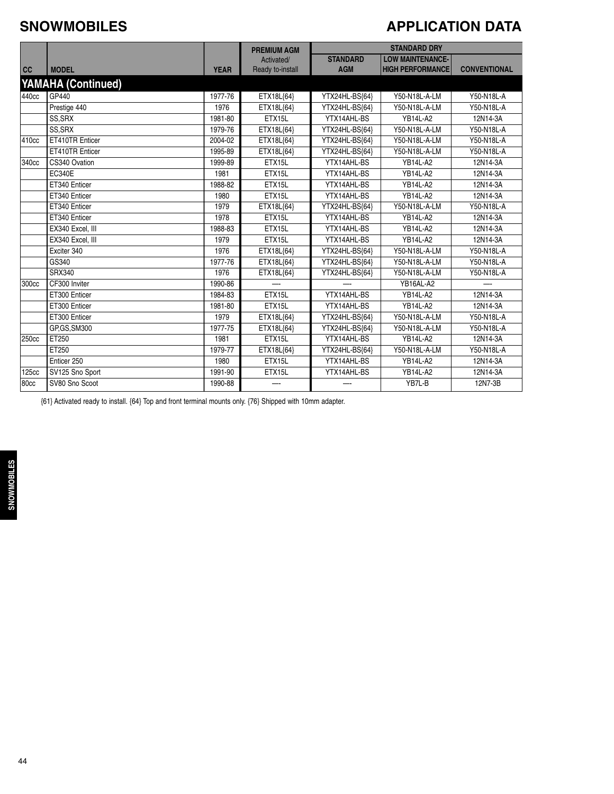#### **SNOWMOBILES**

#### **APPLICATION DATA**

|              |                           |             | <b>PREMIUM AGM</b>             |                               | <b>STANDARD DRY</b>                                |                     |
|--------------|---------------------------|-------------|--------------------------------|-------------------------------|----------------------------------------------------|---------------------|
| cc           | <b>MODEL</b>              | <b>YEAR</b> | Activated/<br>Ready to-install | <b>STANDARD</b><br><b>AGM</b> | <b>LOW MAINTENANCE-</b><br><b>HIGH PERFORMANCE</b> | <b>CONVENTIONAL</b> |
|              | <b>YAMAHA (Continued)</b> |             |                                |                               |                                                    |                     |
| 440cc        | GP440                     | 1977-76     | ETX18L{64}                     | YTX24HL-BS{64}                | Y50-N18L-A-LM                                      | Y50-N18L-A          |
|              | Prestige 440              | 1976        | ETX18L{64}                     | YTX24HL-BS{64}                | Y50-N18L-A-LM                                      | Y50-N18L-A          |
|              | SS.SRX                    | 1981-80     | ETX15L                         | YTX14AHL-BS                   | YB14L-A2                                           | 12N14-3A            |
|              | SS, SRX                   | 1979-76     | ETX18L{64}                     | YTX24HL-BS{64}                | Y50-N18L-A-LM                                      | Y50-N18L-A          |
| 410cc        | ET410TR Enticer           | 2004-02     | ETX18L{64}                     | YTX24HL-BS{64}                | Y50-N18L-A-LM                                      | Y50-N18L-A          |
|              | ET410TR Enticer           | 1995-89     | ETX18L{64}                     | YTX24HL-BS{64}                | Y50-N18L-A-LM                                      | Y50-N18L-A          |
| 340cc        | CS340 Ovation             | 1999-89     | ETX15L                         | YTX14AHL-BS                   | <b>YB14L-A2</b>                                    | 12N14-3A            |
|              | <b>EC340E</b>             | 1981        | ETX15L                         | YTX14AHL-BS                   | <b>YB14L-A2</b>                                    | 12N14-3A            |
|              | ET340 Enticer             | 1988-82     | ETX15L                         | YTX14AHL-BS                   | <b>YB14L-A2</b>                                    | 12N14-3A            |
|              | ET340 Enticer             | 1980        | ETX15L                         | YTX14AHL-BS                   | <b>YB14L-A2</b>                                    | 12N14-3A            |
|              | ET340 Enticer             | 1979        | ETX18L{64}                     | YTX24HL-BS{64}                | Y50-N18L-A-LM                                      | Y50-N18L-A          |
|              | ET340 Enticer             | 1978        | ETX15L                         | YTX14AHL-BS                   | <b>YB14L-A2</b>                                    | 12N14-3A            |
|              | EX340 Excel, III          | 1988-83     | ETX15L                         | YTX14AHL-BS                   | <b>YB14L-A2</b>                                    | 12N14-3A            |
|              | EX340 Excel, III          | 1979        | ETX15L                         | YTX14AHL-BS                   | <b>YB14L-A2</b>                                    | 12N14-3A            |
|              | Exciter 340               | 1976        | ETX18L{64}                     | YTX24HL-BS{64}                | Y50-N18L-A-LM                                      | Y50-N18L-A          |
|              | GS340                     | 1977-76     | ETX18L{64}                     | YTX24HL-BS{64}                | Y50-N18L-A-LM                                      | Y50-N18L-A          |
|              | <b>SRX340</b>             | 1976        | ETX18L{64}                     | YTX24HL-BS{64}                | Y50-N18L-A-LM                                      | Y50-N18L-A          |
| 300cc        | CF300 Inviter             | 1990-86     |                                |                               | YB16AL-A2                                          |                     |
|              | ET300 Enticer             | 1984-83     | ETX15L                         | YTX14AHL-BS                   | <b>YB14L-A2</b>                                    | 12N14-3A            |
|              | ET300 Enticer             | 1981-80     | ETX15L                         | YTX14AHL-BS                   | <b>YB14L-A2</b>                                    | 12N14-3A            |
|              | ET300 Enticer             | 1979        | ETX18L{64}                     | YTX24HL-BS{64}                | Y50-N18L-A-LM                                      | Y50-N18L-A          |
|              | GP, GS, SM300             | 1977-75     | ETX18L{64}                     | YTX24HL-BS{64}                | Y50-N18L-A-LM                                      | Y50-N18L-A          |
| 250cc        | ET250                     | 1981        | ETX15L                         | YTX14AHL-BS                   | <b>YB14L-A2</b>                                    | 12N14-3A            |
|              | ET250                     | 1979-77     | ETX18L{64}                     | YTX24HL-BS{64}                | Y50-N18L-A-LM                                      | Y50-N18L-A          |
|              | Enticer 250               | 1980        | ETX15L                         | YTX14AHL-BS                   | <b>YB14L-A2</b>                                    | 12N14-3A            |
| <b>125cc</b> | SV125 Sno Sport           | 1991-90     | ETX15L                         | YTX14AHL-BS                   | <b>YB14L-A2</b>                                    | 12N14-3A            |
| 80cc         | SV80 Sno Scoot            | 1990-88     |                                |                               | YB7L-B                                             | 12N7-3B             |

{61} Activated ready to install. {64} Top and front terminal mounts only. {76} Shipped with 10mm adapter.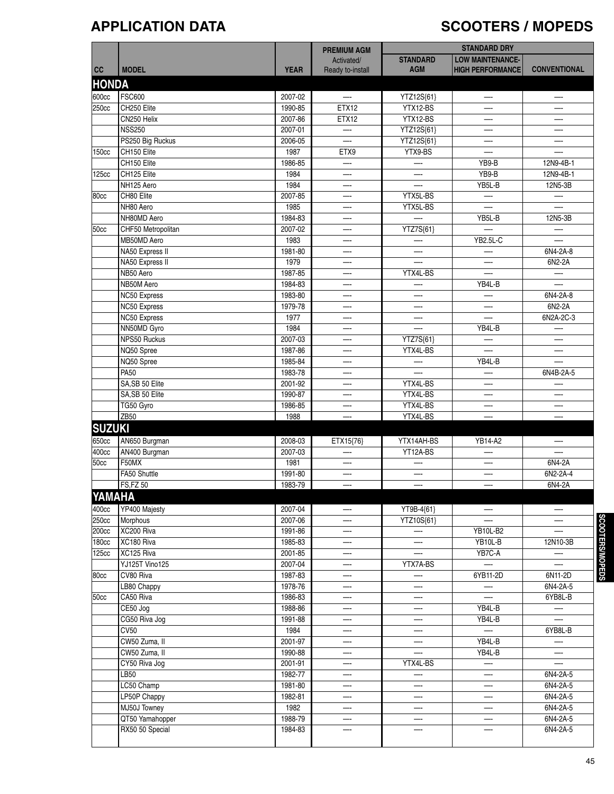# **APPLICATION DATA SCOOTERS / MOPEDS**

|               |                       |             |                                | <b>STANDARD DRY</b> |                          |                          |
|---------------|-----------------------|-------------|--------------------------------|---------------------|--------------------------|--------------------------|
|               |                       |             | <b>PREMIUM AGM</b>             | <b>STANDARD</b>     | <b>LOW MAINTENANCE-</b>  |                          |
| cc            | <b>MODEL</b>          | <b>YEAR</b> | Activated/<br>Ready to-install | <b>AGM</b>          | <b>HIGH PERFORMANCE</b>  | <b>CONVENTIONAL</b>      |
|               |                       |             |                                |                     |                          |                          |
| <b>HONDA</b>  |                       |             |                                |                     |                          |                          |
| 600cc         | <b>FSC600</b>         | 2007-02     |                                | YTZ12S{61}          |                          |                          |
| 250cc         | CH250 Elite           | 1990-85     | ETX12                          | YTX12-BS            |                          |                          |
|               | CN250 Helix           | 2007-86     | ETX12                          | YTX12-BS            | —-                       | —                        |
|               | <b>NSS250</b>         | 2007-01     | —-                             | YTZ12S{61}          | —                        | —                        |
|               | PS250 Big Ruckus      | 2006-05     |                                | YTZ12S{61}          | —-                       | —                        |
| 150cc         | CH150 Elite           | 1987        | ETX9                           | YTX9-BS             |                          |                          |
|               | CH150 Elite           | 1986-85     | —-                             |                     | YB9-B                    | 12N9-4B-1                |
| 125cc         | CH125 Elite           | 1984        | —-                             |                     | YB9-B                    | 12N9-4B-1                |
|               | NH125 Aero            | 1984        | —-                             | —.                  | YB5L-B                   | 12N5-3B                  |
| 80cc          | CH80 Elite            | 2007-85     | —-                             | YTX5L-BS            |                          | —                        |
|               | NH80 Aero             | 1985        | —-                             | YTX5L-BS            |                          |                          |
|               | NH80MD Aero           | 1984-83     | —-                             | —-                  | YB5L-B                   | 12N5-3B                  |
| 50cc          | CHF50 Metropolitan    | 2007-02     | —-                             | YTZ7S{61}           |                          |                          |
|               | MB50MD Aero           | 1983        |                                |                     | YB2.5L-C                 |                          |
|               | NA50 Express II       | 1981-80     | --                             | —-                  |                          | 6N4-2A-8                 |
|               | NA50 Express II       | 1979        | —-                             |                     | —                        | 6N2-2A                   |
|               | NB50 Aero             | 1987-85     | —-                             | YTX4L-BS            |                          | $\overline{\phantom{0}}$ |
|               | NB50M Aero            | 1984-83     |                                |                     | YB4L-B                   | —                        |
|               | NC50 Express          | 1983-80     |                                |                     |                          | 6N4-2A-8                 |
|               | NC50 Express          | 1979-78     | —-                             | —-                  | —-                       | 6N2-2A                   |
|               | NC50 Express          | 1977        | —-                             | —-                  |                          | 6N2A-2C-3                |
|               | NN50MD Gyro           | 1984        | —-                             |                     | YB4L-B                   | —-                       |
|               | NPS50 Ruckus          | 2007-03     | —-                             | YTZ7S{61}           |                          | —                        |
|               | NQ50 Spree            | 1987-86     | —-                             | YTX4L-BS            |                          | —-                       |
|               | NQ50 Spree            | 1985-84     |                                |                     | YB4L-B                   |                          |
|               | <b>PA50</b>           | 1983-78     |                                |                     |                          | 6N4B-2A-5                |
|               | SA, SB 50 Elite       | 2001-92     | —-                             | YTX4L-BS            | —-                       |                          |
|               | SA, SB 50 Elite       | 1990-87     | —-                             | YTX4L-BS            | —                        | —                        |
|               | TG50 Gyro             | 1986-85     | —-                             | YTX4L-BS            | —-                       | —                        |
|               | <b>ZB50</b>           | 1988        |                                | YTX4L-BS            |                          |                          |
| <b>SUZUKI</b> |                       |             |                                |                     |                          |                          |
| 650cc         | AN650 Burgman         | 2008-03     |                                | YTX14AH-BS          | YB14-A2                  |                          |
| 400cc         | AN400 Burgman         | 2007-03     | ETX15{76}                      | YT12A-BS            |                          |                          |
| 50cc          | F50MX                 | 1981        |                                |                     |                          | 6N4-2A                   |
|               | FA50 Shuttle          | 1991-80     | —-                             | —-                  | —-                       | 6N2-2A-4                 |
|               |                       |             |                                |                     |                          |                          |
|               | <b>FS,FZ 50</b>       | 1983-79     |                                |                     |                          | 6N4-2A                   |
| YAMAHA        |                       |             |                                |                     |                          |                          |
| 400cc         | YP400 Majesty         | 2007-04     |                                | YT9B-4{61}          | $-\cdot$                 |                          |
| 250cc         | Morphous              | 2007-06     |                                | YTZ10S{61}          |                          |                          |
| 200cc         | XC200 Riva            | 1991-86     | —-                             | —                   | YB10L-B2                 | —                        |
| 180cc         | XC180 Riva            | 1985-83     |                                |                     | YB10L-B                  | 12N10-3B                 |
| 125cc         | XC125 Riva            | 2001-85     |                                |                     | YB7C-A                   |                          |
|               | <b>YJ125T Vino125</b> | 2007-04     | —-                             | YTX7A-BS            | $\overline{\phantom{0}}$ | $\overline{\phantom{0}}$ |
| 80cc          | CV80 Riva             | 1987-83     | —-                             | —                   | 6YB11-2D                 | 6N11-2D                  |
|               | LB80 Chappy           | 1978-76     | —-                             | —                   |                          | 6N4-2A-5                 |
| 50cc          | CA50 Riva             | 1986-83     | —-                             | —-                  | —                        | 6YB8L-B                  |
|               | CE50 Jog              | 1988-86     |                                |                     | YB4L-B                   |                          |
|               | CG50 Riva Jog         | 1991-88     | —-                             | —-                  | YB4L-B                   |                          |
|               | <b>CV50</b>           | 1984        | —-                             |                     | $-\cdot$                 | 6YB8L-B                  |
|               | CW50 Zuma, II         | 2001-97     | —-                             |                     | YB4L-B                   | $\overline{\phantom{0}}$ |
|               | CW50 Zuma, II         | 1990-88     | —-                             |                     | YB4L-B                   | —                        |
|               | CY50 Riva Jog         | 2001-91     | —-                             | YTX4L-BS            | —-                       | $\overline{\phantom{0}}$ |
|               | LB50                  | 1982-77     |                                |                     |                          | 6N4-2A-5                 |
|               | LC50 Champ            | 1981-80     | —-                             |                     |                          | 6N4-2A-5                 |
|               | LP50P Chappy          | 1982-81     | —                              | —-                  | —-                       | 6N4-2A-5                 |
|               | MJ50J Towney          | 1982        | —-                             | —                   | —                        | 6N4-2A-5                 |
|               | QT50 Yamahopper       | 1988-79     | —-                             |                     |                          | 6N4-2A-5                 |
|               | RX50 50 Special       | 1984-83     | —-                             |                     |                          | 6N4-2A-5                 |
|               |                       |             |                                |                     |                          |                          |
|               |                       |             |                                |                     |                          |                          |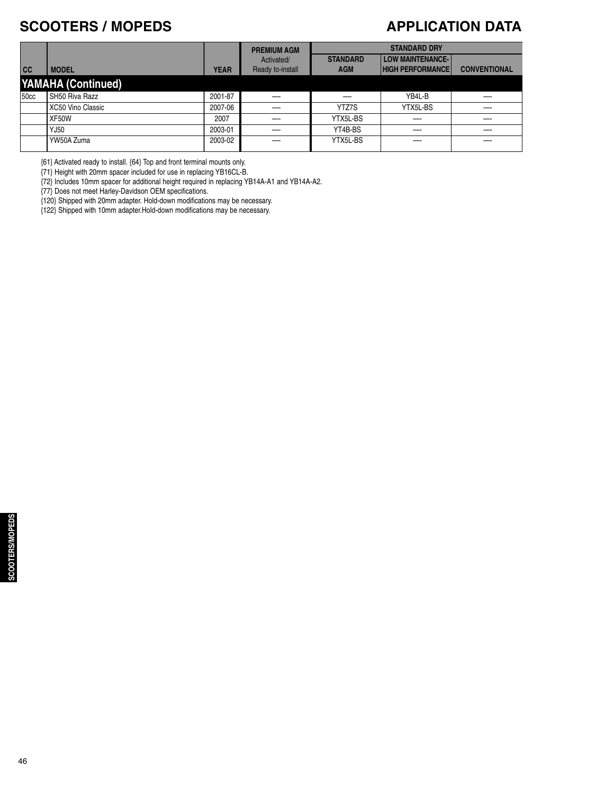#### **SCOOTERS / MOPEDS**

#### **APPLICATION DATA**

| <b>CONVENTIONAL</b> |
|---------------------|
|                     |
|                     |
|                     |
|                     |
|                     |
|                     |
|                     |

{61} Activated ready to install. {64} Top and front terminal mounts only.

{71} Height with 20mm spacer included for use in replacing YB16CL-B.

{72} Includes 10mm spacer for additional height required in replacing YB14A-A1 and YB14A-A2.

{77} Does not meet Harley-Davidson OEM specifications.

{120} Shipped with 20mm adapter. Hold-down modifications may be necessary.

{122} Shipped with 10mm adapter.Hold-down modifications may be necessary.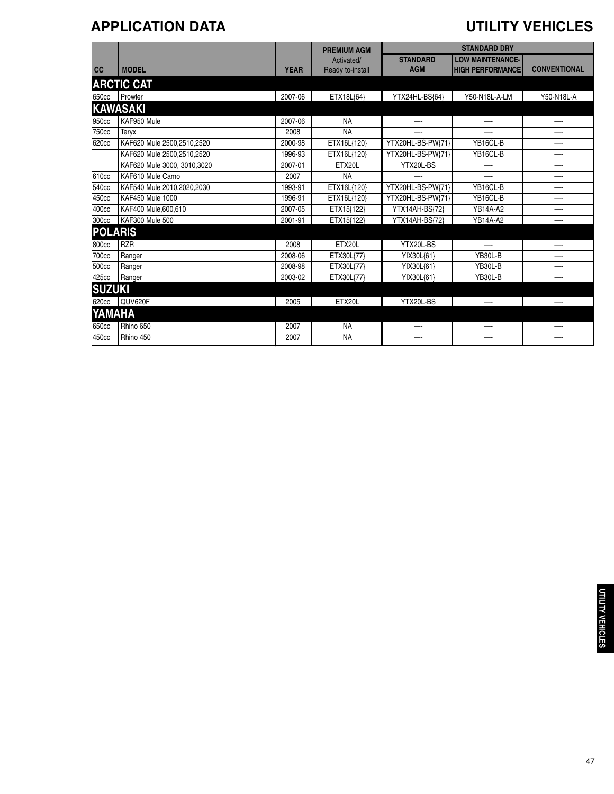### **APPLICATION DATA UTILITY VEHICLES**

|                |                             |             | <b>PREMIUM AGM</b> | <b>STANDARD DRY</b> |                         |                     |
|----------------|-----------------------------|-------------|--------------------|---------------------|-------------------------|---------------------|
|                |                             |             | Activated/         | <b>STANDARD</b>     | <b>LOW MAINTENANCE-</b> |                     |
| cc             | <b>MODEL</b>                | <b>YEAR</b> | Ready to-install   | <b>AGM</b>          | <b>HIGH PERFORMANCE</b> | <b>CONVENTIONAL</b> |
|                | <b>ARCTIC CAT</b>           |             |                    |                     |                         |                     |
|                | 650cc Prowler               | 2007-06     | ETX18L{64}         | YTX24HL-BS{64}      | Y50-N18L-A-LM           | Y50-N18L-A          |
|                | <b>KAWASAKI</b>             |             |                    |                     |                         |                     |
| 950cc          | KAF950 Mule                 | 2007-06     | <b>NA</b>          |                     |                         |                     |
| 750cc          | Teryx                       | 2008        | <b>NA</b>          |                     |                         |                     |
| 620cc          | KAF620 Mule 2500,2510,2520  | 2000-98     | ETX16L{120}        | YTX20HL-BS-PW{71}   | YB16CL-B                |                     |
|                | KAF620 Mule 2500.2510.2520  | 1996-93     | ETX16L{120}        | YTX20HL-BS-PW{71}   | YB16CL-B                |                     |
|                | KAF620 Mule 3000, 3010,3020 | 2007-01     | ETX20L             | YTX20L-BS           | —-                      | --                  |
| 610cc          | KAF610 Mule Camo            | 2007        | <b>NA</b>          |                     |                         |                     |
| 540cc          | KAF540 Mule 2010,2020,2030  | 1993-91     | ETX16L{120}        | YTX20HL-BS-PW{71}   | YB16CL-B                |                     |
| 450cc          | <b>KAF450 Mule 1000</b>     | 1996-91     | ETX16L{120}        | YTX20HL-BS-PW{71}   | YB16CL-B                |                     |
| 400cc          | KAF400 Mule,600,610         | 2007-05     | ETX15{122}         | YTX14AH-BS{72}      | <b>YB14A-A2</b>         | --                  |
| 300cc          | KAF300 Mule 500             | 2001-91     | ETX15{122}         | YTX14AH-BS{72}      | YB14A-A2                |                     |
| <b>POLARIS</b> |                             |             |                    |                     |                         |                     |
| 800cc          | <b>RZR</b>                  | 2008        | ETX20L             | YTX20L-BS           |                         |                     |
| 700cc          | Ranger                      | 2008-06     | ETX30L{77}         | YIX30L{61}          | YB30L-B                 |                     |
| 500cc          | Ranger                      | 2008-98     | ETX30L{77}         | YIX30L{61}          | YB30L-B                 |                     |
| 425cc          | Ranger                      | 2003-02     | ETX30L{77}         | YIX30L{61}          | YB30L-B                 |                     |
| <b>SUZUKI</b>  |                             |             |                    |                     |                         |                     |
| 620cc          | QUV620F                     | 2005        | ETX20L             | YTX20L-BS           |                         |                     |
| YAMAHA         |                             |             |                    |                     |                         |                     |
| 650cc          | Rhino 650                   | 2007        | <b>NA</b>          |                     |                         |                     |
| 450cc          | Rhino 450                   | 2007        | <b>NA</b>          |                     |                         |                     |
|                |                             |             |                    |                     |                         |                     |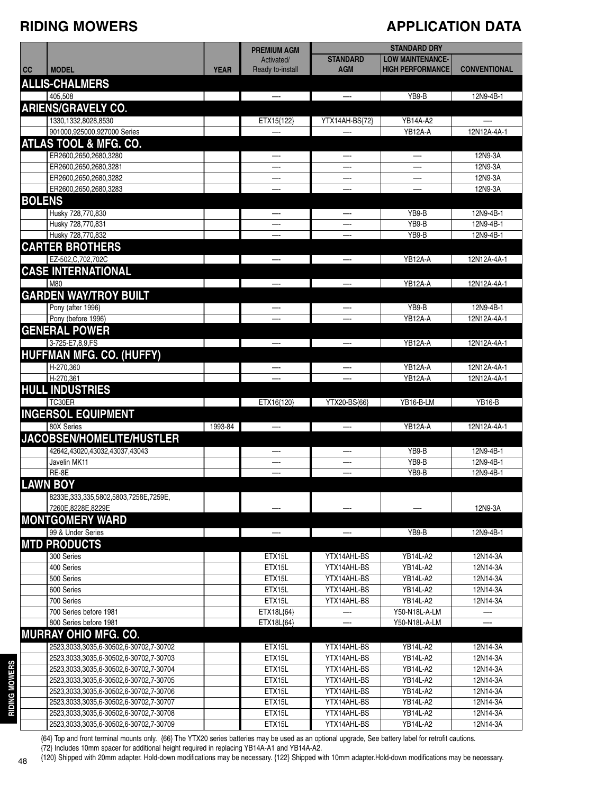#### **RIDING MOWERS**

#### **APPLICATION DATA**

|               |                                                                                  |             | <b>PREMIUM AGM</b>             | <b>STANDARD DRY</b>           |                                                    |                      |
|---------------|----------------------------------------------------------------------------------|-------------|--------------------------------|-------------------------------|----------------------------------------------------|----------------------|
| cc            | <b>MODEL</b>                                                                     | <b>YEAR</b> | Activated/<br>Ready to-install | <b>STANDARD</b><br><b>AGM</b> | <b>LOW MAINTENANCE-</b><br><b>HIGH PERFORMANCE</b> | <b>CONVENTIONAL</b>  |
|               | <b>ALLIS-CHALMERS</b>                                                            |             |                                |                               |                                                    |                      |
|               | 405,508                                                                          |             | —                              | $\overline{\phantom{0}}$      | YB9-B                                              | 12N9-4B-1            |
|               | <b>ARIENS/GRAVELY CO.</b>                                                        |             |                                |                               |                                                    |                      |
|               | 1330, 1332, 8028, 8530                                                           |             | ETX15{122}                     | YTX14AH-BS{72}                | YB14A-A2                                           |                      |
|               | 901000,925000,927000 Series                                                      |             |                                |                               | YB12A-A                                            | 12N12A-4A-1          |
|               | <b>ATLAS TOOL &amp; MFG. CO.</b>                                                 |             |                                |                               |                                                    |                      |
|               | ER2600,2650,2680,3280                                                            |             | —                              | $\overline{\phantom{0}}$      | —-                                                 | 12N9-3A              |
|               | ER2600,2650,2680,3281                                                            |             |                                |                               |                                                    | 12N9-3A              |
|               | ER2600,2650,2680,3282<br>ER2600,2650,2680,3283                                   |             |                                |                               |                                                    | 12N9-3A<br>12N9-3A   |
| <b>BOLENS</b> |                                                                                  |             |                                |                               |                                                    |                      |
|               | Husky 728,770,830                                                                |             |                                |                               | YB9-B                                              | 12N9-4B-1            |
|               | Husky 728,770,831                                                                |             |                                |                               | YB9-B                                              | 12N9-4B-1            |
|               | Husky 728,770,832                                                                |             |                                |                               | YB9-B                                              | 12N9-4B-1            |
|               | <b>CARTER BROTHERS</b>                                                           |             |                                |                               |                                                    |                      |
|               | EZ-502, C, 702, 702C                                                             |             | —                              | $\overline{\phantom{0}}$      | YB12A-A                                            | 12N12A-4A-1          |
|               | <b>CASE INTERNATIONAL</b>                                                        |             |                                |                               |                                                    |                      |
|               | <b>M80</b>                                                                       |             | —                              | $\overline{\phantom{m}}$      | YB12A-A                                            | 12N12A-4A-1          |
|               | <b>GARDEN WAY/TROY BUILT</b>                                                     |             |                                |                               |                                                    |                      |
|               | Pony (after 1996)                                                                |             | —-                             |                               | YB9-B                                              | 12N9-4B-1            |
|               | Pony (before 1996)                                                               |             |                                |                               | YB12A-A                                            | 12N12A-4A-1          |
|               | <b>GENERAL POWER</b>                                                             |             |                                |                               |                                                    |                      |
|               | 3-725-E7,8,9,FS                                                                  |             |                                | —                             | YB12A-A                                            | 12N12A-4A-1          |
|               | <b>HUFFMAN MFG. CO. (HUFFY)</b>                                                  |             |                                |                               |                                                    |                      |
|               | H-270,360                                                                        |             |                                | $\overline{\phantom{m}}$      | YB12A-A                                            | 12N12A-4A-1          |
|               | H-270,361                                                                        |             |                                |                               | YB12A-A                                            | 12N12A-4A-1          |
|               | <b>HULL INDUSTRIES</b>                                                           |             |                                |                               |                                                    |                      |
|               | TC30ER<br><b>INGERSOL EQUIPMENT</b>                                              |             | ETX16{120}                     | YTX20-BS{66}                  | YB16-B-LM                                          | <b>YB16-B</b>        |
|               | 80X Series                                                                       | 1993-84     | —                              | $\overline{\phantom{0}}$      | YB12A-A                                            | 12N12A-4A-1          |
|               | JACOBSEN/HOMELITE/HUSTLER                                                        |             |                                |                               |                                                    |                      |
|               | 42642,43020,43032,43037,43043                                                    |             | —-                             |                               | YB9-B                                              | 12N9-4B-1            |
|               | Javelin MK11                                                                     |             |                                |                               | YB9-B                                              | 12N9-4B-1            |
|               | RE-8E                                                                            |             |                                |                               | YB9-B                                              | 12N9-4B-1            |
|               | <b>LAWN BOY</b>                                                                  |             |                                |                               |                                                    |                      |
|               | 8233E, 333, 335, 5802, 5803, 7258E, 7259E,                                       |             |                                |                               |                                                    |                      |
|               | 7260E,8228E,8229E                                                                |             |                                |                               |                                                    | 12N9-3A              |
|               | <b>MONTGOMERY WARD</b>                                                           |             |                                |                               |                                                    |                      |
|               | 99 & Under Series                                                                |             |                                |                               | YB9-B                                              | 12N9-4B-1            |
|               | <b>MTD PRODUCTS</b>                                                              |             |                                |                               |                                                    |                      |
|               | 300 Series                                                                       |             | ETX15L                         | YTX14AHL-BS                   | <b>YB14L-A2</b>                                    | 12N14-3A             |
|               | 400 Series                                                                       |             | ETX15L                         | YTX14AHL-BS                   | <b>YB14L-A2</b>                                    | 12N14-3A             |
|               | 500 Series<br>600 Series                                                         |             | ETX15L<br>ETX15L               | YTX14AHL-BS<br>YTX14AHL-BS    | <b>YB14L-A2</b><br><b>YB14L-A2</b>                 | 12N14-3A<br>12N14-3A |
|               | 700 Series                                                                       |             | ETX15L                         | YTX14AHL-BS                   | <b>YB14L-A2</b>                                    | 12N14-3A             |
|               | 700 Series before 1981                                                           |             | ETX18L{64}                     |                               | Y50-N18L-A-LM                                      |                      |
|               | 800 Series before 1981                                                           |             | ETX18L{64}                     |                               | Y50-N18L-A-LM                                      |                      |
|               | <b>MURRAY OHIO MFG. CO.</b>                                                      |             |                                |                               |                                                    |                      |
|               | 2523,3033,3035,6-30502,6-30702,7-30702                                           |             | ETX15L                         | YTX14AHL-BS                   | <b>YB14L-A2</b>                                    | 12N14-3A             |
|               | 2523,3033,3035,6-30502,6-30702,7-30703                                           |             | ETX15L                         | YTX14AHL-BS                   | <b>YB14L-A2</b>                                    | 12N14-3A             |
|               | 2523,3033,3035,6-30502,6-30702,7-30704                                           |             | ETX15L                         | YTX14AHL-BS                   | <b>YB14L-A2</b>                                    | 12N14-3A             |
|               | 2523,3033,3035,6-30502,6-30702,7-30705                                           |             | ETX15L                         | YTX14AHL-BS                   | <b>YB14L-A2</b>                                    | 12N14-3A             |
|               | 2523,3033,3035,6-30502,6-30702,7-30706                                           |             | ETX15L<br>ETX15L               | YTX14AHL-BS<br>YTX14AHL-BS    | <b>YB14L-A2</b><br><b>YB14L-A2</b>                 | 12N14-3A<br>12N14-3A |
|               | 2523,3033,3035,6-30502,6-30702,7-30707<br>2523,3033,3035,6-30502,6-30702,7-30708 |             | ETX15L                         | YTX14AHL-BS                   | <b>YB14L-A2</b>                                    | 12N14-3A             |
|               | 2523,3033,3035,6-30502,6-30702,7-30709                                           |             | ETX15L                         | YTX14AHL-BS                   | <b>YB14L-A2</b>                                    | 12N14-3A             |
|               |                                                                                  |             |                                |                               |                                                    |                      |

{64} Top and front terminal mounts only. {66} The YTX20 series batteries may be used as an optional upgrade, See battery label for retrofit cautions. {72} Includes 10mm spacer for additional height required in replacing YB14A-A1 and YB14A-A2.

**RIDING M O WERS**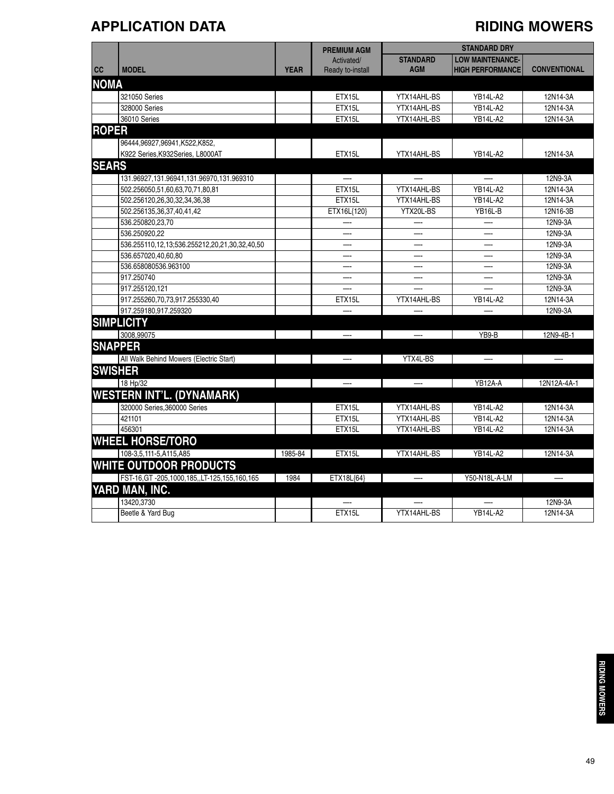### **APPLICATION DATA RIDING MOWERS**

|              |                                                  |             | <b>PREMIUM AGM</b> | <b>STANDARD DRY</b>                        |                         |                     |
|--------------|--------------------------------------------------|-------------|--------------------|--------------------------------------------|-------------------------|---------------------|
|              |                                                  |             | Activated/         | <b>STANDARD</b><br><b>LOW MAINTENANCE-</b> |                         |                     |
| cc           | <b>MODEL</b>                                     | <b>YEAR</b> | Ready to-install   | <b>AGM</b>                                 | <b>HIGH PERFORMANCE</b> | <b>CONVENTIONAL</b> |
| <b>NOMA</b>  |                                                  |             |                    |                                            |                         |                     |
|              | 321050 Series                                    |             | ETX15L             | YTX14AHL-BS                                | <b>YB14L-A2</b>         | 12N14-3A            |
|              | 328000 Series                                    |             | ETX15L             | YTX14AHL-BS                                | <b>YB14L-A2</b>         | 12N14-3A            |
|              | 36010 Series                                     |             | ETX15L             | YTX14AHL-BS                                | YB14L-A2                | 12N14-3A            |
| <b>ROPER</b> |                                                  |             |                    |                                            |                         |                     |
|              | 96444,96927,96941,K522,K852,                     |             |                    |                                            |                         |                     |
|              | K922 Series, K932Series, L8000AT                 |             | ETX15L             | YTX14AHL-BS                                | <b>YB14L-A2</b>         | 12N14-3A            |
| <b>SEARS</b> |                                                  |             |                    |                                            |                         |                     |
|              | 131.96927,131.96941,131.96970,131.969310         |             |                    |                                            |                         | 12N9-3A             |
|              | 502.256050,51,60,63,70,71,80,81                  |             | ETX15L             | YTX14AHL-BS                                | <b>YB14L-A2</b>         | 12N14-3A            |
|              | 502.256120,26,30,32,34,36,38                     |             | ETX15L             | YTX14AHL-BS                                | <b>YB14L-A2</b>         | 12N14-3A            |
|              | 502.256135,36,37,40,41,42                        |             | ETX16L{120}        | YTX20L-BS                                  | YB16L-B                 | 12N16-3B            |
|              | 536.250820,23,70                                 |             |                    |                                            |                         | 12N9-3A             |
|              | 536.250920,22                                    |             |                    |                                            |                         | 12N9-3A             |
|              | 536.255110,12,13;536.255212,20,21,30,32,40,50    |             |                    |                                            |                         | 12N9-3A             |
|              | 536.657020,40,60,80                              |             |                    |                                            |                         | 12N9-3A             |
|              | 536.658080536.963100                             |             |                    |                                            |                         | 12N9-3A             |
|              | 917.250740                                       |             |                    |                                            |                         | 12N9-3A             |
|              | 917.255120,121                                   |             |                    |                                            |                         | 12N9-3A             |
|              | 917.255260,70,73,917.255330,40                   |             | ETX15L             | YTX14AHL-BS                                | <b>YB14L-A2</b>         | 12N14-3A            |
|              | 917.259180,917.259320                            |             |                    |                                            |                         | 12N9-3A             |
|              | <b>SIMPLICITY</b>                                |             |                    |                                            |                         |                     |
|              | 3008,99075                                       |             |                    |                                            | YB9-B                   | 12N9-4B-1           |
|              | <b>SNAPPER</b>                                   |             |                    |                                            |                         |                     |
|              | All Walk Behind Mowers (Electric Start)          |             |                    | YTX4L-BS                                   |                         |                     |
|              | <b>SWISHER</b>                                   |             |                    |                                            |                         |                     |
|              | 18 Hp/32                                         |             | —-                 | $\overline{\phantom{m}}$                   | YB12A-A                 | 12N12A-4A-1         |
|              | <b>WESTERN INT'L. (DYNAMARK)</b>                 |             |                    |                                            |                         |                     |
|              | 320000 Series, 360000 Series                     |             | ETX15L             | YTX14AHL-BS                                | <b>YB14L-A2</b>         | 12N14-3A            |
|              | 421101                                           |             | ETX15L             | YTX14AHL-BS                                | <b>YB14L-A2</b>         | 12N14-3A            |
|              | 456301                                           |             | ETX15L             | YTX14AHL-BS                                | <b>YB14L-A2</b>         | 12N14-3A            |
|              | <b>WHEEL HORSE/TORO</b>                          |             |                    |                                            |                         |                     |
|              | 108-3,5,111-5,A115,A85                           | 1985-84     | ETX15L             | YTX14AHL-BS                                | <b>YB14L-A2</b>         | 12N14-3A            |
|              | <b>WHITE OUTDOOR PRODUCTS</b>                    |             |                    |                                            |                         |                     |
|              | FST-16, GT-205, 1000, 185, LT-125, 155, 160, 165 |             |                    |                                            | Y50-N18L-A-LM           |                     |
|              | YARD MAN, INC.                                   | 1984        | ETX18L{64}         |                                            |                         |                     |
|              |                                                  |             |                    |                                            |                         |                     |
|              | 13420.3730                                       |             | —-                 | —.                                         | —-                      | 12N9-3A             |
|              | Beetle & Yard Bug                                |             | ETX15L             | YTX14AHL-BS                                | <b>YB14L-A2</b>         | 12N14-3A            |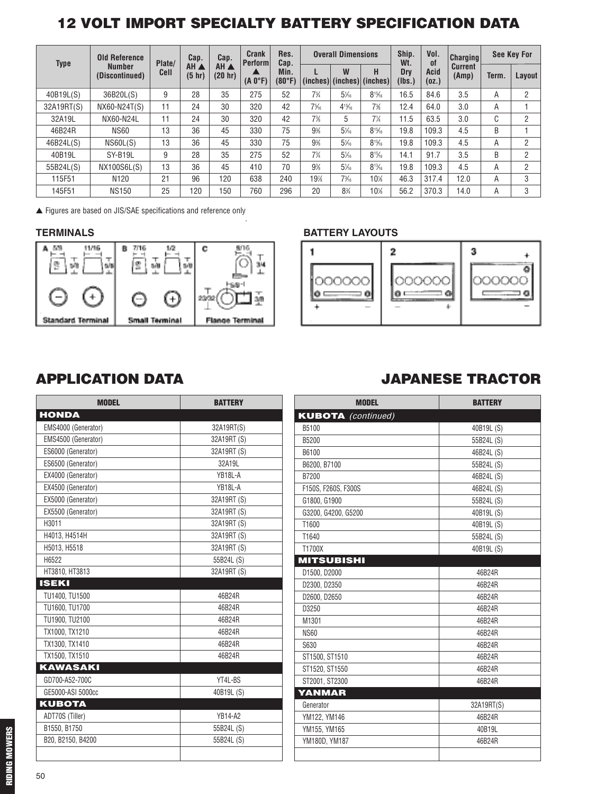## **12 VOLT IMPORT SPECIALTY BATTERY SPECIFICATION DATA**

| <b>Type</b> | <b>Old Reference</b>            | Plate/      | Cap.           | Cap.            | <b>Crank</b><br><b>Perform</b> | Res.<br>Cap.   |                | <b>Overall Dimensions</b> |                                 | Ship.<br>Wt.  | Vol.<br>0f    | <b>Charging</b>         |       | <b>See Key For</b> |
|-------------|---------------------------------|-------------|----------------|-----------------|--------------------------------|----------------|----------------|---------------------------|---------------------------------|---------------|---------------|-------------------------|-------|--------------------|
|             | <b>Number</b><br>(Discontinued) | <b>Cell</b> | AH A<br>(5 hr) | AH A<br>(20 hr) | $(A 0^{\circ}F)$               | Min.<br>(80°F) |                | W                         | н<br>(inches) (inches) (inches) | Dry<br>(Ibs.] | Acid<br>(0Z.) | <b>Current</b><br>(Amp) | Term. | Layout             |
| 40B19L(S)   | 36B20L(S)                       | 9           | 28             | 35              | 275                            | 52             | $7\frac{3}{4}$ | $5\frac{1}{6}$            | $8^{15}/6$                      | 16.5          | 84.6          | 3.5                     | Α     | 2                  |
| 32A19RT(S)  | NX60-N24T(S)                    | 11          | 24             | 30              | 320                            | 42             | $7\%$          | $4^{15}/6$                | 7%                              | 12.4          | 64.0          | 3.0                     | Α     |                    |
| 32A19L      | NX60-N24L                       | 11          | 24             | 30              | 320                            | 42             | 7%             | 5                         | $7\frac{1}{4}$                  | 11.5          | 63.5          | 3.0                     | C     | 2                  |
| 46B24R      | <b>NS60</b>                     | 13          | 36             | 45              | 330                            | 75             | 9%             | $5\frac{1}{6}$            | $8^{15}/6$                      | 19.8          | 109.3         | 4.5                     | B     | и                  |
| 46B24L(S)   | NS60L(S)                        | 13          | 36             | 45              | 330                            | 75             | 9%             | $5\frac{1}{6}$            | $8^{15}/6$                      | 19.8          | 109.3         | 4.5                     | Α     | 2                  |
| 40B19L      | SY-B19L                         | 9           | 28             | 35              | 275                            | 52             | $7\frac{3}{4}$ | $5\%$                     | $8^{15}/6$                      | 14.1          | 91.7          | 3.5                     | B     | 2                  |
| 55B24L(S)   | NX100S6L(S)                     | 13          | 36             | 45              | 410                            | 70             | 9%             | $5\frac{1}{6}$            | $8^{13}/6$                      | 19.8          | 109.3         | 4.5                     | Α     | $\overline{2}$     |
| 115F51      | N <sub>120</sub>                | 21          | 96             | 120             | 638                            | 240            | 19%            | $7\frac{3}{6}$            | $10\%$                          | 46.3          | 317.4         | 12.0                    | Α     | 3                  |
| 145F51      | <b>NS150</b>                    | 25          | 120            | 150             | 760                            | 296            | 20             | 8%                        | $10\%$                          | 56.2          | 370.3         | 14.0                    | Α     | 3                  |

.

**▲** Figures are based on JIS/SAE specifications and reference only



#### **TERMINALS BATTERY LAYOUTS**



| <b>MODEL</b>        | <b>BATTERY</b> |
|---------------------|----------------|
| <b>HONDA</b>        |                |
| EMS4000 (Generator) | 32A19RT(S)     |
| EMS4500 (Generator) | 32A19RT (S)    |
| ES6000 (Generator)  | 32A19RT (S)    |
| ES6500 (Generator)  | 32A19L         |
| EX4000 (Generator)  | YB18L-A        |
| EX4500 (Generator)  | YB18L-A        |
| EX5000 (Generator)  | 32A19RT (S)    |
| EX5500 (Generator)  | 32A19RT (S)    |
| H3011               | 32A19RT (S)    |
| H4013, H4514H       | 32A19RT (S)    |
| H5013, H5518        | 32A19RT (S)    |
| H6522               | 55B24L (S)     |
| HT3810, HT3813      | 32A19RT (S)    |
| <b>ISEKI</b>        |                |
| TU1400, TU1500      | 46B24R         |
| TU1600, TU1700      | 46B24R         |
| TU1900, TU2100      | 46B24R         |
| TX1000, TX1210      | 46B24R         |
| TX1300, TX1410      | 46B24R         |
| TX1500, TX1510      | 46B24R         |
| <b>KAWASAKI</b>     |                |
| GD700-A52-700C      | YT4L-BS        |
| GE5000-ASI 5000cc   | 40B19L (S)     |
| <b>KUBOTA</b>       |                |
| ADT70S (Tiller)     | <b>YB14-A2</b> |
| B1550, B1750        | 55B24L (S)     |
| B20, B2150, B4200   | 55B24L (S)     |
|                     |                |

#### **APPLICATION DATA JAPANESE TRACTOR**

| <b>MODEL</b>              | <b>BATTERY</b> |
|---------------------------|----------------|
| <b>KUBOTA</b> (continued) |                |
| B5100                     | 40B19L (S)     |
| B5200                     | 55B24L (S)     |
| B6100                     | 46B24L (S)     |
| B6200, B7100              | 55B24L (S)     |
| B7200                     | 46B24L (S)     |
| F150S, F260S, F300S       | 46B24L (S)     |
| G1800, G1900              | 55B24L (S)     |
| G3200, G4200, G5200       | 40B19L (S)     |
| T1600                     | 40B19L (S)     |
| T1640                     | 55B24L (S)     |
| T1700X                    | 40B19L (S)     |
| MITSUBISHI                |                |
| D1500, D2000              | 46B24R         |
| D2300, D2350              | 46B24R         |
| D2600, D2650              | 46B24R         |
| D3250                     | 46B24R         |
| M1301                     | 46B24R         |
| <b>NS60</b>               | 46B24R         |
| S630                      | 46B24R         |
| ST1500, ST1510            | 46B24R         |
| ST1520, ST1550            | 46B24R         |
| ST2001, ST2300            | 46B24R         |
| YANMAR                    |                |
| Generator                 | 32A19RT(S)     |
| YM122, YM146              | 46B24R         |
| YM155, YM165              | 40B19L         |
| YM180D, YM187             | 46B24R         |
|                           |                |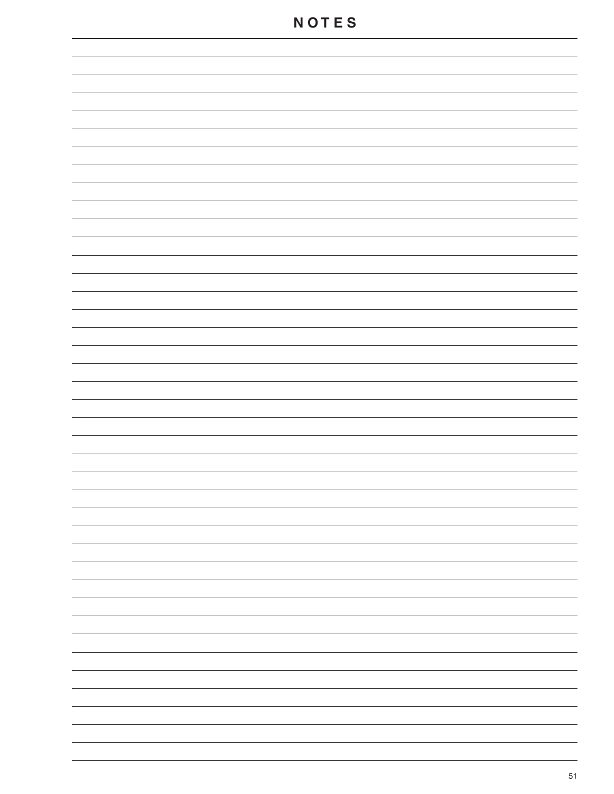| ۰ |
|---|
|   |
|   |
|   |
|   |
|   |
|   |
|   |
|   |
|   |
|   |
|   |
|   |
|   |
|   |
|   |
|   |
|   |
|   |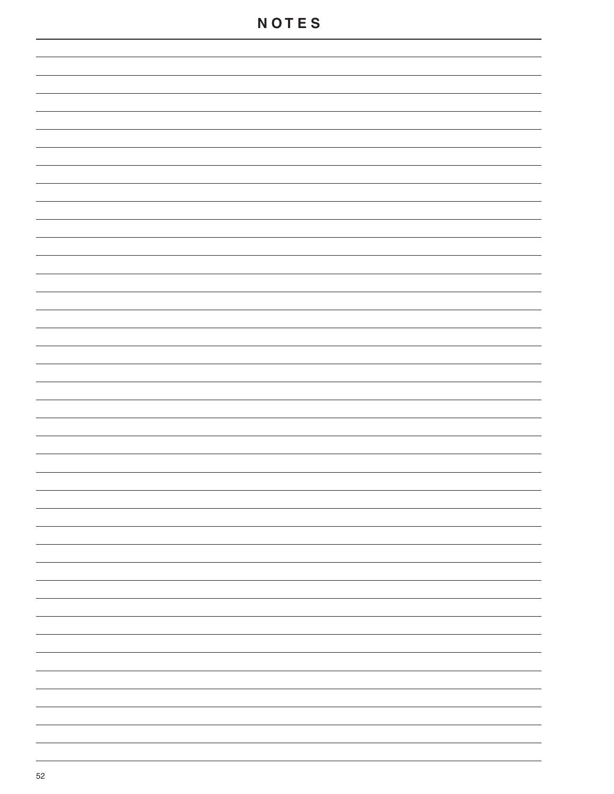### **N O T E S**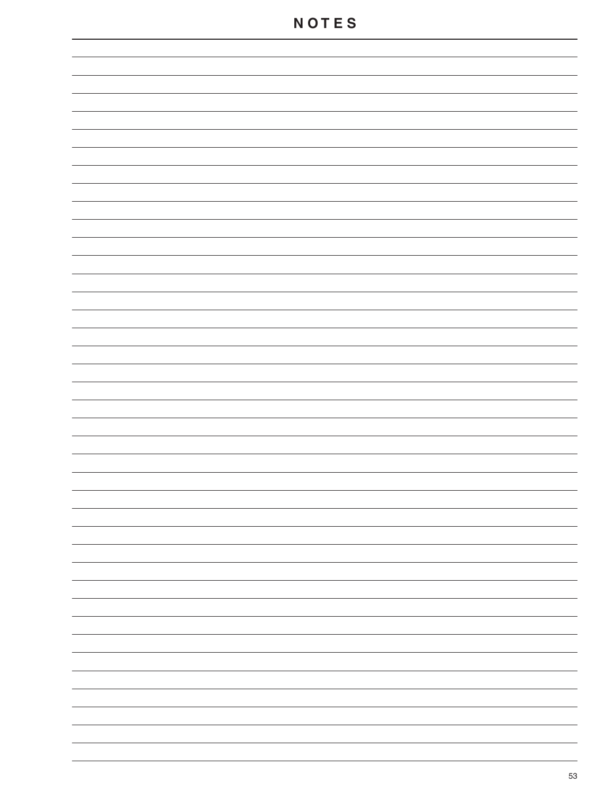| ۰ |
|---|
|   |
|   |
|   |
| ۰ |
|   |
|   |
|   |
| ۰ |
|   |
| ۰ |
|   |
| ۰ |
|   |
| ۰ |
|   |
|   |
|   |
|   |
|   |
|   |
|   |
|   |
|   |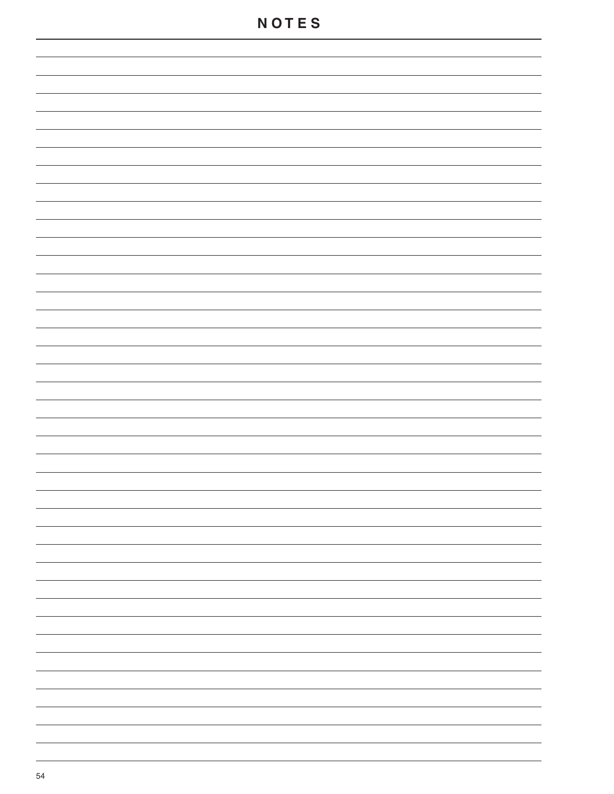### **N O T E S**

| - |
|---|
|   |
| - |
| - |
| - |
| - |
|   |
| - |
| - |
| - |
| - |
|   |
| - |
| - |
|   |
|   |
|   |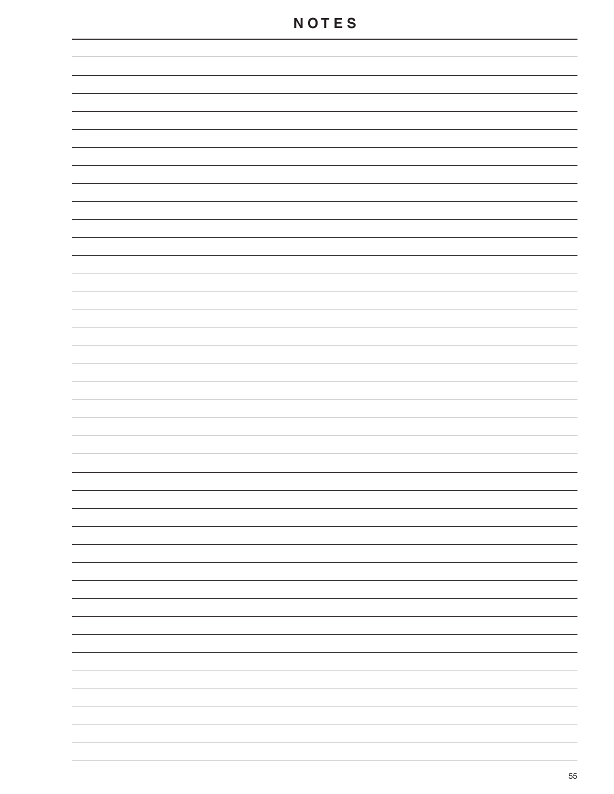| ۰ |
|---|
|   |
|   |
|   |
| ۰ |
|   |
|   |
|   |
| ۰ |
|   |
|   |
|   |
|   |
|   |
|   |
|   |
|   |
|   |
|   |
|   |
|   |
|   |
|   |
|   |
|   |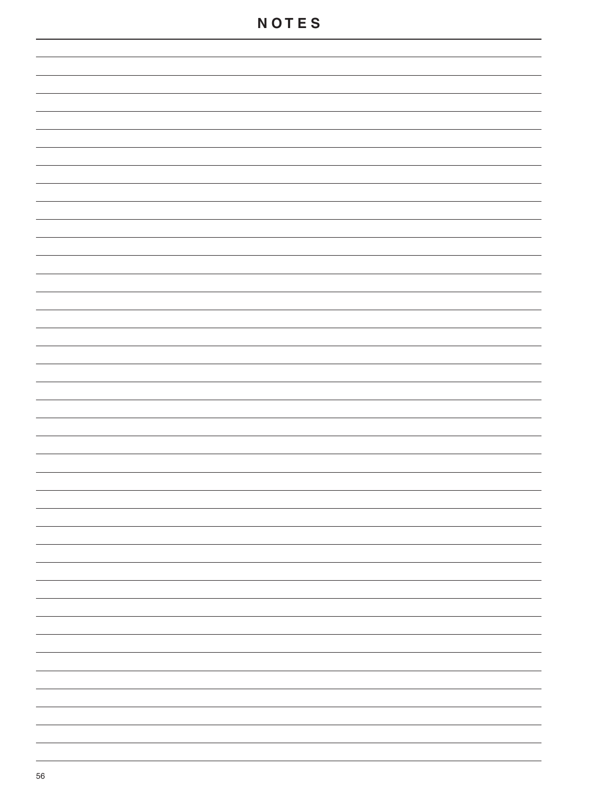### **N O T E S**

| - |
|---|
|   |
| - |
| - |
| - |
| - |
|   |
| - |
| - |
| - |
| - |
|   |
| - |
| - |
|   |
|   |
|   |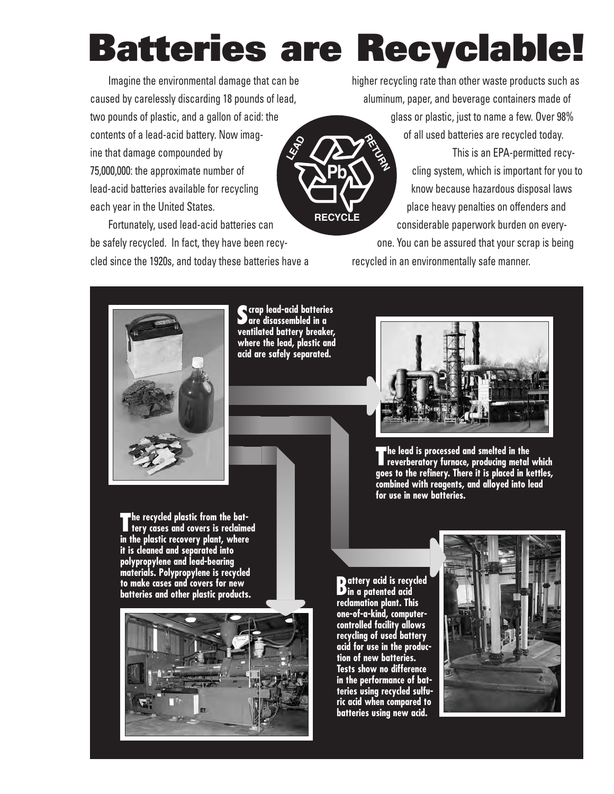# **Batteries are Recyclable!**

**RECYCLE**

**Pb**

Imagine the environmental damage that can be caused by carelessly discarding 18 pounds of lead, two pounds of plastic, and a gallon of acid: the contents of a lead-acid battery. Now imagine that damage compounded by 75,000,000: the approximate number of lead-acid batteries available for recycling each year in the United States. **LEAD**

Fortunately, used lead-acid batteries can be safely recycled. In fact, they have been recycled since the 1920s, and today these batteries have a higher recycling rate than other waste products such as aluminum, paper, and beverage containers made of glass or plastic, just to name a few. Over 98% of all used batteries are recycled today. This is an EPA-permitted recycling system, which is important for you to know because hazardous disposal laws place heavy penalties on offenders and considerable paperwork burden on every-**RETURN** 

one. You can be assured that your scrap is being recycled in an environmentally safe manner.



**Scrap lead-acid batteries are disassembled in a ventilated battery breaker, where the lead, plastic and acid are safely separated.**



**The lead is processed and smelted in the reverberatory furnace, producing metal which goes to the refinery. There it is placed in kettles, combined with reagents, and alloyed into lead for use in new batteries.**

**The recycled plastic from the bat-tery cases and covers is reclaimed in the plastic recovery plant, where it is cleaned and separated into polypropylene and lead-bearing materials. Polypropylene is recycled to make cases and covers for new batteries and other plastic products.**



**Battery acid is recycled in a patented acid reclamation plant. This one-of-a-kind, computercontrolled facility allows recycling of used battery acid for use in the production of new batteries. Tests show no difference in the performance of batteries using recycled sulfuric acid when compared to batteries using new acid.**